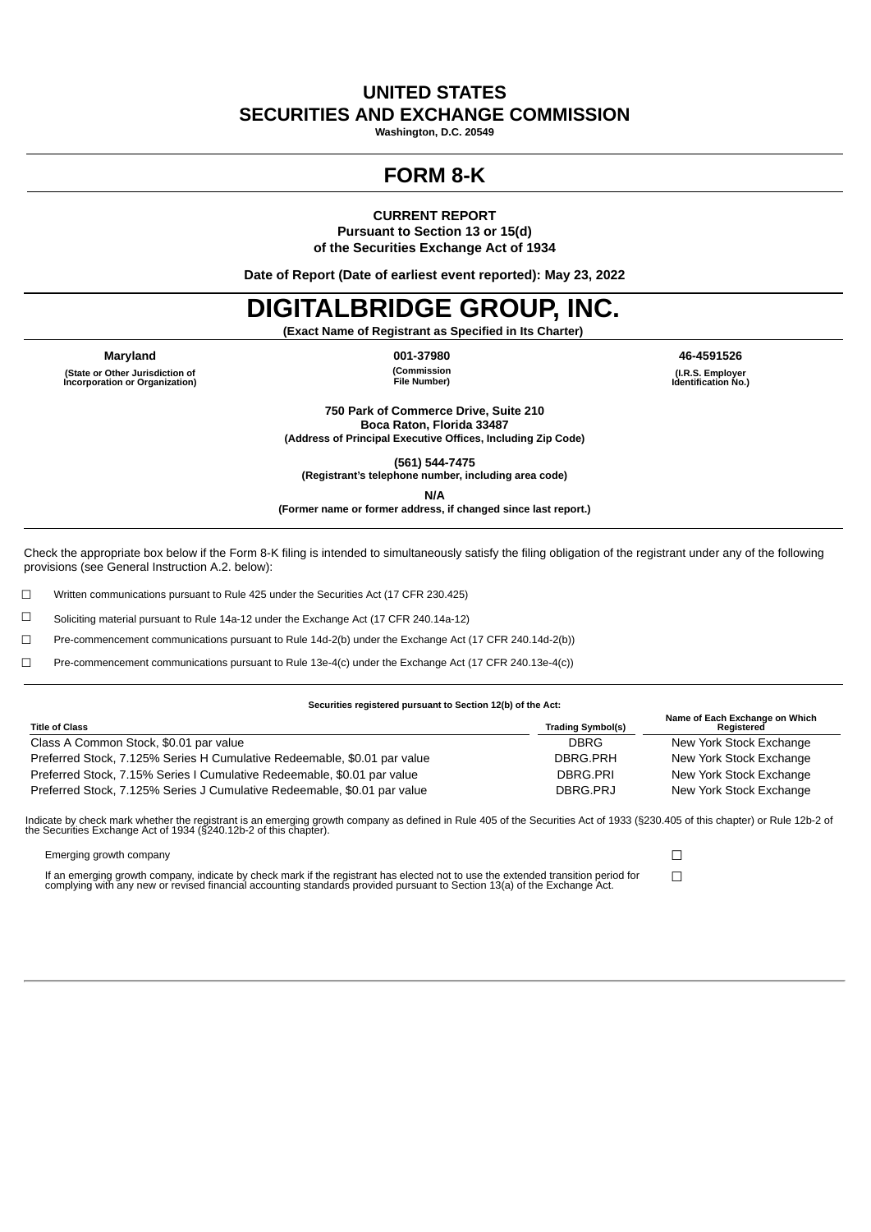# **UNITED STATES SECURITIES AND EXCHANGE COMMISSION**

**Washington, D.C. 20549**

# **FORM 8-K**

**CURRENT REPORT**

**Pursuant to Section 13 or 15(d) of the Securities Exchange Act of 1934**

**Date of Report (Date of earliest event reported): May 23, 2022**

# **DIGITALBRIDGE GROUP, INC.**

**(Exact Name of Registrant as Specified in Its Charter)**

**Maryland 001-37980 46-4591526 (State or Other Jurisdiction of Incorporation or Organization)**

**(Commission File Number)**

**(I.R.S. Employer Identification No.)**

**750 Park of Commerce Drive, Suite 210 Boca Raton, Florida 33487 (Address of Principal Executive Offices, Including Zip Code)**

**(561) 544-7475 (Registrant's telephone number, including area code)**

**N/A**

**(Former name or former address, if changed since last report.)**

Check the appropriate box below if the Form 8-K filing is intended to simultaneously satisfy the filing obligation of the registrant under any of the following provisions (see General Instruction A.2. below):

☐ Written communications pursuant to Rule 425 under the Securities Act (17 CFR 230.425)

☐ Soliciting material pursuant to Rule 14a-12 under the Exchange Act (17 CFR 240.14a-12)

☐ Pre-commencement communications pursuant to Rule 14d-2(b) under the Exchange Act (17 CFR 240.14d-2(b))

☐ Pre-commencement communications pursuant to Rule 13e-4(c) under the Exchange Act (17 CFR 240.13e-4(c))

#### **Securities registered pursuant to Section 12(b) of the Act:**

| <b>Title of Class</b>                                                    | <b>Trading Symbol(s)</b> | Name of Each Exchange on Which<br>Reaistered |
|--------------------------------------------------------------------------|--------------------------|----------------------------------------------|
| Class A Common Stock, \$0.01 par value                                   | <b>DBRG</b>              | New York Stock Exchange                      |
| Preferred Stock, 7.125% Series H Cumulative Redeemable, \$0.01 par value | DBRG.PRH                 | New York Stock Exchange                      |
| Preferred Stock, 7.15% Series I Cumulative Redeemable, \$0.01 par value  | DBRG.PRI                 | New York Stock Exchange                      |
| Preferred Stock, 7.125% Series J Cumulative Redeemable, \$0.01 par value | DBRG.PRJ                 | New York Stock Exchange                      |

Indicate by check mark whether the registrant is an emerging growth company as defined in Rule 405 of the Securities Act of 1933 (§230.405 of this chapter) or Rule 12b-2 of<br>the Securities Exchange Act of 1934 (§240.12b-2 o

Emerging growth company ◯  $□$ 

If an emerging growth company, indicate by check mark if the registrant has elected not to use the extended transition period for □□<br>complying with any new or revised financial accounting standards provided pursuant to Se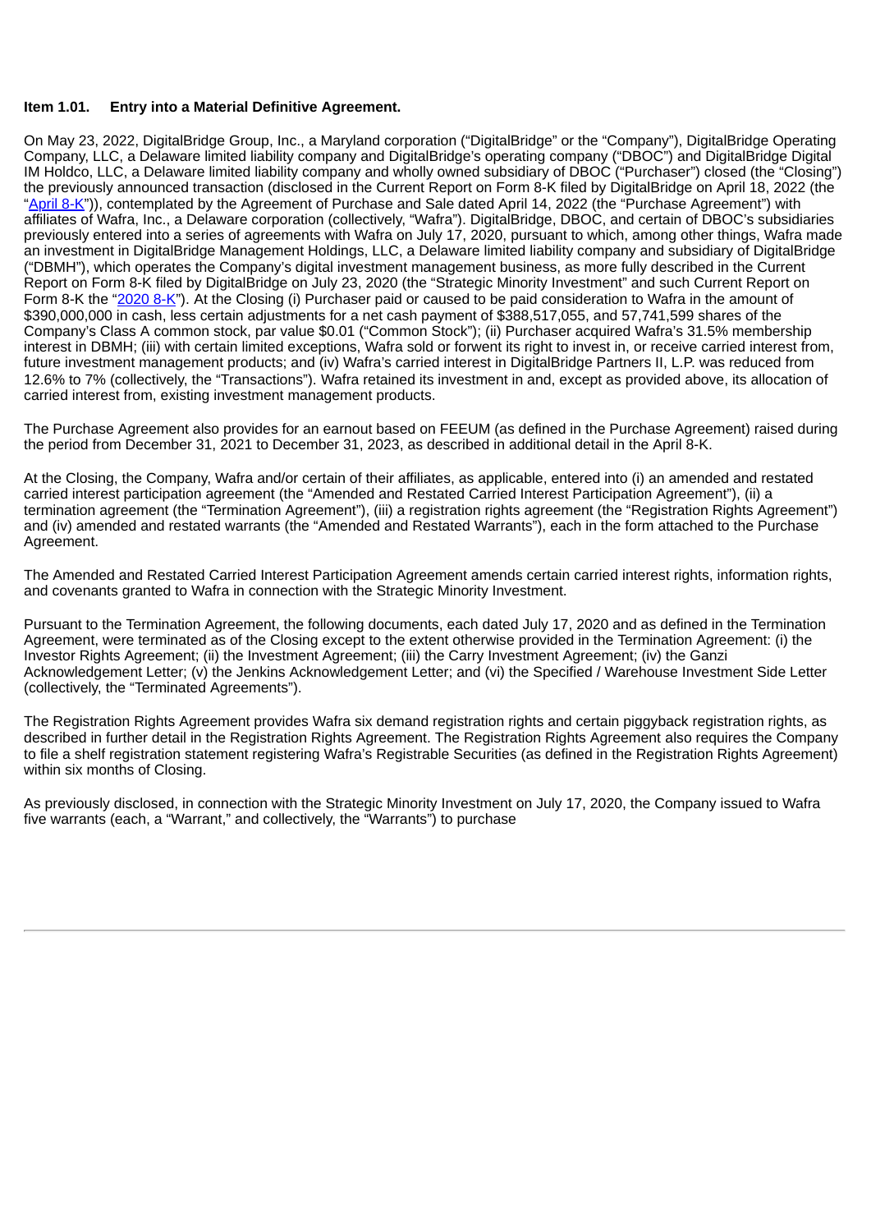## **Item 1.01. Entry into a Material Definitive Agreement.**

On May 23, 2022, DigitalBridge Group, Inc., a Maryland corporation ("DigitalBridge" or the "Company"), DigitalBridge Operating Company, LLC, a Delaware limited liability company and DigitalBridge's operating company ("DBOC") and DigitalBridge Digital IM Holdco, LLC, a Delaware limited liability company and wholly owned subsidiary of DBOC ("Purchaser") closed (the "Closing") the previously announced transaction (disclosed in the Current Report on Form 8-K filed by DigitalBridge on April 18, 2022 (the "[April](https://www.sec.gov/ix?doc=/Archives/edgar/data/1679688/000167968822000040/dbrg-20220414.htm) 8-K")), contemplated by the Agreement of Purchase and Sale dated April 14, 2022 (the "Purchase Agreement") with affiliates of Wafra, Inc., a Delaware corporation (collectively, "Wafra"). DigitalBridge, DBOC, and certain of DBOC's subsidiaries previously entered into a series of agreements with Wafra on July 17, 2020, pursuant to which, among other things, Wafra made an investment in DigitalBridge Management Holdings, LLC, a Delaware limited liability company and subsidiary of DigitalBridge ("DBMH"), which operates the Company's digital investment management business, as more fully described in the Current Report on Form 8-K filed by DigitalBridge on July 23, 2020 (the "Strategic Minority Investment" and such Current Report on Form 8-K the ["2020](https://www.sec.gov/ix?doc=/Archives/edgar/data/0001679688/000167968820000047/clny8-k07172020.htm) 8-K"). At the Closing (i) Purchaser paid or caused to be paid consideration to Wafra in the amount of \$390,000,000 in cash, less certain adjustments for a net cash payment of \$388,517,055, and 57,741,599 shares of the Company's Class A common stock, par value \$0.01 ("Common Stock"); (ii) Purchaser acquired Wafra's 31.5% membership interest in DBMH; (iii) with certain limited exceptions, Wafra sold or forwent its right to invest in, or receive carried interest from, future investment management products; and (iv) Wafra's carried interest in DigitalBridge Partners II, L.P. was reduced from 12.6% to 7% (collectively, the "Transactions"). Wafra retained its investment in and, except as provided above, its allocation of carried interest from, existing investment management products.

The Purchase Agreement also provides for an earnout based on FEEUM (as defined in the Purchase Agreement) raised during the period from December 31, 2021 to December 31, 2023, as described in additional detail in the April 8-K.

At the Closing, the Company, Wafra and/or certain of their affiliates, as applicable, entered into (i) an amended and restated carried interest participation agreement (the "Amended and Restated Carried Interest Participation Agreement"), (ii) a termination agreement (the "Termination Agreement"), (iii) a registration rights agreement (the "Registration Rights Agreement") and (iv) amended and restated warrants (the "Amended and Restated Warrants"), each in the form attached to the Purchase Agreement.

The Amended and Restated Carried Interest Participation Agreement amends certain carried interest rights, information rights, and covenants granted to Wafra in connection with the Strategic Minority Investment.

Pursuant to the Termination Agreement, the following documents, each dated July 17, 2020 and as defined in the Termination Agreement, were terminated as of the Closing except to the extent otherwise provided in the Termination Agreement: (i) the Investor Rights Agreement; (ii) the Investment Agreement; (iii) the Carry Investment Agreement; (iv) the Ganzi Acknowledgement Letter; (v) the Jenkins Acknowledgement Letter; and (vi) the Specified / Warehouse Investment Side Letter (collectively, the "Terminated Agreements").

The Registration Rights Agreement provides Wafra six demand registration rights and certain piggyback registration rights, as described in further detail in the Registration Rights Agreement. The Registration Rights Agreement also requires the Company to file a shelf registration statement registering Wafra's Registrable Securities (as defined in the Registration Rights Agreement) within six months of Closing.

As previously disclosed, in connection with the Strategic Minority Investment on July 17, 2020, the Company issued to Wafra five warrants (each, a "Warrant," and collectively, the "Warrants") to purchase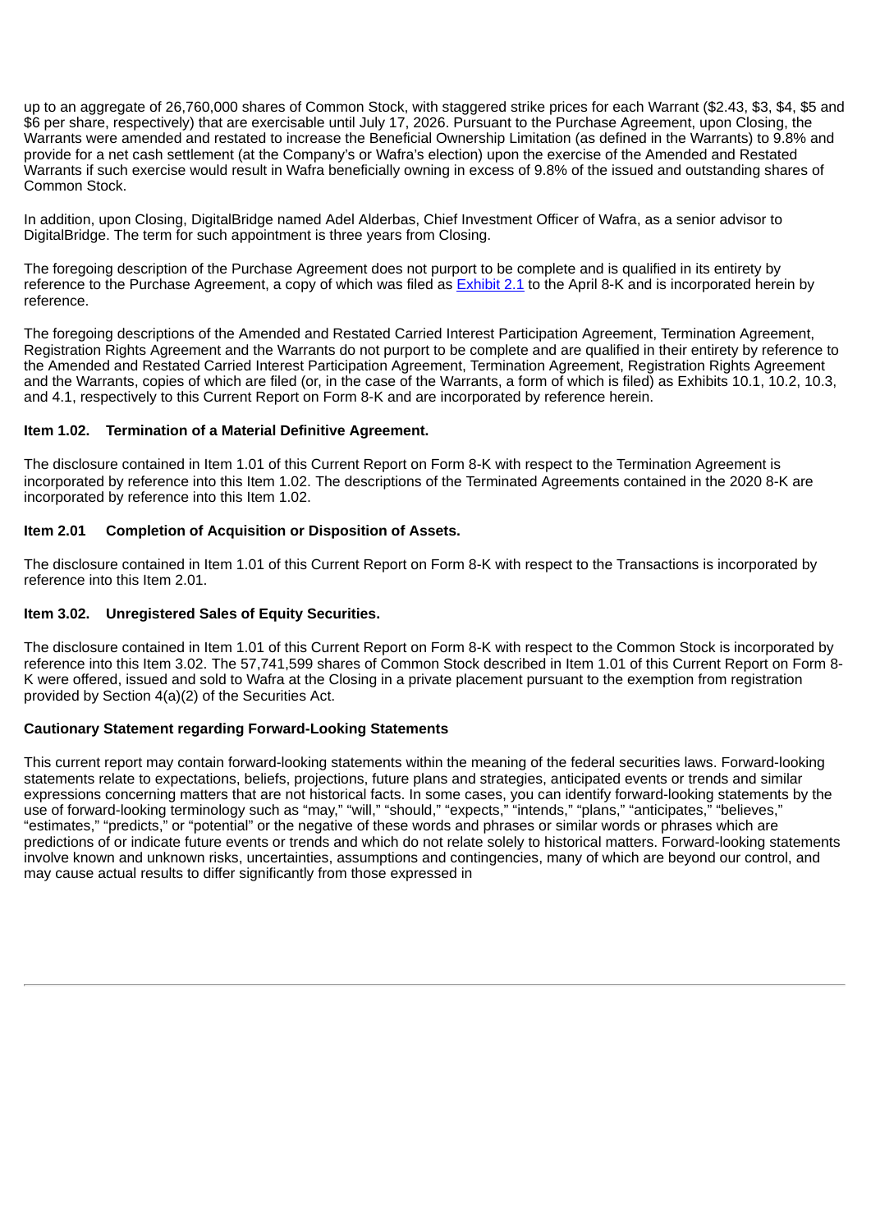up to an aggregate of 26,760,000 shares of Common Stock, with staggered strike prices for each Warrant (\$2.43, \$3, \$4, \$5 and \$6 per share, respectively) that are exercisable until July 17, 2026. Pursuant to the Purchase Agreement, upon Closing, the Warrants were amended and restated to increase the Beneficial Ownership Limitation (as defined in the Warrants) to 9.8% and provide for a net cash settlement (at the Company's or Wafra's election) upon the exercise of the Amended and Restated Warrants if such exercise would result in Wafra beneficially owning in excess of 9.8% of the issued and outstanding shares of Common Stock.

In addition, upon Closing, DigitalBridge named Adel Alderbas, Chief Investment Officer of Wafra, as a senior advisor to DigitalBridge. The term for such appointment is three years from Closing.

The foregoing description of the Purchase Agreement does not purport to be complete and is qualified in its entirety by reference to the Purchase Agreement, a copy of which was filed as [Exhibit](https://www.sec.gov/Archives/edgar/data/1679688/000167968822000040/dbrg8-k04142022exhibit21.htm) 2.1 to the April 8-K and is incorporated herein by reference.

The foregoing descriptions of the Amended and Restated Carried Interest Participation Agreement, Termination Agreement, Registration Rights Agreement and the Warrants do not purport to be complete and are qualified in their entirety by reference to the Amended and Restated Carried Interest Participation Agreement, Termination Agreement, Registration Rights Agreement and the Warrants, copies of which are filed (or, in the case of the Warrants, a form of which is filed) as Exhibits 10.1, 10.2, 10.3, and 4.1, respectively to this Current Report on Form 8-K and are incorporated by reference herein.

## **Item 1.02. Termination of a Material Definitive Agreement.**

The disclosure contained in Item 1.01 of this Current Report on Form 8-K with respect to the Termination Agreement is incorporated by reference into this Item 1.02. The descriptions of the Terminated Agreements contained in the 2020 8-K are incorporated by reference into this Item 1.02.

## **Item 2.01 Completion of Acquisition or Disposition of Assets.**

The disclosure contained in Item 1.01 of this Current Report on Form 8-K with respect to the Transactions is incorporated by reference into this Item 2.01.

## **Item 3.02. Unregistered Sales of Equity Securities.**

The disclosure contained in Item 1.01 of this Current Report on Form 8-K with respect to the Common Stock is incorporated by reference into this Item 3.02. The 57,741,599 shares of Common Stock described in Item 1.01 of this Current Report on Form 8- K were offered, issued and sold to Wafra at the Closing in a private placement pursuant to the exemption from registration provided by Section 4(a)(2) of the Securities Act.

## **Cautionary Statement regarding Forward-Looking Statements**

This current report may contain forward-looking statements within the meaning of the federal securities laws. Forward-looking statements relate to expectations, beliefs, projections, future plans and strategies, anticipated events or trends and similar expressions concerning matters that are not historical facts. In some cases, you can identify forward-looking statements by the use of forward-looking terminology such as "may," "will," "should," "expects," "intends," "plans," "anticipates," "believes," "estimates," "predicts," or "potential" or the negative of these words and phrases or similar words or phrases which are predictions of or indicate future events or trends and which do not relate solely to historical matters. Forward-looking statements involve known and unknown risks, uncertainties, assumptions and contingencies, many of which are beyond our control, and may cause actual results to differ significantly from those expressed in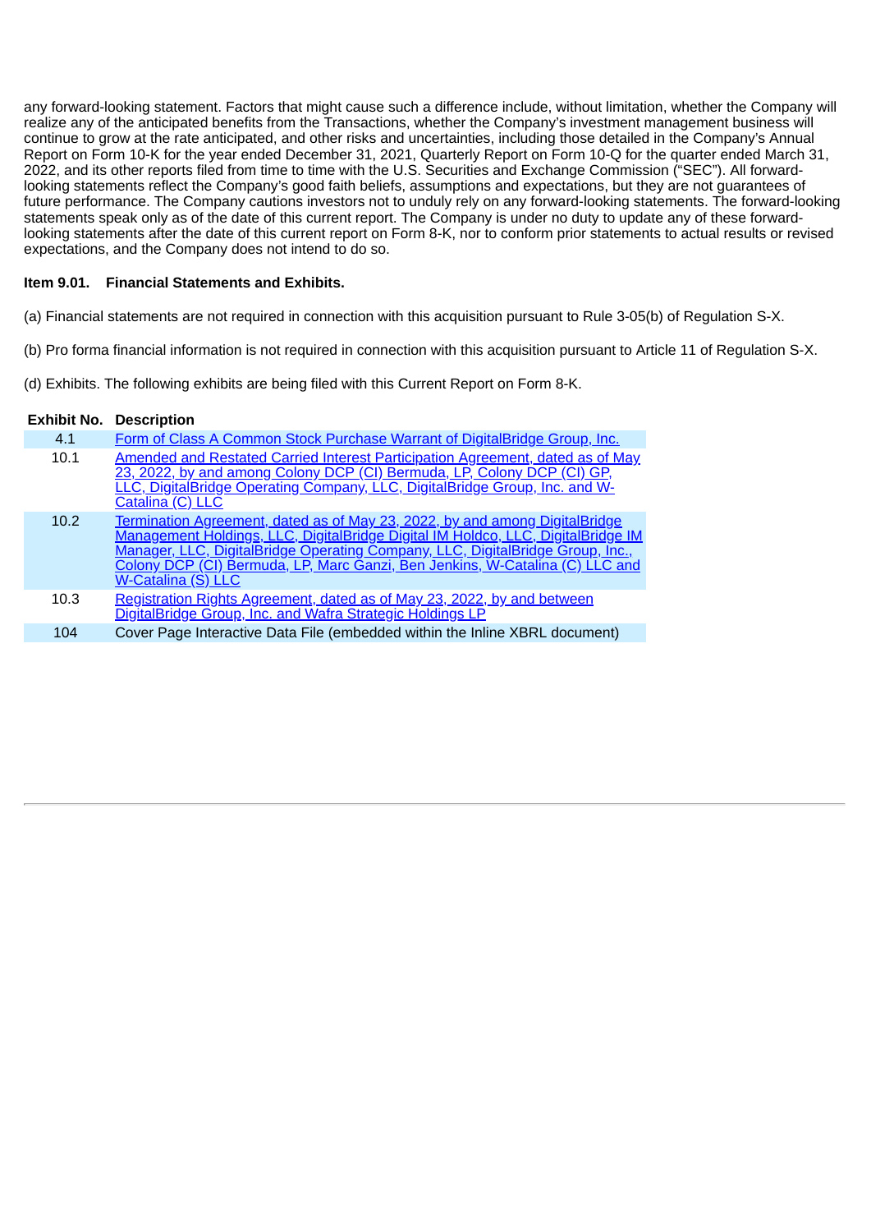any forward-looking statement. Factors that might cause such a difference include, without limitation, whether the Company will realize any of the anticipated benefits from the Transactions, whether the Company's investment management business will continue to grow at the rate anticipated, and other risks and uncertainties, including those detailed in the Company's Annual Report on Form 10-K for the year ended December 31, 2021, Quarterly Report on Form 10-Q for the quarter ended March 31, 2022, and its other reports filed from time to time with the U.S. Securities and Exchange Commission ("SEC"). All forwardlooking statements reflect the Company's good faith beliefs, assumptions and expectations, but they are not guarantees of future performance. The Company cautions investors not to unduly rely on any forward-looking statements. The forward-looking statements speak only as of the date of this current report. The Company is under no duty to update any of these forwardlooking statements after the date of this current report on Form 8-K, nor to conform prior statements to actual results or revised expectations, and the Company does not intend to do so.

## **Item 9.01. Financial Statements and Exhibits.**

- (a) Financial statements are not required in connection with this acquisition pursuant to Rule 3-05(b) of Regulation S-X.
- (b) Pro forma financial information is not required in connection with this acquisition pursuant to Article 11 of Regulation S-X.
- (d) Exhibits. The following exhibits are being filed with this Current Report on Form 8-K.

## **Exhibit No. Description**

| 4.1  | Form of Class A Common Stock Purchase Warrant of DigitalBridge Group, Inc.                                                                                                                                                                                                                                                                                     |
|------|----------------------------------------------------------------------------------------------------------------------------------------------------------------------------------------------------------------------------------------------------------------------------------------------------------------------------------------------------------------|
| 10.1 | Amended and Restated Carried Interest Participation Agreement, dated as of May<br>23, 2022, by and among Colony DCP (CI) Bermuda, LP, Colony DCP (CI) GP,<br>LLC, DigitalBridge Operating Company, LLC, DigitalBridge Group, Inc. and W-<br>Catalina (C) LLC                                                                                                   |
| 10.2 | <u>Termination Agreement, dated as of May 23, 2022, by and among DigitalBridge</u><br>Management Holdings, LLC, DigitalBridge Digital IM Holdco, LLC, DigitalBridge IM<br>Manager, LLC, DigitalBridge Operating Company, LLC, DigitalBridge Group, Inc.,<br>Colony DCP (CI) Bermuda, LP, Marc Ganzi, Ben Jenkins, W-Catalina (C) LLC and<br>W-Catalina (S) LLC |
| 10.3 | Registration Rights Agreement, dated as of May 23, 2022, by and between<br>DigitalBridge Group, Inc. and Wafra Strategic Holdings LP                                                                                                                                                                                                                           |
| 104  | Cover Page Interactive Data File (embedded within the Inline XBRL document)                                                                                                                                                                                                                                                                                    |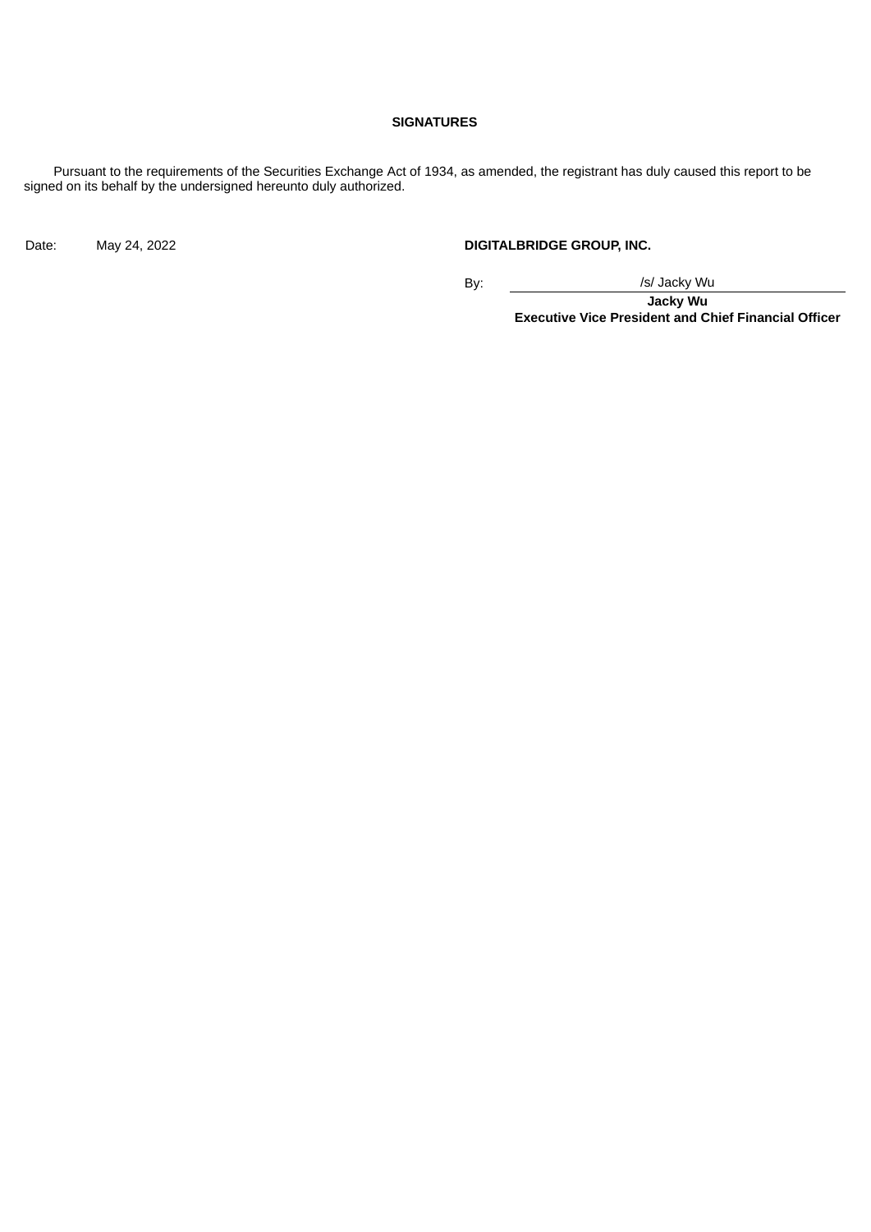#### **SIGNATURES**

Pursuant to the requirements of the Securities Exchange Act of 1934, as amended, the registrant has duly caused this report to be signed on its behalf by the undersigned hereunto duly authorized.

Date: May 24, 2022 **DIGITALBRIDGE GROUP, INC.** 

By:  $\frac{1}{s}$  /s/ Jacky Wu

**Jacky Wu Executive Vice President and Chief Financial Officer**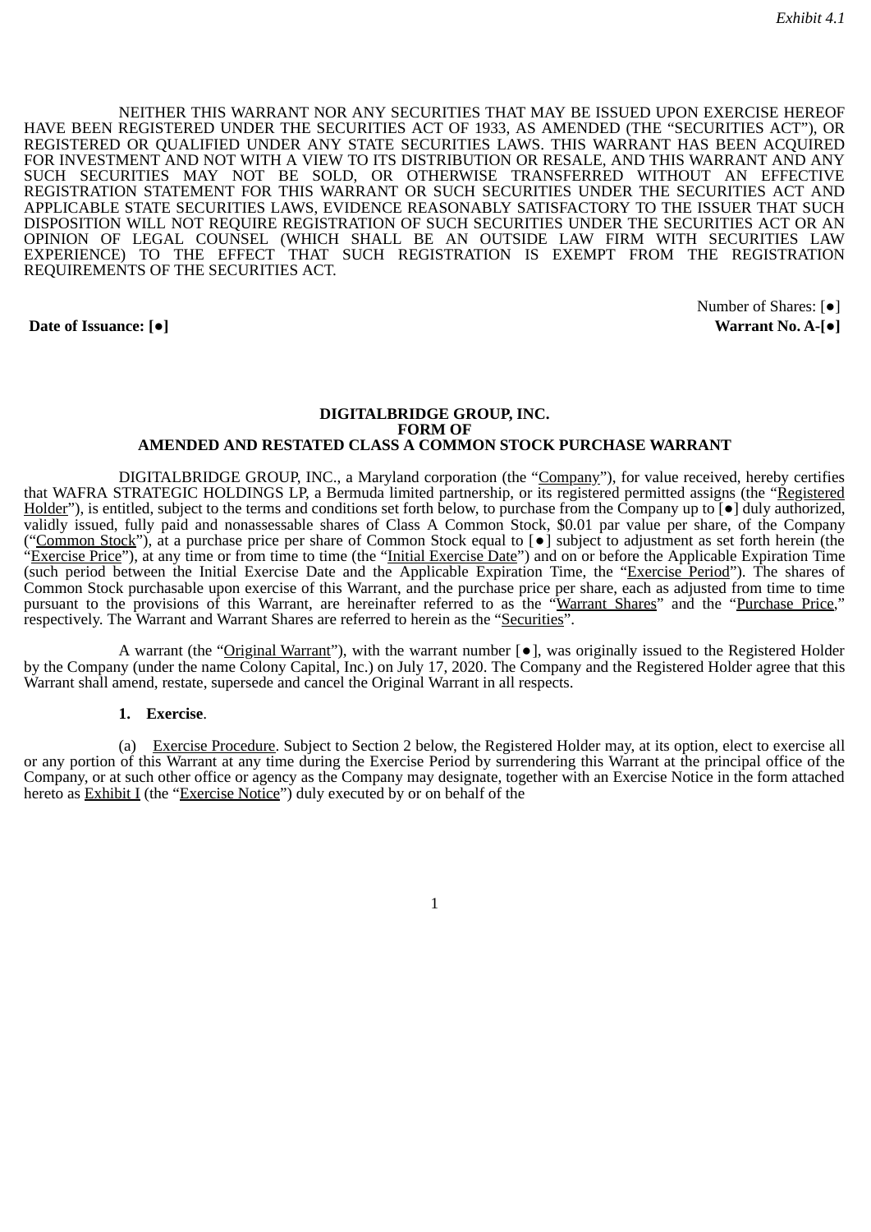<span id="page-5-0"></span>NEITHER THIS WARRANT NOR ANY SECURITIES THAT MAY BE ISSUED UPON EXERCISE HEREOF HAVE BEEN REGISTERED UNDER THE SECURITIES ACT OF 1933, AS AMENDED (THE "SECURITIES ACT"), OR REGISTERED OR QUALIFIED UNDER ANY STATE SECURITIES LAWS. THIS WARRANT HAS BEEN ACQUIRED FOR INVESTMENT AND NOT WITH A VIEW TO ITS DISTRIBUTION OR RESALE, AND THIS WARRANT AND ANY SUCH SECURITIES MAY NOT BE SOLD, OR OTHERWISE TRANSFERRED WITHOUT AN EFFECTIVE REGISTRATION STATEMENT FOR THIS WARRANT OR SUCH SECURITIES UNDER THE SECURITIES ACT AND APPLICABLE STATE SECURITIES LAWS, EVIDENCE REASONABLY SATISFACTORY TO THE ISSUER THAT SUCH DISPOSITION WILL NOT REQUIRE REGISTRATION OF SUCH SECURITIES UNDER THE SECURITIES ACT OR AN OPINION OF LEGAL COUNSEL (WHICH SHALL BE AN OUTSIDE LAW FIRM WITH SECURITIES LAW EXPERIENCE) TO THE EFFECT THAT SUCH REGISTRATION IS EXEMPT FROM THE REGISTRATION REQUIREMENTS OF THE SECURITIES ACT.

#### **Date of Issuance: [●] Warrant No. A-[**●**]**

Number of Shares: [●]

#### **DIGITALBRIDGE GROUP, INC. FORM OF AMENDED AND RESTATED CLASS A COMMON STOCK PURCHASE WARRANT**

DIGITALBRIDGE GROUP, INC., a Maryland corporation (the "Company"), for value received, hereby certifies that WAFRA STRATEGIC HOLDINGS LP, a Bermuda limited partnership, or its registered permitted assigns (the "Registered Holder"), is entitled, subject to the terms and conditions set forth below, to purchase from the Company up to [●] duly authorized, validly issued, fully paid and nonassessable shares of Class A Common Stock, \$0.01 par value per share, of the Company ("Common Stock"), at a purchase price per share of Common Stock equal to [•] subject to adjustment as set forth herein (the "Exercise Price"), at any time or from time to time (the "Initial Exercise Date") and on or before the Applicable Expiration Time (such period between the Initial Exercise Date and the Applicable Expiration Time, the "Exercise Period"). The shares of Common Stock purchasable upon exercise of this Warrant, and the purchase price per share, each as adjusted from time to time pursuant to the provisions of this Warrant, are hereinafter referred to as the "Warrant Shares" and the "Purchase Price," respectively. The Warrant and Warrant Shares are referred to herein as the "Securities".

A warrant (the "Original Warrant"), with the warrant number  $\lceil \bullet \rceil$ , was originally issued to the Registered Holder by the Company (under the name Colony Capital, Inc.) on July 17, 2020. The Company and the Registered Holder agree that this Warrant shall amend, restate, supersede and cancel the Original Warrant in all respects.

#### **1. Exercise**.

(a) Exercise Procedure. Subject to Section 2 below, the Registered Holder may, at its option, elect to exercise all or any portion of this Warrant at any time during the Exercise Period by surrendering this Warrant at the principal office of the Company, or at such other office or agency as the Company may designate, together with an Exercise Notice in the form attached hereto as Exhibit I (the "Exercise Notice") duly executed by or on behalf of the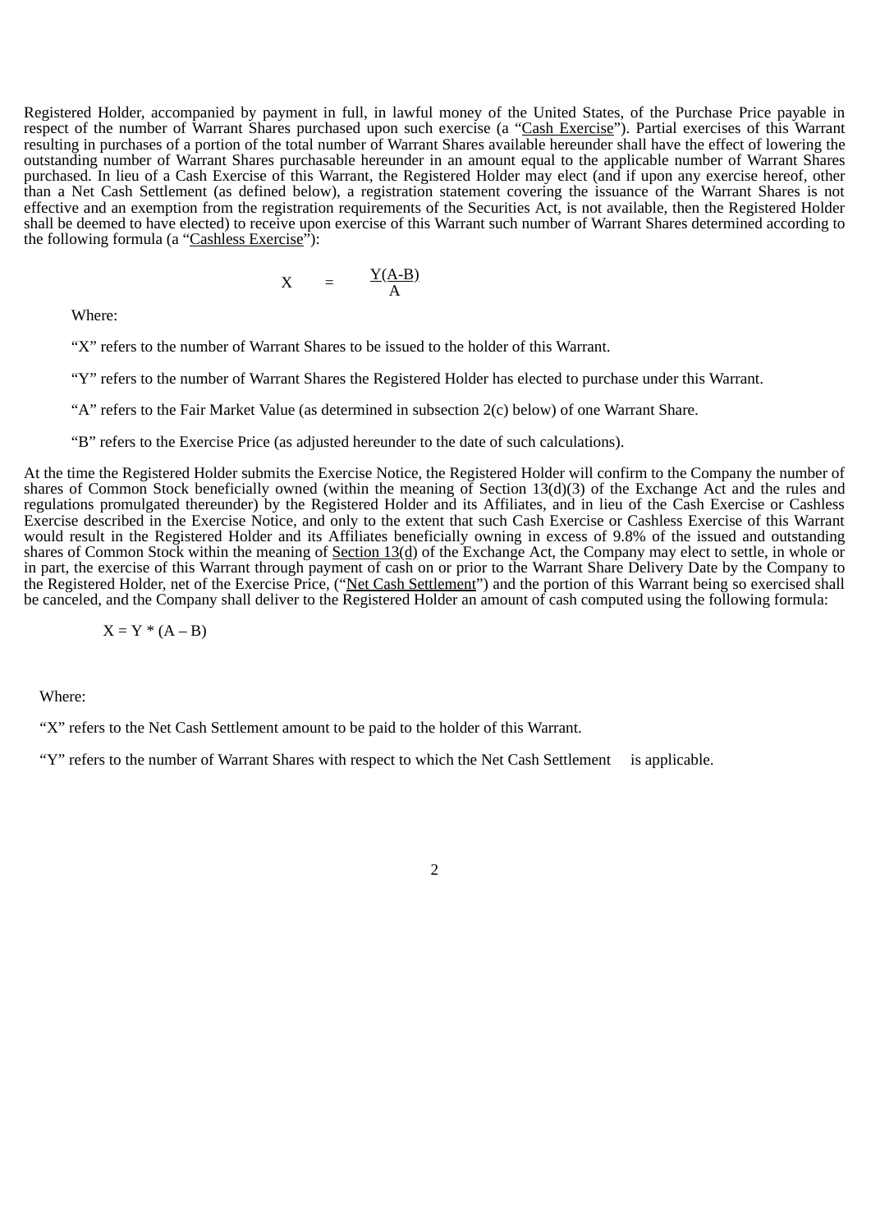Registered Holder, accompanied by payment in full, in lawful money of the United States, of the Purchase Price payable in respect of the number of Warrant Shares purchased upon such exercise (a "Cash Exercise"). Partial exercises of this Warrant resulting in purchases of a portion of the total number of Warrant Shares available hereunder shall have the effect of lowering the outstanding number of Warrant Shares purchasable hereunder in an amount equal to the applicable number of Warrant Shares purchased. In lieu of a Cash Exercise of this Warrant, the Registered Holder may elect (and if upon any exercise hereof, other than a Net Cash Settlement (as defined below), a registration statement covering the issuance of the Warrant Shares is not effective and an exemption from the registration requirements of the Securities Act, is not available, then the Registered Holder shall be deemed to have elected) to receive upon exercise of this Warrant such number of Warrant Shares determined according to the following formula (a "Cashless Exercise"):

$$
X = \frac{Y(A-B)}{A}
$$

Where:

"X" refers to the number of Warrant Shares to be issued to the holder of this Warrant.

"Y" refers to the number of Warrant Shares the Registered Holder has elected to purchase under this Warrant.

"A" refers to the Fair Market Value (as determined in subsection 2(c) below) of one Warrant Share.

"B" refers to the Exercise Price (as adjusted hereunder to the date of such calculations).

At the time the Registered Holder submits the Exercise Notice, the Registered Holder will confirm to the Company the number of shares of Common Stock beneficially owned (within the meaning of Section 13(d)(3) of the Exchange Act and the rules and regulations promulgated thereunder) by the Registered Holder and its Affiliates, and in lieu of the Cash Exercise or Cashless Exercise described in the Exercise Notice, and only to the extent that such Cash Exercise or Cashless Exercise of this Warrant would result in the Registered Holder and its Affiliates beneficially owning in excess of 9.8% of the issued and outstanding shares of Common Stock within the meaning of Section 13(d) of the Exchange Act, the Company may elect to settle, in whole or in part, the exercise of this Warrant through payment of cash on or prior to the Warrant Share Delivery Date by the Company to the Registered Holder, net of the Exercise Price, ("Net Cash Settlement") and the portion of this Warrant being so exercised shall be canceled, and the Company shall deliver to the Registered Holder an amount of cash computed using the following formula:

 $X = Y * (A - B)$ 

Where:

"X" refers to the Net Cash Settlement amount to be paid to the holder of this Warrant.

"Y" refers to the number of Warrant Shares with respect to which the Net Cash Settlement is applicable.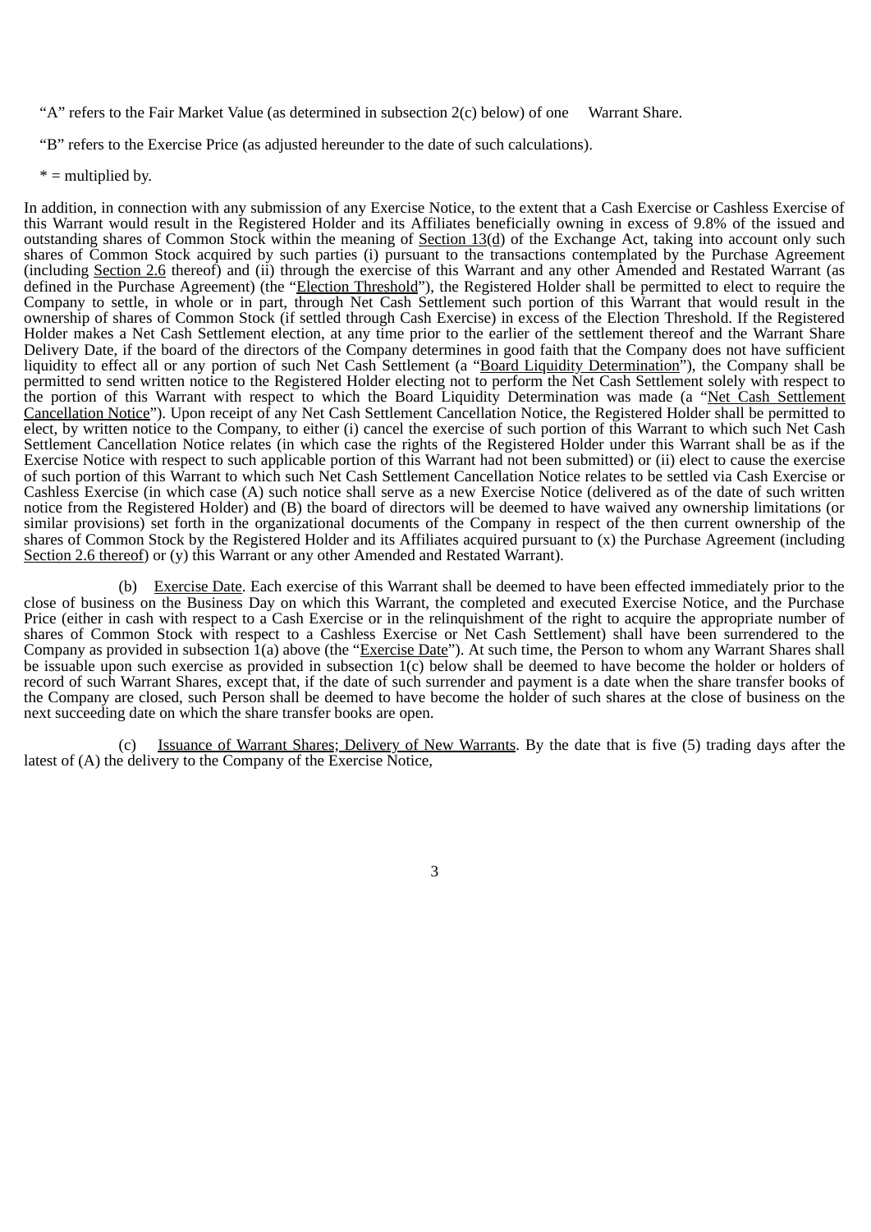"A" refers to the Fair Market Value (as determined in subsection 2(c) below) of one Warrant Share.

"B" refers to the Exercise Price (as adjusted hereunder to the date of such calculations).

\* = multiplied by.

In addition, in connection with any submission of any Exercise Notice, to the extent that a Cash Exercise or Cashless Exercise of this Warrant would result in the Registered Holder and its Affiliates beneficially owning in excess of 9.8% of the issued and outstanding shares of Common Stock within the meaning of Section  $13(d)$  of the Exchange Act, taking into account only such shares of Common Stock acquired by such parties (i) pursuant to the transactions contemplated by the Purchase Agreement (including Section 2.6 thereof) and (ii) through the exercise of this Warrant and any other Amended and Restated Warrant (as defined in the Purchase Agreement) (the "Election Threshold"), the Registered Holder shall be permitted to elect to require the Company to settle, in whole or in part, through Net Cash Settlement such portion of this Warrant that would result in the ownership of shares of Common Stock (if settled through Cash Exercise) in excess of the Election Threshold. If the Registered Holder makes a Net Cash Settlement election, at any time prior to the earlier of the settlement thereof and the Warrant Share Delivery Date, if the board of the directors of the Company determines in good faith that the Company does not have sufficient liquidity to effect all or any portion of such Net Cash Settlement (a "Board Liquidity Determination"), the Company shall be permitted to send written notice to the Registered Holder electing not to perform the Net Cash Settlement solely with respect to the portion of this Warrant with respect to which the Board Liquidity Determination was made (a "Net Cash Settlement Cancellation Notice"). Upon receipt of any Net Cash Settlement Cancellation Notice, the Registered Holder shall be permitted to elect, by written notice to the Company, to either (i) cancel the exercise of such portion of this Warrant to which such Net Cash Settlement Cancellation Notice relates (in which case the rights of the Registered Holder under this Warrant shall be as if the Exercise Notice with respect to such applicable portion of this Warrant had not been submitted) or (ii) elect to cause the exercise of such portion of this Warrant to which such Net Cash Settlement Cancellation Notice relates to be settled via Cash Exercise or Cashless Exercise (in which case (A) such notice shall serve as a new Exercise Notice (delivered as of the date of such written notice from the Registered Holder) and (B) the board of directors will be deemed to have waived any ownership limitations (or similar provisions) set forth in the organizational documents of the Company in respect of the then current ownership of the shares of Common Stock by the Registered Holder and its Affiliates acquired pursuant to (x) the Purchase Agreement (including Section 2.6 thereof) or (y) this Warrant or any other Amended and Restated Warrant).

(b) Exercise Date. Each exercise of this Warrant shall be deemed to have been effected immediately prior to the close of business on the Business Day on which this Warrant, the completed and executed Exercise Notice, and the Purchase Price (either in cash with respect to a Cash Exercise or in the relinquishment of the right to acquire the appropriate number of shares of Common Stock with respect to a Cashless Exercise or Net Cash Settlement) shall have been surrendered to the Company as provided in subsection  $1(a)$  above (the "Exercise Date"). At such time, the Person to whom any Warrant Shares shall be issuable upon such exercise as provided in subsection 1(c) below shall be deemed to have become the holder or holders of record of such Warrant Shares, except that, if the date of such surrender and payment is a date when the share transfer books of the Company are closed, such Person shall be deemed to have become the holder of such shares at the close of business on the next succeeding date on which the share transfer books are open.

(c) Issuance of Warrant Shares; Delivery of New Warrants. By the date that is five (5) trading days after the latest of (A) the delivery to the Company of the Exercise Notice,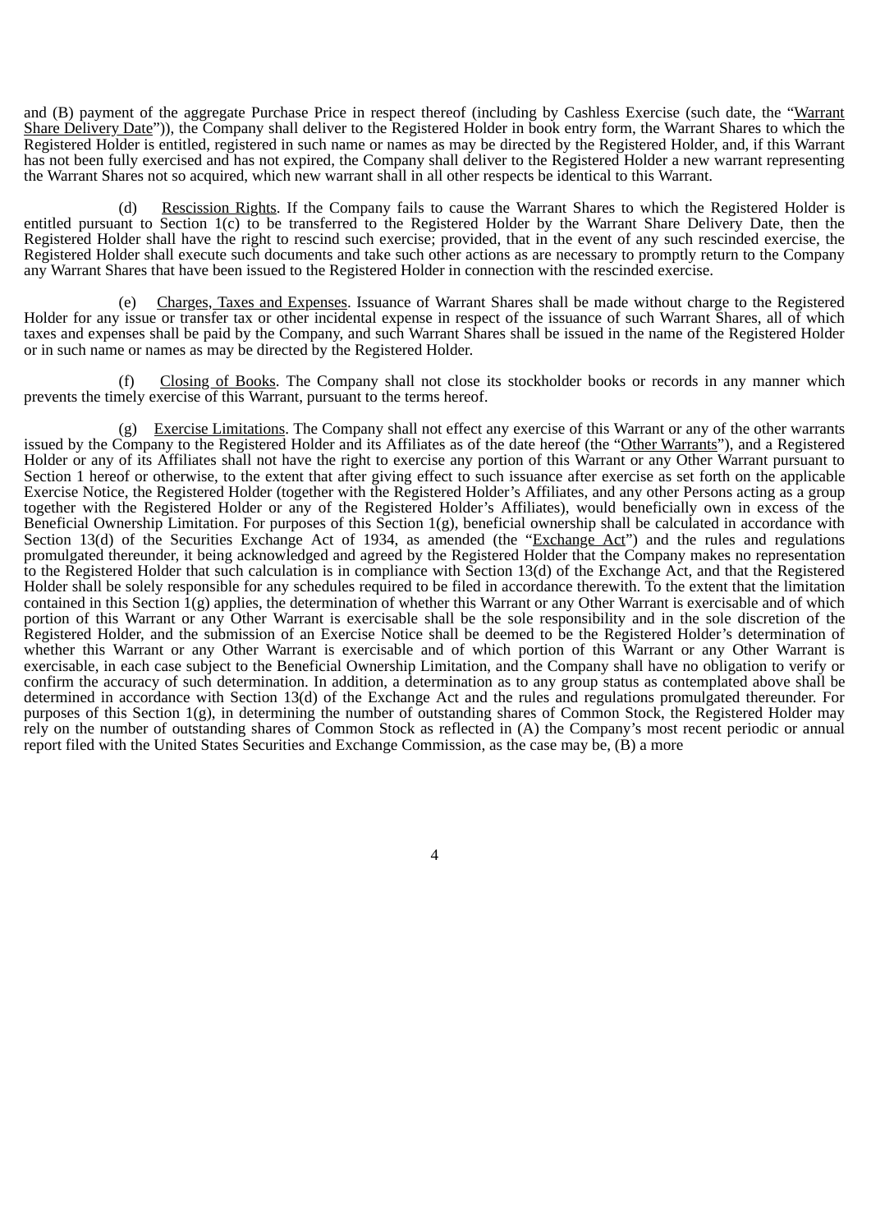and (B) payment of the aggregate Purchase Price in respect thereof (including by Cashless Exercise (such date, the "Warrant Share Delivery Date")), the Company shall deliver to the Registered Holder in book entry form, the Warrant Shares to which the Registered Holder is entitled, registered in such name or names as may be directed by the Registered Holder, and, if this Warrant has not been fully exercised and has not expired, the Company shall deliver to the Registered Holder a new warrant representing the Warrant Shares not so acquired, which new warrant shall in all other respects be identical to this Warrant.

(d) Rescission Rights. If the Company fails to cause the Warrant Shares to which the Registered Holder is entitled pursuant to Section 1(c) to be transferred to the Registered Holder by the Warrant Share Delivery Date, then the Registered Holder shall have the right to rescind such exercise; provided, that in the event of any such rescinded exercise, the Registered Holder shall execute such documents and take such other actions as are necessary to promptly return to the Company any Warrant Shares that have been issued to the Registered Holder in connection with the rescinded exercise.

(e) Charges, Taxes and Expenses. Issuance of Warrant Shares shall be made without charge to the Registered Holder for any issue or transfer tax or other incidental expense in respect of the issuance of such Warrant Shares, all of which taxes and expenses shall be paid by the Company, and such Warrant Shares shall be issued in the name of the Registered Holder or in such name or names as may be directed by the Registered Holder.

(f) Closing of Books. The Company shall not close its stockholder books or records in any manner which prevents the timely exercise of this Warrant, pursuant to the terms hereof.

(g) Exercise Limitations. The Company shall not effect any exercise of this Warrant or any of the other warrants issued by the Company to the Registered Holder and its Affiliates as of the date hereof (the "Other Warrants"), and a Registered Holder or any of its Affiliates shall not have the right to exercise any portion of this Warrant or any Other Warrant pursuant to Section 1 hereof or otherwise, to the extent that after giving effect to such issuance after exercise as set forth on the applicable Exercise Notice, the Registered Holder (together with the Registered Holder's Affiliates, and any other Persons acting as a group together with the Registered Holder or any of the Registered Holder's Affiliates), would beneficially own in excess of the Beneficial Ownership Limitation. For purposes of this Section 1(g), beneficial ownership shall be calculated in accordance with Section 13(d) of the Securities Exchange Act of 1934, as amended (the "Exchange Act") and the rules and regulations promulgated thereunder, it being acknowledged and agreed by the Registered Holder that the Company makes no representation to the Registered Holder that such calculation is in compliance with Section 13(d) of the Exchange Act, and that the Registered Holder shall be solely responsible for any schedules required to be filed in accordance therewith. To the extent that the limitation contained in this Section  $\hat{1}(g)$  applies, the determination of whether this Warrant or any Other Warrant is exercisable and of which portion of this Warrant or any Other Warrant is exercisable shall be the sole responsibility and in the sole discretion of the Registered Holder, and the submission of an Exercise Notice shall be deemed to be the Registered Holder's determination of whether this Warrant or any Other Warrant is exercisable and of which portion of this Warrant or any Other Warrant is exercisable, in each case subject to the Beneficial Ownership Limitation, and the Company shall have no obligation to verify or confirm the accuracy of such determination. In addition, a determination as to any group status as contemplated above shall be determined in accordance with Section 13(d) of the Exchange Act and the rules and regulations promulgated thereunder. For purposes of this Section  $1(g)$ , in determining the number of outstanding shares of Common Stock, the Registered Holder may rely on the number of outstanding shares of Common Stock as reflected in (A) the Company's most recent periodic or annual report filed with the United States Securities and Exchange Commission, as the case may be, (B) a more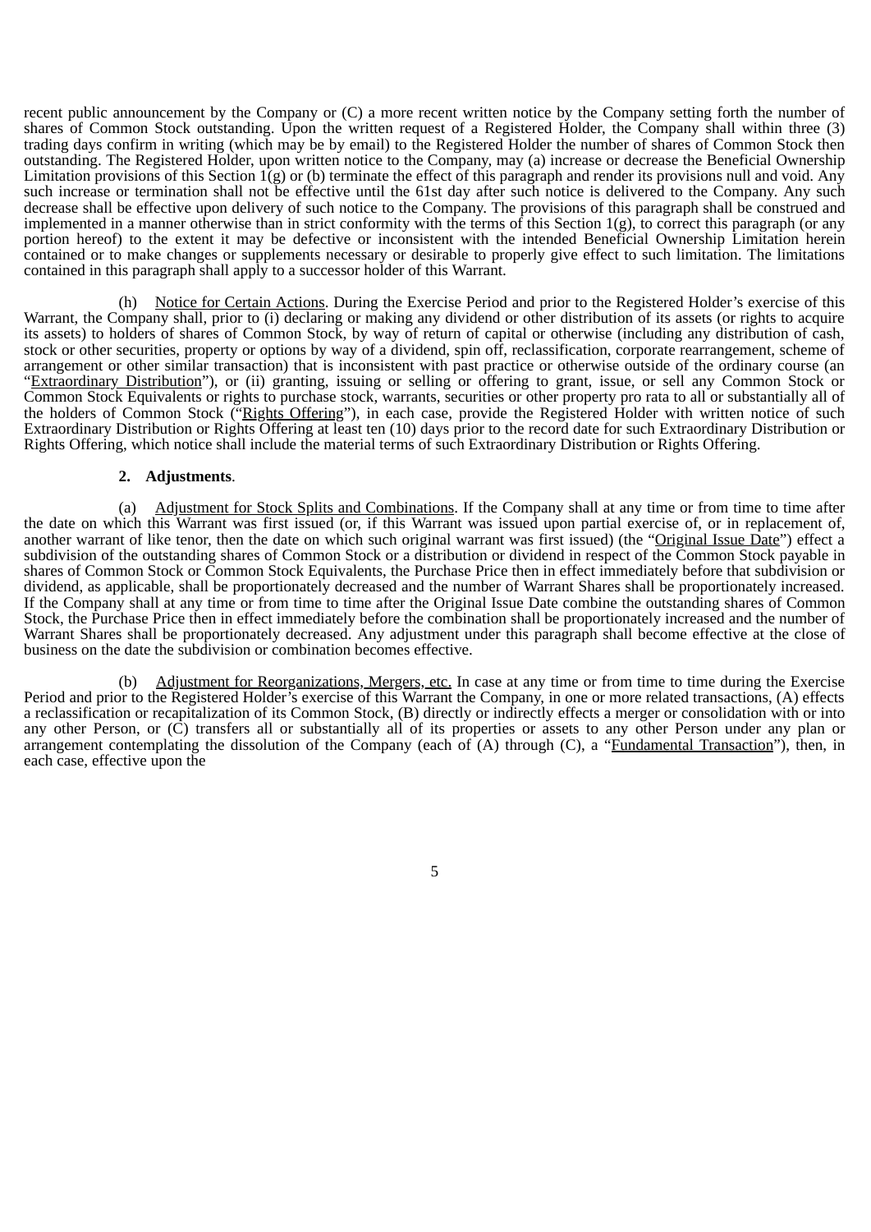recent public announcement by the Company or (C) a more recent written notice by the Company setting forth the number of shares of Common Stock outstanding. Upon the written request of a Registered Holder, the Company shall within three (3) trading days confirm in writing (which may be by email) to the Registered Holder the number of shares of Common Stock then outstanding. The Registered Holder, upon written notice to the Company, may (a) increase or decrease the Beneficial Ownership Limitation provisions of this Section 1(g) or (b) terminate the effect of this paragraph and render its provisions null and void. Any such increase or termination shall not be effective until the 61st day after such notice is delivered to the Company. Any such decrease shall be effective upon delivery of such notice to the Company. The provisions of this paragraph shall be construed and implemented in a manner otherwise than in strict conformity with the terms of this Section  $1(g)$ , to correct this paragraph (or any portion hereof) to the extent it may be defective or inconsistent with the intended Beneficial Ownership Limitation herein contained or to make changes or supplements necessary or desirable to properly give effect to such limitation. The limitations contained in this paragraph shall apply to a successor holder of this Warrant.

(h) Notice for Certain Actions. During the Exercise Period and prior to the Registered Holder's exercise of this Warrant, the Company shall, prior to (i) declaring or making any dividend or other distribution of its assets (or rights to acquire its assets) to holders of shares of Common Stock, by way of return of capital or otherwise (including any distribution of cash, stock or other securities, property or options by way of a dividend, spin off, reclassification, corporate rearrangement, scheme of arrangement or other similar transaction) that is inconsistent with past practice or otherwise outside of the ordinary course (an "Extraordinary Distribution"), or (ii) granting, issuing or selling or offering to grant, issue, or sell any Common Stock or Common Stock Equivalents or rights to purchase stock, warrants, securities or other property pro rata to all or substantially all of the holders of Common Stock ("Rights Offering"), in each case, provide the Registered Holder with written notice of such Extraordinary Distribution or Rights Offering at least ten (10) days prior to the record date for such Extraordinary Distribution or Rights Offering, which notice shall include the material terms of such Extraordinary Distribution or Rights Offering.

#### **2. Adjustments**.

(a) Adjustment for Stock Splits and Combinations. If the Company shall at any time or from time to time after the date on which this Warrant was first issued (or, if this Warrant was issued upon partial exercise of, or in replacement of, another warrant of like tenor, then the date on which such original warrant was first issued) (the "Original Issue Date") effect a subdivision of the outstanding shares of Common Stock or a distribution or dividend in respect of the Common Stock payable in shares of Common Stock or Common Stock Equivalents, the Purchase Price then in effect immediately before that subdivision or dividend, as applicable, shall be proportionately decreased and the number of Warrant Shares shall be proportionately increased. If the Company shall at any time or from time to time after the Original Issue Date combine the outstanding shares of Common Stock, the Purchase Price then in effect immediately before the combination shall be proportionately increased and the number of Warrant Shares shall be proportionately decreased. Any adjustment under this paragraph shall become effective at the close of business on the date the subdivision or combination becomes effective.

(b) Adjustment for Reorganizations, Mergers, etc. In case at any time or from time to time during the Exercise Period and prior to the Registered Holder's exercise of this Warrant the Company, in one or more related transactions, (A) effects a reclassification or recapitalization of its Common Stock, (B) directly or indirectly effects a merger or consolidation with or into any other Person, or (C) transfers all or substantially all of its properties or assets to any other Person under any plan or arrangement contemplating the dissolution of the Company (each of  $(A)$  through  $(C)$ , a "Fundamental Transaction"), then, in each case, effective upon the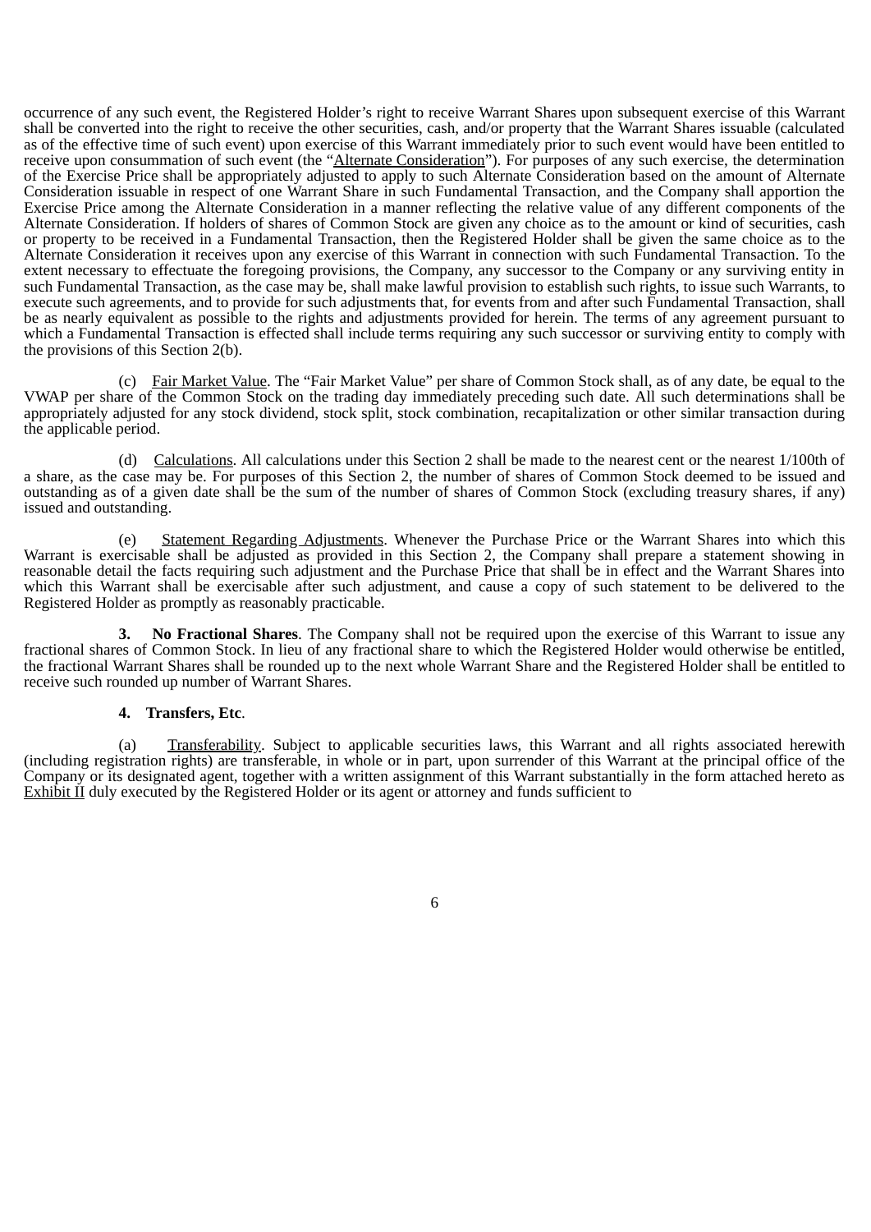occurrence of any such event, the Registered Holder's right to receive Warrant Shares upon subsequent exercise of this Warrant shall be converted into the right to receive the other securities, cash, and/or property that the Warrant Shares issuable (calculated as of the effective time of such event) upon exercise of this Warrant immediately prior to such event would have been entitled to receive upon consummation of such event (the "Alternate Consideration"). For purposes of any such exercise, the determination of the Exercise Price shall be appropriately adjusted to apply to such Alternate Consideration based on the amount of Alternate Consideration issuable in respect of one Warrant Share in such Fundamental Transaction, and the Company shall apportion the Exercise Price among the Alternate Consideration in a manner reflecting the relative value of any different components of the Alternate Consideration. If holders of shares of Common Stock are given any choice as to the amount or kind of securities, cash or property to be received in a Fundamental Transaction, then the Registered Holder shall be given the same choice as to the Alternate Consideration it receives upon any exercise of this Warrant in connection with such Fundamental Transaction. To the extent necessary to effectuate the foregoing provisions, the Company, any successor to the Company or any surviving entity in such Fundamental Transaction, as the case may be, shall make lawful provision to establish such rights, to issue such Warrants, to execute such agreements, and to provide for such adjustments that, for events from and after such Fundamental Transaction, shall be as nearly equivalent as possible to the rights and adjustments provided for herein. The terms of any agreement pursuant to which a Fundamental Transaction is effected shall include terms requiring any such successor or surviving entity to comply with the provisions of this Section 2(b).

(c) Fair Market Value. The "Fair Market Value" per share of Common Stock shall, as of any date, be equal to the VWAP per share of the Common Stock on the trading day immediately preceding such date. All such determinations shall be appropriately adjusted for any stock dividend, stock split, stock combination, recapitalization or other similar transaction during the applicable period.

(d) Calculations. All calculations under this Section 2 shall be made to the nearest cent or the nearest 1/100th of a share, as the case may be. For purposes of this Section 2, the number of shares of Common Stock deemed to be issued and outstanding as of a given date shall be the sum of the number of shares of Common Stock (excluding treasury shares, if any) issued and outstanding.

(e) Statement Regarding Adjustments. Whenever the Purchase Price or the Warrant Shares into which this Warrant is exercisable shall be adjusted as provided in this Section 2, the Company shall prepare a statement showing in reasonable detail the facts requiring such adjustment and the Purchase Price that shall be in effect and the Warrant Shares into which this Warrant shall be exercisable after such adjustment, and cause a copy of such statement to be delivered to the Registered Holder as promptly as reasonably practicable.

**3. No Fractional Shares**. The Company shall not be required upon the exercise of this Warrant to issue any fractional shares of Common Stock. In lieu of any fractional share to which the Registered Holder would otherwise be entitled, the fractional Warrant Shares shall be rounded up to the next whole Warrant Share and the Registered Holder shall be entitled to receive such rounded up number of Warrant Shares.

#### **4. Transfers, Etc**.

(a) Transferability. Subject to applicable securities laws, this Warrant and all rights associated herewith (including registration rights) are transferable, in whole or in part, upon surrender of this Warrant at the principal office of the Company or its designated agent, together with a written assignment of this Warrant substantially in the form attached hereto as Exhibit II duly executed by the Registered Holder or its agent or attorney and funds sufficient to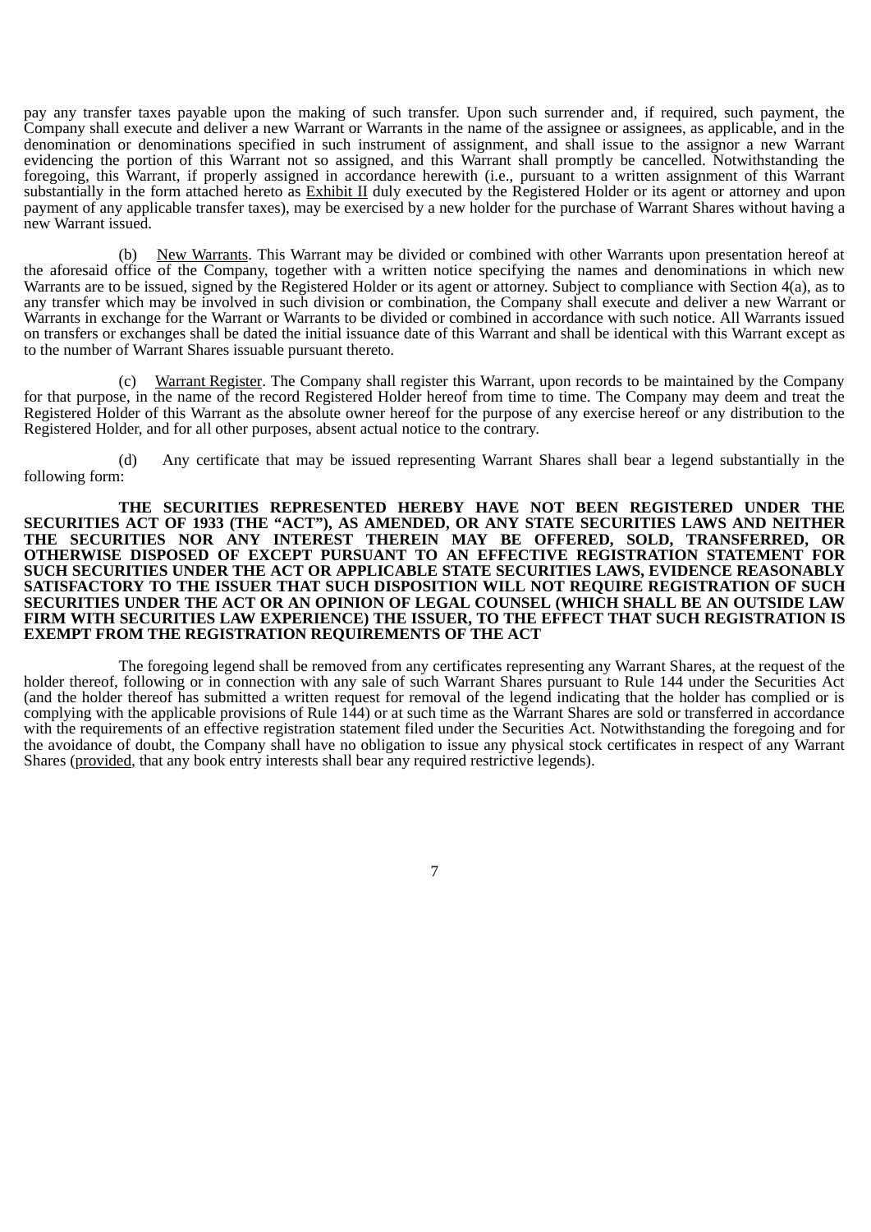pay any transfer taxes payable upon the making of such transfer. Upon such surrender and, if required, such payment, the Company shall execute and deliver a new Warrant or Warrants in the name of the assignee or assignees, as applicable, and in the denomination or denominations specified in such instrument of assignment, and shall issue to the assignor a new Warrant evidencing the portion of this Warrant not so assigned, and this Warrant shall promptly be cancelled. Notwithstanding the foregoing, this Warrant, if properly assigned in accordance herewith (i.e., pursuant to a written assignment of this Warrant substantially in the form attached hereto as Exhibit II duly executed by the Registered Holder or its agent or attorney and upon payment of any applicable transfer taxes), may be exercised by a new holder for the purchase of Warrant Shares without having a new Warrant issued.

(b) New Warrants. This Warrant may be divided or combined with other Warrants upon presentation hereof at the aforesaid office of the Company, together with a written notice specifying the names and denominations in which new Warrants are to be issued, signed by the Registered Holder or its agent or attorney. Subject to compliance with Section 4(a), as to any transfer which may be involved in such division or combination, the Company shall execute and deliver a new Warrant or Warrants in exchange for the Warrant or Warrants to be divided or combined in accordance with such notice. All Warrants issued on transfers or exchanges shall be dated the initial issuance date of this Warrant and shall be identical with this Warrant except as to the number of Warrant Shares issuable pursuant thereto.

(c) Warrant Register. The Company shall register this Warrant, upon records to be maintained by the Company for that purpose, in the name of the record Registered Holder hereof from time to time. The Company may deem and treat the Registered Holder of this Warrant as the absolute owner hereof for the purpose of any exercise hereof or any distribution to the Registered Holder, and for all other purposes, absent actual notice to the contrary.

(d) Any certificate that may be issued representing Warrant Shares shall bear a legend substantially in the following form:

**THE SECURITIES REPRESENTED HEREBY HAVE NOT BEEN REGISTERED UNDER THE SECURITIES ACT OF 1933 (THE "ACT"), AS AMENDED, OR ANY STATE SECURITIES LAWS AND NEITHER THE SECURITIES NOR ANY INTEREST THEREIN MAY BE OFFERED, SOLD, TRANSFERRED, OR OTHERWISE DISPOSED OF EXCEPT PURSUANT TO AN EFFECTIVE REGISTRATION STATEMENT FOR SUCH SECURITIES UNDER THE ACT OR APPLICABLE STATE SECURITIES LAWS, EVIDENCE REASONABLY SATISFACTORY TO THE ISSUER THAT SUCH DISPOSITION WILL NOT REQUIRE REGISTRATION OF SUCH SECURITIES UNDER THE ACT OR AN OPINION OF LEGAL COUNSEL (WHICH SHALL BE AN OUTSIDE LAW FIRM WITH SECURITIES LAW EXPERIENCE) THE ISSUER, TO THE EFFECT THAT SUCH REGISTRATION IS EXEMPT FROM THE REGISTRATION REQUIREMENTS OF THE ACT**

The foregoing legend shall be removed from any certificates representing any Warrant Shares, at the request of the holder thereof, following or in connection with any sale of such Warrant Shares pursuant to Rule 144 under the Securities Act (and the holder thereof has submitted a written request for removal of the legend indicating that the holder has complied or is complying with the applicable provisions of Rule 144) or at such time as the Warrant Shares are sold or transferred in accordance with the requirements of an effective registration statement filed under the Securities Act. Notwithstanding the foregoing and for the avoidance of doubt, the Company shall have no obligation to issue any physical stock certificates in respect of any Warrant Shares (provided, that any book entry interests shall bear any required restrictive legends).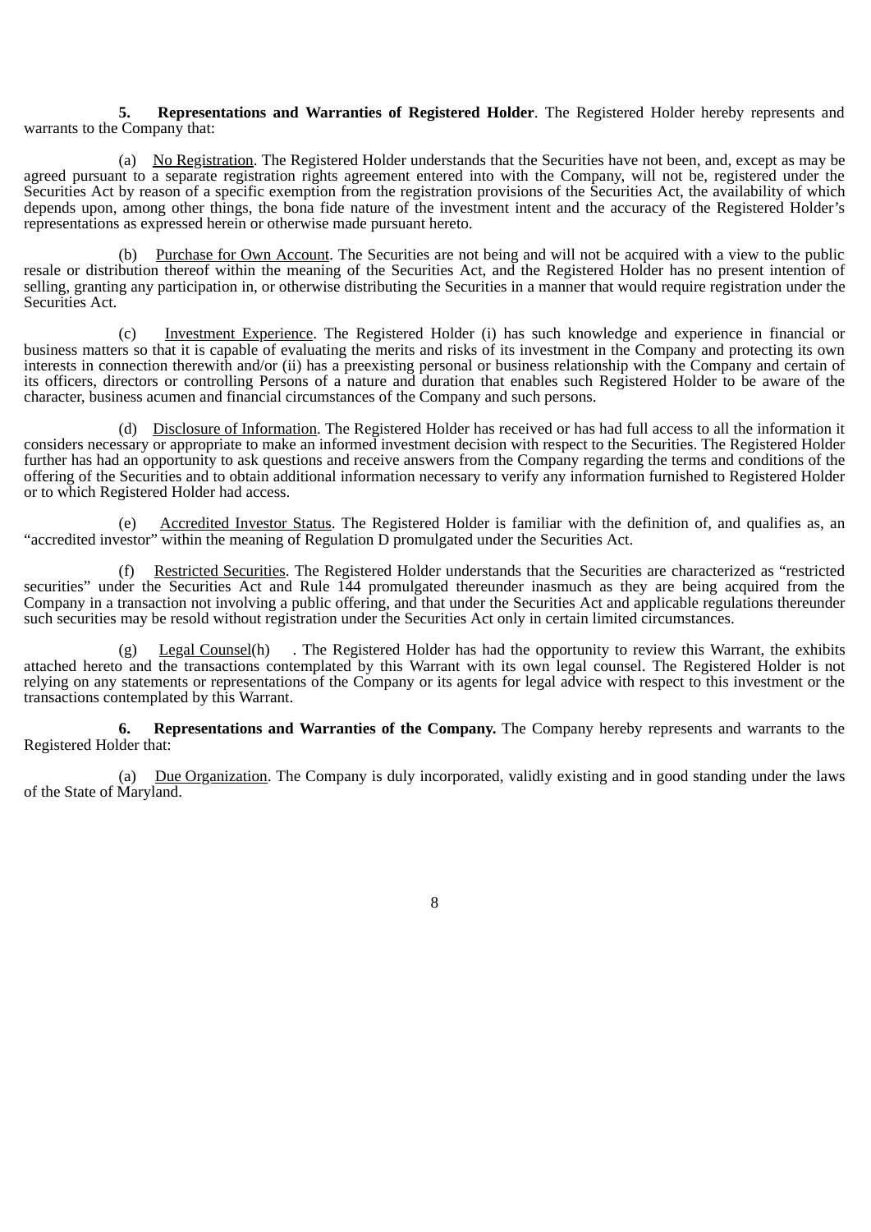**5. Representations and Warranties of Registered Holder**. The Registered Holder hereby represents and warrants to the Company that:

(a) No Registration. The Registered Holder understands that the Securities have not been, and, except as may be agreed pursuant to a separate registration rights agreement entered into with the Company, will not be, registered under the Securities Act by reason of a specific exemption from the registration provisions of the Securities Act, the availability of which depends upon, among other things, the bona fide nature of the investment intent and the accuracy of the Registered Holder's representations as expressed herein or otherwise made pursuant hereto.

(b) Purchase for Own Account. The Securities are not being and will not be acquired with a view to the public resale or distribution thereof within the meaning of the Securities Act, and the Registered Holder has no present intention of selling, granting any participation in, or otherwise distributing the Securities in a manner that would require registration under the Securities Act.

(c) Investment Experience. The Registered Holder (i) has such knowledge and experience in financial or business matters so that it is capable of evaluating the merits and risks of its investment in the Company and protecting its own interests in connection therewith and/or (ii) has a preexisting personal or business relationship with the Company and certain of its officers, directors or controlling Persons of a nature and duration that enables such Registered Holder to be aware of the character, business acumen and financial circumstances of the Company and such persons.

(d) Disclosure of Information. The Registered Holder has received or has had full access to all the information it considers necessary or appropriate to make an informed investment decision with respect to the Securities. The Registered Holder further has had an opportunity to ask questions and receive answers from the Company regarding the terms and conditions of the offering of the Securities and to obtain additional information necessary to verify any information furnished to Registered Holder or to which Registered Holder had access.

(e) Accredited Investor Status. The Registered Holder is familiar with the definition of, and qualifies as, an "accredited investor" within the meaning of Regulation D promulgated under the Securities Act.

(f) Restricted Securities. The Registered Holder understands that the Securities are characterized as "restricted securities" under the Securities Act and Rule 144 promulgated thereunder inasmuch as they are being acquired from the Company in a transaction not involving a public offering, and that under the Securities Act and applicable regulations thereunder such securities may be resold without registration under the Securities Act only in certain limited circumstances.

(g) Legal Counsel(h) . The Registered Holder has had the opportunity to review this Warrant, the exhibits attached hereto and the transactions contemplated by this Warrant with its own legal counsel. The Registered Holder is not relying on any statements or representations of the Company or its agents for legal advice with respect to this investment or the transactions contemplated by this Warrant.

**6. Representations and Warranties of the Company.** The Company hereby represents and warrants to the Registered Holder that:

(a) Due Organization. The Company is duly incorporated, validly existing and in good standing under the laws of the State of Maryland.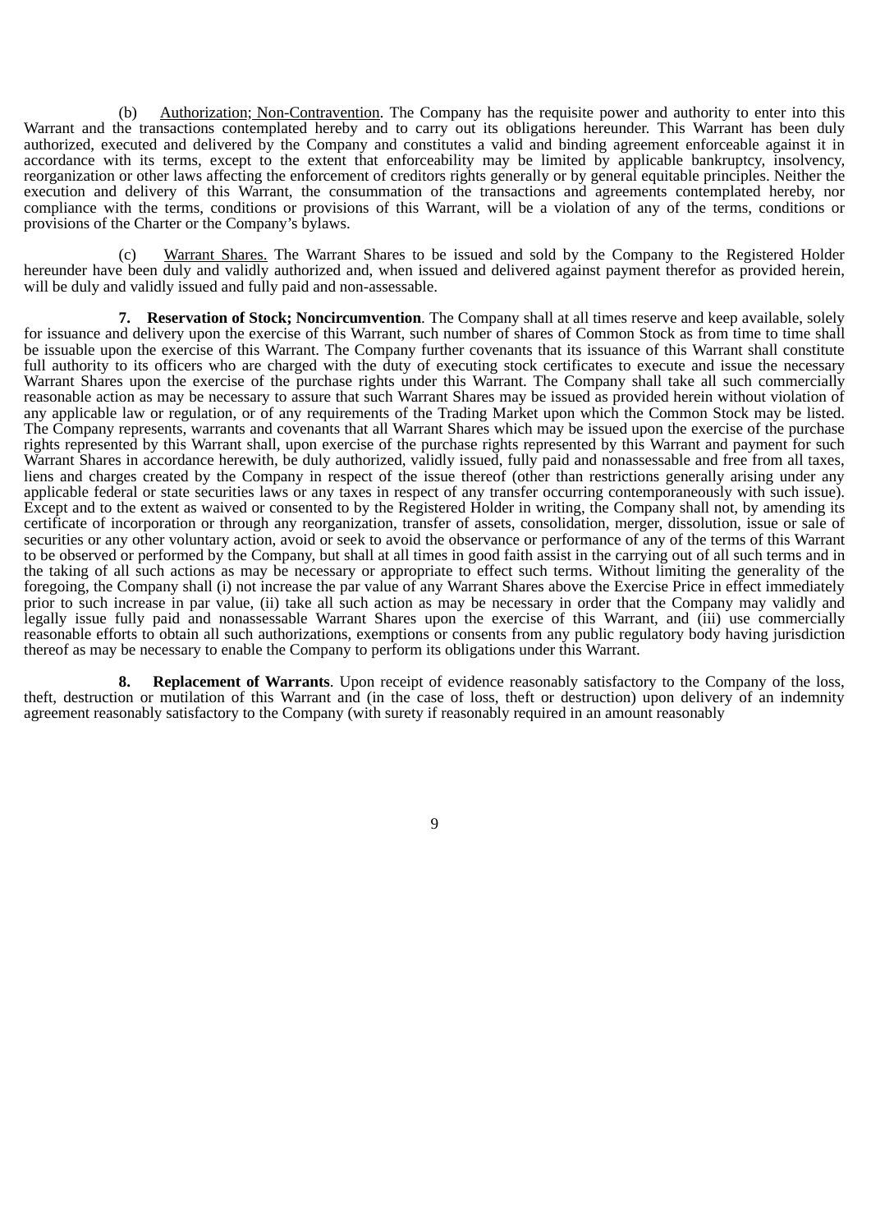(b) Authorization; Non-Contravention. The Company has the requisite power and authority to enter into this Warrant and the transactions contemplated hereby and to carry out its obligations hereunder. This Warrant has been duly authorized, executed and delivered by the Company and constitutes a valid and binding agreement enforceable against it in accordance with its terms, except to the extent that enforceability may be limited by applicable bankruptcy, insolvency, reorganization or other laws affecting the enforcement of creditors rights generally or by general equitable principles. Neither the execution and delivery of this Warrant, the consummation of the transactions and agreements contemplated hereby, nor compliance with the terms, conditions or provisions of this Warrant, will be a violation of any of the terms, conditions or provisions of the Charter or the Company's bylaws.

(c) Warrant Shares. The Warrant Shares to be issued and sold by the Company to the Registered Holder hereunder have been duly and validly authorized and, when issued and delivered against payment therefor as provided herein, will be duly and validly issued and fully paid and non-assessable.

**7. Reservation of Stock; Noncircumvention**. The Company shall at all times reserve and keep available, solely for issuance and delivery upon the exercise of this Warrant, such number of shares of Common Stock as from time to time shall be issuable upon the exercise of this Warrant. The Company further covenants that its issuance of this Warrant shall constitute full authority to its officers who are charged with the duty of executing stock certificates to execute and issue the necessary Warrant Shares upon the exercise of the purchase rights under this Warrant. The Company shall take all such commercially reasonable action as may be necessary to assure that such Warrant Shares may be issued as provided herein without violation of any applicable law or regulation, or of any requirements of the Trading Market upon which the Common Stock may be listed. The Company represents, warrants and covenants that all Warrant Shares which may be issued upon the exercise of the purchase rights represented by this Warrant shall, upon exercise of the purchase rights represented by this Warrant and payment for such Warrant Shares in accordance herewith, be duly authorized, validly issued, fully paid and nonassessable and free from all taxes, liens and charges created by the Company in respect of the issue thereof (other than restrictions generally arising under any applicable federal or state securities laws or any taxes in respect of any transfer occurring contemporaneously with such issue). Except and to the extent as waived or consented to by the Registered Holder in writing, the Company shall not, by amending its certificate of incorporation or through any reorganization, transfer of assets, consolidation, merger, dissolution, issue or sale of securities or any other voluntary action, avoid or seek to avoid the observance or performance of any of the terms of this Warrant to be observed or performed by the Company, but shall at all times in good faith assist in the carrying out of all such terms and in the taking of all such actions as may be necessary or appropriate to effect such terms. Without limiting the generality of the foregoing, the Company shall (i) not increase the par value of any Warrant Shares above the Exercise Price in effect immediately prior to such increase in par value, (ii) take all such action as may be necessary in order that the Company may validly and legally issue fully paid and nonassessable Warrant Shares upon the exercise of this Warrant, and (iii) use commercially reasonable efforts to obtain all such authorizations, exemptions or consents from any public regulatory body having jurisdiction thereof as may be necessary to enable the Company to perform its obligations under this Warrant.

**8. Replacement of Warrants**. Upon receipt of evidence reasonably satisfactory to the Company of the loss, theft, destruction or mutilation of this Warrant and (in the case of loss, theft or destruction) upon delivery of an indemnity agreement reasonably satisfactory to the Company (with surety if reasonably required in an amount reasonably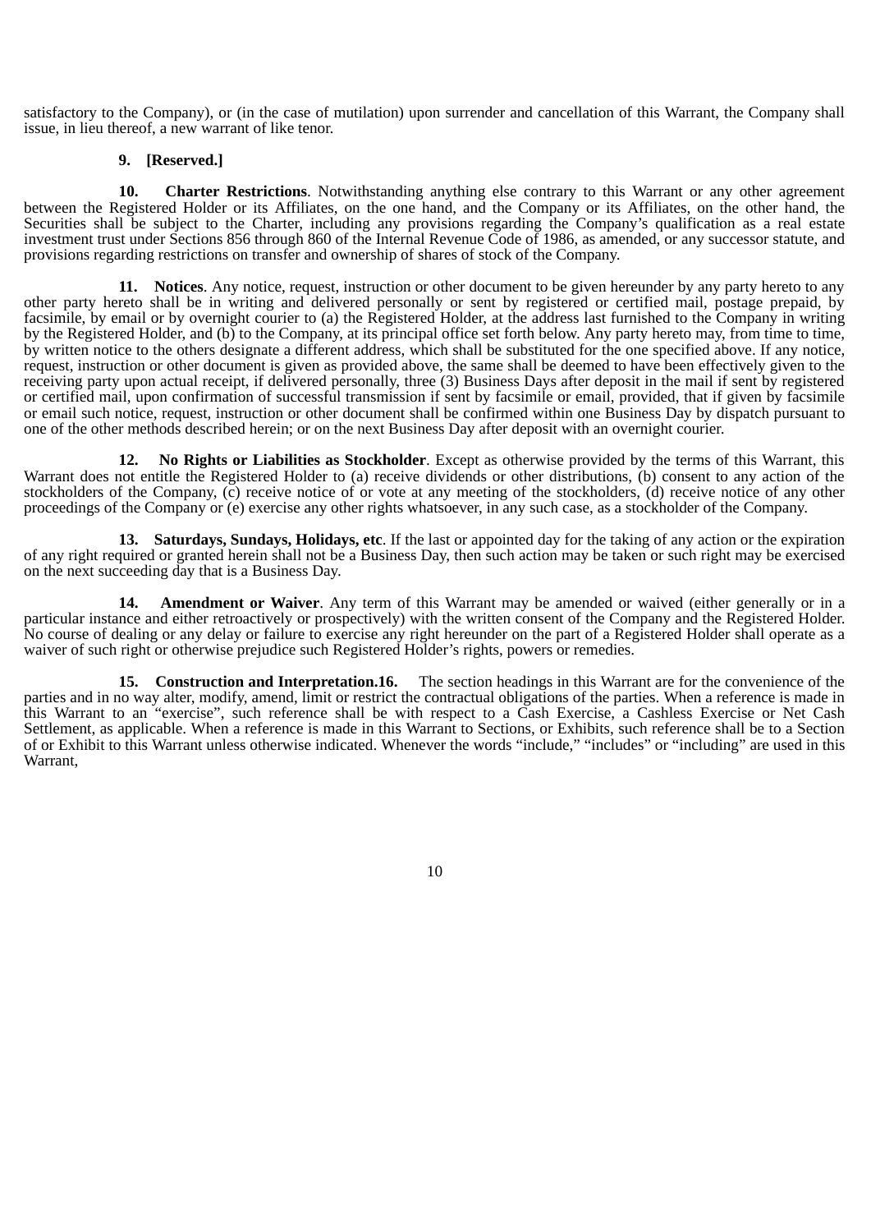satisfactory to the Company), or (in the case of mutilation) upon surrender and cancellation of this Warrant, the Company shall issue, in lieu thereof, a new warrant of like tenor.

#### **9. [Reserved.]**

**10. Charter Restrictions**. Notwithstanding anything else contrary to this Warrant or any other agreement between the Registered Holder or its Affiliates, on the one hand, and the Company or its Affiliates, on the other hand, the Securities shall be subject to the Charter, including any provisions regarding the Company's qualification as a real estate investment trust under Sections 856 through 860 of the Internal Revenue Code of 1986, as amended, or any successor statute, and provisions regarding restrictions on transfer and ownership of shares of stock of the Company.

**11. Notices**. Any notice, request, instruction or other document to be given hereunder by any party hereto to any other party hereto shall be in writing and delivered personally or sent by registered or certified mail, postage prepaid, by facsimile, by email or by overnight courier to (a) the Registered Holder, at the address last furnished to the Company in writing by the Registered Holder, and (b) to the Company, at its principal office set forth below. Any party hereto may, from time to time, by written notice to the others designate a different address, which shall be substituted for the one specified above. If any notice, request, instruction or other document is given as provided above, the same shall be deemed to have been effectively given to the receiving party upon actual receipt, if delivered personally, three (3) Business Days after deposit in the mail if sent by registered or certified mail, upon confirmation of successful transmission if sent by facsimile or email, provided, that if given by facsimile or email such notice, request, instruction or other document shall be confirmed within one Business Day by dispatch pursuant to one of the other methods described herein; or on the next Business Day after deposit with an overnight courier.

**12. No Rights or Liabilities as Stockholder**. Except as otherwise provided by the terms of this Warrant, this Warrant does not entitle the Registered Holder to (a) receive dividends or other distributions, (b) consent to any action of the stockholders of the Company, (c) receive notice of or vote at any meeting of the stockholders, (d) receive notice of any other proceedings of the Company or (e) exercise any other rights whatsoever, in any such case, as a stockholder of the Company.

**13. Saturdays, Sundays, Holidays, etc**. If the last or appointed day for the taking of any action or the expiration of any right required or granted herein shall not be a Business Day, then such action may be taken or such right may be exercised on the next succeeding day that is a Business Day.

**14. Amendment or Waiver**. Any term of this Warrant may be amended or waived (either generally or in a particular instance and either retroactively or prospectively) with the written consent of the Company and the Registered Holder. No course of dealing or any delay or failure to exercise any right hereunder on the part of a Registered Holder shall operate as a waiver of such right or otherwise prejudice such Registered Holder's rights, powers or remedies.

**15. Construction and Interpretation.16.** The section headings in this Warrant are for the convenience of the parties and in no way alter, modify, amend, limit or restrict the contractual obligations of the parties. When a reference is made in this Warrant to an "exercise", such reference shall be with respect to a Cash Exercise, a Cashless Exercise or Net Cash Settlement, as applicable. When a reference is made in this Warrant to Sections, or Exhibits, such reference shall be to a Section of or Exhibit to this Warrant unless otherwise indicated. Whenever the words "include," "includes" or "including" are used in this Warrant,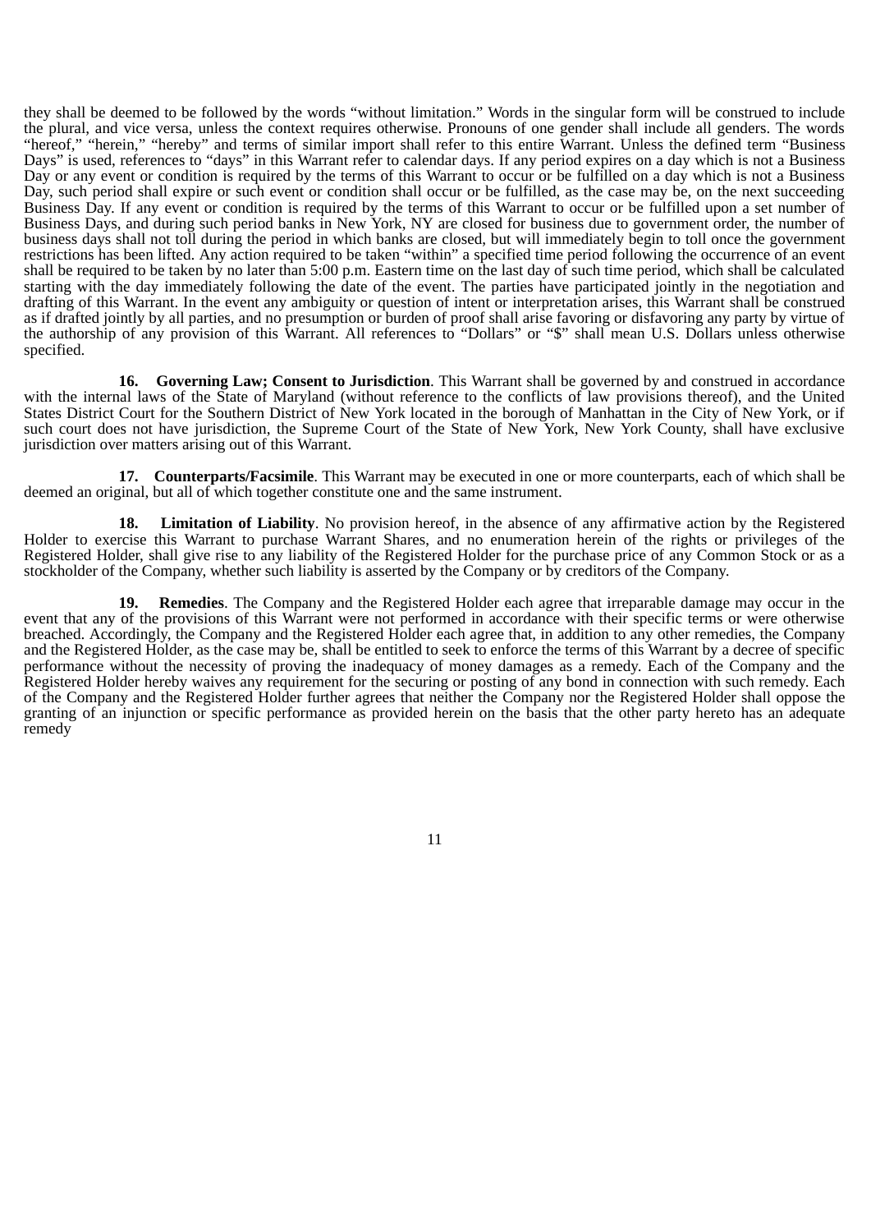they shall be deemed to be followed by the words "without limitation." Words in the singular form will be construed to include the plural, and vice versa, unless the context requires otherwise. Pronouns of one gender shall include all genders. The words "hereof," "herein," "hereby" and terms of similar import shall refer to this entire Warrant. Unless the defined term "Business Days" is used, references to "days" in this Warrant refer to calendar days. If any period expires on a day which is not a Business Days" is used, references to "days" in this Warrant refer to calendar days. If any period e Day or any event or condition is required by the terms of this Warrant to occur or be fulfilled on a day which is not a Business Day, such period shall expire or such event or condition shall occur or be fulfilled, as the case may be, on the next succeeding Business Day. If any event or condition is required by the terms of this Warrant to occur or be fulfilled upon a set number of Business Days, and during such period banks in New York, NY are closed for business due to government order, the number of business days shall not toll during the period in which banks are closed, but will immediately begin to toll once the government restrictions has been lifted. Any action required to be taken "within" a specified time period following the occurrence of an event shall be required to be taken by no later than 5:00 p.m. Eastern time on the last day of such time period, which shall be calculated starting with the day immediately following the date of the event. The parties have participated jointly in the negotiation and drafting of this Warrant. In the event any ambiguity or question of intent or interpretation arises, this Warrant shall be construed as if drafted jointly by all parties, and no presumption or burden of proof shall arise favoring or disfavoring any party by virtue of the authorship of any provision of this Warrant. All references to "Dollars" or "\$" shall mean U.S. Dollars unless otherwise specified.

**16. Governing Law; Consent to Jurisdiction**. This Warrant shall be governed by and construed in accordance with the internal laws of the State of Maryland (without reference to the conflicts of law provisions thereof), and the United States District Court for the Southern District of New York located in the borough of Manhattan in the City of New York, or if such court does not have jurisdiction, the Supreme Court of the State of New York, New York County, shall have exclusive jurisdiction over matters arising out of this Warrant.

**17. Counterparts/Facsimile**. This Warrant may be executed in one or more counterparts, each of which shall be deemed an original, but all of which together constitute one and the same instrument.

**18. Limitation of Liability**. No provision hereof, in the absence of any affirmative action by the Registered Holder to exercise this Warrant to purchase Warrant Shares, and no enumeration herein of the rights or privileges of the Registered Holder, shall give rise to any liability of the Registered Holder for the purchase price of any Common Stock or as a stockholder of the Company, whether such liability is asserted by the Company or by creditors of the Company.

**19. Remedies**. The Company and the Registered Holder each agree that irreparable damage may occur in the event that any of the provisions of this Warrant were not performed in accordance with their specific terms or were otherwise breached. Accordingly, the Company and the Registered Holder each agree that, in addition to any other remedies, the Company and the Registered Holder, as the case may be, shall be entitled to seek to enforce the terms of this Warrant by a decree of specific performance without the necessity of proving the inadequacy of money damages as a remedy. Each of the Company and the Registered Holder hereby waives any requirement for the securing or posting of any bond in connection with such remedy. Each of the Company and the Registered Holder further agrees that neither the Company nor the Registered Holder shall oppose the granting of an injunction or specific performance as provided herein on the basis that the other party hereto has an adequate remedy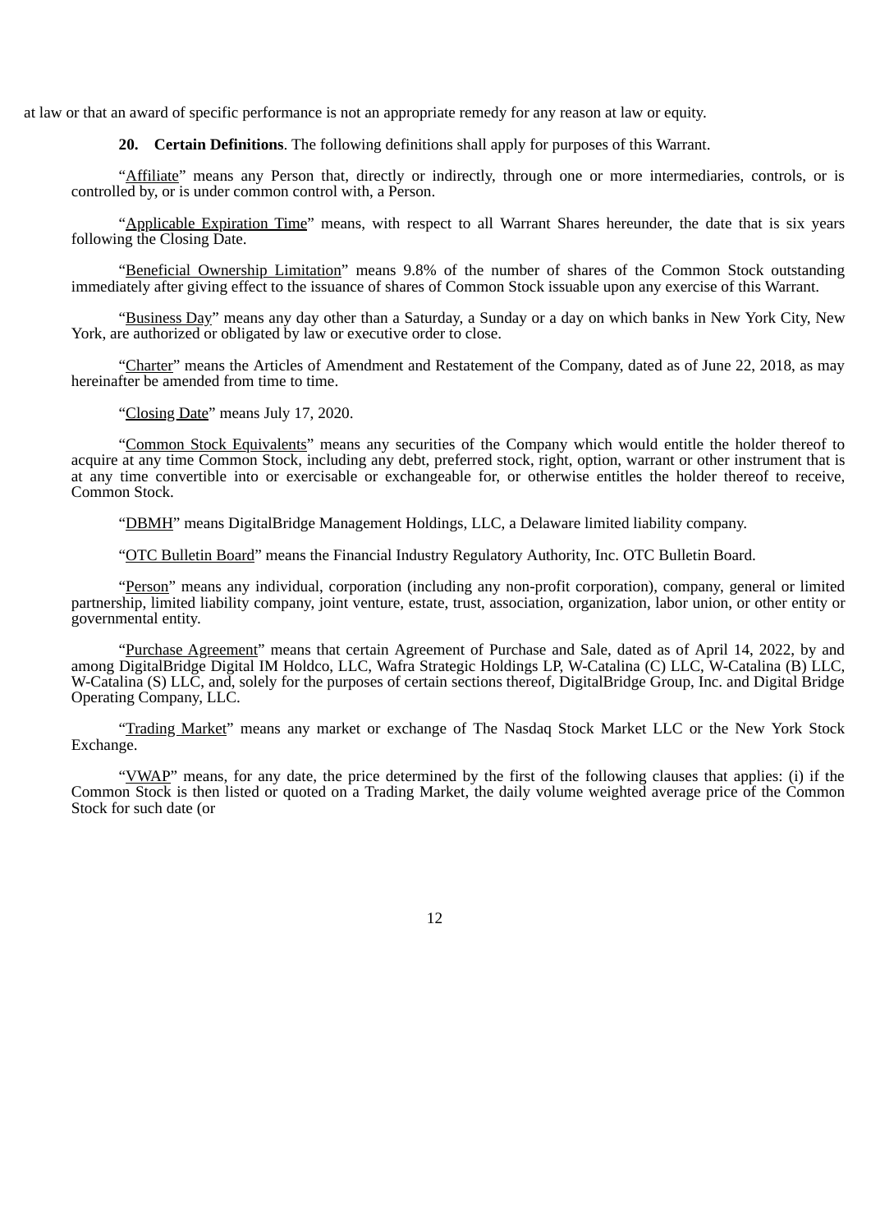at law or that an award of specific performance is not an appropriate remedy for any reason at law or equity.

**20. Certain Definitions**. The following definitions shall apply for purposes of this Warrant.

"Affiliate" means any Person that, directly or indirectly, through one or more intermediaries, controls, or is controlled by, or is under common control with, a Person.

"Applicable Expiration Time" means, with respect to all Warrant Shares hereunder, the date that is six years following the Closing Date.

"Beneficial Ownership Limitation" means 9.8% of the number of shares of the Common Stock outstanding immediately after giving effect to the issuance of shares of Common Stock issuable upon any exercise of this Warrant.

"Business Day" means any day other than a Saturday, a Sunday or a day on which banks in New York City, New York, are authorized or obligated by law or executive order to close.

"Charter" means the Articles of Amendment and Restatement of the Company, dated as of June 22, 2018, as may hereinafter be amended from time to time.

"Closing Date" means July 17, 2020.

"Common Stock Equivalents" means any securities of the Company which would entitle the holder thereof to acquire at any time Common Stock, including any debt, preferred stock, right, option, warrant or other instrument that is at any time convertible into or exercisable or exchangeable for, or otherwise entitles the holder thereof to receive, Common Stock.

"DBMH" means DigitalBridge Management Holdings, LLC, a Delaware limited liability company.

"OTC Bulletin Board" means the Financial Industry Regulatory Authority, Inc. OTC Bulletin Board.

"Person" means any individual, corporation (including any non-profit corporation), company, general or limited partnership, limited liability company, joint venture, estate, trust, association, organization, labor union, or other entity or governmental entity.

"Purchase Agreement" means that certain Agreement of Purchase and Sale, dated as of April 14, 2022, by and among DigitalBridge Digital IM Holdco, LLC, Wafra Strategic Holdings LP, W-Catalina (C) LLC, W-Catalina (B) LLC, W-Catalina (S) LLC, and, solely for the purposes of certain sections thereof, DigitalBridge Group, Inc. and Digital Bridge Operating Company, LLC.

"Trading Market" means any market or exchange of The Nasdaq Stock Market LLC or the New York Stock Exchange.

"VWAP" means, for any date, the price determined by the first of the following clauses that applies: (i) if the Common Stock is then listed or quoted on a Trading Market, the daily volume weighted average price of the Common Stock for such date (or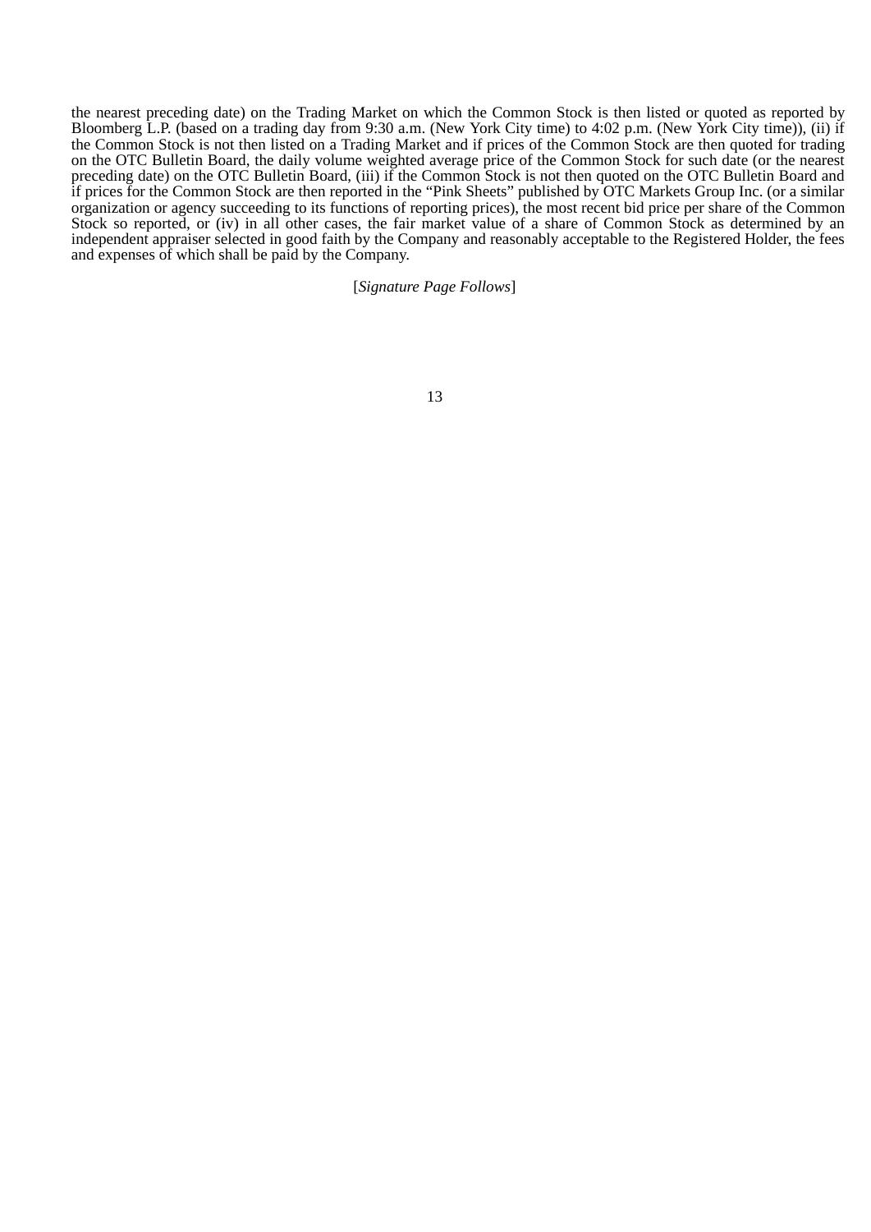the nearest preceding date) on the Trading Market on which the Common Stock is then listed or quoted as reported by Bloomberg L.P. (based on a trading day from 9:30 a.m. (New York City time) to 4:02 p.m. (New York City time)), (ii) if the Common Stock is not then listed on a Trading Market and if prices of the Common Stock are then quoted for trading on the OTC Bulletin Board, the daily volume weighted average price of the Common Stock for such date (or the nearest preceding date) on the OTC Bulletin Board, (iii) if the Common Stock is not then quoted on the OTC Bulletin Board and if prices for the Common Stock are then reported in the "Pink Sheets" published by OTC Markets Group Inc. (or a similar organization or agency succeeding to its functions of reporting prices), the most recent bid price per share of the Common Stock so reported, or (iv) in all other cases, the fair market value of a share of Common Stock as determined by an independent appraiser selected in good faith by the Company and reasonably acceptable to the Registered Holder, the fees and expenses of which shall be paid by the Company.

#### [*Signature Page Follows*]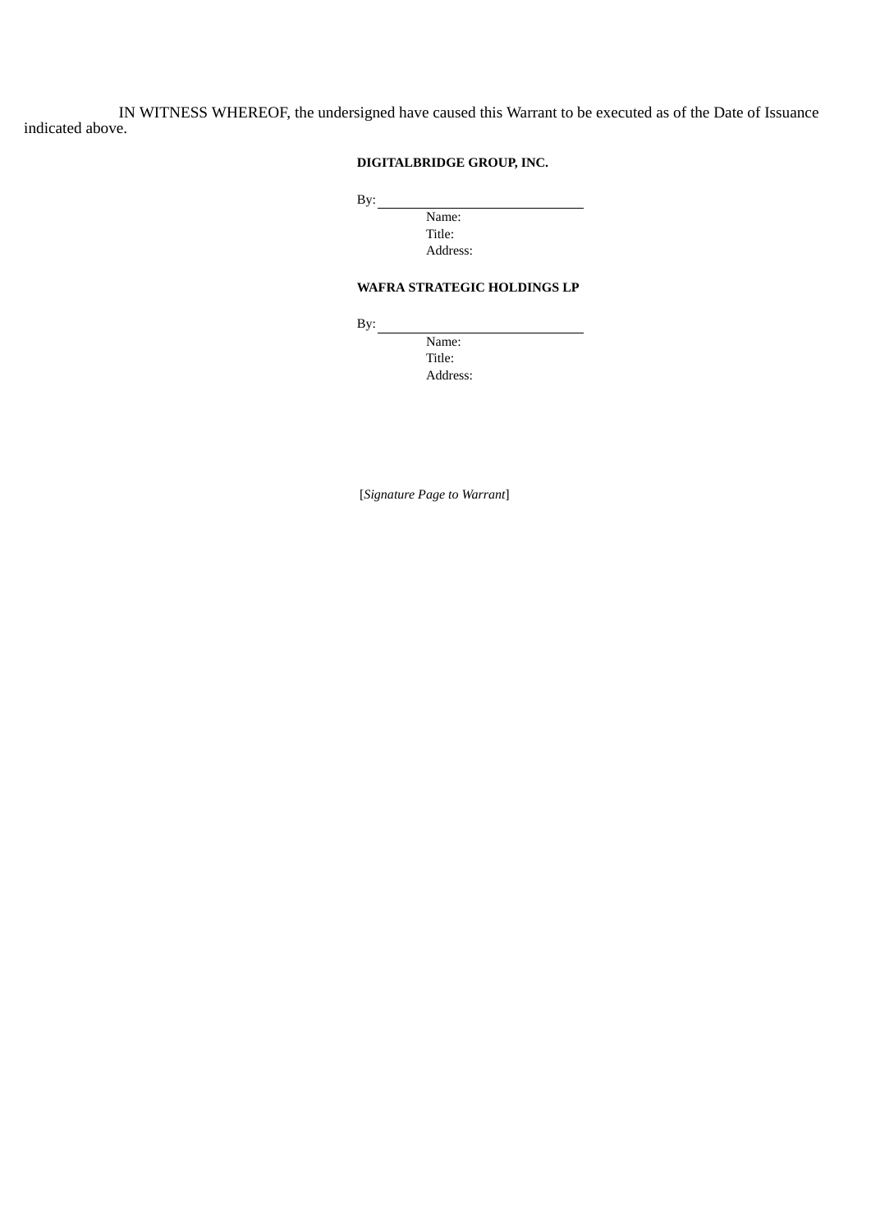IN WITNESS WHEREOF, the undersigned have caused this Warrant to be executed as of the Date of Issuance indicated above.

## **DIGITALBRIDGE GROUP, INC.**

By:

Name: Title: Address:

## **WAFRA STRATEGIC HOLDINGS LP**

 $By:$ 

Name: Title: Address:

[*Signature Page to Warrant*]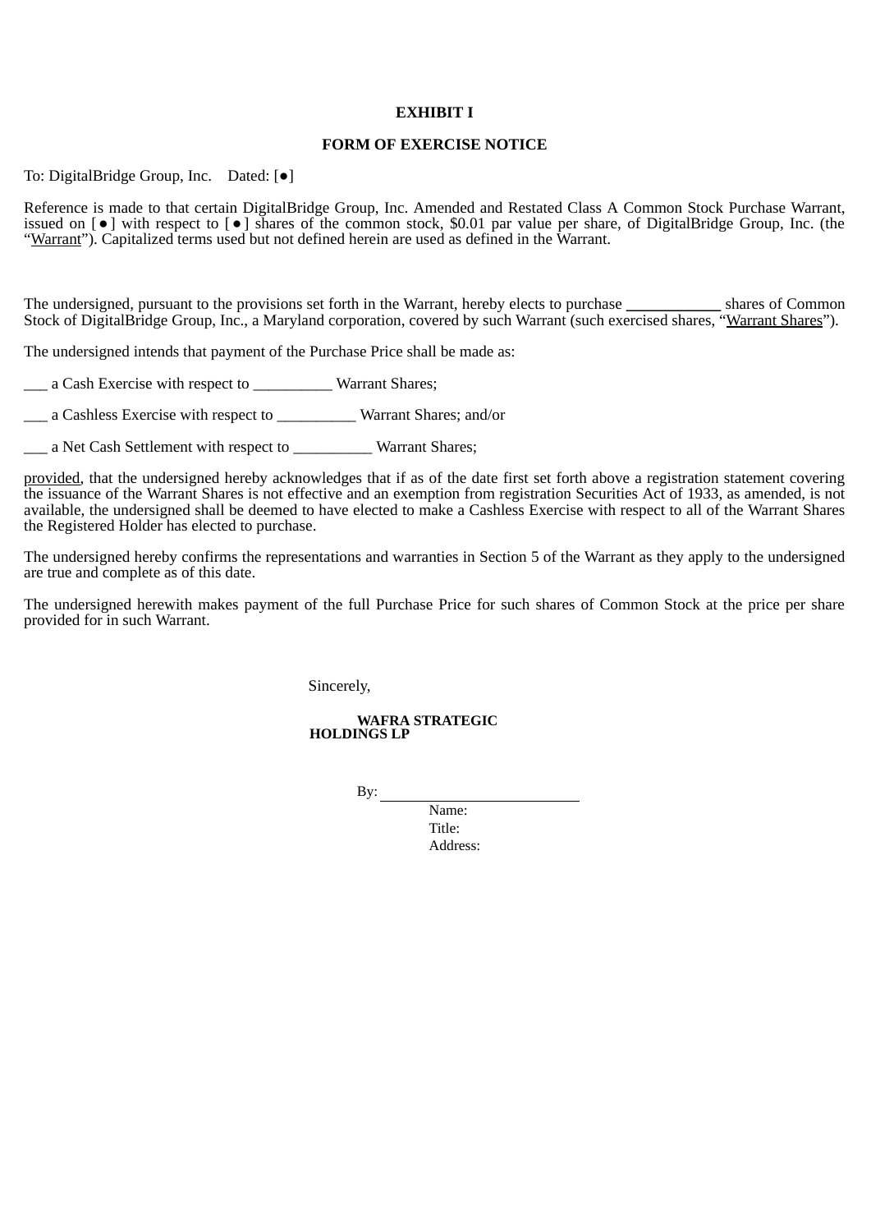### **EXHIBIT I**

#### **FORM OF EXERCISE NOTICE**

To: DigitalBridge Group, Inc. Dated: [●]

Reference is made to that certain DigitalBridge Group, Inc. Amended and Restated Class A Common Stock Purchase Warrant, issued on [●] with respect to [●] shares of the common stock, \$0.01 par value per share, of DigitalBridge Group, Inc. (the "Warrant"). Capitalized terms used but not defined herein are used as defined in the Warrant.

The undersigned, pursuant to the provisions set forth in the Warrant, hereby elects to purchase \_\_\_\_\_\_\_\_\_\_\_\_ shares of Common Stock of DigitalBridge Group, Inc., a Maryland corporation, covered by such Warrant (such exercised shares, "Warrant Shares").

The undersigned intends that payment of the Purchase Price shall be made as:

\_\_\_ a Cash Exercise with respect to \_\_\_\_\_\_\_\_\_\_ Warrant Shares;

\_\_\_ a Cashless Exercise with respect to \_\_\_\_\_\_\_\_\_\_ Warrant Shares; and/or

\_\_\_ a Net Cash Settlement with respect to \_\_\_\_\_\_\_\_\_\_ Warrant Shares;

provided, that the undersigned hereby acknowledges that if as of the date first set forth above a registration statement covering the issuance of the Warrant Shares is not effective and an exemption from registration Securities Act of 1933, as amended, is not available, the undersigned shall be deemed to have elected to make a Cashless Exercise with respect to all of the Warrant Shares the Registered Holder has elected to purchase.

The undersigned hereby confirms the representations and warranties in Section 5 of the Warrant as they apply to the undersigned are true and complete as of this date.

The undersigned herewith makes payment of the full Purchase Price for such shares of Common Stock at the price per share provided for in such Warrant.

Sincerely,

**WAFRA STRATEGIC HOLDINGS LP**

By:

Name: Title<sup>.</sup> Address: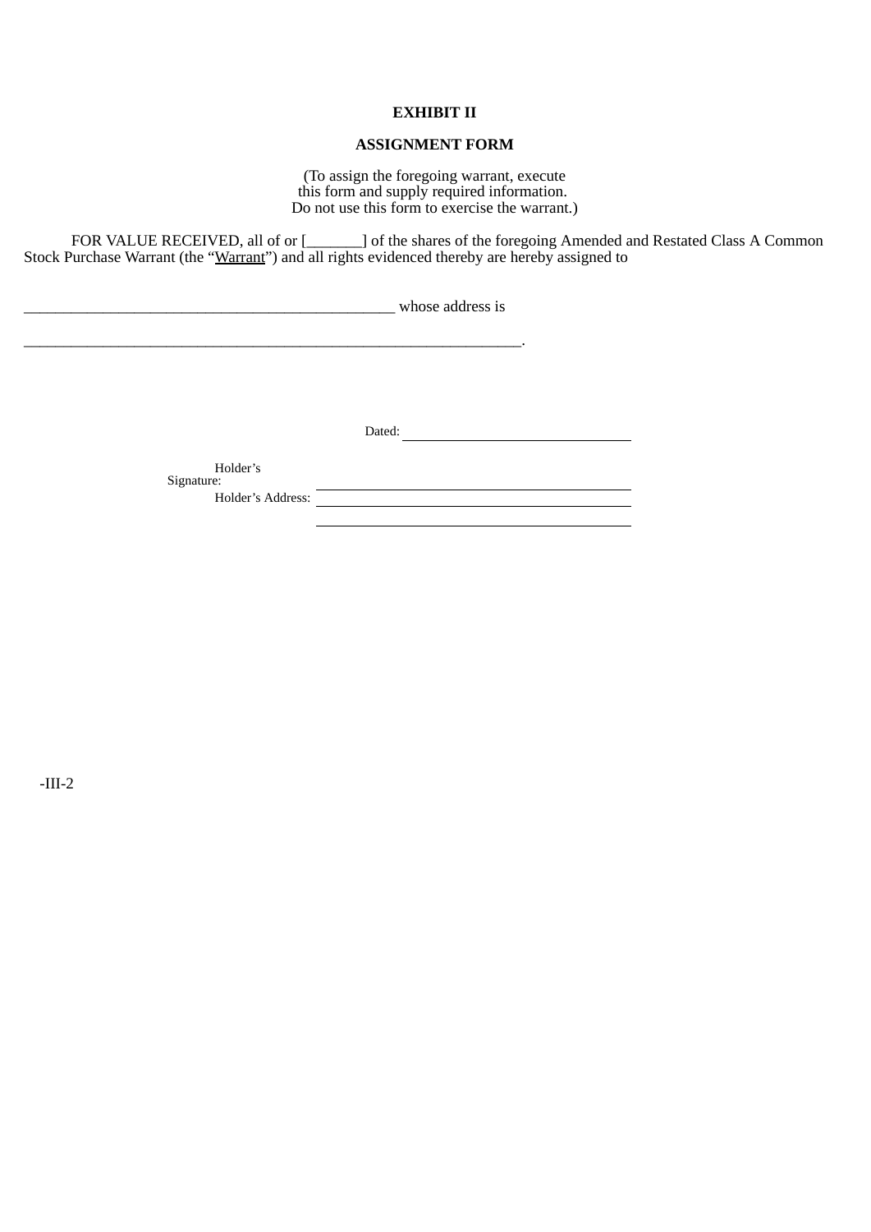### **EXHIBIT II**

## **ASSIGNMENT FORM**

(To assign the foregoing warrant, execute this form and supply required information. Do not use this form to exercise the warrant.)

FOR VALUE RECEIVED, all of or [\_\_\_\_\_\_\_] of the shares of the foregoing Amended and Restated Class A Common Stock Purchase Warrant (the "Warrant") and all rights evidenced thereby are hereby assigned to

\_\_\_\_\_\_\_\_\_\_\_\_\_\_\_\_\_\_\_\_\_\_\_\_\_\_\_\_\_\_\_\_\_\_\_\_\_\_\_\_\_\_\_\_\_\_\_ whose address is

\_\_\_\_\_\_\_\_\_\_\_\_\_\_\_\_\_\_\_\_\_\_\_\_\_\_\_\_\_\_\_\_\_\_\_\_\_\_\_\_\_\_\_\_\_\_\_\_\_\_\_\_\_\_\_\_\_\_\_\_\_\_\_.

Dated:

Holder's Signature:

Holder's Address: <u>New York: William School and the Charles of the Charles of the Charles of the Charles of the Charles of the Charles of the Charles of the Charles of the Charles of the Charles of the Charles of the Charl</u>

-III-2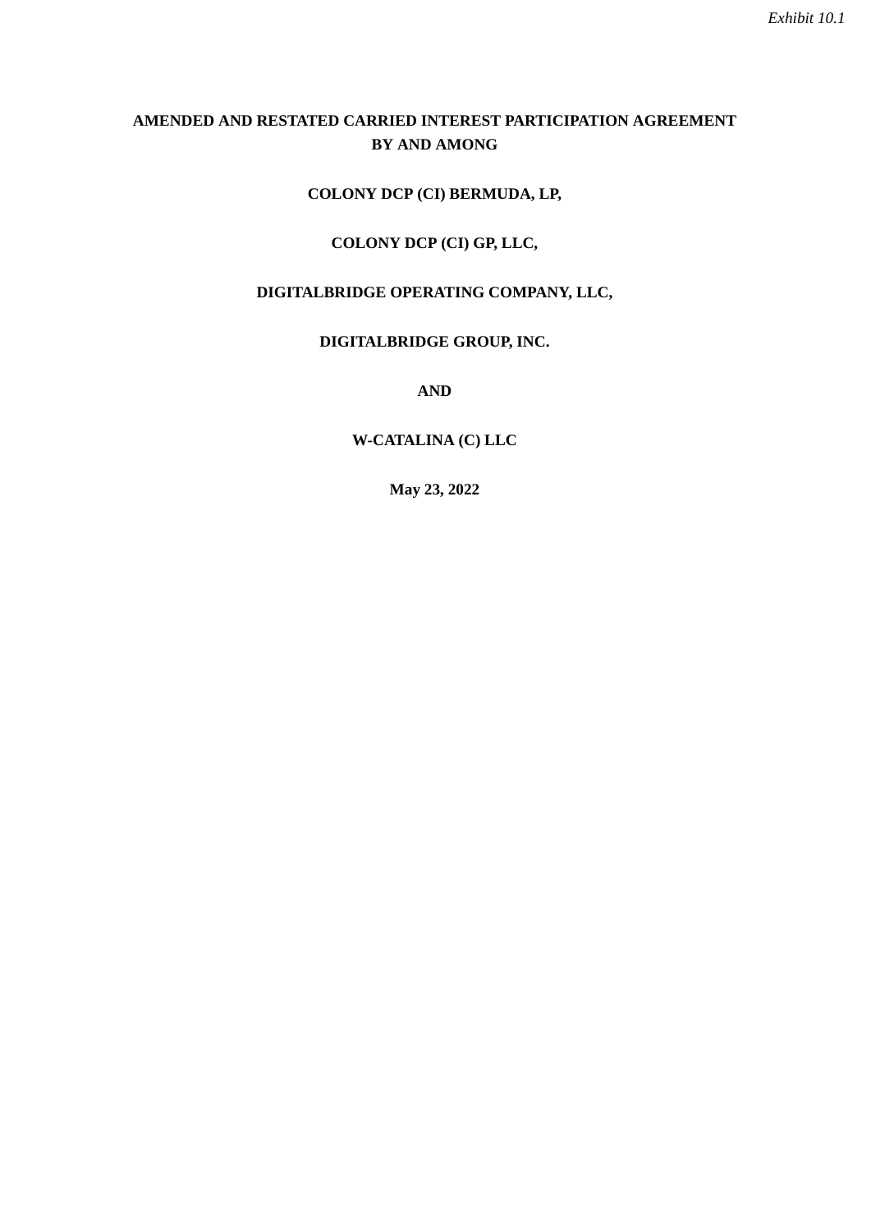# <span id="page-22-0"></span>**AMENDED AND RESTATED CARRIED INTEREST PARTICIPATION AGREEMENT BY AND AMONG**

# **COLONY DCP (CI) BERMUDA, LP,**

# **COLONY DCP (CI) GP, LLC,**

# **DIGITALBRIDGE OPERATING COMPANY, LLC,**

# **DIGITALBRIDGE GROUP, INC.**

**AND**

# **W-CATALINA (C) LLC**

**May 23, 2022**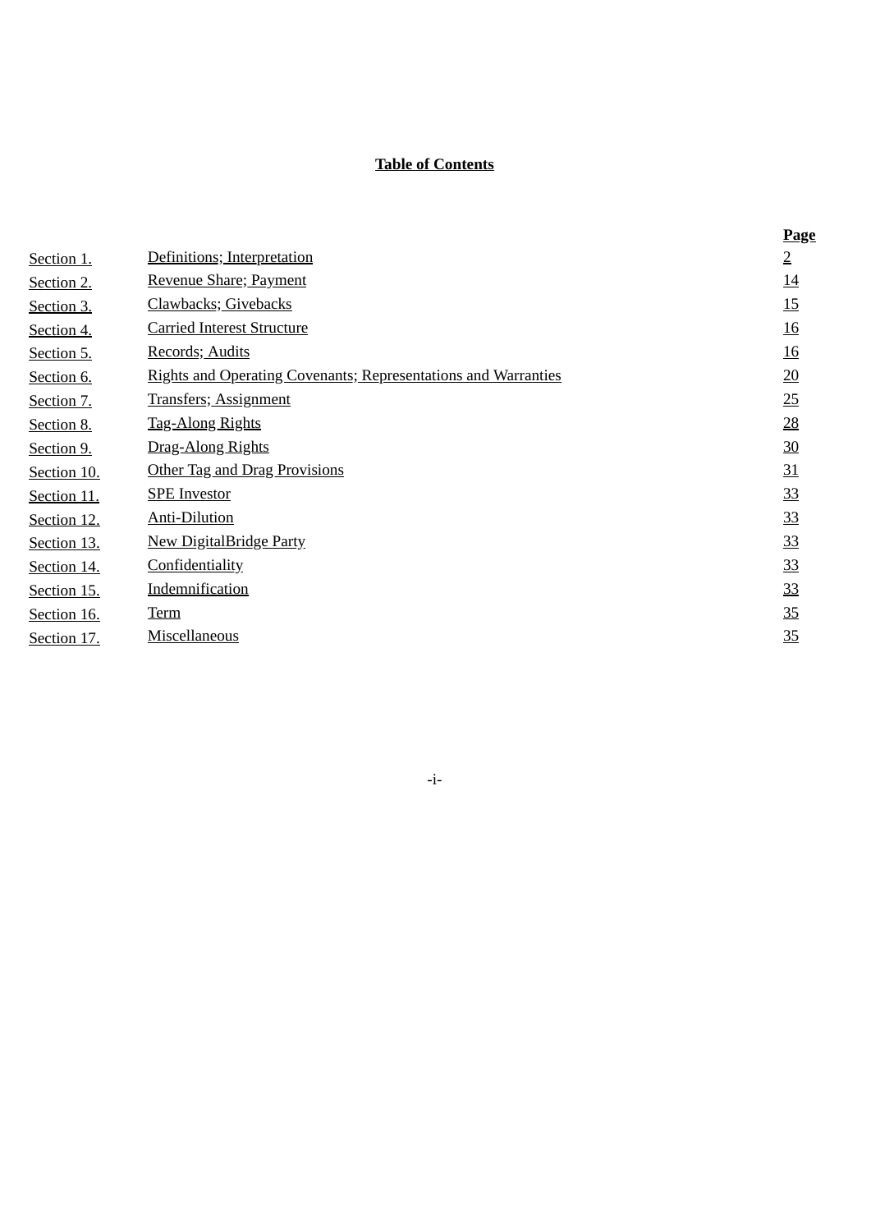# **Table of Contents**

|             |                                                                       | <b>Page</b>    |
|-------------|-----------------------------------------------------------------------|----------------|
| Section 1.  | Definitions; Interpretation                                           | $\overline{2}$ |
| Section 2.  | Revenue Share; Payment                                                | 14             |
| Section 3.  | Clawbacks; Givebacks                                                  | 15             |
| Section 4.  | <b>Carried Interest Structure</b>                                     | <u>16</u>      |
| Section 5.  | Records; Audits                                                       | <u>16</u>      |
| Section 6.  | <b>Rights and Operating Covenants; Representations and Warranties</b> | 20             |
| Section 7.  | <b>Transfers</b> ; Assignment                                         | 25             |
| Section 8.  | <b>Tag-Along Rights</b>                                               | 28             |
| Section 9.  | Drag-Along Rights                                                     | 30             |
| Section 10. | <b>Other Tag and Drag Provisions</b>                                  | 31             |
| Section 11. | <b>SPE</b> Investor                                                   | 33             |
| Section 12. | <b>Anti-Dilution</b>                                                  | 33             |
| Section 13. | <b>New DigitalBridge Party</b>                                        | 33             |
| Section 14. | Confidentiality                                                       | 33             |
| Section 15. | Indemnification                                                       | 33             |
| Section 16. | <b>Term</b>                                                           | 35             |
| Section 17. | <b>Miscellaneous</b>                                                  | 35             |

# <span id="page-23-0"></span>-i-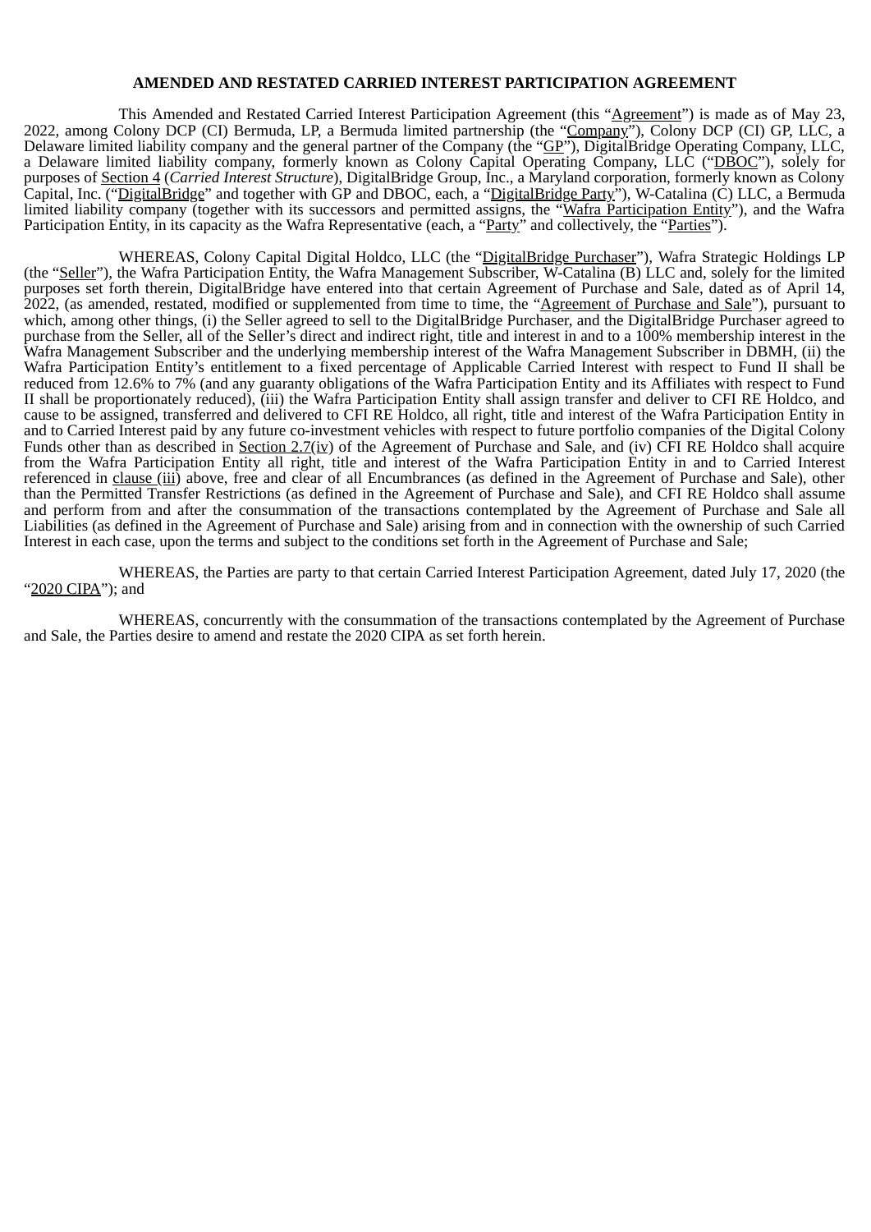## **AMENDED AND RESTATED CARRIED INTEREST PARTICIPATION AGREEMENT**

This Amended and Restated Carried Interest Participation Agreement (this "Agreement") is made as of May 23, 2022, among Colony DCP (CI) Bermuda, LP, a Bermuda limited partnership (the "Company"), Colony DCP (CI) GP, LLC, a Delaware limited liability company and the general partner of the Company (the "GP"), DigitalBridge Operating Company, LLC, a Delaware limited liability company, formerly known as Colony Capital Operating Company, LLC ("DBOC"), solely for purposes of Section 4 (*Carried Interest Structure*), DigitalBridge Group, Inc., a Maryland corporation, formerly known as Colony Capital, Inc. ("DigitalBridge" and together with GP and DBOC, each, a "DigitalBridge Party"), W-Catalina (C) LLC, a Bermuda limited liability company (together with its successors and permitted assigns, the "Wafra Participation Entity"), and the Wafra Participation Entity, in its capacity as the Wafra Representative (each, a "Party" and collectively, the "Parties").

WHEREAS, Colony Capital Digital Holdco, LLC (the "DigitalBridge Purchaser"), Wafra Strategic Holdings LP (the "Seller"), the Wafra Participation Entity, the Wafra Management Subscriber, W-Catalina (B) LLC and, solely for the limited purposes set forth therein, DigitalBridge have entered into that certain Agreement of Purchase and Sale, dated as of April 14, 2022, (as amended, restated, modified or supplemented from time to time, the "Agreement of Purchase and Sale"), pursuant to which, among other things, (i) the Seller agreed to sell to the DigitalBridge Purchaser, and the DigitalBridge Purchaser agreed to purchase from the Seller, all of the Seller's direct and indirect right, title and interest in and to a 100% membership interest in the Wafra Management Subscriber and the underlying membership interest of the Wafra Management Subscriber in DBMH, (ii) the Wafra Participation Entity's entitlement to a fixed percentage of Applicable Carried Interest with respect to Fund II shall be reduced from 12.6% to 7% (and any guaranty obligations of the Wafra Participation Entity and its Affiliates with respect to Fund II shall be proportionately reduced), (iii) the Wafra Participation Entity shall assign transfer and deliver to CFI RE Holdco, and cause to be assigned, transferred and delivered to CFI RE Holdco, all right, title and interest of the Wafra Participation Entity in and to Carried Interest paid by any future co-investment vehicles with respect to future portfolio companies of the Digital Colony Funds other than as described in Section 2.7(iv) of the Agreement of Purchase and Sale, and (iv) CFI RE Holdco shall acquire from the Wafra Participation Entity all right, title and interest of the Wafra Participation Entity in and to Carried Interest referenced in clause (iii) above, free and clear of all Encumbrances (as defined in the Agreement of Purchase and Sale), other than the Permitted Transfer Restrictions (as defined in the Agreement of Purchase and Sale), and CFI RE Holdco shall assume and perform from and after the consummation of the transactions contemplated by the Agreement of Purchase and Sale all Liabilities (as defined in the Agreement of Purchase and Sale) arising from and in connection with the ownership of such Carried Interest in each case, upon the terms and subject to the conditions set forth in the Agreement of Purchase and Sale;

WHEREAS, the Parties are party to that certain Carried Interest Participation Agreement, dated July 17, 2020 (the "2020 CIPA"); and

WHEREAS, concurrently with the consummation of the transactions contemplated by the Agreement of Purchase and Sale, the Parties desire to amend and restate the 2020 CIPA as set forth herein.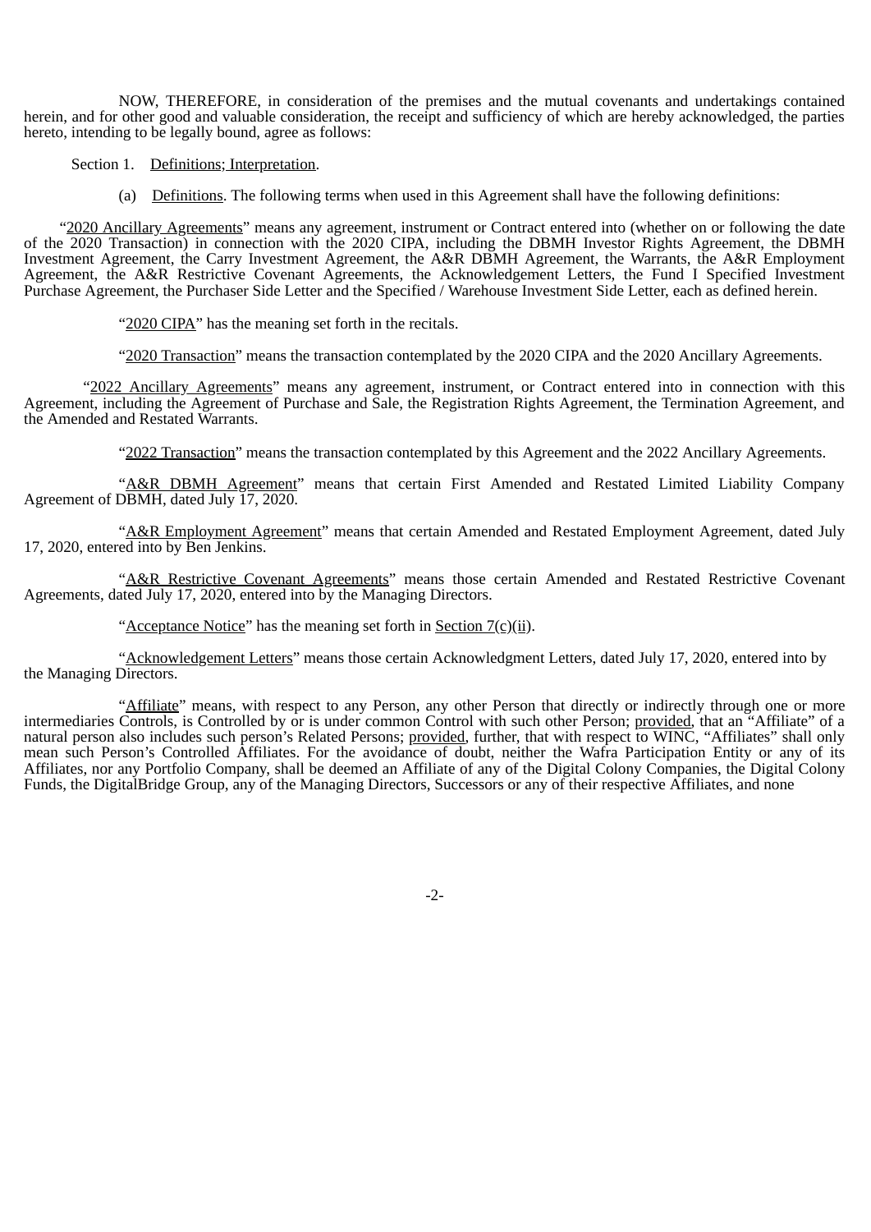NOW, THEREFORE, in consideration of the premises and the mutual covenants and undertakings contained herein, and for other good and valuable consideration, the receipt and sufficiency of which are hereby acknowledged, the parties hereto, intending to be legally bound, agree as follows:

Section 1. Definitions; Interpretation.

(a) Definitions. The following terms when used in this Agreement shall have the following definitions:

"2020 Ancillary Agreements" means any agreement, instrument or Contract entered into (whether on or following the date of the 2020 Transaction) in connection with the 2020 CIPA, including the DBMH Investor Rights Agreement, the DBMH Investment Agreement, the Carry Investment Agreement, the A&R DBMH Agreement, the Warrants, the A&R Employment Agreement, the A&R Restrictive Covenant Agreements, the Acknowledgement Letters, the Fund I Specified Investment Purchase Agreement, the Purchaser Side Letter and the Specified / Warehouse Investment Side Letter, each as defined herein.

"2020 CIPA" has the meaning set forth in the recitals.

"2020 Transaction" means the transaction contemplated by the 2020 CIPA and the 2020 Ancillary Agreements.

"2022 Ancillary Agreements" means any agreement, instrument, or Contract entered into in connection with this Agreement, including the Agreement of Purchase and Sale, the Registration Rights Agreement, the Termination Agreement, and the Amended and Restated Warrants.

"2022 Transaction" means the transaction contemplated by this Agreement and the 2022 Ancillary Agreements.

"A&R DBMH Agreement" means that certain First Amended and Restated Limited Liability Company Agreement of DBMH, dated July 17, 2020.

"A&R Employment Agreement" means that certain Amended and Restated Employment Agreement, dated July 17, 2020, entered into by Ben Jenkins.

"A&R Restrictive Covenant Agreements" means those certain Amended and Restated Restrictive Covenant Agreements, dated July 17, 2020, entered into by the Managing Directors.

"Acceptance Notice" has the meaning set forth in Section  $7(c)(ii)$ .

"Acknowledgement Letters" means those certain Acknowledgment Letters, dated July 17, 2020, entered into by the Managing Directors.

"Affiliate" means, with respect to any Person, any other Person that directly or indirectly through one or more intermediaries Controls, is Controlled by or is under common Control with such other Person; provided, that an "Affiliate" of a natural person also includes such person's Related Persons; provided, further, that with respect to WINC, "Affiliates" shall only mean such Person's Controlled Affiliates. For the avoidance of doubt, neither the Wafra Participation Entity or any of its Affiliates, nor any Portfolio Company, shall be deemed an Affiliate of any of the Digital Colony Companies, the Digital Colony Funds, the DigitalBridge Group, any of the Managing Directors, Successors or any of their respective Affiliates, and none

-2-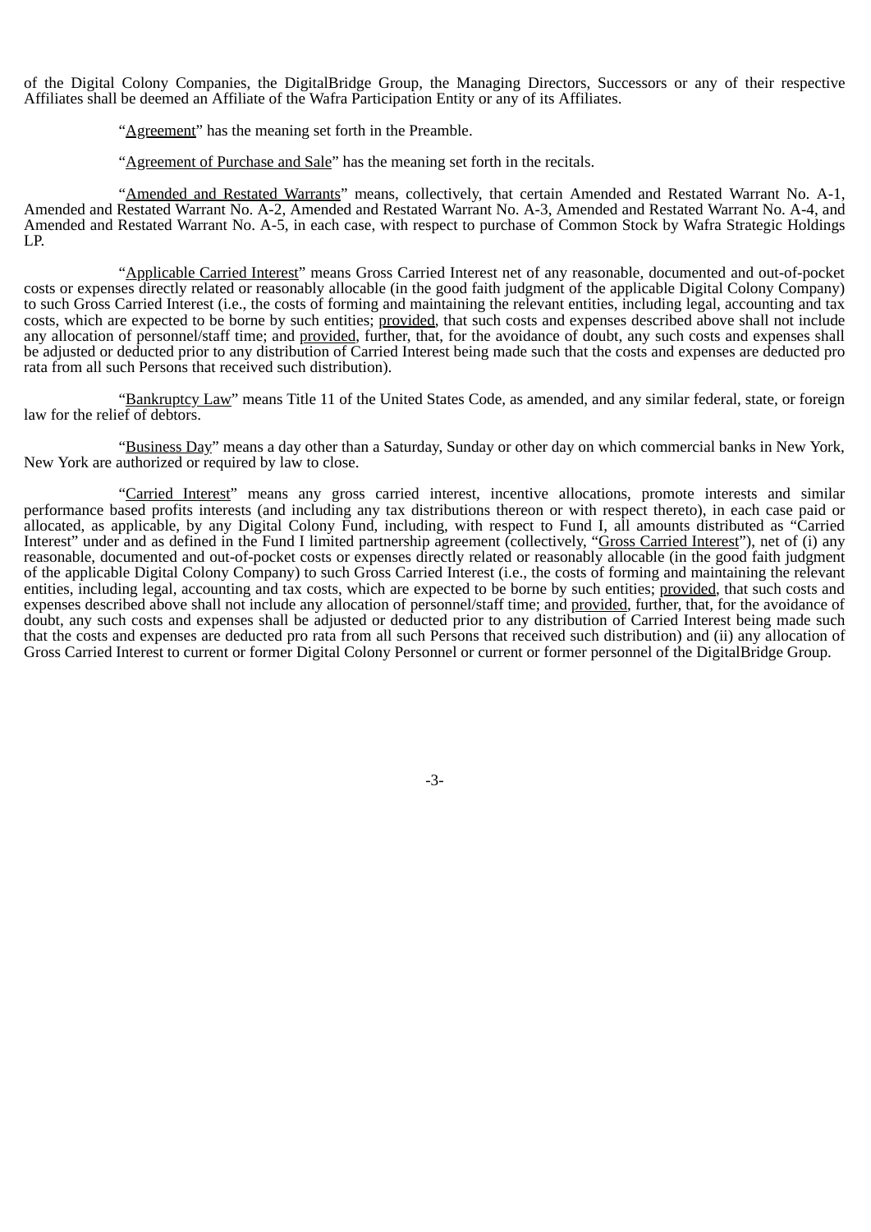of the Digital Colony Companies, the DigitalBridge Group, the Managing Directors, Successors or any of their respective Affiliates shall be deemed an Affiliate of the Wafra Participation Entity or any of its Affiliates.

"Agreement" has the meaning set forth in the Preamble.

"Agreement of Purchase and Sale" has the meaning set forth in the recitals.

"Amended and Restated Warrants" means, collectively, that certain Amended and Restated Warrant No. A-1, Amended and Restated Warrant No. A-2, Amended and Restated Warrant No. A-3, Amended and Restated Warrant No. A-4, and Amended and Restated Warrant No. A-5, in each case, with respect to purchase of Common Stock by Wafra Strategic Holdings LP.

"Applicable Carried Interest" means Gross Carried Interest net of any reasonable, documented and out-of-pocket costs or expenses directly related or reasonably allocable (in the good faith judgment of the applicable Digital Colony Company) to such Gross Carried Interest (i.e., the costs of forming and maintaining the relevant entities, including legal, accounting and tax costs, which are expected to be borne by such entities; provided, that such costs and expenses described above shall not include any allocation of personnel/staff time; and provided, further, that, for the avoidance of doubt, any such costs and expenses shall be adjusted or deducted prior to any distribution of Carried Interest being made such that the costs and expenses are deducted pro rata from all such Persons that received such distribution).

"Bankruptcy Law" means Title 11 of the United States Code, as amended, and any similar federal, state, or foreign law for the relief of debtors.

"Business Day" means a day other than a Saturday, Sunday or other day on which commercial banks in New York, New York are authorized or required by law to close.

"Carried Interest" means any gross carried interest, incentive allocations, promote interests and similar performance based profits interests (and including any tax distributions thereon or with respect thereto), in each case paid or allocated, as applicable, by any Digital Colony Fund, including, with respect to Fund I, all amounts distributed as "Carried Interest" under and as defined in the Fund I limited partnership agreement (collectively, "Gross Carried Interest"), net of (i) any reasonable, documented and out-of-pocket costs or expenses directly related or reasonably allocable (in the good faith judgment of the applicable Digital Colony Company) to such Gross Carried Interest (i.e., the costs of forming and maintaining the relevant entities, including legal, accounting and tax costs, which are expected to be borne by such entities; provided, that such costs and expenses described above shall not include any allocation of personnel/staff time; and provided, further, that, for the avoidance of doubt, any such costs and expenses shall be adjusted or deducted prior to any distribution of Carried Interest being made such that the costs and expenses are deducted pro rata from all such Persons that received such distribution) and (ii) any allocation of Gross Carried Interest to current or former Digital Colony Personnel or current or former personnel of the DigitalBridge Group.

-3-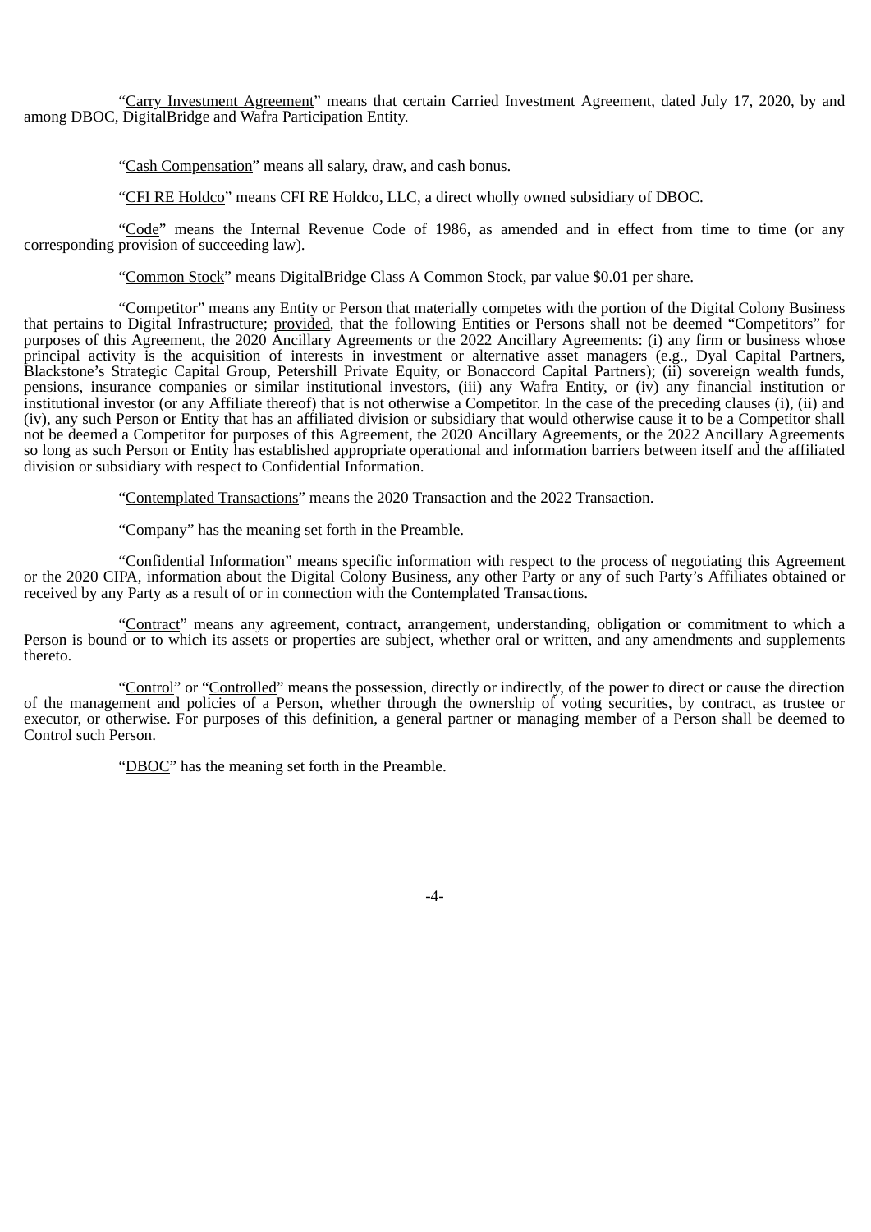"Carry Investment Agreement" means that certain Carried Investment Agreement, dated July 17, 2020, by and among DBOC, DigitalBridge and Wafra Participation Entity.

"Cash Compensation" means all salary, draw, and cash bonus.

"CFI RE Holdco" means CFI RE Holdco, LLC, a direct wholly owned subsidiary of DBOC.

"Code" means the Internal Revenue Code of 1986, as amended and in effect from time to time (or any corresponding provision of succeeding law).

"Common Stock" means DigitalBridge Class A Common Stock, par value \$0.01 per share.

"Competitor" means any Entity or Person that materially competes with the portion of the Digital Colony Business that pertains to Digital Infrastructure; provided, that the following Entities or Persons shall not be deemed "Competitors" for purposes of this Agreement, the 2020 Ancillary Agreements or the 2022 Ancillary Agreements: (i) any firm or business whose principal activity is the acquisition of interests in investment or alternative asset managers (e.g., Dyal Capital Partners, Blackstone's Strategic Capital Group, Petershill Private Equity, or Bonaccord Capital Partners); (ii) sovereign wealth funds, pensions, insurance companies or similar institutional investors, (iii) any Wafra Entity, or (iv) any financial institution or institutional investor (or any Affiliate thereof) that is not otherwise a Competitor. In the case of the preceding clauses (i), (ii) and (iv), any such Person or Entity that has an affiliated division or subsidiary that would otherwise cause it to be a Competitor shall not be deemed a Competitor for purposes of this Agreement, the 2020 Ancillary Agreements, or the 2022 Ancillary Agreements so long as such Person or Entity has established appropriate operational and information barriers between itself and the affiliated division or subsidiary with respect to Confidential Information.

"Contemplated Transactions" means the 2020 Transaction and the 2022 Transaction.

"Company" has the meaning set forth in the Preamble.

"Confidential Information" means specific information with respect to the process of negotiating this Agreement or the 2020 CIPA, information about the Digital Colony Business, any other Party or any of such Party's Affiliates obtained or received by any Party as a result of or in connection with the Contemplated Transactions.

"Contract" means any agreement, contract, arrangement, understanding, obligation or commitment to which a Person is bound or to which its assets or properties are subject, whether oral or written, and any amendments and supplements thereto.

"Control" or "Controlled" means the possession, directly or indirectly, of the power to direct or cause the direction of the management and policies of a Person, whether through the ownership of voting securities, by contract, as trustee or executor, or otherwise. For purposes of this definition, a general partner or managing member of a Person shall be deemed to Control such Person.

"DBOC" has the meaning set forth in the Preamble.

-4-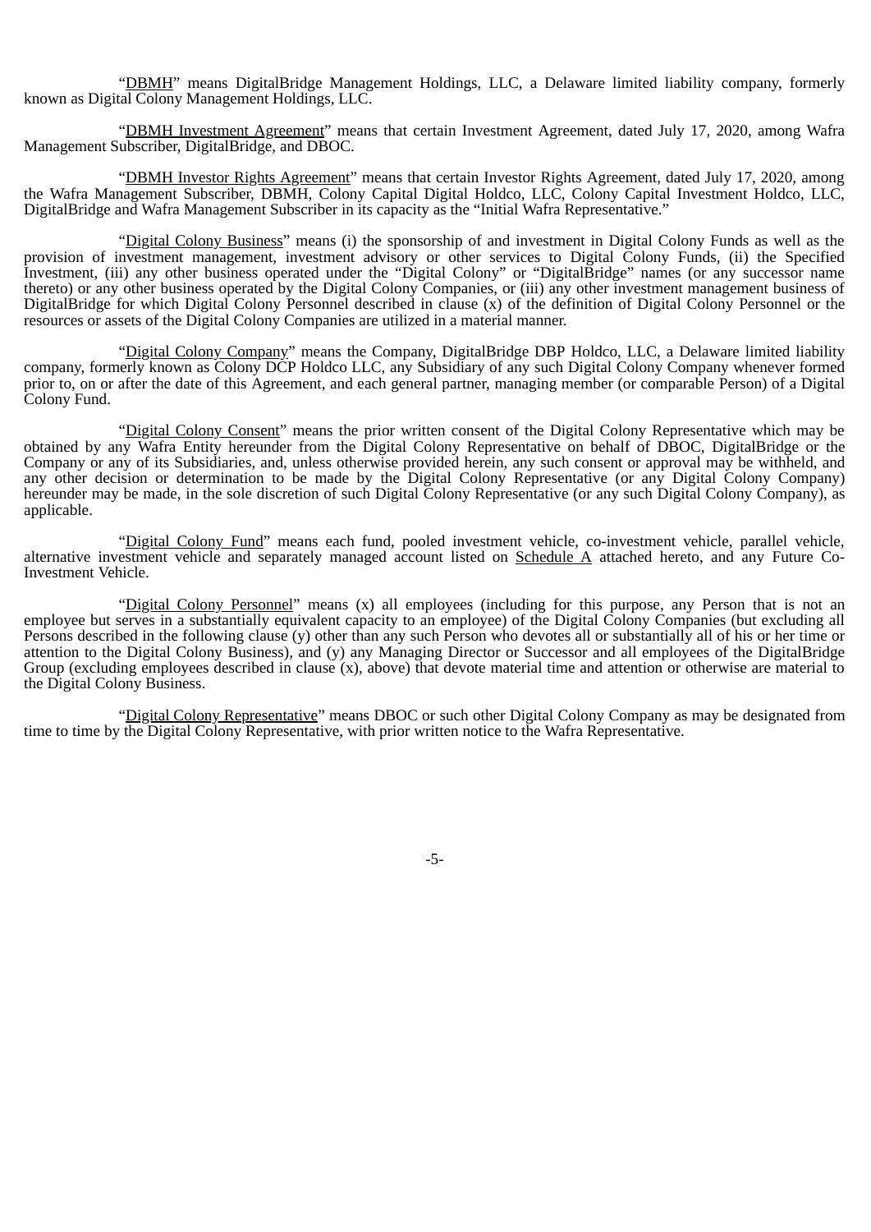"DBMH" means DigitalBridge Management Holdings, LLC, a Delaware limited liability company, formerly known as Digital Colony Management Holdings, LLC.

"DBMH Investment Agreement" means that certain Investment Agreement, dated July 17, 2020, among Wafra Management Subscriber, DigitalBridge, and DBOC.

"DBMH Investor Rights Agreement" means that certain Investor Rights Agreement, dated July 17, 2020, among the Wafra Management Subscriber, DBMH, Colony Capital Digital Holdco, LLC, Colony Capital Investment Holdco, LLC, DigitalBridge and Wafra Management Subscriber in its capacity as the "Initial Wafra Representative."

"Digital Colony Business" means (i) the sponsorship of and investment in Digital Colony Funds as well as the provision of investment management, investment advisory or other services to Digital Colony Funds, (ii) the Specified Investment, (iii) any other business operated under the "Digital Colony" or "DigitalBridge" names (or any successor name thereto) or any other business operated by the Digital Colony Companies, or (iii) any other investment management business of DigitalBridge for which Digital Colony Personnel described in clause (x) of the definition of Digital Colony Personnel or the resources or assets of the Digital Colony Companies are utilized in a material manner.

"Digital Colony Company" means the Company, DigitalBridge DBP Holdco, LLC, a Delaware limited liability company, formerly known as Colony DCP Holdco LLC, any Subsidiary of any such Digital Colony Company whenever formed prior to, on or after the date of this Agreement, and each general partner, managing member (or comparable Person) of a Digital Colony Fund.

"Digital Colony Consent" means the prior written consent of the Digital Colony Representative which may be obtained by any Wafra Entity hereunder from the Digital Colony Representative on behalf of DBOC, DigitalBridge or the Company or any of its Subsidiaries, and, unless otherwise provided herein, any such consent or approval may be withheld, and any other decision or determination to be made by the Digital Colony Representative (or any Digital Colony Company) hereunder may be made, in the sole discretion of such Digital Colony Representative (or any such Digital Colony Company), as applicable.

"Digital Colony Fund" means each fund, pooled investment vehicle, co-investment vehicle, parallel vehicle, alternative investment vehicle and separately managed account listed on Schedule A attached hereto, and any Future Co-Investment Vehicle.

"Digital Colony Personnel" means (x) all employees (including for this purpose, any Person that is not an employee but serves in a substantially equivalent capacity to an employee) of the Digital Colony Companies (but excluding all Persons described in the following clause (y) other than any such Person who devotes all or substantially all of his or her time or attention to the Digital Colony Business), and (y) any Managing Director or Successor and all employees of the DigitalBridge Group (excluding employees described in clause (x), above) that devote material time and attention or otherwise are material to the Digital Colony Business.

"Digital Colony Representative" means DBOC or such other Digital Colony Company as may be designated from time to time by the Digital Colony Representative, with prior written notice to the Wafra Representative.

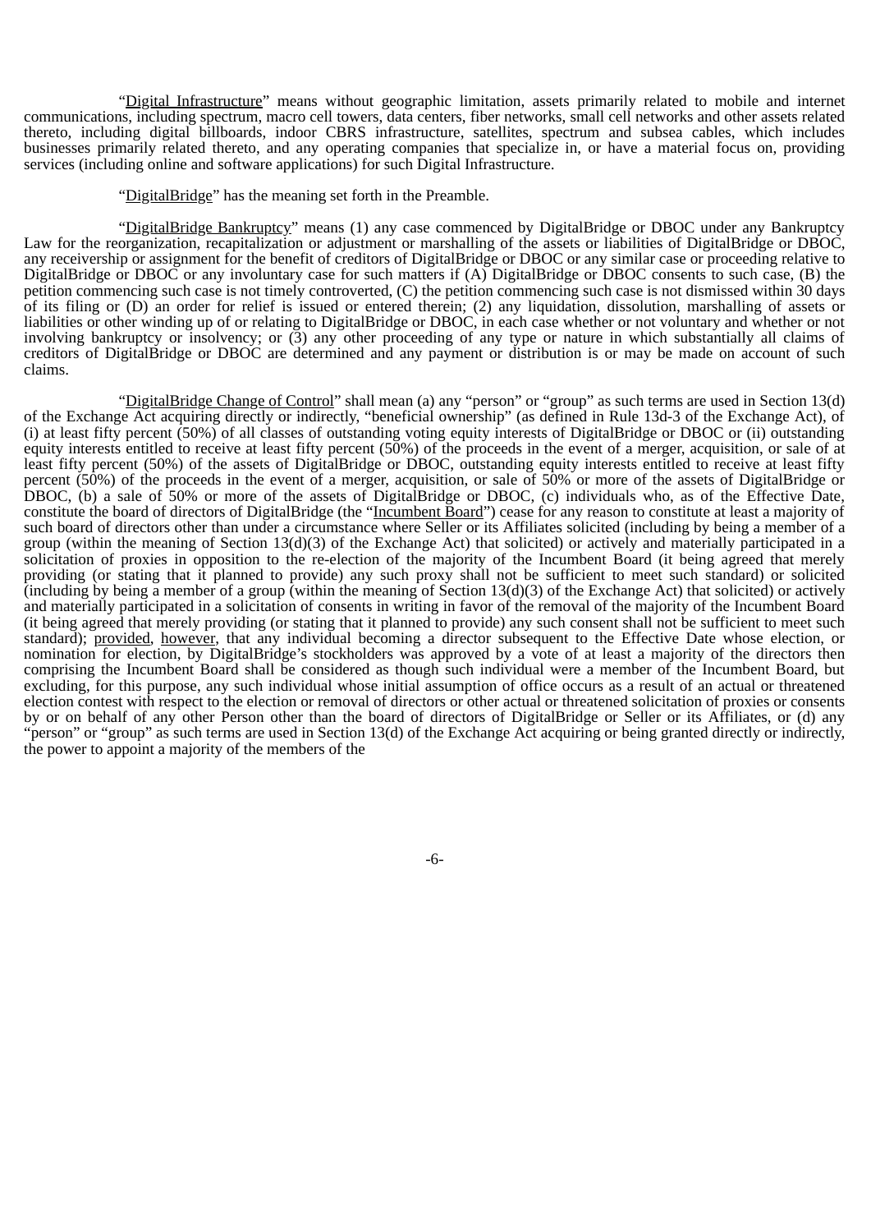"Digital Infrastructure" means without geographic limitation, assets primarily related to mobile and internet communications, including spectrum, macro cell towers, data centers, fiber networks, small cell networks and other assets related thereto, including digital billboards, indoor CBRS infrastructure, satellites, spectrum and subsea cables, which includes businesses primarily related thereto, and any operating companies that specialize in, or have a material focus on, providing services (including online and software applications) for such Digital Infrastructure.

"DigitalBridge" has the meaning set forth in the Preamble.

"DigitalBridge Bankruptcy" means (1) any case commenced by DigitalBridge or DBOC under any Bankruptcy Law for the reorganization, recapitalization or adjustment or marshalling of the assets or liabilities of DigitalBridge or DBOC, any receivership or assignment for the benefit of creditors of DigitalBridge or DBOC or any similar case or proceeding relative to DigitalBridge or DBOC or any involuntary case for such matters if (A) DigitalBridge or DBOC consents to such case, (B) the petition commencing such case is not timely controverted, (C) the petition commencing such case is not dismissed within 30 days of its filing or (D) an order for relief is issued or entered therein; (2) any liquidation, dissolution, marshalling of assets or liabilities or other winding up of or relating to DigitalBridge or DBOC, in each case whether or not voluntary and whether or not involving bankruptcy or insolvency; or (3) any other proceeding of any type or nature in which substantially all claims of creditors of DigitalBridge or DBOC are determined and any payment or distribution is or may be made on account of such claims.

"DigitalBridge Change of Control" shall mean (a) any "person" or "group" as such terms are used in Section 13(d) of the Exchange Act acquiring directly or indirectly, "beneficial ownership" (as defined in Rule 13d-3 of the Exchange Act), of (i) at least fifty percent (50%) of all classes of outstanding voting equity interests of DigitalBridge or DBOC or (ii) outstanding equity interests entitled to receive at least fifty percent (50%) of the proceeds in the event of a merger, acquisition, or sale of at least fifty percent (50%) of the assets of DigitalBridge or DBOC, outstanding equity interests entitled to receive at least fifty percent (50%) of the proceeds in the event of a merger, acquisition, or sale of 50% or more of the assets of DigitalBridge or DBOC, (b) a sale of 50% or more of the assets of DigitalBridge or DBOC, (c) individuals who, as of the Effective Date, constitute the board of directors of DigitalBridge (the "Incumbent Board") cease for any reason to constitute at least a majority of such board of directors other than under a circumstance where Seller or its Affiliates solicited (including by being a member of a group (within the meaning of Section 13(d)(3) of the Exchange Act) that solicited) or actively and materially participated in a solicitation of proxies in opposition to the re-election of the majority of the Incumbent Board (it being agreed that merely providing (or stating that it planned to provide) any such proxy shall not be sufficient to meet such standard) or solicited (including by being a member of a group (within the meaning of Section 13(d)(3) of the Exchange Act) that solicited) or actively and materially participated in a solicitation of consents in writing in favor of the removal of the majority of the Incumbent Board (it being agreed that merely providing (or stating that it planned to provide) any such consent shall not be sufficient to meet such standard); provided, however, that any individual becoming a director subsequent to the Effective Date whose election, or nomination for election, by DigitalBridge's stockholders was approved by a vote of at least a majority of the directors then comprising the Incumbent Board shall be considered as though such individual were a member of the Incumbent Board, but excluding, for this purpose, any such individual whose initial assumption of office occurs as a result of an actual or threatened election contest with respect to the election or removal of directors or other actual or threatened solicitation of proxies or consents by or on behalf of any other Person other than the board of directors of DigitalBridge or Seller or its Affiliates, or (d) any "person" or "group" as such terms are used in Section 13(d) of the Exchange Act acquiring or being granted directly or indirectly, the power to appoint a majority of the members of the

-6-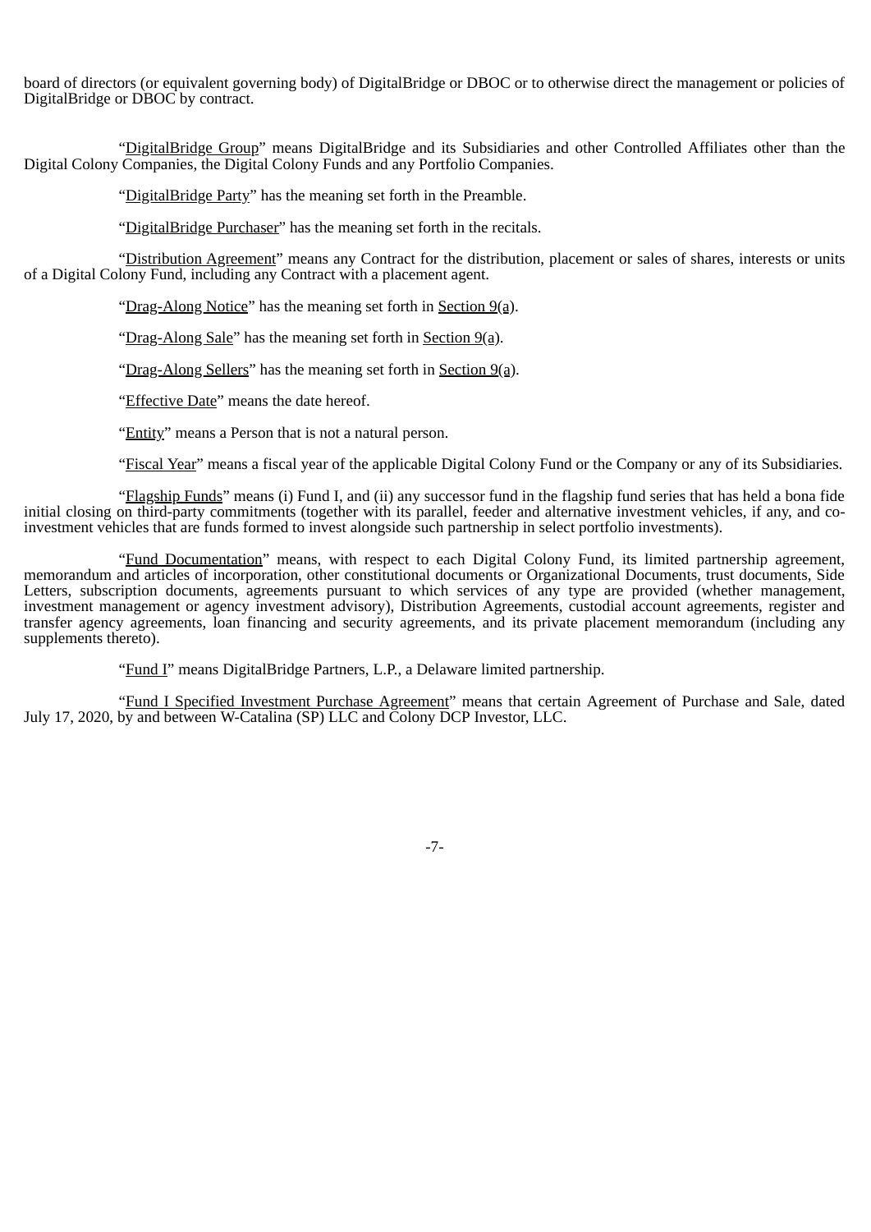board of directors (or equivalent governing body) of DigitalBridge or DBOC or to otherwise direct the management or policies of DigitalBridge or DBOC by contract.

"DigitalBridge Group" means DigitalBridge and its Subsidiaries and other Controlled Affiliates other than the Digital Colony Companies, the Digital Colony Funds and any Portfolio Companies.

"DigitalBridge Party" has the meaning set forth in the Preamble.

"DigitalBridge Purchaser" has the meaning set forth in the recitals.

"Distribution Agreement" means any Contract for the distribution, placement or sales of shares, interests or units of a Digital Colony Fund, including any Contract with a placement agent.

"Drag-Along Notice" has the meaning set forth in Section 9(a).

"Drag-Along Sale" has the meaning set forth in Section  $9(a)$ .

"Drag-Along Sellers" has the meaning set forth in Section 9(a).

"Effective Date" means the date hereof.

"Entity" means a Person that is not a natural person.

"Fiscal Year" means a fiscal year of the applicable Digital Colony Fund or the Company or any of its Subsidiaries.

"Flagship Funds" means (i) Fund I, and (ii) any successor fund in the flagship fund series that has held a bona fide initial closing on third-party commitments (together with its parallel, feeder and alternative investment vehicles, if any, and coinvestment vehicles that are funds formed to invest alongside such partnership in select portfolio investments).

"Fund Documentation" means, with respect to each Digital Colony Fund, its limited partnership agreement, memorandum and articles of incorporation, other constitutional documents or Organizational Documents, trust documents, Side Letters, subscription documents, agreements pursuant to which services of any type are provided (whether management, investment management or agency investment advisory), Distribution Agreements, custodial account agreements, register and transfer agency agreements, loan financing and security agreements, and its private placement memorandum (including any supplements thereto).

"Fund I" means DigitalBridge Partners, L.P., a Delaware limited partnership.

"Fund I Specified Investment Purchase Agreement" means that certain Agreement of Purchase and Sale, dated July 17, 2020, by and between W-Catalina (SP) LLC and Colony DCP Investor, LLC.

-7-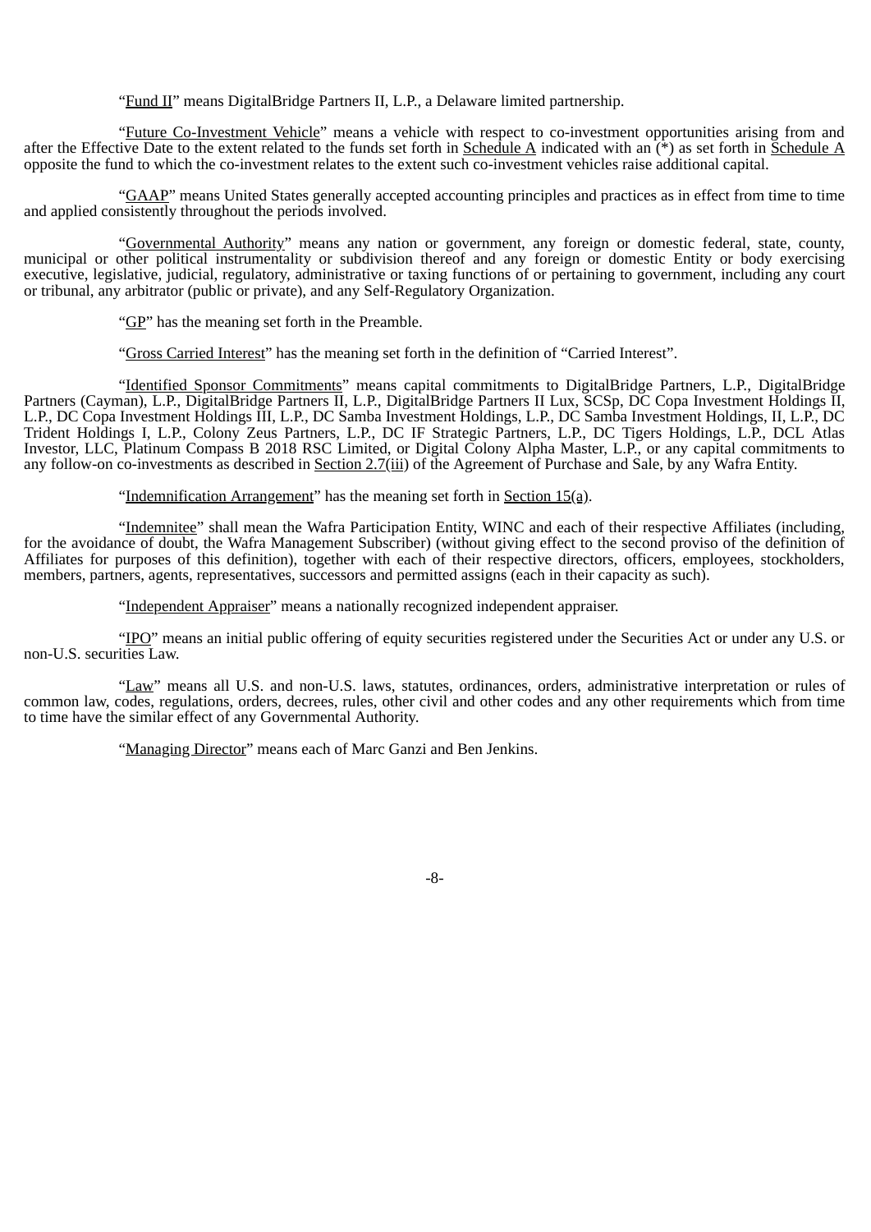"Fund II" means DigitalBridge Partners II, L.P., a Delaware limited partnership.

"Future Co-Investment Vehicle" means a vehicle with respect to co-investment opportunities arising from and after the Effective Date to the extent related to the funds set forth in Schedule A indicated with an  $(\dot{f})$  as set forth in Schedule A opposite the fund to which the co-investment relates to the extent such co-investment vehicles raise additional capital.

"GAAP" means United States generally accepted accounting principles and practices as in effect from time to time and applied consistently throughout the periods involved.

"Governmental Authority" means any nation or government, any foreign or domestic federal, state, county, municipal or other political instrumentality or subdivision thereof and any foreign or domestic Entity or body exercising executive, legislative, judicial, regulatory, administrative or taxing functions of or pertaining to government, including any court or tribunal, any arbitrator (public or private), and any Self-Regulatory Organization.

"GP" has the meaning set forth in the Preamble.

"Gross Carried Interest" has the meaning set forth in the definition of "Carried Interest".

"Identified Sponsor Commitments" means capital commitments to DigitalBridge Partners, L.P., DigitalBridge Partners (Cayman), L.P., DigitalBridge Partners II, L.P., DigitalBridge Partners II Lux, SCSp, DC Copa Investment Holdings II, L.P., DC Copa Investment Holdings III, L.P., DC Samba Investment Holdings, L.P., DC Samba Investment Holdings, II, L.P., DC Trident Holdings I, L.P., Colony Zeus Partners, L.P., DC IF Strategic Partners, L.P., DC Tigers Holdings, L.P., DCL Atlas Investor, LLC, Platinum Compass B 2018 RSC Limited, or Digital Colony Alpha Master, L.P., or any capital commitments to any follow-on co-investments as described in Section 2.7(iii) of the Agreement of Purchase and Sale, by any Wafra Entity.

"Indemnification Arrangement" has the meaning set forth in Section 15(a).

"Indemnitee" shall mean the Wafra Participation Entity, WINC and each of their respective Affiliates (including, for the avoidance of doubt, the Wafra Management Subscriber) (without giving effect to the second proviso of the definition of Affiliates for purposes of this definition), together with each of their respective directors, officers, employees, stockholders, members, partners, agents, representatives, successors and permitted assigns (each in their capacity as such).

"Independent Appraiser" means a nationally recognized independent appraiser.

"IPO" means an initial public offering of equity securities registered under the Securities Act or under any U.S. or non-U.S. securities Law.

"Law" means all U.S. and non-U.S. laws, statutes, ordinances, orders, administrative interpretation or rules of common law, codes, regulations, orders, decrees, rules, other civil and other codes and any other requirements which from time to time have the similar effect of any Governmental Authority.

"Managing Director" means each of Marc Ganzi and Ben Jenkins.

-8-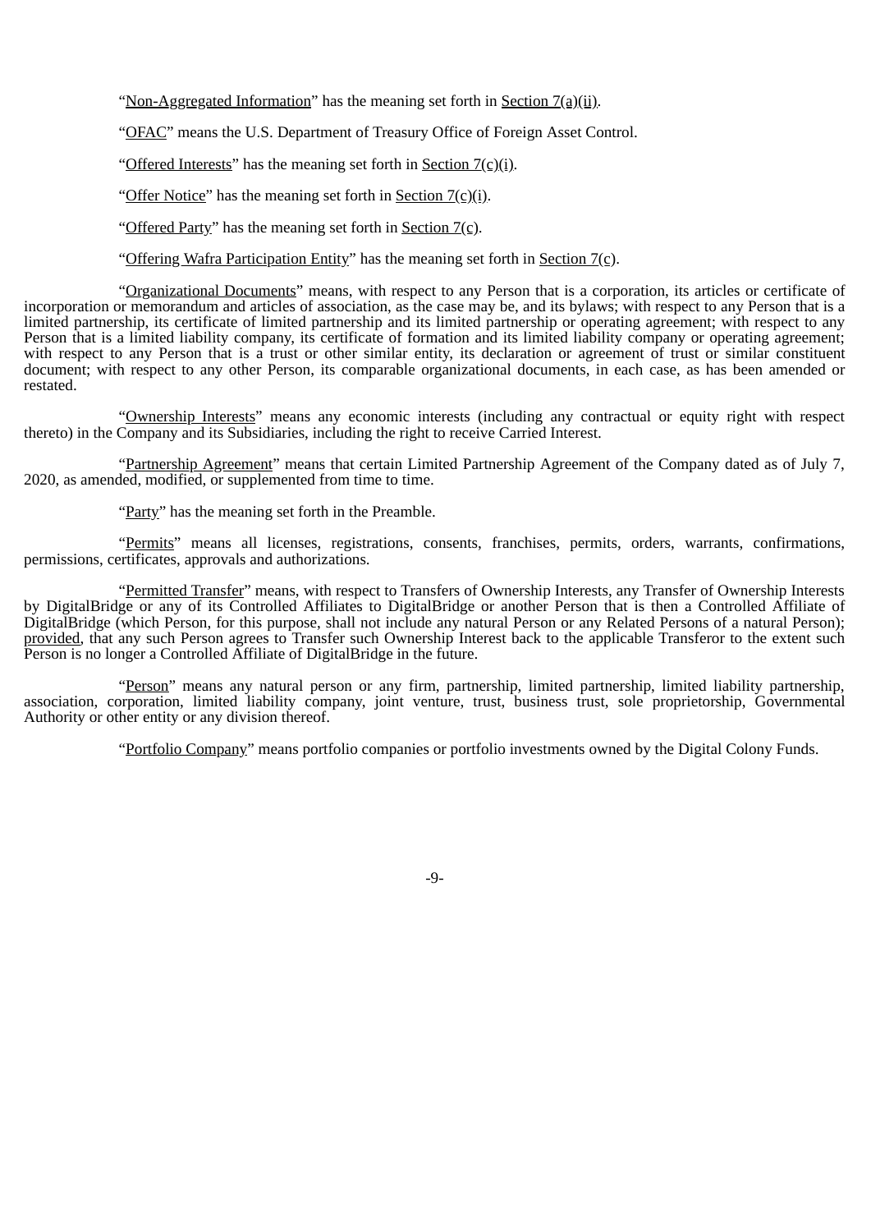"Non-Aggregated Information" has the meaning set forth in Section  $7(a)(ii)$ .

"OFAC" means the U.S. Department of Treasury Office of Foreign Asset Control.

"Offered Interests" has the meaning set forth in Section  $7(c)(i)$ .

"Offer Notice" has the meaning set forth in Section  $7(\text{c})(i)$ .

"Offered Party" has the meaning set forth in Section  $7(\text{c})$ .

"Offering Wafra Participation Entity" has the meaning set forth in Section 7(c).

"Organizational Documents" means, with respect to any Person that is a corporation, its articles or certificate of incorporation or memorandum and articles of association, as the case may be, and its bylaws; with respect to any Person that is a limited partnership, its certificate of limited partnership and its limited partnership or operating agreement; with respect to any Person that is a limited liability company, its certificate of formation and its limited liability company or operating agreement; with respect to any Person that is a trust or other similar entity, its declaration or agreement of trust or similar constituent document; with respect to any other Person, its comparable organizational documents, in each case, as has been amended or restated.

"Ownership Interests" means any economic interests (including any contractual or equity right with respect thereto) in the Company and its Subsidiaries, including the right to receive Carried Interest.

"Partnership Agreement" means that certain Limited Partnership Agreement of the Company dated as of July 7, 2020, as amended, modified, or supplemented from time to time.

"Party" has the meaning set forth in the Preamble.

"Permits" means all licenses, registrations, consents, franchises, permits, orders, warrants, confirmations, permissions, certificates, approvals and authorizations.

"Permitted Transfer" means, with respect to Transfers of Ownership Interests, any Transfer of Ownership Interests by DigitalBridge or any of its Controlled Affiliates to DigitalBridge or another Person that is then a Controlled Affiliate of DigitalBridge (which Person, for this purpose, shall not include any natural Person or any Related Persons of a natural Person); provided, that any such Person agrees to Transfer such Ownership Interest back to the applicable Transferor to the extent such Person is no longer a Controlled Affiliate of DigitalBridge in the future.

"Person" means any natural person or any firm, partnership, limited partnership, limited liability partnership, association, corporation, limited liability company, joint venture, trust, business trust, sole proprietorship, Governmental Authority or other entity or any division thereof.

"Portfolio Company" means portfolio companies or portfolio investments owned by the Digital Colony Funds.

-9-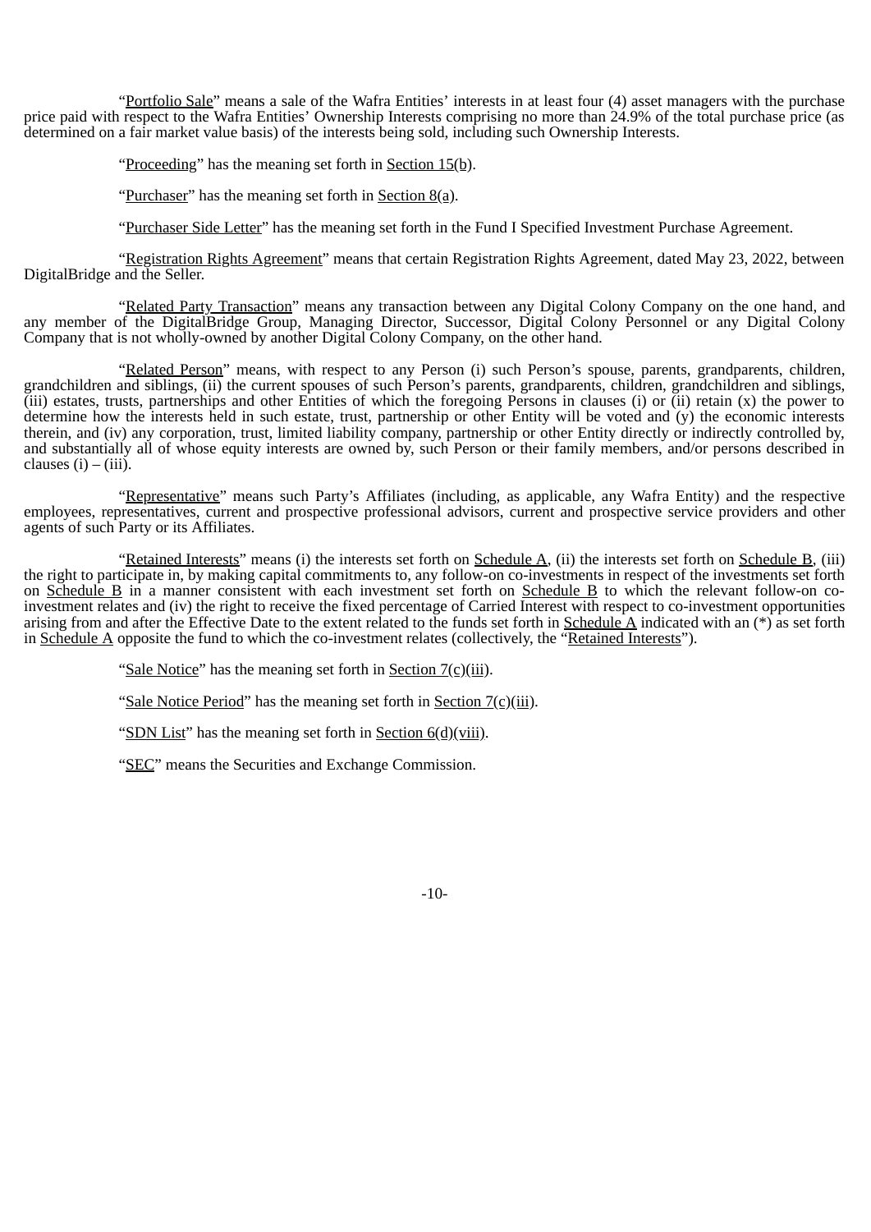"Portfolio Sale" means a sale of the Wafra Entities' interests in at least four (4) asset managers with the purchase price paid with respect to the Wafra Entities' Ownership Interests comprising no more than 24.9% of the total purchase price (as determined on a fair market value basis) of the interests being sold, including such Ownership Interests.

"Proceeding" has the meaning set forth in Section 15(b).

"Purchaser" has the meaning set forth in Section  $8(a)$ .

"Purchaser Side Letter" has the meaning set forth in the Fund I Specified Investment Purchase Agreement.

"Registration Rights Agreement" means that certain Registration Rights Agreement, dated May 23, 2022, between DigitalBridge and the Seller.

"Related Party Transaction" means any transaction between any Digital Colony Company on the one hand, and any member of the DigitalBridge Group, Managing Director, Successor, Digital Colony Personnel or any Digital Colony Company that is not wholly-owned by another Digital Colony Company, on the other hand.

"Related Person" means, with respect to any Person (i) such Person's spouse, parents, grandparents, children, grandchildren and siblings, (ii) the current spouses of such Person's parents, grandparents, children, grandchildren and siblings, (iii) estates, trusts, partnerships and other Entities of which the foregoing Persons in clauses (i) or (ii) retain  $(x)$  the power to determine how the interests held in such estate, trust, partnership or other Entity will be voted and  $(y)$  the economic interests therein, and (iv) any corporation, trust, limited liability company, partnership or other Entity directly or indirectly controlled by, and substantially all of whose equity interests are owned by, such Person or their family members, and/or persons described in clauses  $(i) - (iii)$ .

"Representative" means such Party's Affiliates (including, as applicable, any Wafra Entity) and the respective employees, representatives, current and prospective professional advisors, current and prospective service providers and other agents of such Party or its Affiliates.

"Retained Interests" means (i) the interests set forth on Schedule A, (ii) the interests set forth on Schedule B, (iii) the right to participate in, by making capital commitments to, any follow-on co-investments in respect of the investments set forth on Schedule B in a manner consistent with each investment set forth on Schedule B to which the relevant follow-on coinvestment relates and (iv) the right to receive the fixed percentage of Carried Interest with respect to co-investment opportunities arising from and after the Effective Date to the extent related to the funds set forth in Schedule A indicated with an  $(*)$  as set forth in Schedule A opposite the fund to which the co-investment relates (collectively, the "Retained Interests").

"Sale Notice" has the meaning set forth in Section 7(c)(iii).

"Sale Notice Period" has the meaning set forth in Section 7(c)(iii).

"SDN List" has the meaning set forth in Section 6(d)(viii).

"SEC" means the Securities and Exchange Commission.

-10-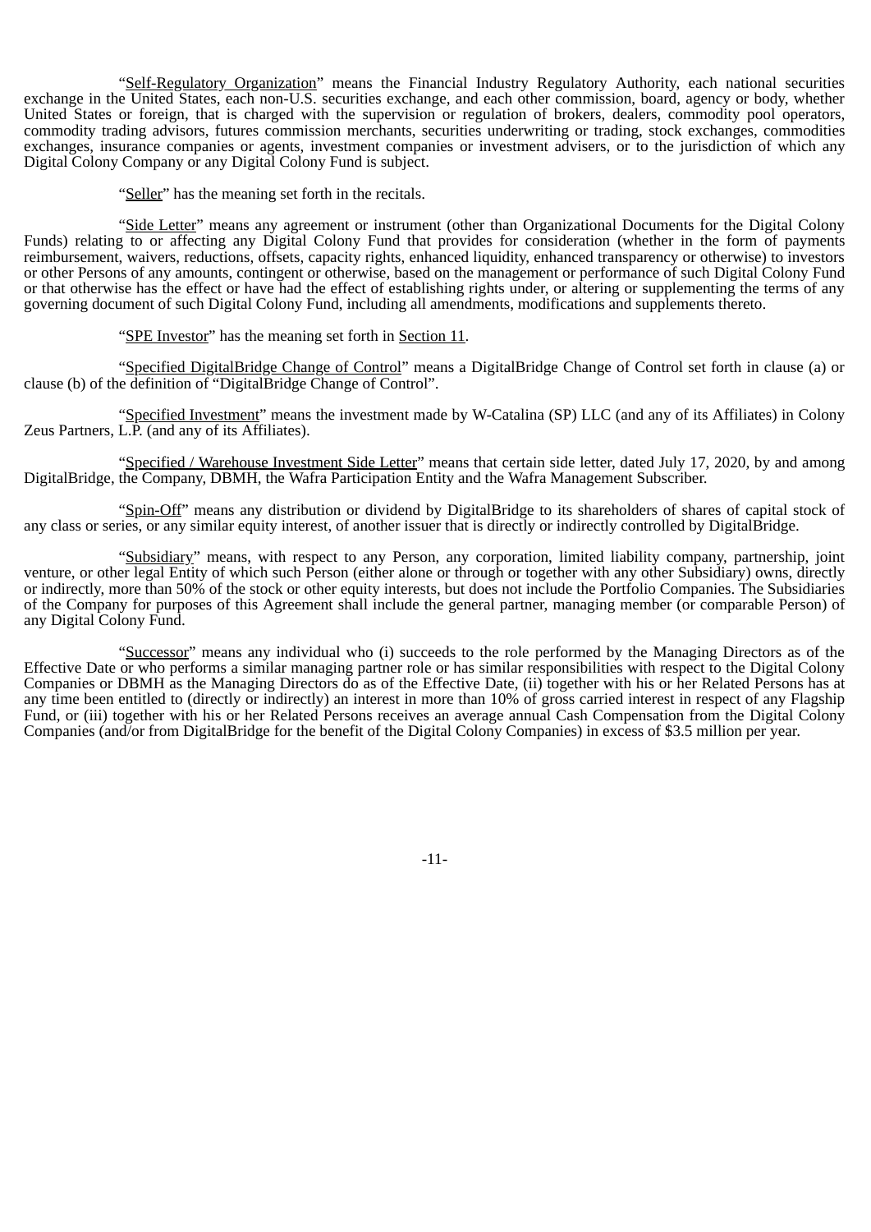"Self-Regulatory Organization" means the Financial Industry Regulatory Authority, each national securities exchange in the United States, each non-U.S. securities exchange, and each other commission, board, agency or body, whether United States or foreign, that is charged with the supervision or regulation of brokers, dealers, commodity pool operators, commodity trading advisors, futures commission merchants, securities underwriting or trading, stock exchanges, commodities exchanges, insurance companies or agents, investment companies or investment advisers, or to the jurisdiction of which any Digital Colony Company or any Digital Colony Fund is subject.

"Seller" has the meaning set forth in the recitals.

"Side Letter" means any agreement or instrument (other than Organizational Documents for the Digital Colony Funds) relating to or affecting any Digital Colony Fund that provides for consideration (whether in the form of payments reimbursement, waivers, reductions, offsets, capacity rights, enhanced liquidity, enhanced transparency or otherwise) to investors or other Persons of any amounts, contingent or otherwise, based on the management or performance of such Digital Colony Fund or that otherwise has the effect or have had the effect of establishing rights under, or altering or supplementing the terms of any governing document of such Digital Colony Fund, including all amendments, modifications and supplements thereto.

"SPE Investor" has the meaning set forth in Section 11.

"Specified DigitalBridge Change of Control" means a DigitalBridge Change of Control set forth in clause (a) or clause (b) of the definition of "DigitalBridge Change of Control".

"Specified Investment" means the investment made by W-Catalina (SP) LLC (and any of its Affiliates) in Colony Zeus Partners, L.P. (and any of its Affiliates).

"Specified / Warehouse Investment Side Letter" means that certain side letter, dated July 17, 2020, by and among DigitalBridge, the Company, DBMH, the Wafra Participation Entity and the Wafra Management Subscriber.

"Spin-Off" means any distribution or dividend by DigitalBridge to its shareholders of shares of capital stock of any class or series, or any similar equity interest, of another issuer that is directly or indirectly controlled by DigitalBridge.

"Subsidiary" means, with respect to any Person, any corporation, limited liability company, partnership, joint venture, or other legal Entity of which such Person (either alone or through or together with any other Subsidiary) owns, directly or indirectly, more than 50% of the stock or other equity interests, but does not include the Portfolio Companies. The Subsidiaries of the Company for purposes of this Agreement shall include the general partner, managing member (or comparable Person) of any Digital Colony Fund.

"Successor" means any individual who (i) succeeds to the role performed by the Managing Directors as of the Effective Date or who performs a similar managing partner role or has similar responsibilities with respect to the Digital Colony Companies or DBMH as the Managing Directors do as of the Effective Date, (ii) together with his or her Related Persons has at any time been entitled to (directly or indirectly) an interest in more than 10% of gross carried interest in respect of any Flagship Fund, or (iii) together with his or her Related Persons receives an average annual Cash Compensation from the Digital Colony Companies (and/or from DigitalBridge for the benefit of the Digital Colony Companies) in excess of \$3.5 million per year.

-11-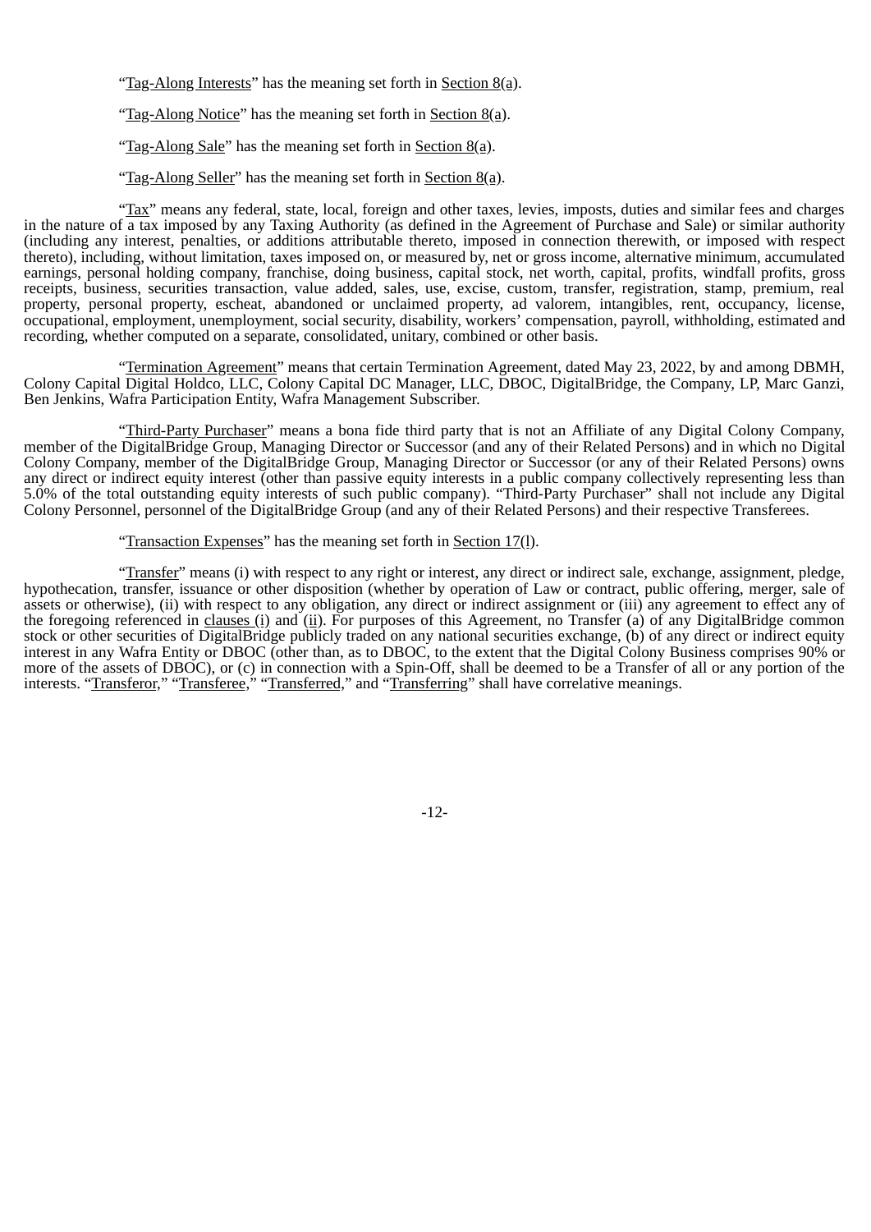"Tag-Along Interests" has the meaning set forth in Section 8(a).

"Tag-Along Notice" has the meaning set forth in Section  $8(a)$ .

"Tag-Along Sale" has the meaning set forth in Section  $8(a)$ .

"Tag-Along Seller" has the meaning set forth in Section 8(a).

"Tax" means any federal, state, local, foreign and other taxes, levies, imposts, duties and similar fees and charges in the nature of a tax imposed by any Taxing Authority (as defined in the Agreement of Purchase and Sale) or similar authority (including any interest, penalties, or additions attributable thereto, imposed in connection therewith, or imposed with respect thereto), including, without limitation, taxes imposed on, or measured by, net or gross income, alternative minimum, accumulated earnings, personal holding company, franchise, doing business, capital stock, net worth, capital, profits, windfall profits, gross receipts, business, securities transaction, value added, sales, use, excise, custom, transfer, registration, stamp, premium, real property, personal property, escheat, abandoned or unclaimed property, ad valorem, intangibles, rent, occupancy, license, occupational, employment, unemployment, social security, disability, workers' compensation, payroll, withholding, estimated and recording, whether computed on a separate, consolidated, unitary, combined or other basis.

"Termination Agreement" means that certain Termination Agreement, dated May 23, 2022, by and among DBMH, Colony Capital Digital Holdco, LLC, Colony Capital DC Manager, LLC, DBOC, DigitalBridge, the Company, LP, Marc Ganzi, Ben Jenkins, Wafra Participation Entity, Wafra Management Subscriber.

"Third-Party Purchaser" means a bona fide third party that is not an Affiliate of any Digital Colony Company, member of the DigitalBridge Group, Managing Director or Successor (and any of their Related Persons) and in which no Digital Colony Company, member of the DigitalBridge Group, Managing Director or Successor (or any of their Related Persons) owns any direct or indirect equity interest (other than passive equity interests in a public company collectively representing less than 5.0% of the total outstanding equity interests of such public company). "Third-Party Purchaser" shall not include any Digital Colony Personnel, personnel of the DigitalBridge Group (and any of their Related Persons) and their respective Transferees.

#### "Transaction Expenses" has the meaning set forth in Section 17(l).

"Transfer" means (i) with respect to any right or interest, any direct or indirect sale, exchange, assignment, pledge, hypothecation, transfer, issuance or other disposition (whether by operation of Law or contract, public offering, merger, sale of assets or otherwise), (ii) with respect to any obligation, any direct or indirect assignment or (iii) any agreement to effect any of the foregoing referenced in clauses (i) and (ii). For purposes of this Agreement, no Transfer (a) of any DigitalBridge common stock or other securities of DigitalBridge publicly traded on any national securities exchange, (b) of any direct or indirect equity interest in any Wafra Entity or DBOC (other than, as to DBOC, to the extent that the Digital Colony Business comprises 90% or more of the assets of DBOC), or (c) in connection with a Spin-Off, shall be deemed to be a Transfer of all or any portion of the interests. "Transferor," "Transferee," "Transferred," and "Transferring" shall have correlative meanings.

-12-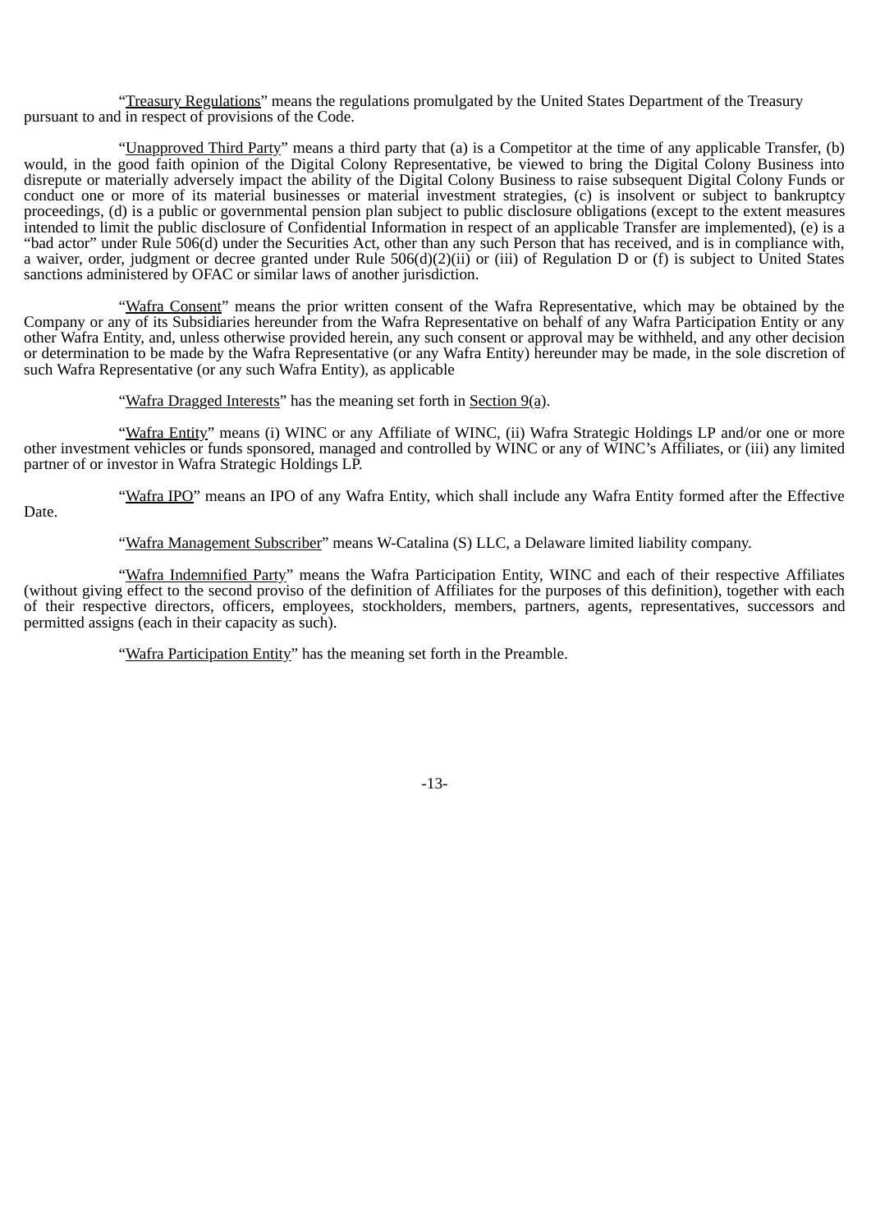"Treasury Regulations" means the regulations promulgated by the United States Department of the Treasury pursuant to and in respect of provisions of the Code.

"Unapproved Third Party" means a third party that (a) is a Competitor at the time of any applicable Transfer, (b) would, in the good faith opinion of the Digital Colony Representative, be viewed to bring the Digital Colony Business into disrepute or materially adversely impact the ability of the Digital Colony Business to raise subsequent Digital Colony Funds or conduct one or more of its material businesses or material investment strategies, (c) is insolvent or subject to bankruptcy proceedings, (d) is a public or governmental pension plan subject to public disclosure obligations (except to the extent measures intended to limit the public disclosure of Confidential Information in respect of an applicable Transfer are implemented), (e) is a "bad actor" under Rule 506(d) under the Securities Act, other than any such Person that has received, and is in compliance with, a waiver, order, judgment or decree granted under Rule 506(d)(2)(ii) or (iii) of Regulation D or (f) is subject to United States sanctions administered by OFAC or similar laws of another jurisdiction.

"Wafra Consent" means the prior written consent of the Wafra Representative, which may be obtained by the Company or any of its Subsidiaries hereunder from the Wafra Representative on behalf of any Wafra Participation Entity or any other Wafra Entity, and, unless otherwise provided herein, any such consent or approval may be withheld, and any other decision or determination to be made by the Wafra Representative (or any Wafra Entity) hereunder may be made, in the sole discretion of such Wafra Representative (or any such Wafra Entity), as applicable

"Wafra Dragged Interests" has the meaning set forth in Section 9(a).

"Wafra Entity" means (i) WINC or any Affiliate of WINC, (ii) Wafra Strategic Holdings LP and/or one or more other investment vehicles or funds sponsored, managed and controlled by WINC or any of WINC's Affiliates, or (iii) any limited partner of or investor in Wafra Strategic Holdings LP.

"Wafra IPO" means an IPO of any Wafra Entity, which shall include any Wafra Entity formed after the Effective

Date.

"Wafra Management Subscriber" means W-Catalina (S) LLC, a Delaware limited liability company.

"Wafra Indemnified Party" means the Wafra Participation Entity, WINC and each of their respective Affiliates (without giving effect to the second proviso of the definition of Affiliates for the purposes of this definition), together with each of their respective directors, officers, employees, stockholders, members, partners, agents, representatives, successors and permitted assigns (each in their capacity as such).

"Wafra Participation Entity" has the meaning set forth in the Preamble.

-13-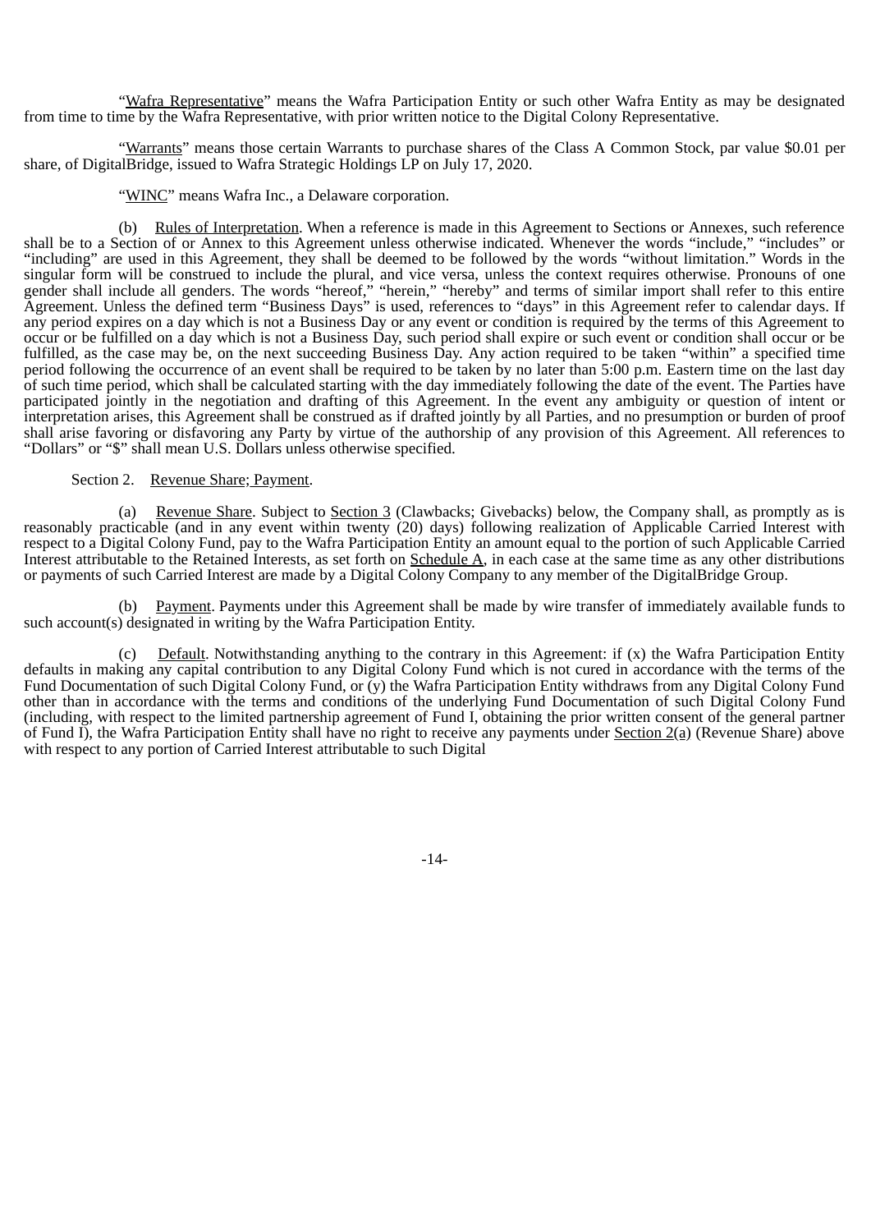"Wafra Representative" means the Wafra Participation Entity or such other Wafra Entity as may be designated from time to time by the Wafra Representative, with prior written notice to the Digital Colony Representative.

"Warrants" means those certain Warrants to purchase shares of the Class A Common Stock, par value \$0.01 per share, of DigitalBridge, issued to Wafra Strategic Holdings LP on July 17, 2020.

"WINC" means Wafra Inc., a Delaware corporation.

(b) Rules of Interpretation. When a reference is made in this Agreement to Sections or Annexes, such reference shall be to a Section of or Annex to this Agreement unless otherwise indicated. Whenever the words "include," "includes" or "including" are used in this Agreement, they shall be deemed to be followed by the words "without limitation." Words in the singular form will be construed to include the plural, and vice versa, unless the context requires otherwise. Pronouns of one gender shall include all genders. The words "hereof," "herein," "hereby" and terms of similar import shall refer to this entire Agreement. Unless the defined term "Business Days" is used, references to "days" in this Agreement refer to calendar days. If any period expires on a day which is not a Business Day or any event or condition is required by the terms of this Agreement to occur or be fulfilled on a day which is not a Business Day, such period shall expire or such event or condition shall occur or be fulfilled, as the case may be, on the next succeeding Business Day. Any action required to be taken "within" a specified time period following the occurrence of an event shall be required to be taken by no later than 5:00 p.m. Eastern time on the last day of such time period, which shall be calculated starting with the day immediately following the date of the event. The Parties have participated jointly in the negotiation and drafting of this Agreement. In the event any ambiguity or question of intent or interpretation arises, this Agreement shall be construed as if drafted jointly by all Parties, and no presumption or burden of proof shall arise favoring or disfavoring any Party by virtue of the authorship of any provision of this Agreement. All references to "Dollars" or "\$" shall mean U.S. Dollars unless otherwise specified.

#### Section 2. Revenue Share; Payment.

(a) Revenue Share. Subject to Section 3 (Clawbacks; Givebacks) below, the Company shall, as promptly as is reasonably practicable (and in any event within twenty (20) days) following realization of Applicable Carried Interest with respect to a Digital Colony Fund, pay to the Wafra Participation Entity an amount equal to the portion of such Applicable Carried Interest attributable to the Retained Interests, as set forth on Schedule A, in each case at the same time as any other distributions or payments of such Carried Interest are made by a Digital Colony Company to any member of the DigitalBridge Group.

(b) Payment. Payments under this Agreement shall be made by wire transfer of immediately available funds to such account(s) designated in writing by the Wafra Participation Entity.

(c) Default. Notwithstanding anything to the contrary in this Agreement: if  $(x)$  the Wafra Participation Entity defaults in making any capital contribution to any Digital Colony Fund which is not cured in accordance with the terms of the Fund Documentation of such Digital Colony Fund, or (y) the Wafra Participation Entity withdraws from any Digital Colony Fund other than in accordance with the terms and conditions of the underlying Fund Documentation of such Digital Colony Fund (including, with respect to the limited partnership agreement of Fund I, obtaining the prior written consent of the general partner of Fund I), the Wafra Participation Entity shall have no right to receive any payments under Section  $2(a)$  (Revenue Share) above with respect to any portion of Carried Interest attributable to such Digital

-14-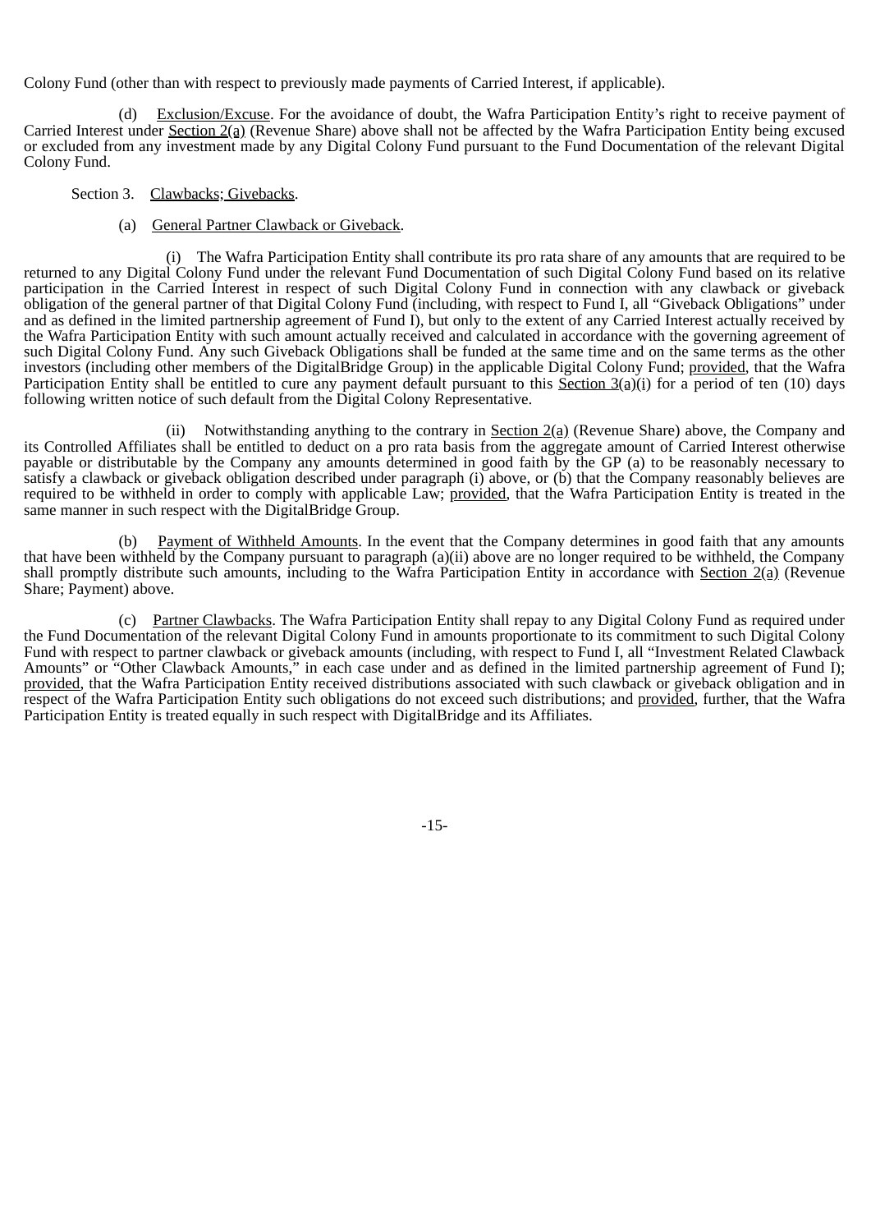Colony Fund (other than with respect to previously made payments of Carried Interest, if applicable).

(d) Exclusion/Excuse. For the avoidance of doubt, the Wafra Participation Entity's right to receive payment of Carried Interest under Section 2(a) (Revenue Share) above shall not be affected by the Wafra Participation Entity being excused or excluded from any investment made by any Digital Colony Fund pursuant to the Fund Documentation of the relevant Digital Colony Fund.

- Section 3. Clawbacks; Givebacks.
	- (a) General Partner Clawback or Giveback.

The Wafra Participation Entity shall contribute its pro rata share of any amounts that are required to be returned to any Digital Colony Fund under the relevant Fund Documentation of such Digital Colony Fund based on its relative participation in the Carried Interest in respect of such Digital Colony Fund in connection with any clawback or giveback obligation of the general partner of that Digital Colony Fund (including, with respect to Fund I, all "Giveback Obligations" under and as defined in the limited partnership agreement of Fund I), but only to the extent of any Carried Interest actually received by the Wafra Participation Entity with such amount actually received and calculated in accordance with the governing agreement of such Digital Colony Fund. Any such Giveback Obligations shall be funded at the same time and on the same terms as the other investors (including other members of the DigitalBridge Group) in the applicable Digital Colony Fund; provided, that the Wafra Participation Entity shall be entitled to cure any payment default pursuant to this Section  $3(a)(i)$  for a period of ten (10) days following written notice of such default from the Digital Colony Representative.

(ii) Notwithstanding anything to the contrary in Section 2(a) (Revenue Share) above, the Company and its Controlled Affiliates shall be entitled to deduct on a pro rata basis from the aggregate amount of Carried Interest otherwise payable or distributable by the Company any amounts determined in good faith by the GP (a) to be reasonably necessary to satisfy a clawback or giveback obligation described under paragraph (i) above, or (b) that the Company reasonably believes are required to be withheld in order to comply with applicable Law; provided, that the Wafra Participation Entity is treated in the same manner in such respect with the DigitalBridge Group.

(b) Payment of Withheld Amounts. In the event that the Company determines in good faith that any amounts that have been withheld by the Company pursuant to paragraph (a)(ii) above are no longer required to be withheld, the Company shall promptly distribute such amounts, including to the Wafra Participation Entity in accordance with Section  $2(a)$  (Revenue Share; Payment) above.

(c) Partner Clawbacks. The Wafra Participation Entity shall repay to any Digital Colony Fund as required under the Fund Documentation of the relevant Digital Colony Fund in amounts proportionate to its commitment to such Digital Colony Fund with respect to partner clawback or giveback amounts (including, with respect to Fund I, all "Investment Related Clawback Amounts" or "Other Clawback Amounts," in each case under and as defined in the limited partnership agreement of Fund I); provided, that the Wafra Participation Entity received distributions associated with such clawback or giveback obligation and in respect of the Wafra Participation Entity such obligations do not exceed such distributions; and provided, further, that the Wafra Participation Entity is treated equally in such respect with DigitalBridge and its Affiliates.

-15-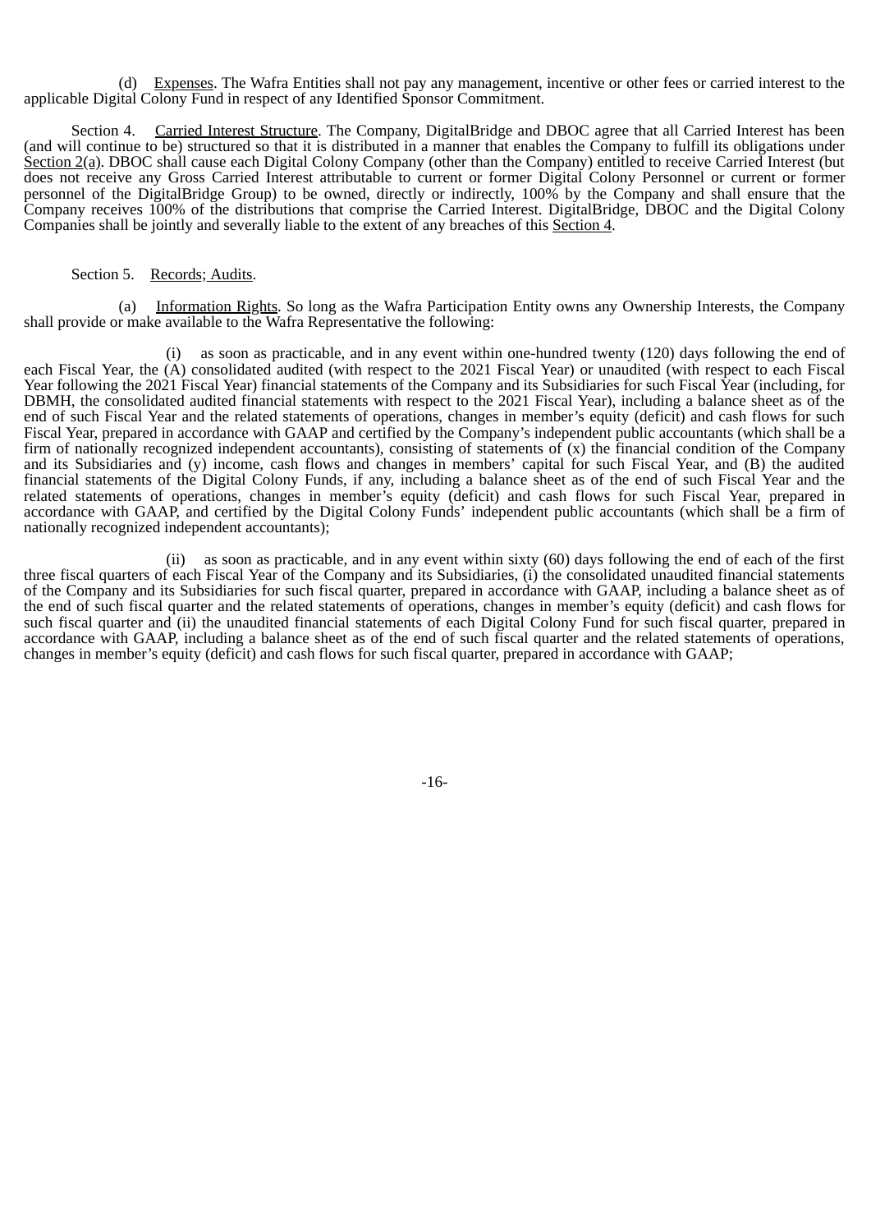(d) Expenses. The Wafra Entities shall not pay any management, incentive or other fees or carried interest to the applicable Digital Colony Fund in respect of any Identified Sponsor Commitment.

Section 4. Carried Interest Structure. The Company, DigitalBridge and DBOC agree that all Carried Interest has been (and will continue to be) structured so that it is distributed in a manner that enables the Company to fulfill its obligations under Section 2(a). DBOC shall cause each Digital Colony Company (other than the Company) entitled to receive Carried Interest (but does not receive any Gross Carried Interest attributable to current or former Digital Colony Personnel or current or former personnel of the DigitalBridge Group) to be owned, directly or indirectly, 100% by the Company and shall ensure that the Company receives 100% of the distributions that comprise the Carried Interest. DigitalBridge, DBOC and the Digital Colony Companies shall be jointly and severally liable to the extent of any breaches of this Section 4.

#### Section 5. Records; Audits.

(a) Information Rights. So long as the Wafra Participation Entity owns any Ownership Interests, the Company shall provide or make available to the Wafra Representative the following:

(i) as soon as practicable, and in any event within one-hundred twenty (120) days following the end of each Fiscal Year, the (A) consolidated audited (with respect to the 2021 Fiscal Year) or unaudited (with respect to each Fiscal Year following the 2021 Fiscal Year) financial statements of the Company and its Subsidiaries for such Fiscal Year (including, for DBMH, the consolidated audited financial statements with respect to the 2021 Fiscal Year), including a balance sheet as of the end of such Fiscal Year and the related statements of operations, changes in member's equity (deficit) and cash flows for such Fiscal Year, prepared in accordance with GAAP and certified by the Company's independent public accountants (which shall be a firm of nationally recognized independent accountants), consisting of statements of  $(x)$  the financial condition of the Company and its Subsidiaries and (y) income, cash flows and changes in members' capital for such Fiscal Year, and (B) the audited financial statements of the Digital Colony Funds, if any, including a balance sheet as of the end of such Fiscal Year and the related statements of operations, changes in member's equity (deficit) and cash flows for such Fiscal Year, prepared in accordance with GAAP, and certified by the Digital Colony Funds' independent public accountants (which shall be a firm of nationally recognized independent accountants);

(ii) as soon as practicable, and in any event within sixty (60) days following the end of each of the first three fiscal quarters of each Fiscal Year of the Company and its Subsidiaries, (i) the consolidated unaudited financial statements of the Company and its Subsidiaries for such fiscal quarter, prepared in accordance with GAAP, including a balance sheet as of the end of such fiscal quarter and the related statements of operations, changes in member's equity (deficit) and cash flows for such fiscal quarter and (ii) the unaudited financial statements of each Digital Colony Fund for such fiscal quarter, prepared in accordance with GAAP, including a balance sheet as of the end of such fiscal quarter and the related statements of operations, changes in member's equity (deficit) and cash flows for such fiscal quarter, prepared in accordance with GAAP;

-16-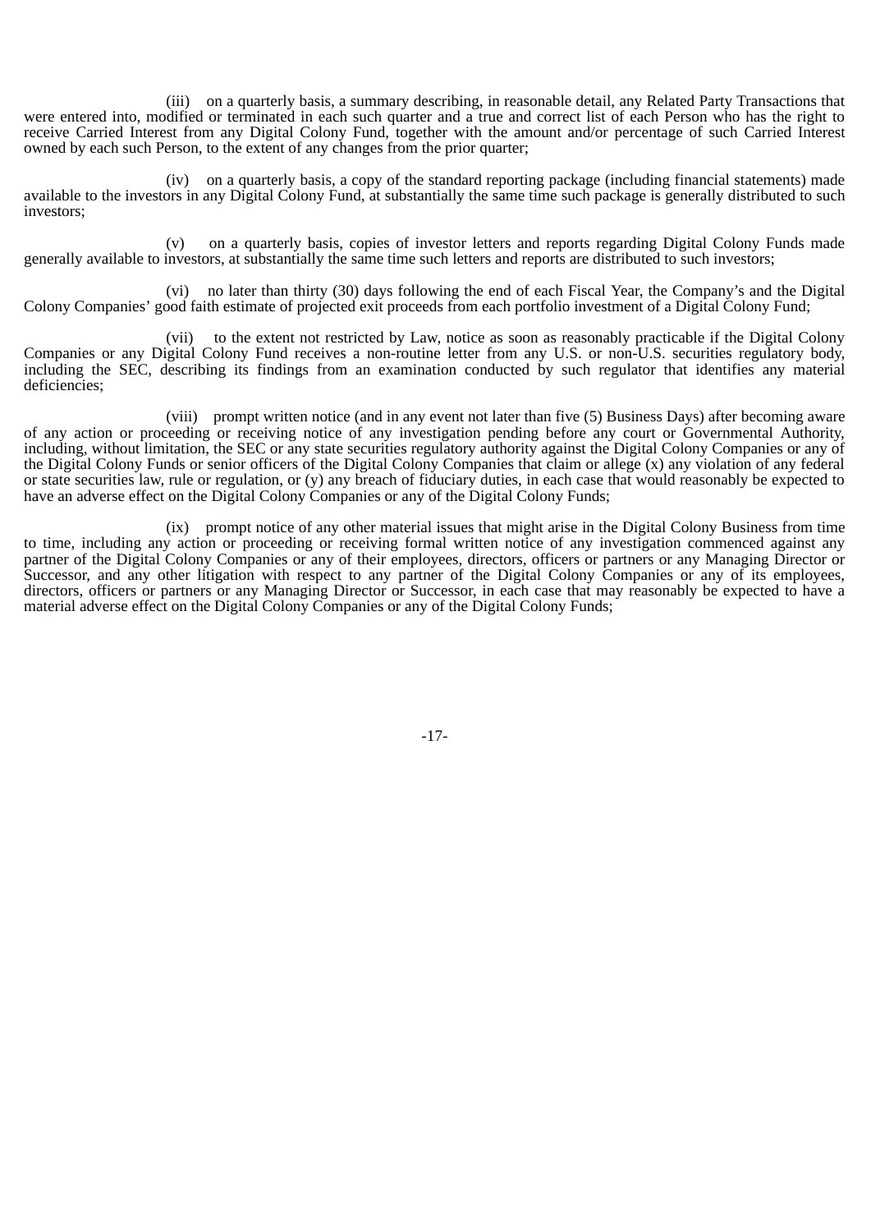(iii) on a quarterly basis, a summary describing, in reasonable detail, any Related Party Transactions that were entered into, modified or terminated in each such quarter and a true and correct list of each Person who has the right to receive Carried Interest from any Digital Colony Fund, together with the amount and/or percentage of such Carried Interest owned by each such Person, to the extent of any changes from the prior quarter;

(iv) on a quarterly basis, a copy of the standard reporting package (including financial statements) made available to the investors in any Digital Colony Fund, at substantially the same time such package is generally distributed to such investors;

(v) on a quarterly basis, copies of investor letters and reports regarding Digital Colony Funds made generally available to investors, at substantially the same time such letters and reports are distributed to such investors;

(vi) no later than thirty (30) days following the end of each Fiscal Year, the Company's and the Digital Colony Companies' good faith estimate of projected exit proceeds from each portfolio investment of a Digital Colony Fund;

(vii) to the extent not restricted by Law, notice as soon as reasonably practicable if the Digital Colony Companies or any Digital Colony Fund receives a non-routine letter from any U.S. or non-U.S. securities regulatory body, including the SEC, describing its findings from an examination conducted by such regulator that identifies any material deficiencies;

(viii) prompt written notice (and in any event not later than five (5) Business Days) after becoming aware of any action or proceeding or receiving notice of any investigation pending before any court or Governmental Authority, including, without limitation, the SEC or any state securities regulatory authority against the Digital Colony Companies or any of the Digital Colony Funds or senior officers of the Digital Colony Companies that claim or allege (x) any violation of any federal or state securities law, rule or regulation, or (y) any breach of fiduciary duties, in each case that would reasonably be expected to have an adverse effect on the Digital Colony Companies or any of the Digital Colony Funds;

(ix) prompt notice of any other material issues that might arise in the Digital Colony Business from time to time, including any action or proceeding or receiving formal written notice of any investigation commenced against any partner of the Digital Colony Companies or any of their employees, directors, officers or partners or any Managing Director or Successor, and any other litigation with respect to any partner of the Digital Colony Companies or any of its employees, directors, officers or partners or any Managing Director or Successor, in each case that may reasonably be expected to have a material adverse effect on the Digital Colony Companies or any of the Digital Colony Funds;

-17-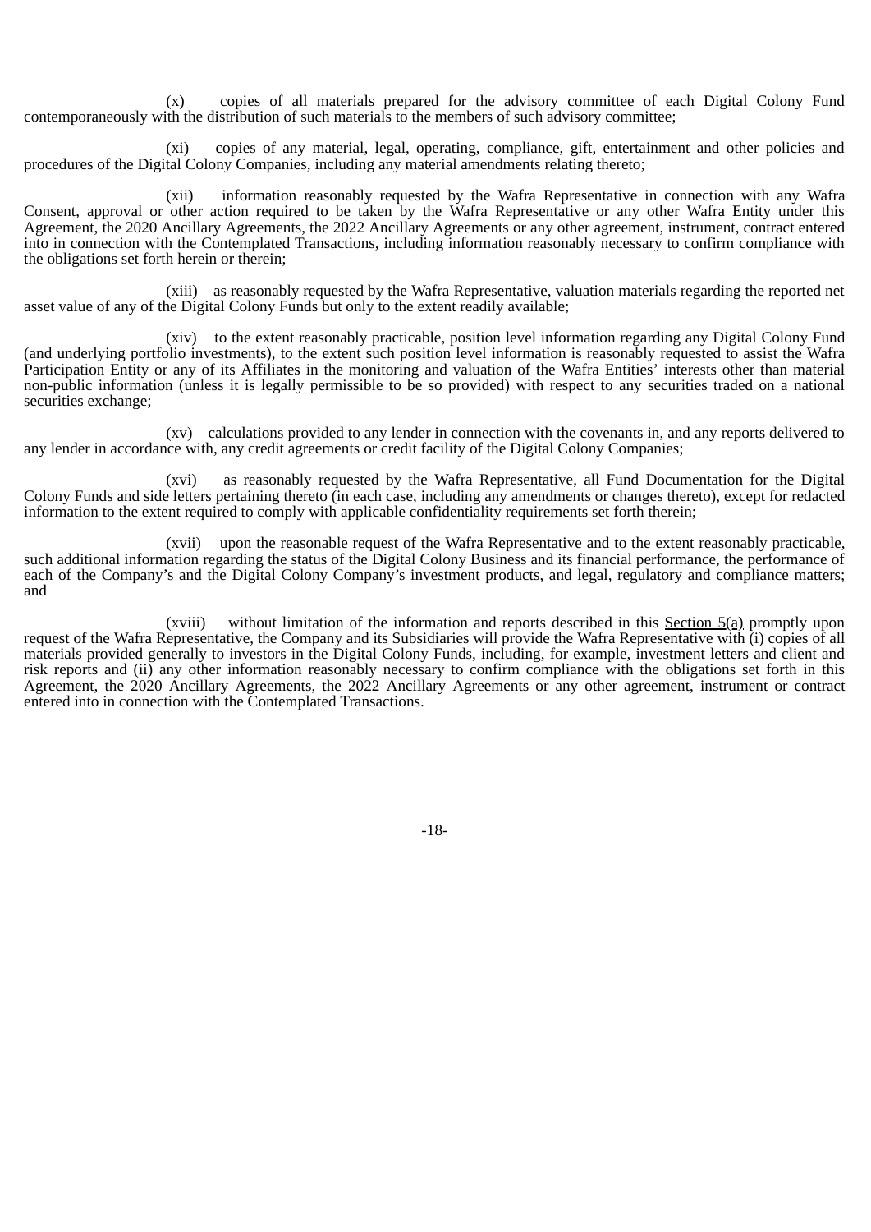(x) copies of all materials prepared for the advisory committee of each Digital Colony Fund contemporaneously with the distribution of such materials to the members of such advisory committee;

(xi) copies of any material, legal, operating, compliance, gift, entertainment and other policies and procedures of the Digital Colony Companies, including any material amendments relating thereto;

(xii) information reasonably requested by the Wafra Representative in connection with any Wafra Consent, approval or other action required to be taken by the Wafra Representative or any other Wafra Entity under this Agreement, the 2020 Ancillary Agreements, the 2022 Ancillary Agreements or any other agreement, instrument, contract entered into in connection with the Contemplated Transactions, including information reasonably necessary to confirm compliance with the obligations set forth herein or therein;

(xiii) as reasonably requested by the Wafra Representative, valuation materials regarding the reported net asset value of any of the Digital Colony Funds but only to the extent readily available;

(xiv) to the extent reasonably practicable, position level information regarding any Digital Colony Fund (and underlying portfolio investments), to the extent such position level information is reasonably requested to assist the Wafra Participation Entity or any of its Affiliates in the monitoring and valuation of the Wafra Entities' interests other than material non-public information (unless it is legally permissible to be so provided) with respect to any securities traded on a national securities exchange;

(xv) calculations provided to any lender in connection with the covenants in, and any reports delivered to any lender in accordance with, any credit agreements or credit facility of the Digital Colony Companies;

(xvi) as reasonably requested by the Wafra Representative, all Fund Documentation for the Digital Colony Funds and side letters pertaining thereto (in each case, including any amendments or changes thereto), except for redacted information to the extent required to comply with applicable confidentiality requirements set forth therein;

(xvii) upon the reasonable request of the Wafra Representative and to the extent reasonably practicable, such additional information regarding the status of the Digital Colony Business and its financial performance, the performance of each of the Company's and the Digital Colony Company's investment products, and legal, regulatory and compliance matters; and

(xviii) without limitation of the information and reports described in this Section  $5(a)$  promptly upon request of the Wafra Representative, the Company and its Subsidiaries will provide the Wafra Representative with (i) copies of all materials provided generally to investors in the Digital Colony Funds, including, for example, investment letters and client and risk reports and (ii) any other information reasonably necessary to confirm compliance with the obligations set forth in this Agreement, the 2020 Ancillary Agreements, the 2022 Ancillary Agreements or any other agreement, instrument or contract entered into in connection with the Contemplated Transactions.

-18-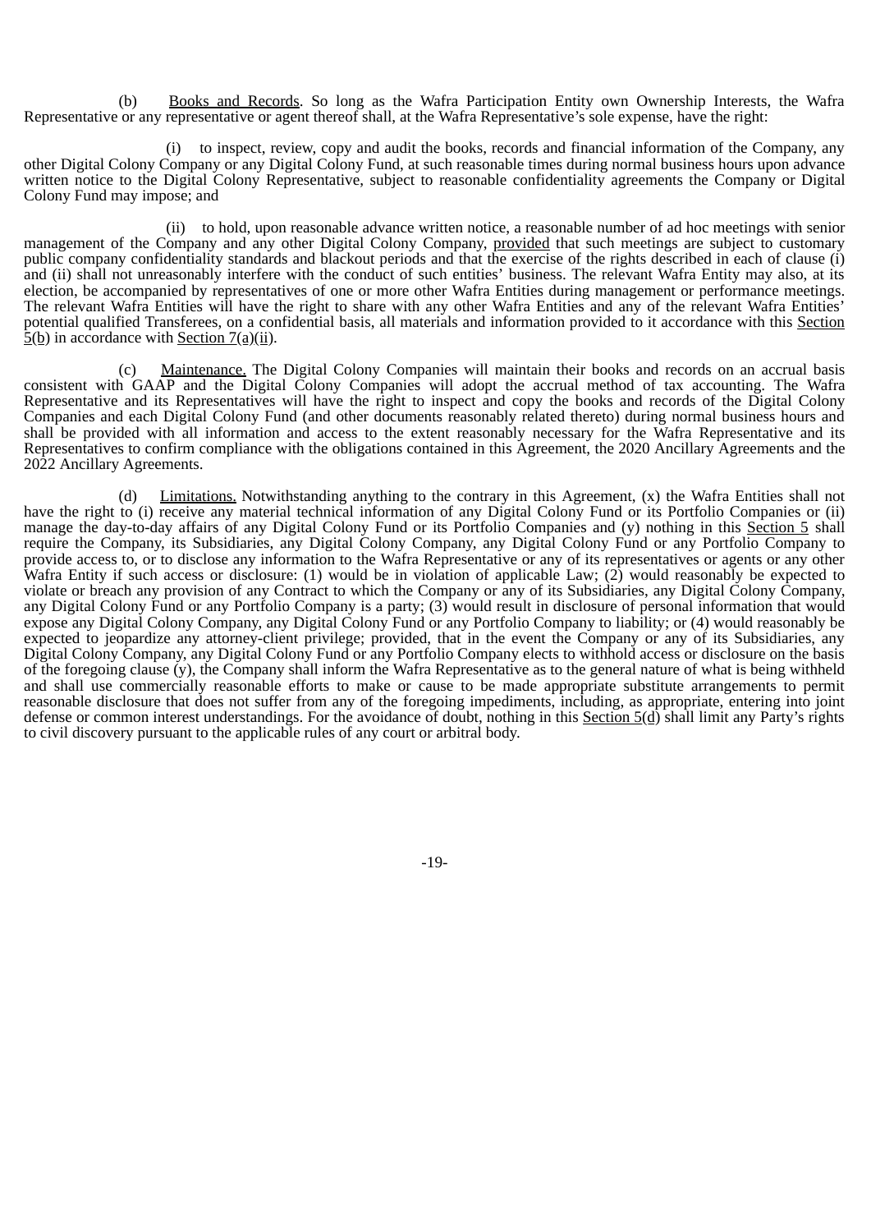(b) Books and Records. So long as the Wafra Participation Entity own Ownership Interests, the Wafra Representative or any representative or agent thereof shall, at the Wafra Representative's sole expense, have the right:

(i) to inspect, review, copy and audit the books, records and financial information of the Company, any other Digital Colony Company or any Digital Colony Fund, at such reasonable times during normal business hours upon advance written notice to the Digital Colony Representative, subject to reasonable confidentiality agreements the Company or Digital Colony Fund may impose; and

(ii) to hold, upon reasonable advance written notice, a reasonable number of ad hoc meetings with senior management of the Company and any other Digital Colony Company, provided that such meetings are subject to customary public company confidentiality standards and blackout periods and that the exercise of the rights described in each of clause (i) and (ii) shall not unreasonably interfere with the conduct of such entities' business. The relevant Wafra Entity may also, at its election, be accompanied by representatives of one or more other Wafra Entities during management or performance meetings. The relevant Wafra Entities will have the right to share with any other Wafra Entities and any of the relevant Wafra Entities' potential qualified Transferees, on a confidential basis, all materials and information provided to it accordance with this Section  $\frac{1}{2}$ (b) in accordance with Section 7(a)(ii).

(c) Maintenance. The Digital Colony Companies will maintain their books and records on an accrual basis consistent with GAAP and the Digital Colony Companies will adopt the accrual method of tax accounting. The Wafra Representative and its Representatives will have the right to inspect and copy the books and records of the Digital Colony Companies and each Digital Colony Fund (and other documents reasonably related thereto) during normal business hours and shall be provided with all information and access to the extent reasonably necessary for the Wafra Representative and its Representatives to confirm compliance with the obligations contained in this Agreement, the 2020 Ancillary Agreements and the 2022 Ancillary Agreements.

(d) Limitations. Notwithstanding anything to the contrary in this Agreement, (x) the Wafra Entities shall not have the right to (i) receive any material technical information of any Digital Colony Fund or its Portfolio Companies or (ii) manage the day-to-day affairs of any Digital Colony Fund or its Portfolio Companies and (y) nothing in this Section 5 shall require the Company, its Subsidiaries, any Digital Colony Company, any Digital Colony Fund or any Portfolio Company to provide access to, or to disclose any information to the Wafra Representative or any of its representatives or agents or any other Wafra Entity if such access or disclosure: (1) would be in violation of applicable Law; (2) would reasonably be expected to violate or breach any provision of any Contract to which the Company or any of its Subsidiaries, any Digital Colony Company, any Digital Colony Fund or any Portfolio Company is a party; (3) would result in disclosure of personal information that would expose any Digital Colony Company, any Digital Colony Fund or any Portfolio Company to liability; or (4) would reasonably be expected to jeopardize any attorney-client privilege; provided, that in the event the Company or any of its Subsidiaries, any Digital Colony Company, any Digital Colony Fund or any Portfolio Company elects to withhold access or disclosure on the basis of the foregoing clause  $(y)$ , the Company shall inform the Wafra Representative as to the general nature of what is being withheld and shall use commercially reasonable efforts to make or cause to be made appropriate substitute arrangements to permit reasonable disclosure that does not suffer from any of the foregoing impediments, including, as appropriate, entering into joint defense or common interest understandings. For the avoidance of doubt, nothing in this Section 5(d) shall limit any Party's rights to civil discovery pursuant to the applicable rules of any court or arbitral body.

-19-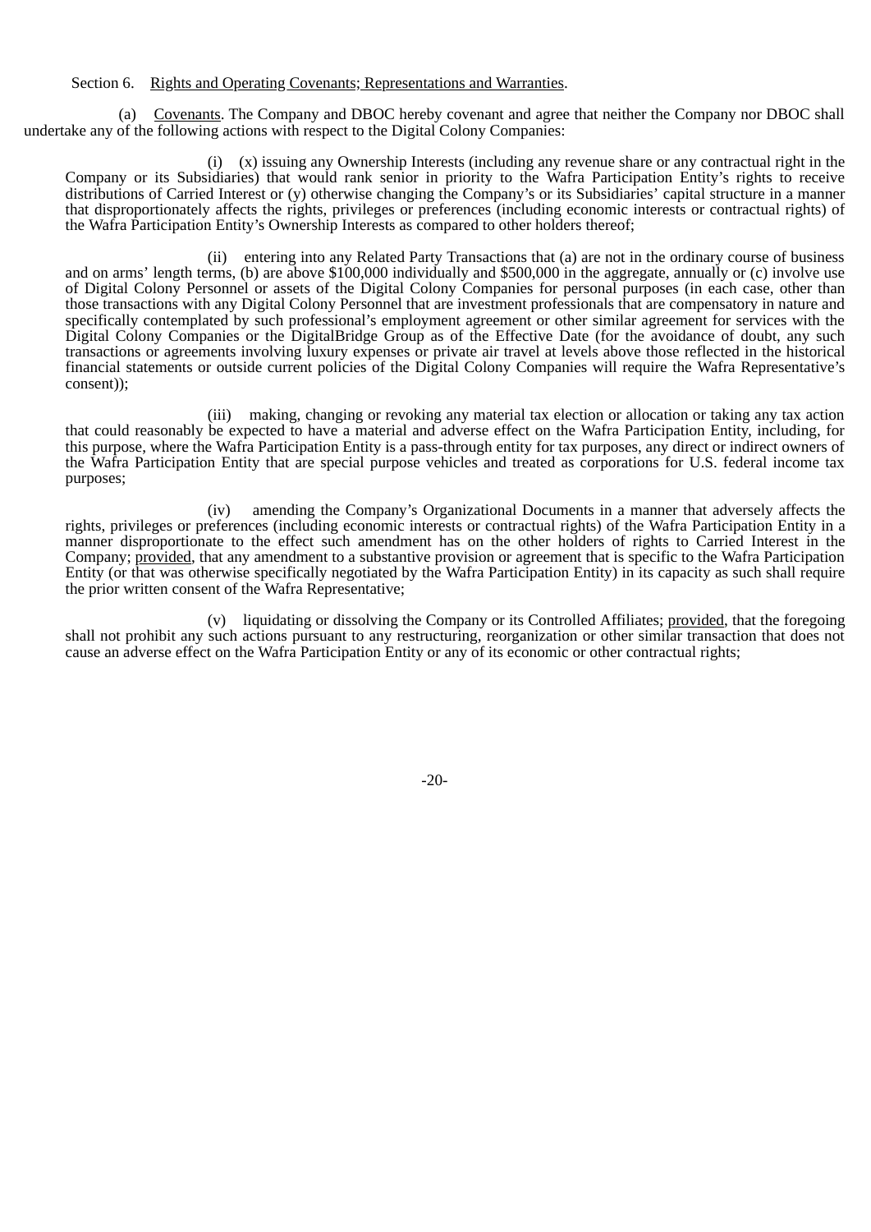### Section 6. Rights and Operating Covenants; Representations and Warranties.

(a) Covenants. The Company and DBOC hereby covenant and agree that neither the Company nor DBOC shall undertake any of the following actions with respect to the Digital Colony Companies:

(i) (x) issuing any Ownership Interests (including any revenue share or any contractual right in the Company or its Subsidiaries) that would rank senior in priority to the Wafra Participation Entity's rights to receive distributions of Carried Interest or (y) otherwise changing the Company's or its Subsidiaries' capital structure in a manner that disproportionately affects the rights, privileges or preferences (including economic interests or contractual rights) of the Wafra Participation Entity's Ownership Interests as compared to other holders thereof;

(ii) entering into any Related Party Transactions that (a) are not in the ordinary course of business and on arms' length terms, (b) are above \$100,000 individually and \$500,000 in the aggregate, annually or (c) involve use of Digital Colony Personnel or assets of the Digital Colony Companies for personal purposes (in each case, other than those transactions with any Digital Colony Personnel that are investment professionals that are compensatory in nature and specifically contemplated by such professional's employment agreement or other similar agreement for services with the Digital Colony Companies or the DigitalBridge Group as of the Effective Date (for the avoidance of doubt, any such transactions or agreements involving luxury expenses or private air travel at levels above those reflected in the historical financial statements or outside current policies of the Digital Colony Companies will require the Wafra Representative's consent));

(iii) making, changing or revoking any material tax election or allocation or taking any tax action that could reasonably be expected to have a material and adverse effect on the Wafra Participation Entity, including, for this purpose, where the Wafra Participation Entity is a pass-through entity for tax purposes, any direct or indirect owners of the Wafra Participation Entity that are special purpose vehicles and treated as corporations for U.S. federal income tax purposes;

(iv) amending the Company's Organizational Documents in a manner that adversely affects the rights, privileges or preferences (including economic interests or contractual rights) of the Wafra Participation Entity in a manner disproportionate to the effect such amendment has on the other holders of rights to Carried Interest in the Company; provided, that any amendment to a substantive provision or agreement that is specific to the Wafra Participation Entity (or that was otherwise specifically negotiated by the Wafra Participation Entity) in its capacity as such shall require the prior written consent of the Wafra Representative;

(v) liquidating or dissolving the Company or its Controlled Affiliates; provided, that the foregoing shall not prohibit any such actions pursuant to any restructuring, reorganization or other similar transaction that does not cause an adverse effect on the Wafra Participation Entity or any of its economic or other contractual rights;

-20-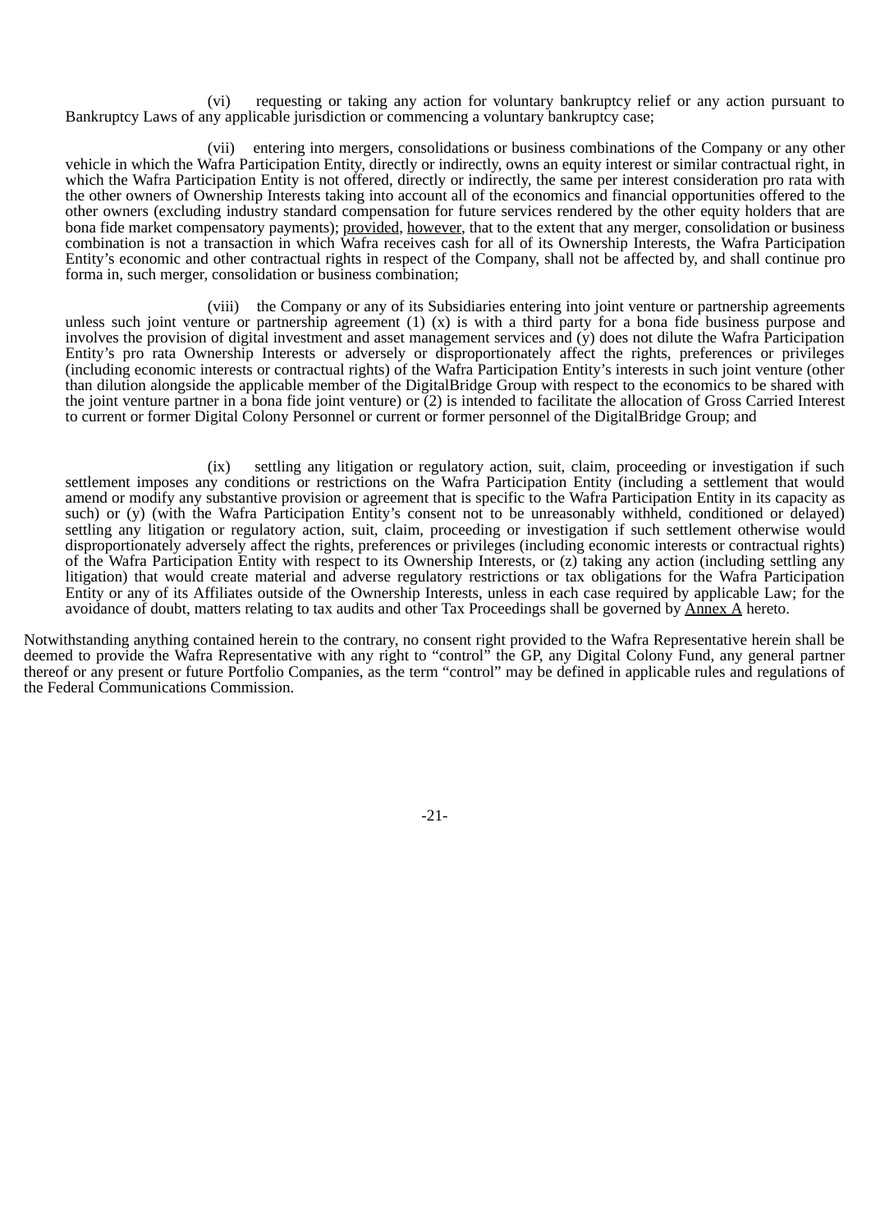(vi) requesting or taking any action for voluntary bankruptcy relief or any action pursuant to Bankruptcy Laws of any applicable jurisdiction or commencing a voluntary bankruptcy case;

(vii) entering into mergers, consolidations or business combinations of the Company or any other vehicle in which the Wafra Participation Entity, directly or indirectly, owns an equity interest or similar contractual right, in which the Wafra Participation Entity is not offered, directly or indirectly, the same per interest consideration pro rata with the other owners of Ownership Interests taking into account all of the economics and financial opportunities offered to the other owners (excluding industry standard compensation for future services rendered by the other equity holders that are bona fide market compensatory payments); provided, however, that to the extent that any merger, consolidation or business combination is not a transaction in which Wafra receives cash for all of its Ownership Interests, the Wafra Participation Entity's economic and other contractual rights in respect of the Company, shall not be affected by, and shall continue pro forma in, such merger, consolidation or business combination;

(viii) the Company or any of its Subsidiaries entering into joint venture or partnership agreements unless such joint venture or partnership agreement  $(1)$   $(x)$  is with a third party for a bona fide business purpose and involves the provision of digital investment and asset management services and (y) does not dilute the Wafra Participation Entity's pro rata Ownership Interests or adversely or disproportionately affect the rights, preferences or privileges (including economic interests or contractual rights) of the Wafra Participation Entity's interests in such joint venture (other than dilution alongside the applicable member of the DigitalBridge Group with respect to the economics to be shared with the joint venture partner in a bona fide joint venture) or (2) is intended to facilitate the allocation of Gross Carried Interest to current or former Digital Colony Personnel or current or former personnel of the DigitalBridge Group; and

(ix) settling any litigation or regulatory action, suit, claim, proceeding or investigation if such settlement imposes any conditions or restrictions on the Wafra Participation Entity (including a settlement that would amend or modify any substantive provision or agreement that is specific to the Wafra Participation Entity in its capacity as such) or (y) (with the Wafra Participation Entity's consent not to be unreasonably withheld, conditioned or delayed) settling any litigation or regulatory action, suit, claim, proceeding or investigation if such settlement otherwise would disproportionately adversely affect the rights, preferences or privileges (including economic interests or contractual rights) of the Wafra Participation Entity with respect to its Ownership Interests, or (z) taking any action (including settling any litigation) that would create material and adverse regulatory restrictions or tax obligations for the Wafra Participation Entity or any of its Affiliates outside of the Ownership Interests, unless in each case required by applicable Law; for the avoidance of doubt, matters relating to tax audits and other Tax Proceedings shall be governed by Annex A hereto.

Notwithstanding anything contained herein to the contrary, no consent right provided to the Wafra Representative herein shall be deemed to provide the Wafra Representative with any right to "control" the GP, any Digital Colony Fund, any general partner thereof or any present or future Portfolio Companies, as the term "control" may be defined in applicable rules and regulations of the Federal Communications Commission.

-21-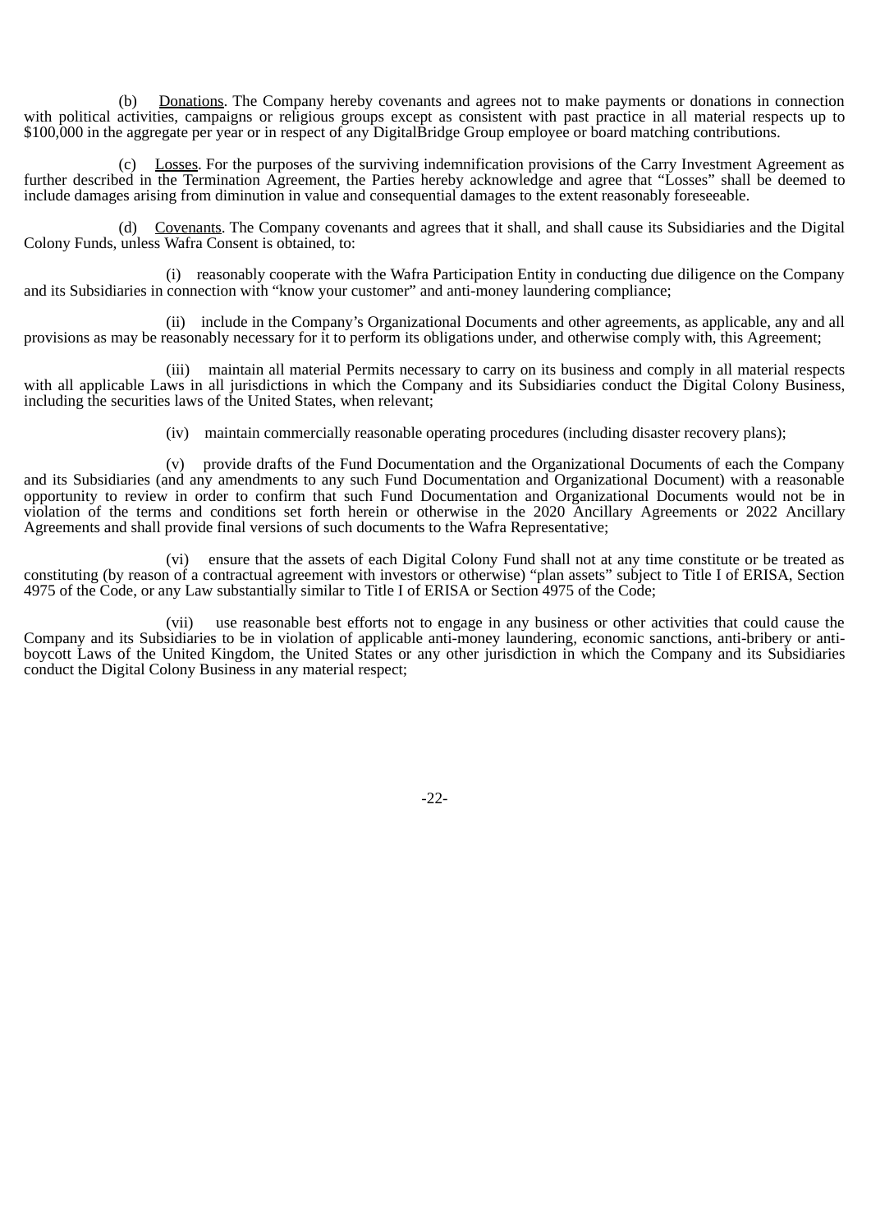(b) Donations. The Company hereby covenants and agrees not to make payments or donations in connection with political activities, campaigns or religious groups except as consistent with past practice in all material respects up to \$100,000 in the aggregate per year or in respect of any DigitalBridge Group employee or board matching contributions.

(c) Losses. For the purposes of the surviving indemnification provisions of the Carry Investment Agreement as further described in the Termination Agreement, the Parties hereby acknowledge and agree that "Losses" shall be deemed to include damages arising from diminution in value and consequential damages to the extent reasonably foreseeable.

(d) Covenants. The Company covenants and agrees that it shall, and shall cause its Subsidiaries and the Digital Colony Funds, unless Wafra Consent is obtained, to:

(i) reasonably cooperate with the Wafra Participation Entity in conducting due diligence on the Company and its Subsidiaries in connection with "know your customer" and anti-money laundering compliance;

(ii) include in the Company's Organizational Documents and other agreements, as applicable, any and all provisions as may be reasonably necessary for it to perform its obligations under, and otherwise comply with, this Agreement;

(iii) maintain all material Permits necessary to carry on its business and comply in all material respects with all applicable Laws in all jurisdictions in which the Company and its Subsidiaries conduct the Digital Colony Business, including the securities laws of the United States, when relevant;

(iv) maintain commercially reasonable operating procedures (including disaster recovery plans);

(v) provide drafts of the Fund Documentation and the Organizational Documents of each the Company and its Subsidiaries (and any amendments to any such Fund Documentation and Organizational Document) with a reasonable opportunity to review in order to confirm that such Fund Documentation and Organizational Documents would not be in violation of the terms and conditions set forth herein or otherwise in the 2020 Ancillary Agreements or 2022 Ancillary Agreements and shall provide final versions of such documents to the Wafra Representative;

(vi) ensure that the assets of each Digital Colony Fund shall not at any time constitute or be treated as constituting (by reason of a contractual agreement with investors or otherwise) "plan assets" subject to Title I of ERISA, Section 4975 of the Code, or any Law substantially similar to Title I of ERISA or Section 4975 of the Code;

(vii) use reasonable best efforts not to engage in any business or other activities that could cause the Company and its Subsidiaries to be in violation of applicable anti-money laundering, economic sanctions, anti-bribery or antiboycott Laws of the United Kingdom, the United States or any other jurisdiction in which the Company and its Subsidiaries conduct the Digital Colony Business in any material respect;

-22-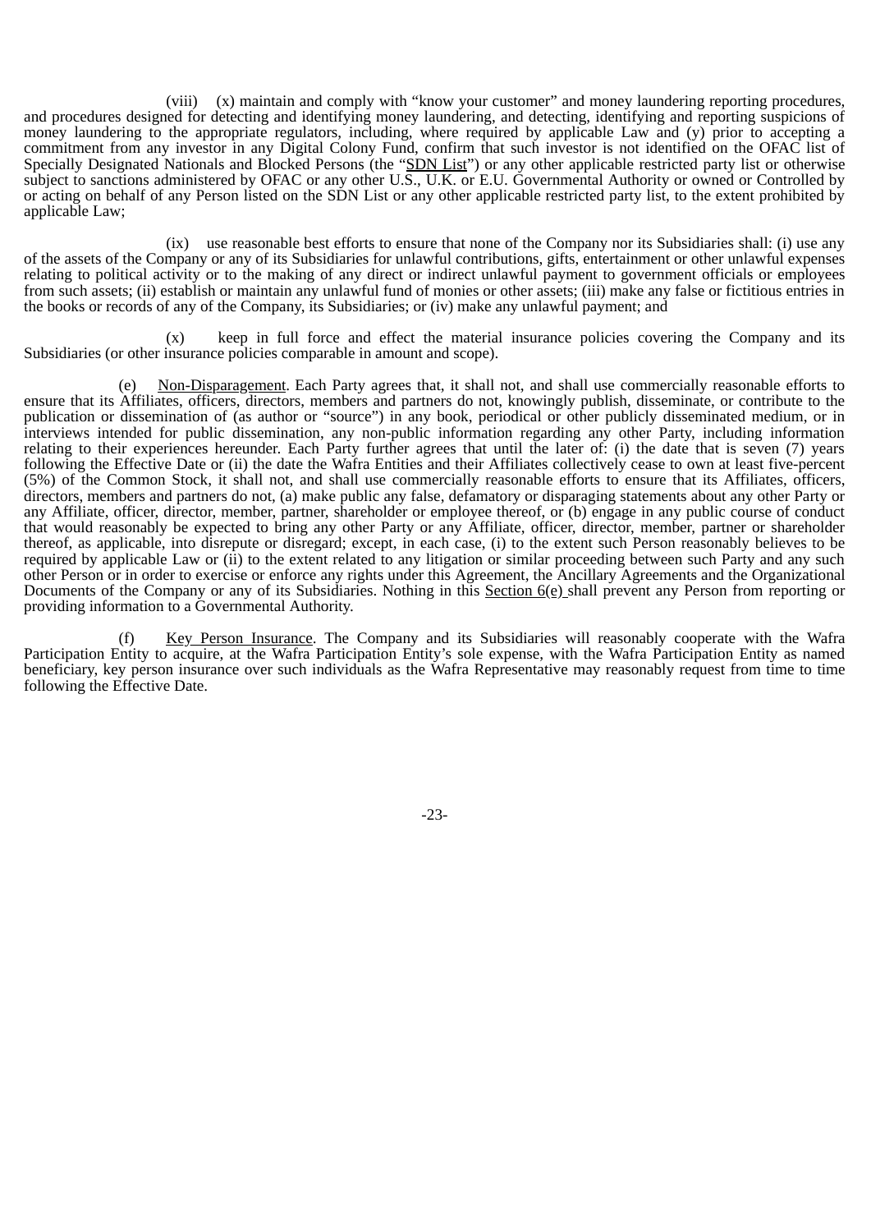(viii) (x) maintain and comply with "know your customer" and money laundering reporting procedures, and procedures designed for detecting and identifying money laundering, and detecting, identifying and reporting suspicions of money laundering to the appropriate regulators, including, where required by applicable Law and (y) prior to accepting a commitment from any investor in any Digital Colony Fund, confirm that such investor is not identified on the OFAC list of Specially Designated Nationals and Blocked Persons (the "SDN List") or any other applicable restricted party list or otherwise subject to sanctions administered by OFAC or any other U.S., U.K. or E.U. Governmental Authority or owned or Controlled by or acting on behalf of any Person listed on the SDN List or any other applicable restricted party list, to the extent prohibited by applicable Law;

(ix) use reasonable best efforts to ensure that none of the Company nor its Subsidiaries shall: (i) use any of the assets of the Company or any of its Subsidiaries for unlawful contributions, gifts, entertainment or other unlawful expenses relating to political activity or to the making of any direct or indirect unlawful payment to government officials or employees from such assets; (ii) establish or maintain any unlawful fund of monies or other assets; (iii) make any false or fictitious entries in the books or records of any of the Company, its Subsidiaries; or (iv) make any unlawful payment; and

(x) keep in full force and effect the material insurance policies covering the Company and its Subsidiaries (or other insurance policies comparable in amount and scope).

Non-Disparagement. Each Party agrees that, it shall not, and shall use commercially reasonable efforts to ensure that its Affiliates, officers, directors, members and partners do not, knowingly publish, disseminate, or contribute to the publication or dissemination of (as author or "source") in any book, periodical or other publicly disseminated medium, or in interviews intended for public dissemination, any non-public information regarding any other Party, including information relating to their experiences hereunder. Each Party further agrees that until the later of: (i) the date that is seven (7) years following the Effective Date or (ii) the date the Wafra Entities and their Affiliates collectively cease to own at least five-percent (5%) of the Common Stock, it shall not, and shall use commercially reasonable efforts to ensure that its Affiliates, officers, directors, members and partners do not, (a) make public any false, defamatory or disparaging statements about any other Party or any Affiliate, officer, director, member, partner, shareholder or employee thereof, or (b) engage in any public course of conduct that would reasonably be expected to bring any other Party or any Affiliate, officer, director, member, partner or shareholder thereof, as applicable, into disrepute or disregard; except, in each case, (i) to the extent such Person reasonably believes to be required by applicable Law or (ii) to the extent related to any litigation or similar proceeding between such Party and any such other Person or in order to exercise or enforce any rights under this Agreement, the Ancillary Agreements and the Organizational Documents of the Company or any of its Subsidiaries. Nothing in this Section  $6(e)$  shall prevent any Person from reporting or providing information to a Governmental Authority.

(f) Key Person Insurance. The Company and its Subsidiaries will reasonably cooperate with the Wafra Participation Entity to acquire, at the Wafra Participation Entity's sole expense, with the Wafra Participation Entity as named beneficiary, key person insurance over such individuals as the Wafra Representative may reasonably request from time to time following the Effective Date.

-23-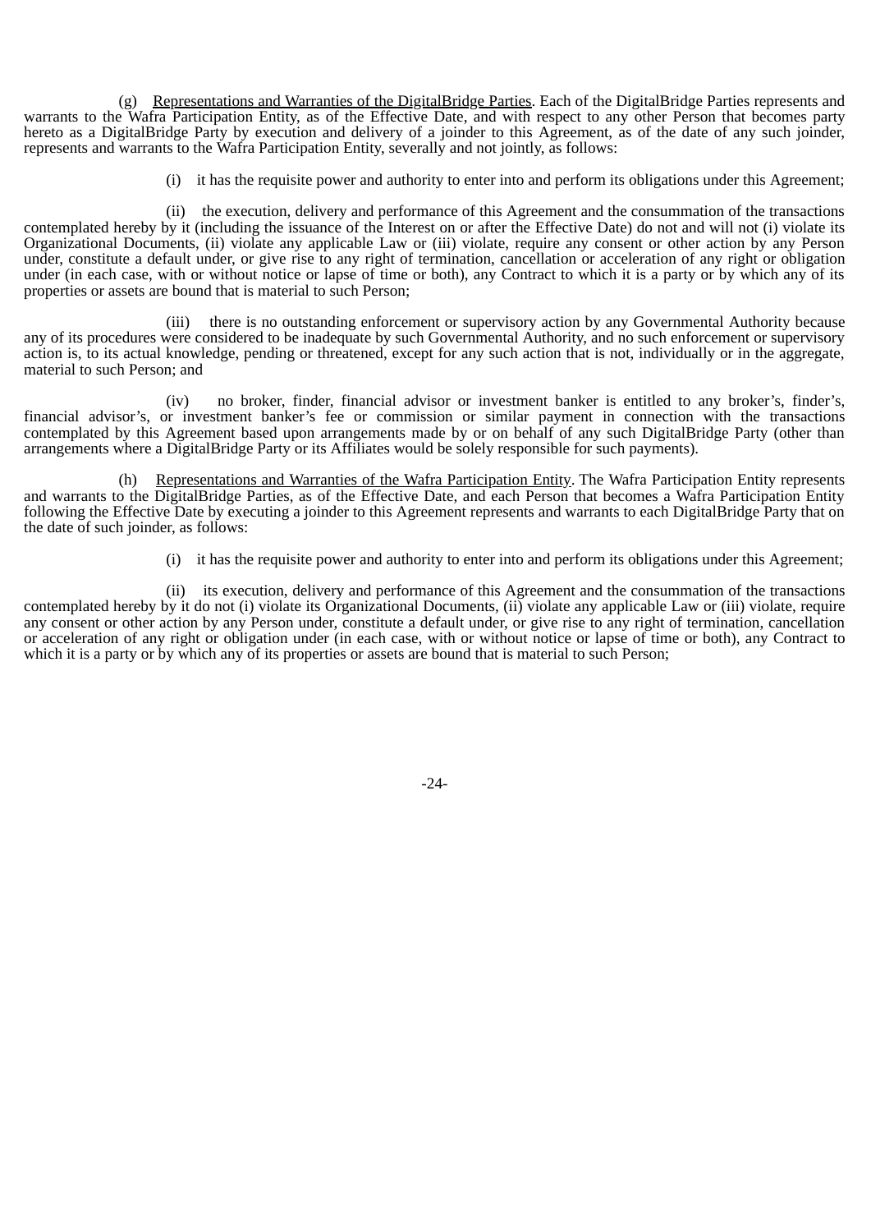(g) Representations and Warranties of the DigitalBridge Parties. Each of the DigitalBridge Parties represents and warrants to the Wafra Participation Entity, as of the Effective Date, and with respect to any other Person that becomes party hereto as a DigitalBridge Party by execution and delivery of a joinder to this Agreement, as of the date of any such joinder, represents and warrants to the Wafra Participation Entity, severally and not jointly, as follows:

(i) it has the requisite power and authority to enter into and perform its obligations under this Agreement;

(ii) the execution, delivery and performance of this Agreement and the consummation of the transactions contemplated hereby by it (including the issuance of the Interest on or after the Effective Date) do not and will not (i) violate its Organizational Documents, (ii) violate any applicable Law or (iii) violate, require any consent or other action by any Person under, constitute a default under, or give rise to any right of termination, cancellation or acceleration of any right or obligation under (in each case, with or without notice or lapse of time or both), any Contract to which it is a party or by which any of its properties or assets are bound that is material to such Person;

(iii) there is no outstanding enforcement or supervisory action by any Governmental Authority because any of its procedures were considered to be inadequate by such Governmental Authority, and no such enforcement or supervisory action is, to its actual knowledge, pending or threatened, except for any such action that is not, individually or in the aggregate, material to such Person; and

(iv) no broker, finder, financial advisor or investment banker is entitled to any broker's, finder's, financial advisor's, or investment banker's fee or commission or similar payment in connection with the transactions contemplated by this Agreement based upon arrangements made by or on behalf of any such DigitalBridge Party (other than arrangements where a DigitalBridge Party or its Affiliates would be solely responsible for such payments).

(h) Representations and Warranties of the Wafra Participation Entity. The Wafra Participation Entity represents and warrants to the DigitalBridge Parties, as of the Effective Date, and each Person that becomes a Wafra Participation Entity following the Effective Date by executing a joinder to this Agreement represents and warrants to each DigitalBridge Party that on the date of such joinder, as follows:

(i) it has the requisite power and authority to enter into and perform its obligations under this Agreement;

(ii) its execution, delivery and performance of this Agreement and the consummation of the transactions contemplated hereby by it do not (i) violate its Organizational Documents, (ii) violate any applicable Law or (iii) violate, require any consent or other action by any Person under, constitute a default under, or give rise to any right of termination, cancellation or acceleration of any right or obligation under (in each case, with or without notice or lapse of time or both), any Contract to which it is a party or by which any of its properties or assets are bound that is material to such Person;

-24-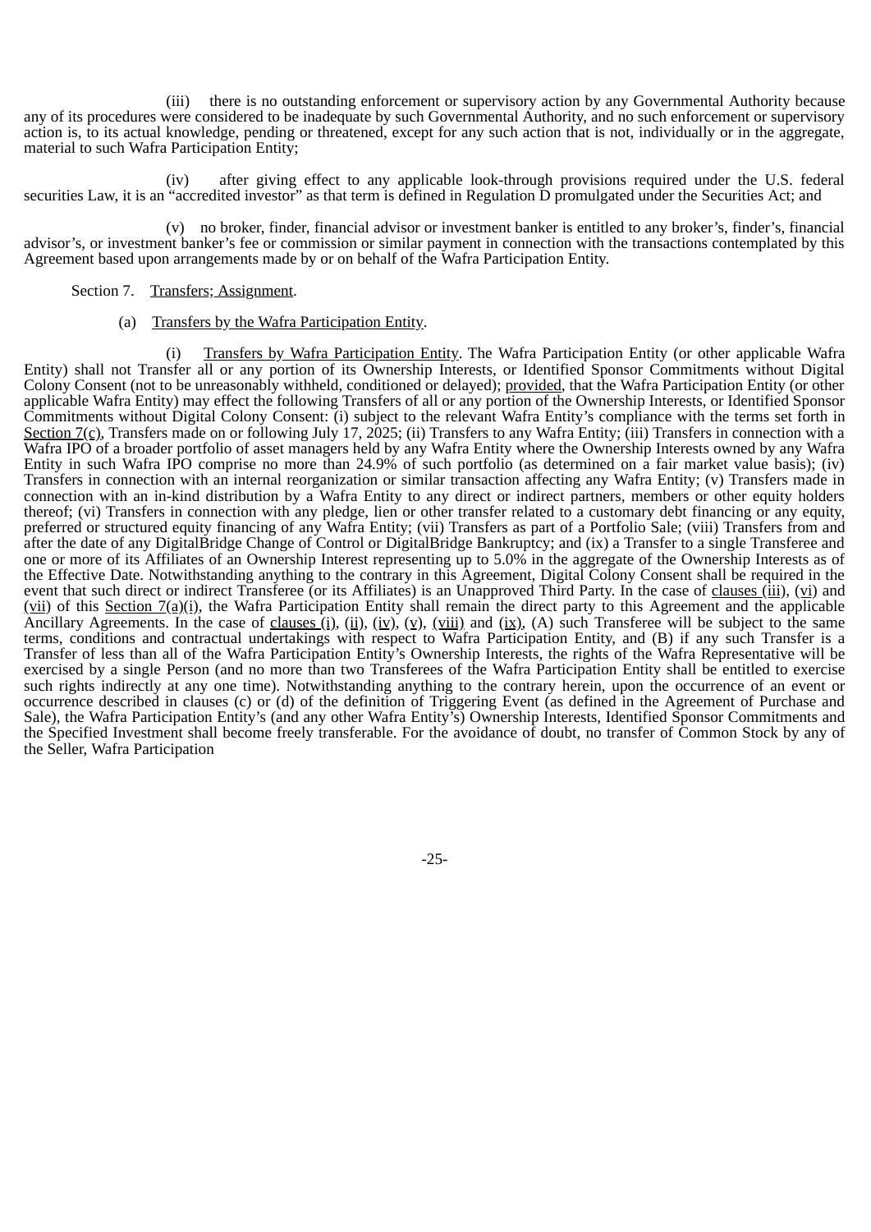(iii) there is no outstanding enforcement or supervisory action by any Governmental Authority because any of its procedures were considered to be inadequate by such Governmental Authority, and no such enforcement or supervisory action is, to its actual knowledge, pending or threatened, except for any such action that is not, individually or in the aggregate, material to such Wafra Participation Entity;

(iv) after giving effect to any applicable look-through provisions required under the U.S. federal securities Law, it is an "accredited investor" as that term is defined in Regulation D promulgated under the Securities Act; and

(v) no broker, finder, financial advisor or investment banker is entitled to any broker's, finder's, financial advisor's, or investment banker's fee or commission or similar payment in connection with the transactions contemplated by this Agreement based upon arrangements made by or on behalf of the Wafra Participation Entity.

### Section 7. Transfers; Assignment.

(a) Transfers by the Wafra Participation Entity.

Transfers by Wafra Participation Entity. The Wafra Participation Entity (or other applicable Wafra Entity) shall not Transfer all or any portion of its Ownership Interests, or Identified Sponsor Commitments without Digital Colony Consent (not to be unreasonably withheld, conditioned or delayed); provided, that the Wafra Participation Entity (or other applicable Wafra Entity) may effect the following Transfers of all or any portion of the Ownership Interests, or Identified Sponsor Commitments without Digital Colony Consent: (i) subject to the relevant Wafra Entity's compliance with the terms set forth in Section  $7(\text{c})$ , Transfers made on or following July 17, 2025; (ii) Transfers to any Wafra Entity; (iii) Transfers in connection with a Wafra IPO of a broader portfolio of asset managers held by any Wafra Entity where the Ownership Interests owned by any Wafra Entity in such Wafra IPO comprise no more than 24.9% of such portfolio (as determined on a fair market value basis); (iv) Transfers in connection with an internal reorganization or similar transaction affecting any Wafra Entity; (v) Transfers made in connection with an in-kind distribution by a Wafra Entity to any direct or indirect partners, members or other equity holders thereof; (vi) Transfers in connection with any pledge, lien or other transfer related to a customary debt financing or any equity, preferred or structured equity financing of any Wafra Entity; (vii) Transfers as part of a Portfolio Sale; (viii) Transfers from and after the date of any DigitalBridge Change of Control or DigitalBridge Bankruptcy; and (ix) a Transfer to a single Transferee and one or more of its Affiliates of an Ownership Interest representing up to 5.0% in the aggregate of the Ownership Interests as of the Effective Date. Notwithstanding anything to the contrary in this Agreement, Digital Colony Consent shall be required in the event that such direct or indirect Transferee (or its Affiliates) is an Unapproved Third Party. In the case of clauses (iii), (vi) and  $(vii)$  of this Section  $7(a)(i)$ , the Wafra Participation Entity shall remain the direct party to this Agreement and the applicable Ancillary Agreements. In the case of clauses (i), (ii), (iv), (v), (viii) and (ix), (A) such Transferee will be subject to the same terms, conditions and contractual undertakings with respect to Wafra Participation Entity, and (B) if any such Transfer is a Transfer of less than all of the Wafra Participation Entity's Ownership Interests, the rights of the Wafra Representative will be exercised by a single Person (and no more than two Transferees of the Wafra Participation Entity shall be entitled to exercise such rights indirectly at any one time). Notwithstanding anything to the contrary herein, upon the occurrence of an event or occurrence described in clauses (c) or (d) of the definition of Triggering Event (as defined in the Agreement of Purchase and Sale), the Wafra Participation Entity's (and any other Wafra Entity's) Ownership Interests, Identified Sponsor Commitments and the Specified Investment shall become freely transferable. For the avoidance of doubt, no transfer of Common Stock by any of the Seller, Wafra Participation

-25-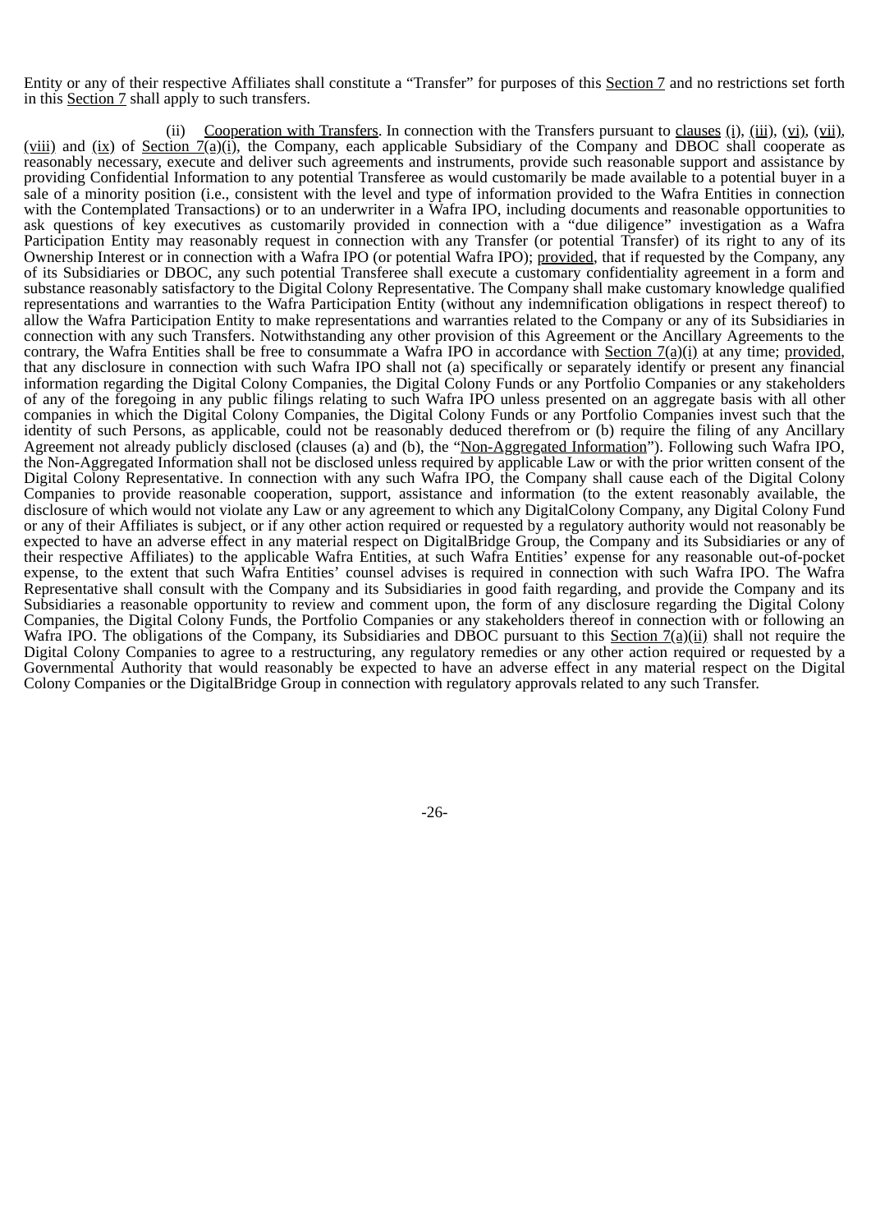Entity or any of their respective Affiliates shall constitute a "Transfer" for purposes of this Section 7 and no restrictions set forth in this Section 7 shall apply to such transfers.

(ii) Cooperation with Transfers. In connection with the Transfers pursuant to clauses (i), (iii), (vi), (vii), (viii) and (ix) of Section  $\mathcal{I}(a)(i)$ , the Company, each applicable Subsidiary of the Company and DBOC shall cooperate as reasonably necessary, execute and deliver such agreements and instruments, provide such reasonable support and assistance by providing Confidential Information to any potential Transferee as would customarily be made available to a potential buyer in a sale of a minority position (i.e., consistent with the level and type of information provided to the Wafra Entities in connection with the Contemplated Transactions) or to an underwriter in a Wafra IPO, including documents and reasonable opportunities to ask questions of key executives as customarily provided in connection with a "due diligence" investigation as a Wafra Participation Entity may reasonably request in connection with any Transfer (or potential Transfer) of its right to any of its Ownership Interest or in connection with a Wafra IPO (or potential Wafra IPO); provided, that if requested by the Company, any of its Subsidiaries or DBOC, any such potential Transferee shall execute a customary confidentiality agreement in a form and substance reasonably satisfactory to the Digital Colony Representative. The Company shall make customary knowledge qualified representations and warranties to the Wafra Participation Entity (without any indemnification obligations in respect thereof) to allow the Wafra Participation Entity to make representations and warranties related to the Company or any of its Subsidiaries in connection with any such Transfers. Notwithstanding any other provision of this Agreement or the Ancillary Agreements to the contrary, the Wafra Entities shall be free to consummate a Wafra IPO in accordance with Section  $7(a)(i)$  at any time; provided, that any disclosure in connection with such Wafra IPO shall not (a) specifically or separately identify or present any financial information regarding the Digital Colony Companies, the Digital Colony Funds or any Portfolio Companies or any stakeholders of any of the foregoing in any public filings relating to such Wafra IPO unless presented on an aggregate basis with all other companies in which the Digital Colony Companies, the Digital Colony Funds or any Portfolio Companies invest such that the identity of such Persons, as applicable, could not be reasonably deduced therefrom or (b) require the filing of any Ancillary Agreement not already publicly disclosed (clauses (a) and (b), the "Non-Aggregated Information"). Following such Wafra IPO, the Non-Aggregated Information shall not be disclosed unless required by applicable Law or with the prior written consent of the Digital Colony Representative. In connection with any such Wafra IPO, the Company shall cause each of the Digital Colony Companies to provide reasonable cooperation, support, assistance and information (to the extent reasonably available, the disclosure of which would not violate any Law or any agreement to which any DigitalColony Company, any Digital Colony Fund or any of their Affiliates is subject, or if any other action required or requested by a regulatory authority would not reasonably be expected to have an adverse effect in any material respect on DigitalBridge Group, the Company and its Subsidiaries or any of their respective Affiliates) to the applicable Wafra Entities, at such Wafra Entities' expense for any reasonable out-of-pocket expense, to the extent that such Wafra Entities' counsel advises is required in connection with such Wafra IPO. The Wafra Representative shall consult with the Company and its Subsidiaries in good faith regarding, and provide the Company and its Subsidiaries a reasonable opportunity to review and comment upon, the form of any disclosure regarding the Digital Colony Companies, the Digital Colony Funds, the Portfolio Companies or any stakeholders thereof in connection with or following an Wafra IPO. The obligations of the Company, its Subsidiaries and DBOC pursuant to this Section  $7(a)(ii)$  shall not require the Digital Colony Companies to agree to a restructuring, any regulatory remedies or any other action required or requested by a Governmental Authority that would reasonably be expected to have an adverse effect in any material respect on the Digital Colony Companies or the DigitalBridge Group in connection with regulatory approvals related to any such Transfer.

-26-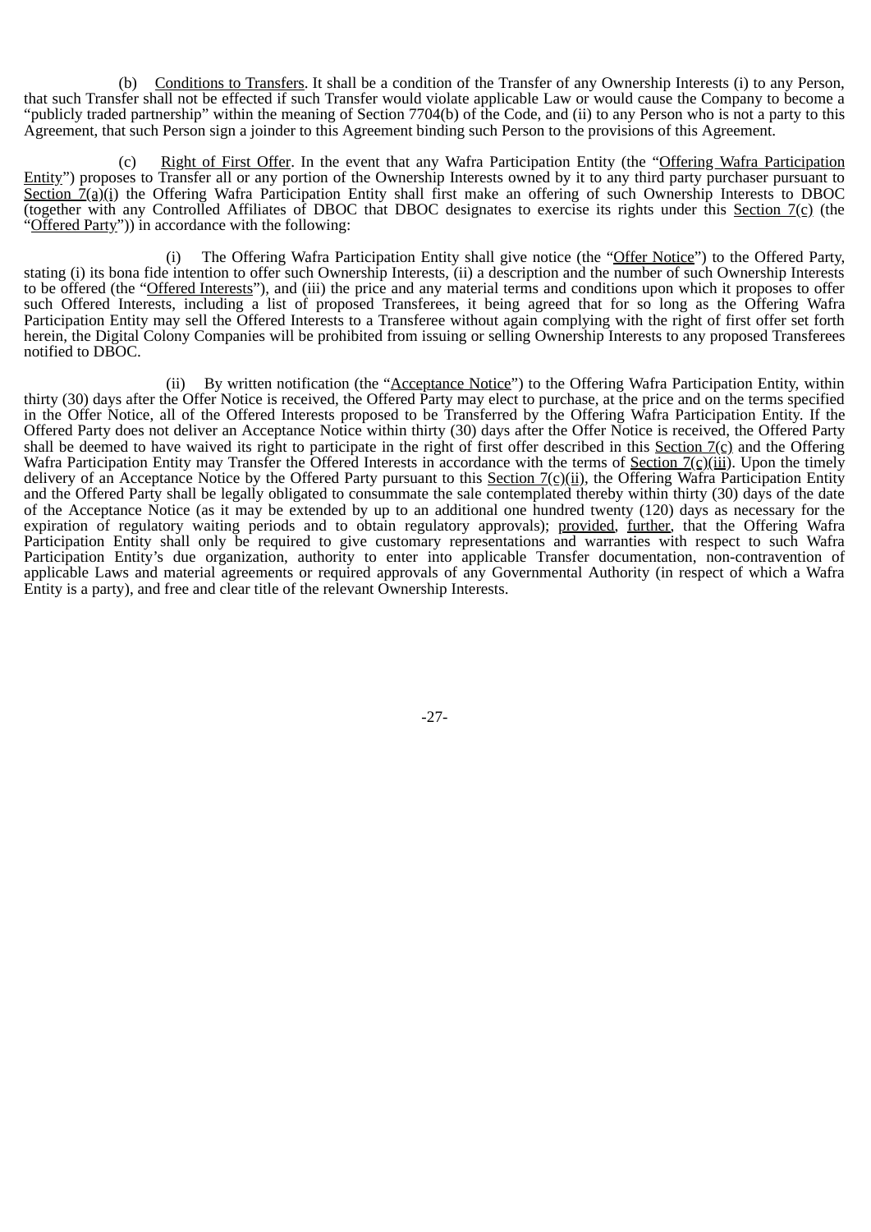(b) Conditions to Transfers. It shall be a condition of the Transfer of any Ownership Interests (i) to any Person, that such Transfer shall not be effected if such Transfer would violate applicable Law or would cause the Company to become a "publicly traded partnership" within the meaning of Section 7704(b) of the Code, and (ii) to any Person who is not a party to this Agreement, that such Person sign a joinder to this Agreement binding such Person to the provisions of this Agreement.

Right of First Offer. In the event that any Wafra Participation Entity (the "Offering Wafra Participation Entity") proposes to Transfer all or any portion of the Ownership Interests owned by it to any third party purchaser pursuant to Section  $\tilde{Z}(a)(i)$  the Offering Wafra Participation Entity shall first make an offering of such Ownership Interests to DBOC (together with any Controlled Affiliates of DBOC that DBOC designates to exercise its rights under this Section  $7(\text{c})$  (the "Offered Party")) in accordance with the following:

(i) The Offering Wafra Participation Entity shall give notice (the "Offer Notice") to the Offered Party, stating (i) its bona fide intention to offer such Ownership Interests, (ii) a description and the number of such Ownership Interests to be offered (the "Offered Interests"), and (iii) the price and any material terms and conditions upon which it proposes to offer such Offered Interests, including a list of proposed Transferees, it being agreed that for so long as the Offering Wafra Participation Entity may sell the Offered Interests to a Transferee without again complying with the right of first offer set forth herein, the Digital Colony Companies will be prohibited from issuing or selling Ownership Interests to any proposed Transferees notified to DBOC.

(ii) By written notification (the "Acceptance Notice") to the Offering Wafra Participation Entity, within thirty (30) days after the Offer Notice is received, the Offered Party may elect to purchase, at the price and on the terms specified in the Offer Notice, all of the Offered Interests proposed to be Transferred by the Offering Wafra Participation Entity. If the Offered Party does not deliver an Acceptance Notice within thirty (30) days after the Offer Notice is received, the Offered Party shall be deemed to have waived its right to participate in the right of first offer described in this Section  $7(c)$  and the Offering Wafra Participation Entity may Transfer the Offered Interests in accordance with the terms of Section  $7(c)(iii)$ . Upon the timely delivery of an Acceptance Notice by the Offered Party pursuant to this Section  $7(c)(ii)$ , the Offering Wafra Participation Entity and the Offered Party shall be legally obligated to consummate the sale contemplated thereby within thirty (30) days of the date of the Acceptance Notice (as it may be extended by up to an additional one hundred twenty (120) days as necessary for the expiration of regulatory waiting periods and to obtain regulatory approvals); provided, further, that the Offering Wafra Participation Entity shall only be required to give customary representations and warranties with respect to such Wafra Participation Entity's due organization, authority to enter into applicable Transfer documentation, non-contravention of applicable Laws and material agreements or required approvals of any Governmental Authority (in respect of which a Wafra Entity is a party), and free and clear title of the relevant Ownership Interests.

-27-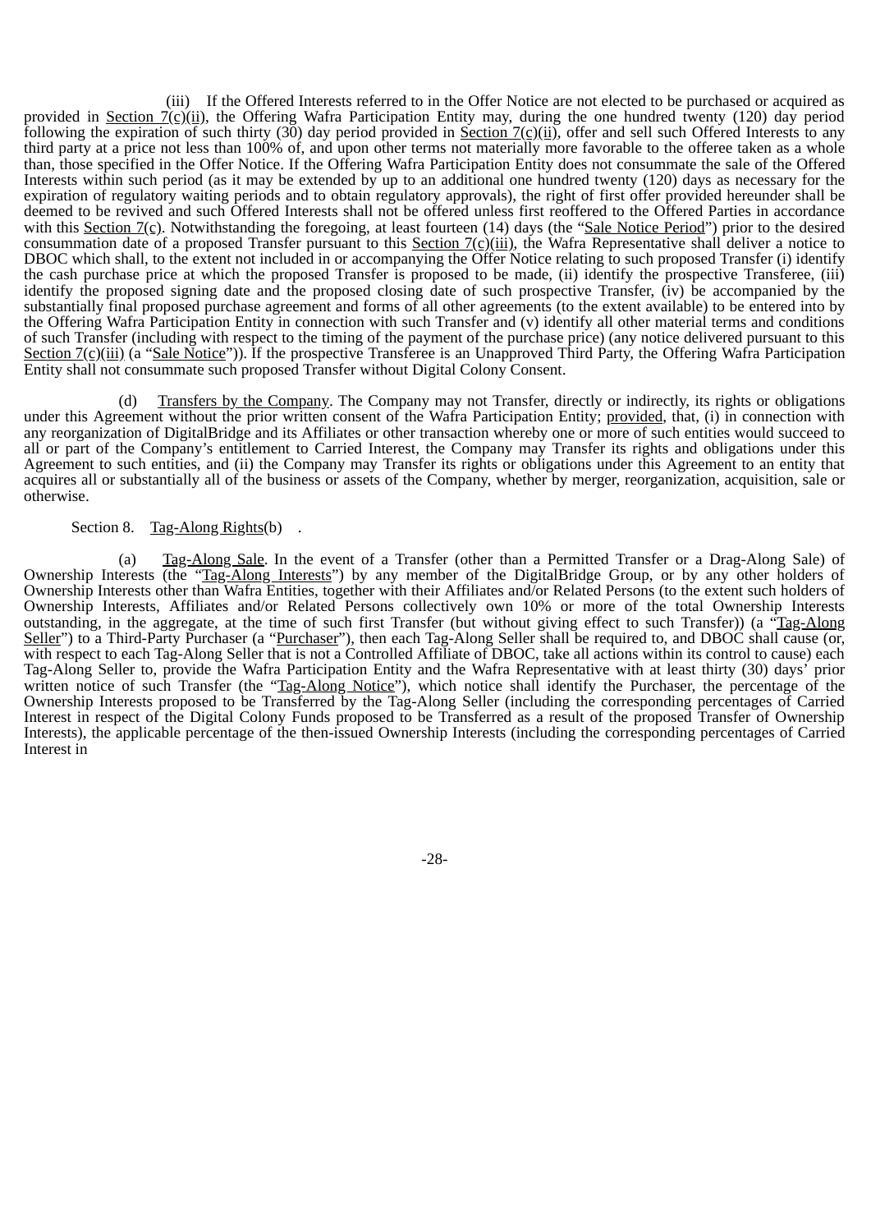(iii) If the Offered Interests referred to in the Offer Notice are not elected to be purchased or acquired as provided in <u>Section 7(c)(ii</u>), the Offering Wafra Participation Entity may, during the one hundred twenty (120) day period following the expiration of such thirty (30) day period provided in Section  $7(\text{c})(\text{ii})$ , offer and sell such Offered Interests to any third party at a price not less than 100% of, and upon other terms not materially more favorable to the offeree taken as a whole than, those specified in the Offer Notice. If the Offering Wafra Participation Entity does not consummate the sale of the Offered Interests within such period (as it may be extended by up to an additional one hundred twenty (120) days as necessary for the expiration of regulatory waiting periods and to obtain regulatory approvals), the right of first offer provided hereunder shall be deemed to be revived and such Offered Interests shall not be offered unless first reoffered to the Offered Parties in accordance with this Section 7(c). Notwithstanding the foregoing, at least fourteen (14) days (the "Sale Notice Period") prior to the desired consummation date of a proposed Transfer pursuant to this Section  $7(c)(iii)$ , the Wafra Representative shall deliver a notice to DBOC which shall, to the extent not included in or accompanying the Offer Notice relating to such proposed Transfer (i) identify the cash purchase price at which the proposed Transfer is proposed to be made, (ii) identify the prospective Transferee, (iii) identify the proposed signing date and the proposed closing date of such prospective Transfer, (iv) be accompanied by the substantially final proposed purchase agreement and forms of all other agreements (to the extent available) to be entered into by the Offering Wafra Participation Entity in connection with such Transfer and (v) identify all other material terms and conditions of such Transfer (including with respect to the timing of the payment of the purchase price) (any notice delivered pursuant to this Section 7(c)(iii) (a "Sale Notice")). If the prospective Transferee is an Unapproved Third Party, the Offering Wafra Participation Entity shall not consummate such proposed Transfer without Digital Colony Consent.

(d) Transfers by the Company. The Company may not Transfer, directly or indirectly, its rights or obligations under this Agreement without the prior written consent of the Wafra Participation Entity; provided, that, (i) in connection with any reorganization of DigitalBridge and its Affiliates or other transaction whereby one or more of such entities would succeed to all or part of the Company's entitlement to Carried Interest, the Company may Transfer its rights and obligations under this Agreement to such entities, and (ii) the Company may Transfer its rights or obligations under this Agreement to an entity that acquires all or substantially all of the business or assets of the Company, whether by merger, reorganization, acquisition, sale or otherwise.

#### Section 8. Tag-Along Rights(b).

(a) Tag-Along Sale. In the event of a Transfer (other than a Permitted Transfer or a Drag-Along Sale) of Ownership Interests (the "Tag-Along Interests") by any member of the DigitalBridge Group, or by any other holders of Ownership Interests other than Wafra Entities, together with their Affiliates and/or Related Persons (to the extent such holders of Ownership Interests, Affiliates and/or Related Persons collectively own 10% or more of the total Ownership Interests outstanding, in the aggregate, at the time of such first Transfer (but without giving effect to such Transfer)) (a "Tag-Along Seller") to a Third-Party Purchaser (a "Purchaser"), then each Tag-Along Seller shall be required to, and DBOC shall cause (or, with respect to each Tag-Along Seller that is not a Controlled Affiliate of DBOC, take all actions within its control to cause) each Tag-Along Seller to, provide the Wafra Participation Entity and the Wafra Representative with at least thirty (30) days' prior written notice of such Transfer (the "Tag-Along Notice"), which notice shall identify the Purchaser, the percentage of the Ownership Interests proposed to be Transferred by the Tag-Along Seller (including the corresponding percentages of Carried Interest in respect of the Digital Colony Funds proposed to be Transferred as a result of the proposed Transfer of Ownership Interests), the applicable percentage of the then-issued Ownership Interests (including the corresponding percentages of Carried Interest in

-28-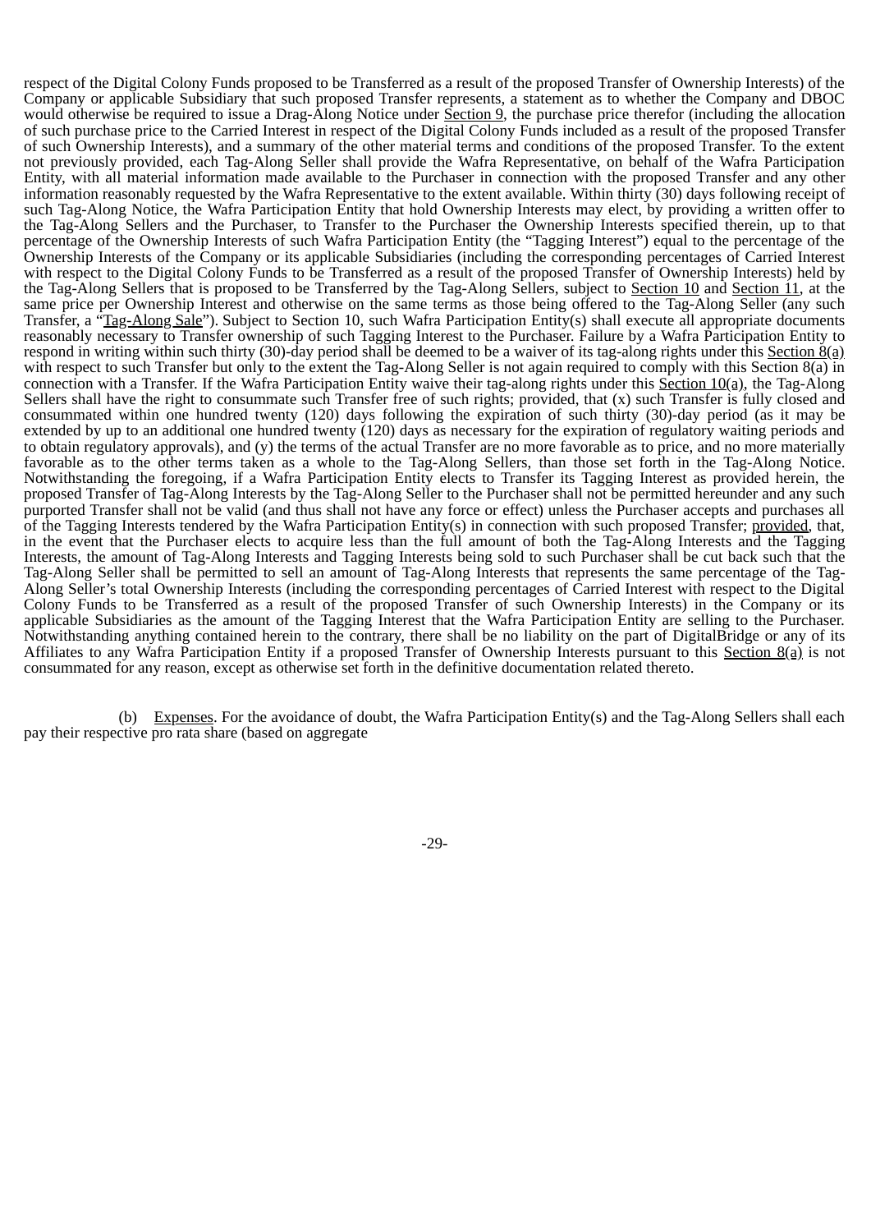respect of the Digital Colony Funds proposed to be Transferred as a result of the proposed Transfer of Ownership Interests) of the Company or applicable Subsidiary that such proposed Transfer represents, a statement as to whether the Company and DBOC would otherwise be required to issue a Drag-Along Notice under Section 9, the purchase price therefor (including the allocation of such purchase price to the Carried Interest in respect of the Digital Colony Funds included as a result of the proposed Transfer of such Ownership Interests), and a summary of the other material terms and conditions of the proposed Transfer. To the extent not previously provided, each Tag-Along Seller shall provide the Wafra Representative, on behalf of the Wafra Participation Entity, with all material information made available to the Purchaser in connection with the proposed Transfer and any other information reasonably requested by the Wafra Representative to the extent available. Within thirty (30) days following receipt of such Tag-Along Notice, the Wafra Participation Entity that hold Ownership Interests may elect, by providing a written offer to the Tag-Along Sellers and the Purchaser, to Transfer to the Purchaser the Ownership Interests specified therein, up to that percentage of the Ownership Interests of such Wafra Participation Entity (the "Tagging Interest") equal to the percentage of the Ownership Interests of the Company or its applicable Subsidiaries (including the corresponding percentages of Carried Interest with respect to the Digital Colony Funds to be Transferred as a result of the proposed Transfer of Ownership Interests) held by the Tag-Along Sellers that is proposed to be Transferred by the Tag-Along Sellers, subject to Section 10 and Section 11, at the same price per Ownership Interest and otherwise on the same terms as those being offered to the Tag-Along Seller (any such Transfer, a "Tag-Along Sale"). Subject to Section 10, such Wafra Participation Entity(s) shall execute all appropriate documents reasonably necessary to Transfer ownership of such Tagging Interest to the Purchaser. Failure by a Wafra Participation Entity to respond in writing within such thirty (30)-day period shall be deemed to be a waiver of its tag-along rights under this Section 8(a) with respect to such Transfer but only to the extent the Tag-Along Seller is not again required to comply with this Section 8(a) in connection with a Transfer. If the Wafra Participation Entity waive their tag-along rights under this Section  $10(a)$ , the Tag-Along Sellers shall have the right to consummate such Transfer free of such rights; provided, that (x) such Transfer is fully closed and consummated within one hundred twenty (120) days following the expiration of such thirty (30)-day period (as it may be extended by up to an additional one hundred twenty (120) days as necessary for the expiration of regulatory waiting periods and to obtain regulatory approvals), and (y) the terms of the actual Transfer are no more favorable as to price, and no more materially favorable as to the other terms taken as a whole to the Tag-Along Sellers, than those set forth in the Tag-Along Notice. Notwithstanding the foregoing, if a Wafra Participation Entity elects to Transfer its Tagging Interest as provided herein, the proposed Transfer of Tag-Along Interests by the Tag-Along Seller to the Purchaser shall not be permitted hereunder and any such purported Transfer shall not be valid (and thus shall not have any force or effect) unless the Purchaser accepts and purchases all of the Tagging Interests tendered by the Wafra Participation Entity(s) in connection with such proposed Transfer; provided, that, in the event that the Purchaser elects to acquire less than the full amount of both the Tag-Along Interests and the Tagging Interests, the amount of Tag-Along Interests and Tagging Interests being sold to such Purchaser shall be cut back such that the Tag-Along Seller shall be permitted to sell an amount of Tag-Along Interests that represents the same percentage of the Tag-Along Seller's total Ownership Interests (including the corresponding percentages of Carried Interest with respect to the Digital Colony Funds to be Transferred as a result of the proposed Transfer of such Ownership Interests) in the Company or its applicable Subsidiaries as the amount of the Tagging Interest that the Wafra Participation Entity are selling to the Purchaser. Notwithstanding anything contained herein to the contrary, there shall be no liability on the part of DigitalBridge or any of its Affiliates to any Wafra Participation Entity if a proposed Transfer of Ownership Interests pursuant to this Section 8(a) is not consummated for any reason, except as otherwise set forth in the definitive documentation related thereto.

(b) Expenses. For the avoidance of doubt, the Wafra Participation Entity(s) and the Tag-Along Sellers shall each pay their respective pro rata share (based on aggregate

-29-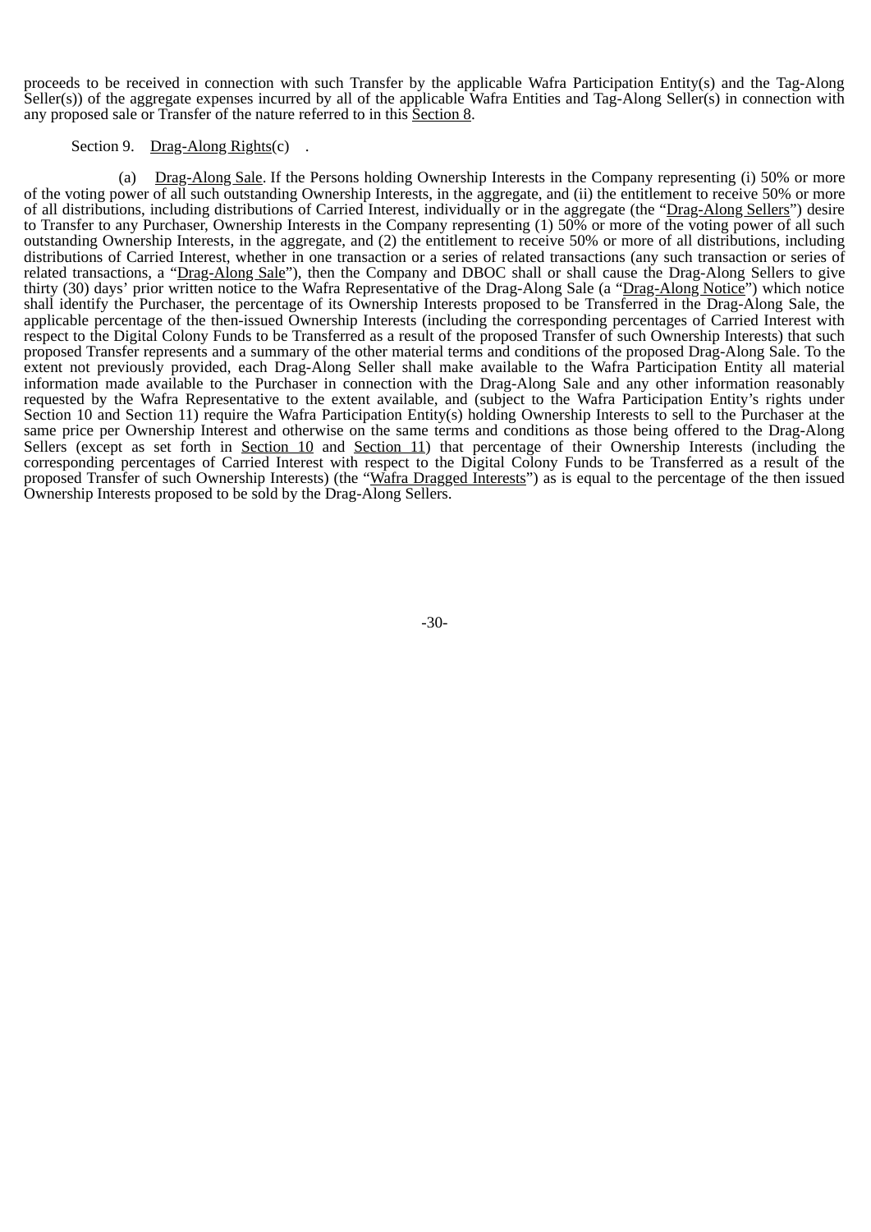proceeds to be received in connection with such Transfer by the applicable Wafra Participation Entity(s) and the Tag-Along Seller(s)) of the aggregate expenses incurred by all of the applicable Wafra Entities and Tag-Along Seller(s) in connection with any proposed sale or Transfer of the nature referred to in this Section 8.

#### Section 9. Drag-Along Rights(c).

(a) Drag-Along Sale. If the Persons holding Ownership Interests in the Company representing (i) 50% or more of the voting power of all such outstanding Ownership Interests, in the aggregate, and (ii) the entitlement to receive 50% or more of all distributions, including distributions of Carried Interest, individually or in the aggregate (the "Drag-Along Sellers") desire to Transfer to any Purchaser, Ownership Interests in the Company representing (1) 50% or more of the voting power of all such outstanding Ownership Interests, in the aggregate, and (2) the entitlement to receive 50% or more of all distributions, including distributions of Carried Interest, whether in one transaction or a series of related transactions (any such transaction or series of related transactions, a "Drag-Along Sale"), then the Company and DBOC shall or shall cause the Drag-Along Sellers to give thirty (30) days' prior written notice to the Wafra Representative of the Drag-Along Sale (a "Drag-Along Notice") which notice shall identify the Purchaser, the percentage of its Ownership Interests proposed to be Transferred in the Drag-Along Sale, the applicable percentage of the then-issued Ownership Interests (including the corresponding percentages of Carried Interest with respect to the Digital Colony Funds to be Transferred as a result of the proposed Transfer of such Ownership Interests) that such proposed Transfer represents and a summary of the other material terms and conditions of the proposed Drag-Along Sale. To the extent not previously provided, each Drag-Along Seller shall make available to the Wafra Participation Entity all material information made available to the Purchaser in connection with the Drag-Along Sale and any other information reasonably requested by the Wafra Representative to the extent available, and (subject to the Wafra Participation Entity's rights under Section 10 and Section 11) require the Wafra Participation Entity(s) holding Ownership Interests to sell to the Purchaser at the same price per Ownership Interest and otherwise on the same terms and conditions as those being offered to the Drag-Along Sellers (except as set forth in Section 10 and Section 11) that percentage of their Ownership Interests (including the corresponding percentages of Carried Interest with respect to the Digital Colony Funds to be Transferred as a result of the proposed Transfer of such Ownership Interests) (the "Wafra Dragged Interests") as is equal to the percentage of the then issued Ownership Interests proposed to be sold by the Drag-Along Sellers.

-30-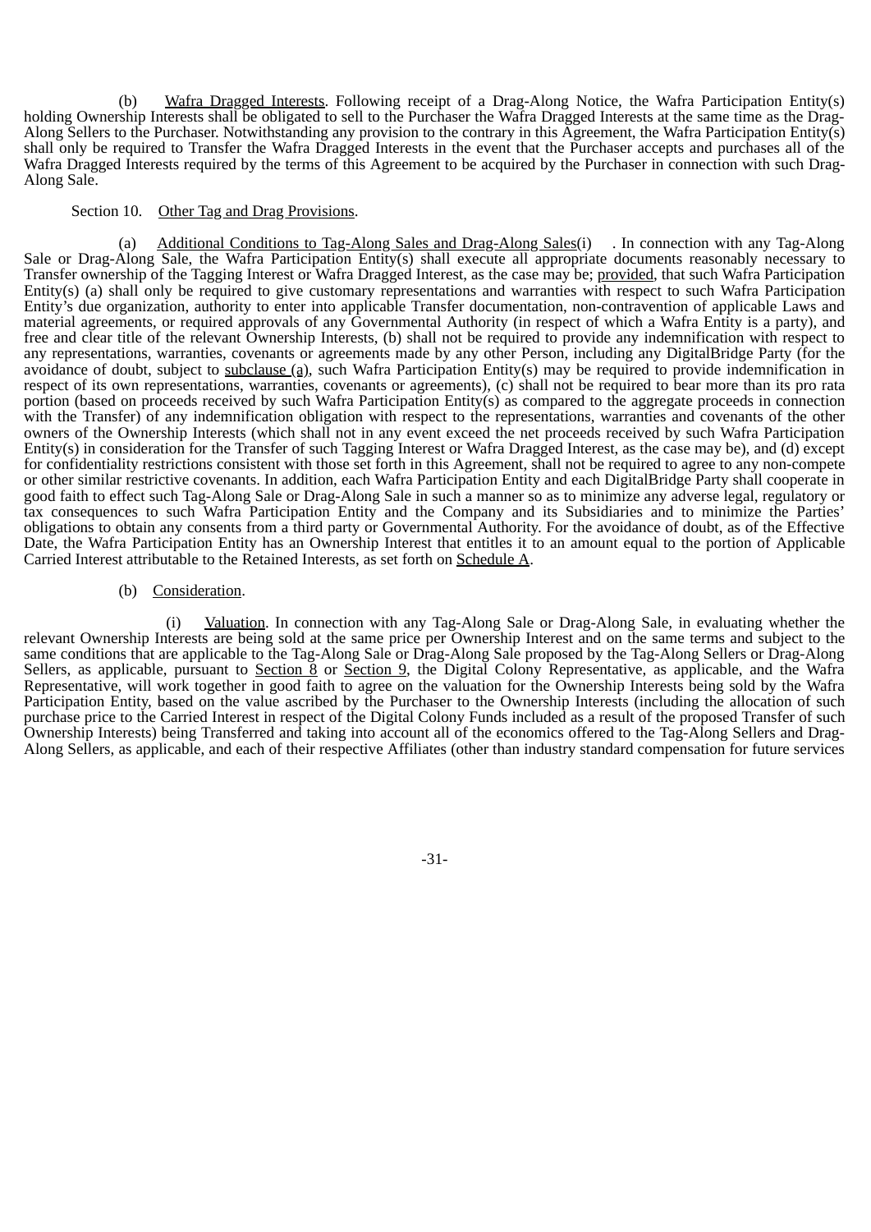(b) Wafra Dragged Interests. Following receipt of a Drag-Along Notice, the Wafra Participation Entity(s) holding Ownership Interests shall be obligated to sell to the Purchaser the Wafra Dragged Interests at the same time as the Drag-Along Sellers to the Purchaser. Notwithstanding any provision to the contrary in this Agreement, the Wafra Participation Entity(s) shall only be required to Transfer the Wafra Dragged Interests in the event that the Purchaser accepts and purchases all of the Wafra Dragged Interests required by the terms of this Agreement to be acquired by the Purchaser in connection with such Drag-Along Sale.

### Section 10. Other Tag and Drag Provisions.

(a) Additional Conditions to Tag-Along Sales and Drag-Along Sales(i) . In connection with any Tag-Along Sale or Drag-Along Sale, the Wafra Participation Entity(s) shall execute all appropriate documents reasonably necessary to Transfer ownership of the Tagging Interest or Wafra Dragged Interest, as the case may be; provided, that such Wafra Participation Entity(s) (a) shall only be required to give customary representations and warranties with respect to such Wafra Participation Entity's due organization, authority to enter into applicable Transfer documentation, non-contravention of applicable Laws and material agreements, or required approvals of any Governmental Authority (in respect of which a Wafra Entity is a party), and free and clear title of the relevant Ownership Interests, (b) shall not be required to provide any indemnification with respect to any representations, warranties, covenants or agreements made by any other Person, including any DigitalBridge Party (for the avoidance of doubt, subject to subclause (a), such Wafra Participation Entity(s) may be required to provide indemnification in respect of its own representations, warranties, covenants or agreements), (c) shall not be required to bear more than its pro rata portion (based on proceeds received by such Wafra Participation Entity(s) as compared to the aggregate proceeds in connection with the Transfer) of any indemnification obligation with respect to the representations, warranties and covenants of the other owners of the Ownership Interests (which shall not in any event exceed the net proceeds received by such Wafra Participation Entity(s) in consideration for the Transfer of such Tagging Interest or Wafra Dragged Interest, as the case may be), and (d) except for confidentiality restrictions consistent with those set forth in this Agreement, shall not be required to agree to any non-compete or other similar restrictive covenants. In addition, each Wafra Participation Entity and each DigitalBridge Party shall cooperate in good faith to effect such Tag-Along Sale or Drag-Along Sale in such a manner so as to minimize any adverse legal, regulatory or tax consequences to such Wafra Participation Entity and the Company and its Subsidiaries and to minimize the Parties' obligations to obtain any consents from a third party or Governmental Authority. For the avoidance of doubt, as of the Effective Date, the Wafra Participation Entity has an Ownership Interest that entitles it to an amount equal to the portion of Applicable Carried Interest attributable to the Retained Interests, as set forth on Schedule A.

### (b) Consideration.

(i) Valuation. In connection with any Tag-Along Sale or Drag-Along Sale, in evaluating whether the relevant Ownership Interests are being sold at the same price per Ownership Interest and on the same terms and subject to the same conditions that are applicable to the Tag-Along Sale or Drag-Along Sale proposed by the Tag-Along Sellers or Drag-Along Sellers, as applicable, pursuant to Section 8 or Section 9, the Digital Colony Representative, as applicable, and the Wafra Representative, will work together in good faith to agree on the valuation for the Ownership Interests being sold by the Wafra Participation Entity, based on the value ascribed by the Purchaser to the Ownership Interests (including the allocation of such purchase price to the Carried Interest in respect of the Digital Colony Funds included as a result of the proposed Transfer of such Ownership Interests) being Transferred and taking into account all of the economics offered to the Tag-Along Sellers and Drag-Along Sellers, as applicable, and each of their respective Affiliates (other than industry standard compensation for future services

-31-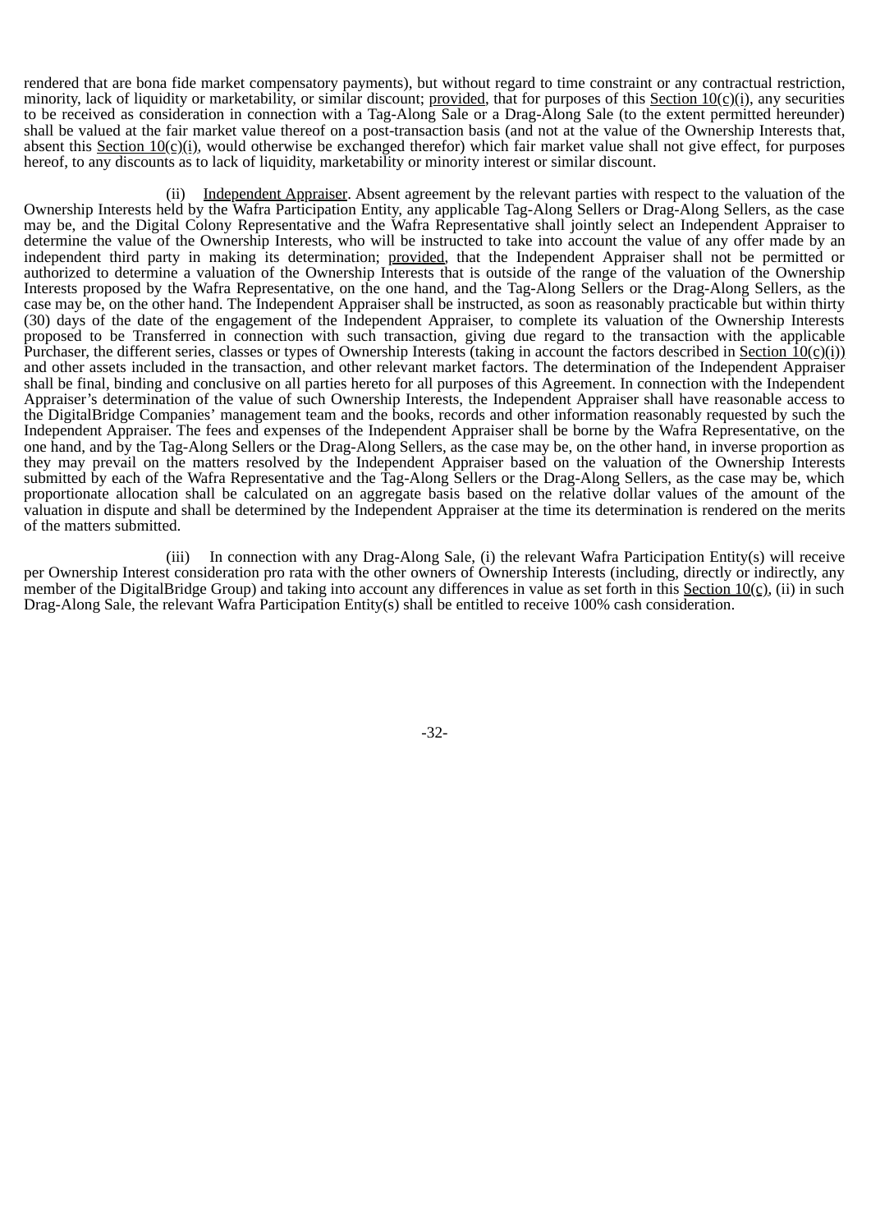rendered that are bona fide market compensatory payments), but without regard to time constraint or any contractual restriction, minority, lack of liquidity or marketability, or similar discount; provided, that for purposes of this Section  $10(c)(i)$ , any securities to be received as consideration in connection with a Tag-Along Sale or a Drag-Along Sale (to the extent permitted hereunder) shall be valued at the fair market value thereof on a post-transaction basis (and not at the value of the Ownership Interests that, absent this Section  $10(c)(i)$ , would otherwise be exchanged therefor) which fair market value shall not give effect, for purposes hereof, to any discounts as to lack of liquidity, marketability or minority interest or similar discount.

(ii) Independent Appraiser. Absent agreement by the relevant parties with respect to the valuation of the Ownership Interests held by the Wafra Participation Entity, any applicable Tag-Along Sellers or Drag-Along Sellers, as the case may be, and the Digital Colony Representative and the Wafra Representative shall jointly select an Independent Appraiser to determine the value of the Ownership Interests, who will be instructed to take into account the value of any offer made by an independent third party in making its determination; provided, that the Independent Appraiser shall not be permitted or authorized to determine a valuation of the Ownership Interests that is outside of the range of the valuation of the Ownership Interests proposed by the Wafra Representative, on the one hand, and the Tag-Along Sellers or the Drag-Along Sellers, as the case may be, on the other hand. The Independent Appraiser shall be instructed, as soon as reasonably practicable but within thirty (30) days of the date of the engagement of the Independent Appraiser, to complete its valuation of the Ownership Interests proposed to be Transferred in connection with such transaction, giving due regard to the transaction with the applicable Purchaser, the different series, classes or types of Ownership Interests (taking in account the factors described in Section  $10(c)(i)$ ) and other assets included in the transaction, and other relevant market factors. The determination of the Independent Appraiser shall be final, binding and conclusive on all parties hereto for all purposes of this Agreement. In connection with the Independent Appraiser's determination of the value of such Ownership Interests, the Independent Appraiser shall have reasonable access to the DigitalBridge Companies' management team and the books, records and other information reasonably requested by such the Independent Appraiser. The fees and expenses of the Independent Appraiser shall be borne by the Wafra Representative, on the one hand, and by the Tag-Along Sellers or the Drag-Along Sellers, as the case may be, on the other hand, in inverse proportion as they may prevail on the matters resolved by the Independent Appraiser based on the valuation of the Ownership Interests submitted by each of the Wafra Representative and the Tag-Along Sellers or the Drag-Along Sellers, as the case may be, which proportionate allocation shall be calculated on an aggregate basis based on the relative dollar values of the amount of the valuation in dispute and shall be determined by the Independent Appraiser at the time its determination is rendered on the merits of the matters submitted.

(iii) In connection with any Drag-Along Sale, (i) the relevant Wafra Participation Entity(s) will receive per Ownership Interest consideration pro rata with the other owners of Ownership Interests (including, directly or indirectly, any member of the DigitalBridge Group) and taking into account any differences in value as set forth in this Section  $10(c)$ , (ii) in such Drag-Along Sale, the relevant Wafra Participation Entity(s) shall be entitled to receive 100% cash consideration.

-32-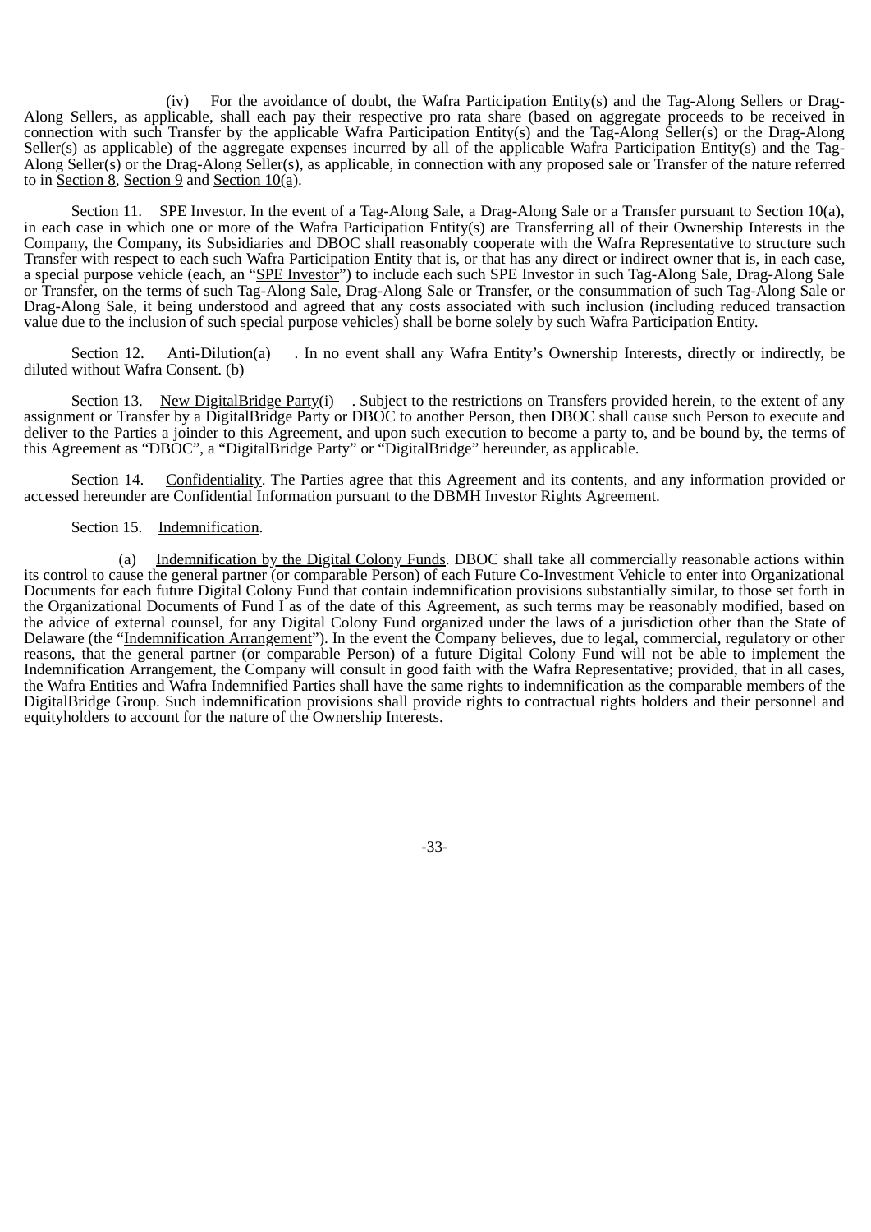(iv) For the avoidance of doubt, the Wafra Participation Entity(s) and the Tag-Along Sellers or Drag-Along Sellers, as applicable, shall each pay their respective pro rata share (based on aggregate proceeds to be received in connection with such Transfer by the applicable Wafra Participation Entity(s) and the Tag-Along Seller(s) or the Drag-Along Seller(s) as applicable) of the aggregate expenses incurred by all of the applicable Wafra Participation Entity(s) and the Tag-Along Seller(s) or the Drag-Along Seller(s), as applicable, in connection with any proposed sale or Transfer of the nature referred to in Section 8, Section 9 and Section  $10(a)$ .

Section 11. SPE Investor. In the event of a Tag-Along Sale, a Drag-Along Sale or a Transfer pursuant to Section 10(a), in each case in which one or more of the Wafra Participation Entity(s) are Transferring all of their Ownership Interests in the Company, the Company, its Subsidiaries and DBOC shall reasonably cooperate with the Wafra Representative to structure such Transfer with respect to each such Wafra Participation Entity that is, or that has any direct or indirect owner that is, in each case, a special purpose vehicle (each, an "SPE Investor") to include each such SPE Investor in such Tag-Along Sale, Drag-Along Sale or Transfer, on the terms of such Tag-Along Sale, Drag-Along Sale or Transfer, or the consummation of such Tag-Along Sale or Drag-Along Sale, it being understood and agreed that any costs associated with such inclusion (including reduced transaction value due to the inclusion of such special purpose vehicles) shall be borne solely by such Wafra Participation Entity.

Section 12. Anti-Dilution(a) . In no event shall any Wafra Entity's Ownership Interests, directly or indirectly, be diluted without Wafra Consent. (b)

Section 13. New DigitalBridge Party(i) . Subject to the restrictions on Transfers provided herein, to the extent of any assignment or Transfer by a DigitalBridge Party or DBOC to another Person, then DBOC shall cause such Person to execute and deliver to the Parties a joinder to this Agreement, and upon such execution to become a party to, and be bound by, the terms of this Agreement as "DBOC", a "DigitalBridge Party" or "DigitalBridge" hereunder, as applicable.

Section 14. Confidentiality. The Parties agree that this Agreement and its contents, and any information provided or accessed hereunder are Confidential Information pursuant to the DBMH Investor Rights Agreement.

#### Section 15. Indemnification.

(a) Indemnification by the Digital Colony Funds. DBOC shall take all commercially reasonable actions within its control to cause the general partner (or comparable Person) of each Future Co-Investment Vehicle to enter into Organizational Documents for each future Digital Colony Fund that contain indemnification provisions substantially similar, to those set forth in the Organizational Documents of Fund I as of the date of this Agreement, as such terms may be reasonably modified, based on the advice of external counsel, for any Digital Colony Fund organized under the laws of a jurisdiction other than the State of Delaware (the "Indemnification Arrangement"). In the event the Company believes, due to legal, commercial, regulatory or other reasons, that the general partner (or comparable Person) of a future Digital Colony Fund will not be able to implement the Indemnification Arrangement, the Company will consult in good faith with the Wafra Representative; provided, that in all cases, the Wafra Entities and Wafra Indemnified Parties shall have the same rights to indemnification as the comparable members of the DigitalBridge Group. Such indemnification provisions shall provide rights to contractual rights holders and their personnel and equityholders to account for the nature of the Ownership Interests.

-33-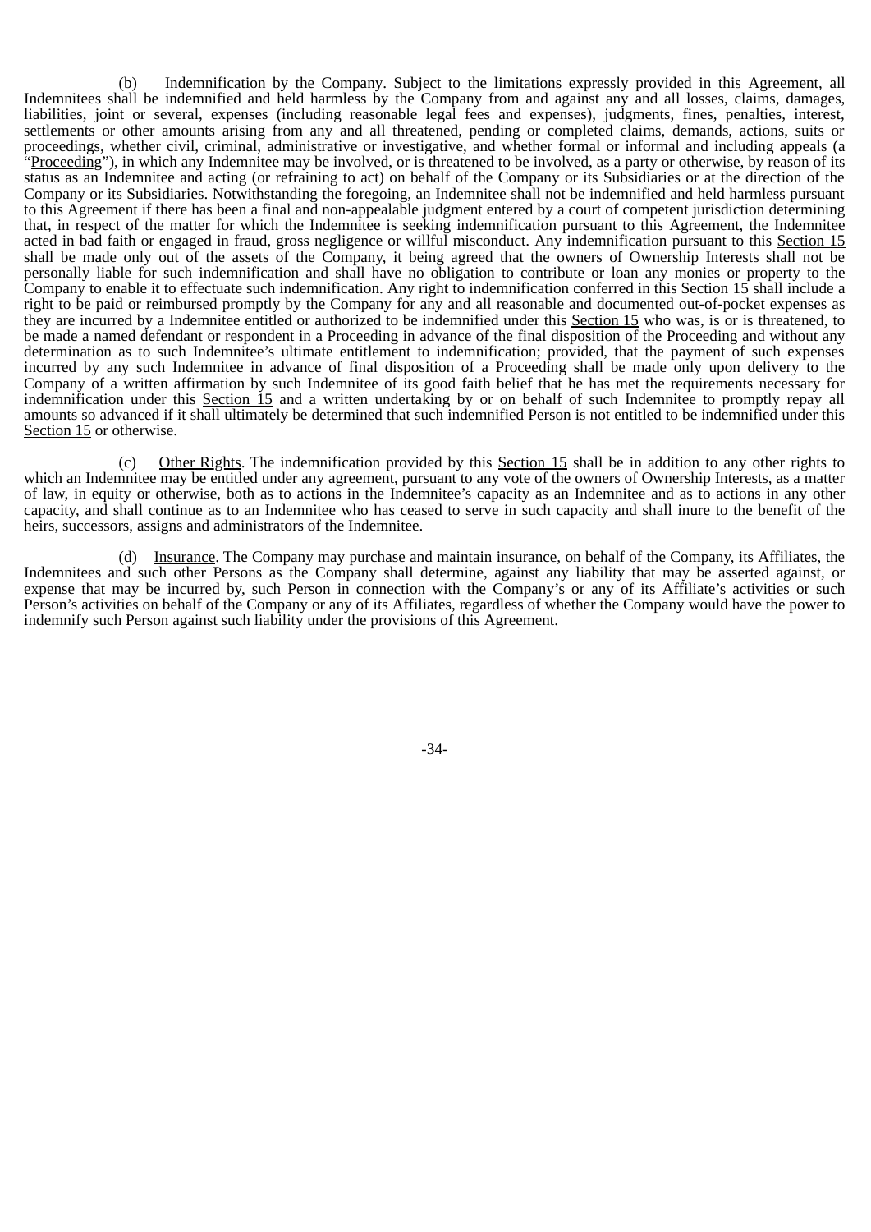(b) Indemnification by the Company. Subject to the limitations expressly provided in this Agreement, all Indemnitees shall be indemnified and held harmless by the Company from and against any and all losses, claims, damages, liabilities, joint or several, expenses (including reasonable legal fees and expenses), judgments, fines, penalties, interest, settlements or other amounts arising from any and all threatened, pending or completed claims, demands, actions, suits or proceedings, whether civil, criminal, administrative or investigative, and whether formal or informal and including appeals (a "Proceeding"), in which any Indemnitee may be involved, or is threatened to be involved, as a party or otherwise, by reason of its status as an Indemnitee and acting (or refraining to act) on behalf of the Company or its Subsidiaries or at the direction of the Company or its Subsidiaries. Notwithstanding the foregoing, an Indemnitee shall not be indemnified and held harmless pursuant to this Agreement if there has been a final and non-appealable judgment entered by a court of competent jurisdiction determining that, in respect of the matter for which the Indemnitee is seeking indemnification pursuant to this Agreement, the Indemnitee acted in bad faith or engaged in fraud, gross negligence or willful misconduct. Any indemnification pursuant to this Section 15 shall be made only out of the assets of the Company, it being agreed that the owners of Ownership Interests shall not be personally liable for such indemnification and shall have no obligation to contribute or loan any monies or property to the Company to enable it to effectuate such indemnification. Any right to indemnification conferred in this Section 15 shall include a right to be paid or reimbursed promptly by the Company for any and all reasonable and documented out-of-pocket expenses as they are incurred by a Indemnitee entitled or authorized to be indemnified under this Section 15 who was, is or is threatened, to be made a named defendant or respondent in a Proceeding in advance of the final disposition of the Proceeding and without any determination as to such Indemnitee's ultimate entitlement to indemnification; provided, that the payment of such expenses incurred by any such Indemnitee in advance of final disposition of a Proceeding shall be made only upon delivery to the Company of a written affirmation by such Indemnitee of its good faith belief that he has met the requirements necessary for indemnification under this Section 15 and a written undertaking by or on behalf of such Indemnitee to promptly repay all amounts so advanced if it shall ultimately be determined that such indemnified Person is not entitled to be indemnified under this Section 15 or otherwise.

(c) Other Rights. The indemnification provided by this Section 15 shall be in addition to any other rights to which an Indemnitee may be entitled under any agreement, pursuant to any vote of the owners of Ownership Interests, as a matter of law, in equity or otherwise, both as to actions in the Indemnitee's capacity as an Indemnitee and as to actions in any other capacity, and shall continue as to an Indemnitee who has ceased to serve in such capacity and shall inure to the benefit of the heirs, successors, assigns and administrators of the Indemnitee.

(d) Insurance. The Company may purchase and maintain insurance, on behalf of the Company, its Affiliates, the Indemnitees and such other Persons as the Company shall determine, against any liability that may be asserted against, or expense that may be incurred by, such Person in connection with the Company's or any of its Affiliate's activities or such Person's activities on behalf of the Company or any of its Affiliates, regardless of whether the Company would have the power to indemnify such Person against such liability under the provisions of this Agreement.

-34-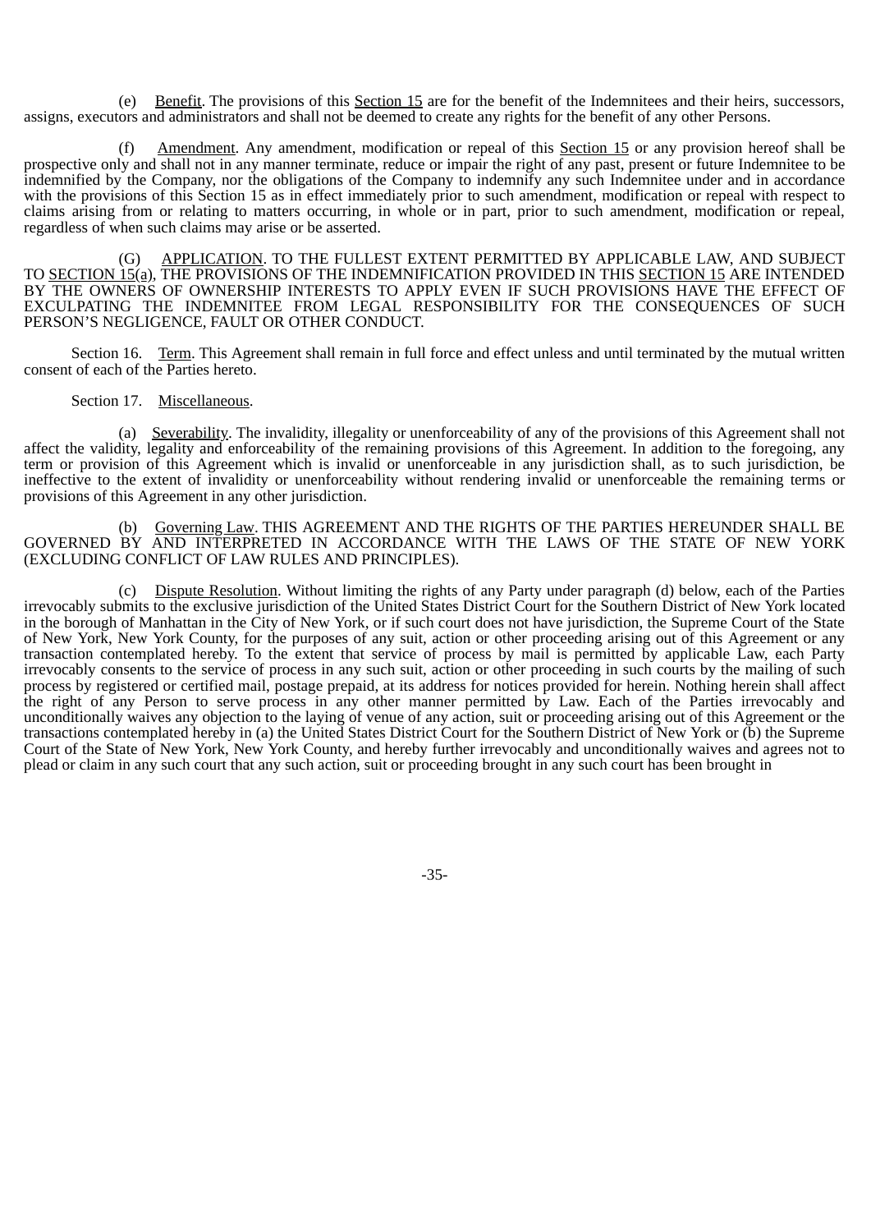(e) Benefit. The provisions of this Section 15 are for the benefit of the Indemnitees and their heirs, successors, assigns, executors and administrators and shall not be deemed to create any rights for the benefit of any other Persons.

(f) Amendment. Any amendment, modification or repeal of this Section 15 or any provision hereof shall be prospective only and shall not in any manner terminate, reduce or impair the right of any past, present or future Indemnitee to be indemnified by the Company, nor the obligations of the Company to indemnify any such Indemnitee under and in accordance with the provisions of this Section 15 as in effect immediately prior to such amendment, modification or repeal with respect to claims arising from or relating to matters occurring, in whole or in part, prior to such amendment, modification or repeal, regardless of when such claims may arise or be asserted.

(G) APPLICATION. TO THE FULLEST EXTENT PERMITTED BY APPLICABLE LAW, AND SUBJECT TO SECTION 15(a), THE PROVISIONS OF THE INDEMNIFICATION PROVIDED IN THIS SECTION 15 ARE INTENDED BY THE OWNERS OF OWNERSHIP INTERESTS TO APPLY EVEN IF SUCH PROVISIONS HAVE THE EFFECT OF EXCULPATING THE INDEMNITEE FROM LEGAL RESPONSIBILITY FOR THE CONSEQUENCES OF SUCH PERSON'S NEGLIGENCE, FAULT OR OTHER CONDUCT.

Section 16. Term. This Agreement shall remain in full force and effect unless and until terminated by the mutual written consent of each of the Parties hereto.

### Section 17. Miscellaneous.

(a) Severability. The invalidity, illegality or unenforceability of any of the provisions of this Agreement shall not affect the validity, legality and enforceability of the remaining provisions of this Agreement. In addition to the foregoing, any term or provision of this Agreement which is invalid or unenforceable in any jurisdiction shall, as to such jurisdiction, be ineffective to the extent of invalidity or unenforceability without rendering invalid or unenforceable the remaining terms or provisions of this Agreement in any other jurisdiction.

(b) Governing Law. THIS AGREEMENT AND THE RIGHTS OF THE PARTIES HEREUNDER SHALL BE GOVERNED BY AND INTERPRETED IN ACCORDANCE WITH THE LAWS OF THE STATE OF NEW YORK (EXCLUDING CONFLICT OF LAW RULES AND PRINCIPLES).

(c) Dispute Resolution. Without limiting the rights of any Party under paragraph (d) below, each of the Parties irrevocably submits to the exclusive jurisdiction of the United States District Court for the Southern District of New York located in the borough of Manhattan in the City of New York, or if such court does not have jurisdiction, the Supreme Court of the State of New York, New York County, for the purposes of any suit, action or other proceeding arising out of this Agreement or any transaction contemplated hereby. To the extent that service of process by mail is permitted by applicable Law, each Party irrevocably consents to the service of process in any such suit, action or other proceeding in such courts by the mailing of such process by registered or certified mail, postage prepaid, at its address for notices provided for herein. Nothing herein shall affect the right of any Person to serve process in any other manner permitted by Law. Each of the Parties irrevocably and unconditionally waives any objection to the laying of venue of any action, suit or proceeding arising out of this Agreement or the transactions contemplated hereby in (a) the United States District Court for the Southern District of New York or (b) the Supreme Court of the State of New York, New York County, and hereby further irrevocably and unconditionally waives and agrees not to plead or claim in any such court that any such action, suit or proceeding brought in any such court has been brought in

-35-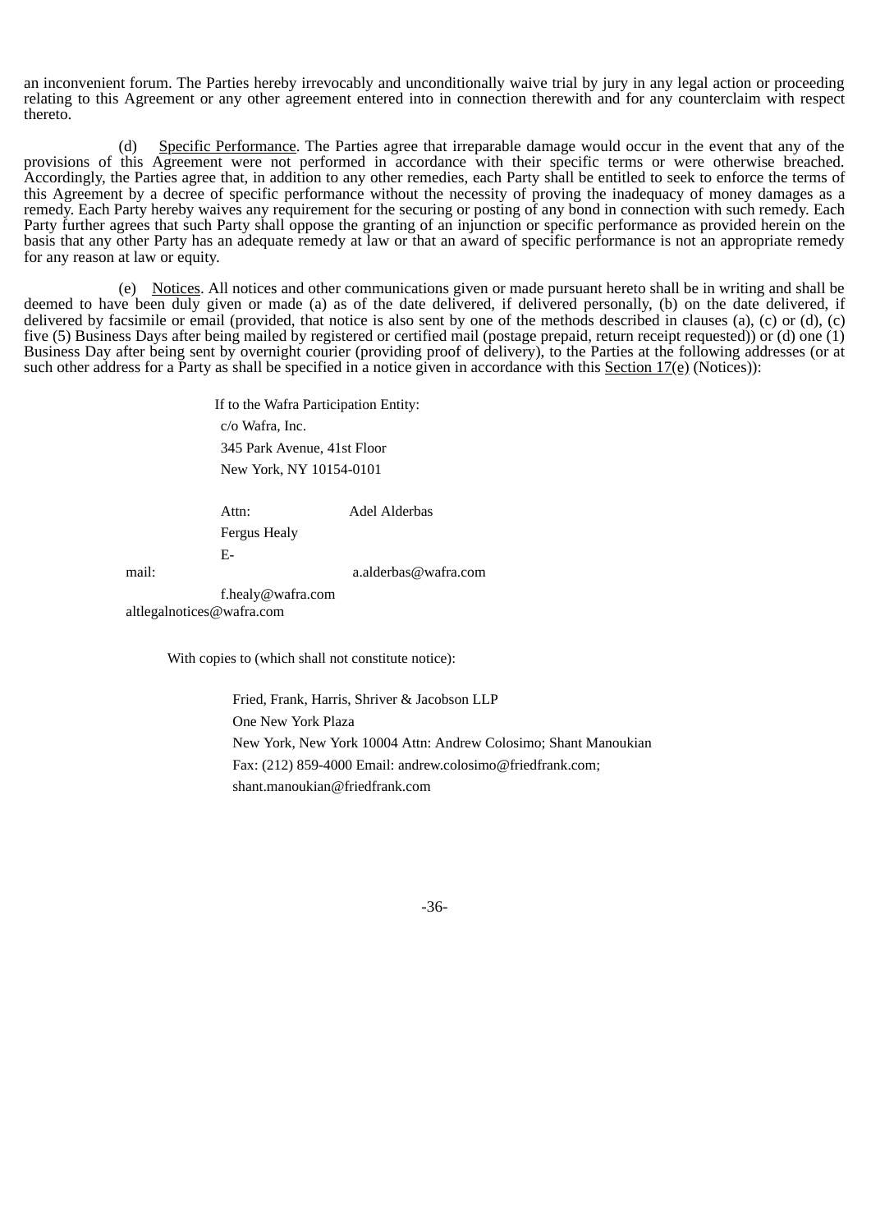an inconvenient forum. The Parties hereby irrevocably and unconditionally waive trial by jury in any legal action or proceeding relating to this Agreement or any other agreement entered into in connection therewith and for any counterclaim with respect thereto.

(d) Specific Performance. The Parties agree that irreparable damage would occur in the event that any of the provisions of this Agreement were not performed in accordance with their specific terms or were otherwise breached. Accordingly, the Parties agree that, in addition to any other remedies, each Party shall be entitled to seek to enforce the terms of this Agreement by a decree of specific performance without the necessity of proving the inadequacy of money damages as a remedy. Each Party hereby waives any requirement for the securing or posting of any bond in connection with such remedy. Each Party further agrees that such Party shall oppose the granting of an injunction or specific performance as provided herein on the basis that any other Party has an adequate remedy at law or that an award of specific performance is not an appropriate remedy for any reason at law or equity.

(e) Notices. All notices and other communications given or made pursuant hereto shall be in writing and shall be deemed to have been duly given or made (a) as of the date delivered, if delivered personally, (b) on the date delivered, if delivered by facsimile or email (provided, that notice is also sent by one of the methods described in clauses (a), (c) or (d), (c) five (5) Business Days after being mailed by registered or certified mail (postage prepaid, return receipt requested)) or (d) one (1) Business Day after being sent by overnight courier (providing proof of delivery), to the Parties at the following addresses (or at such other address for a Party as shall be specified in a notice given in accordance with this Section  $17(e)$  (Notices)):

> If to the Wafra Participation Entity: c/o Wafra, Inc. 345 Park Avenue, 41st Floor New York, NY 10154-0101

Attn: Adel Alderbas

Fergus Healy

mail: a.alderbas@wafra.com

f.healy@wafra.com altlegalnotices@wafra.com

E-

With copies to (which shall not constitute notice):

Fried, Frank, Harris, Shriver & Jacobson LLP One New York Plaza New York, New York 10004 Attn: Andrew Colosimo; Shant Manoukian Fax: (212) 859-4000 Email: andrew.colosimo@friedfrank.com; shant.manoukian@friedfrank.com

-36-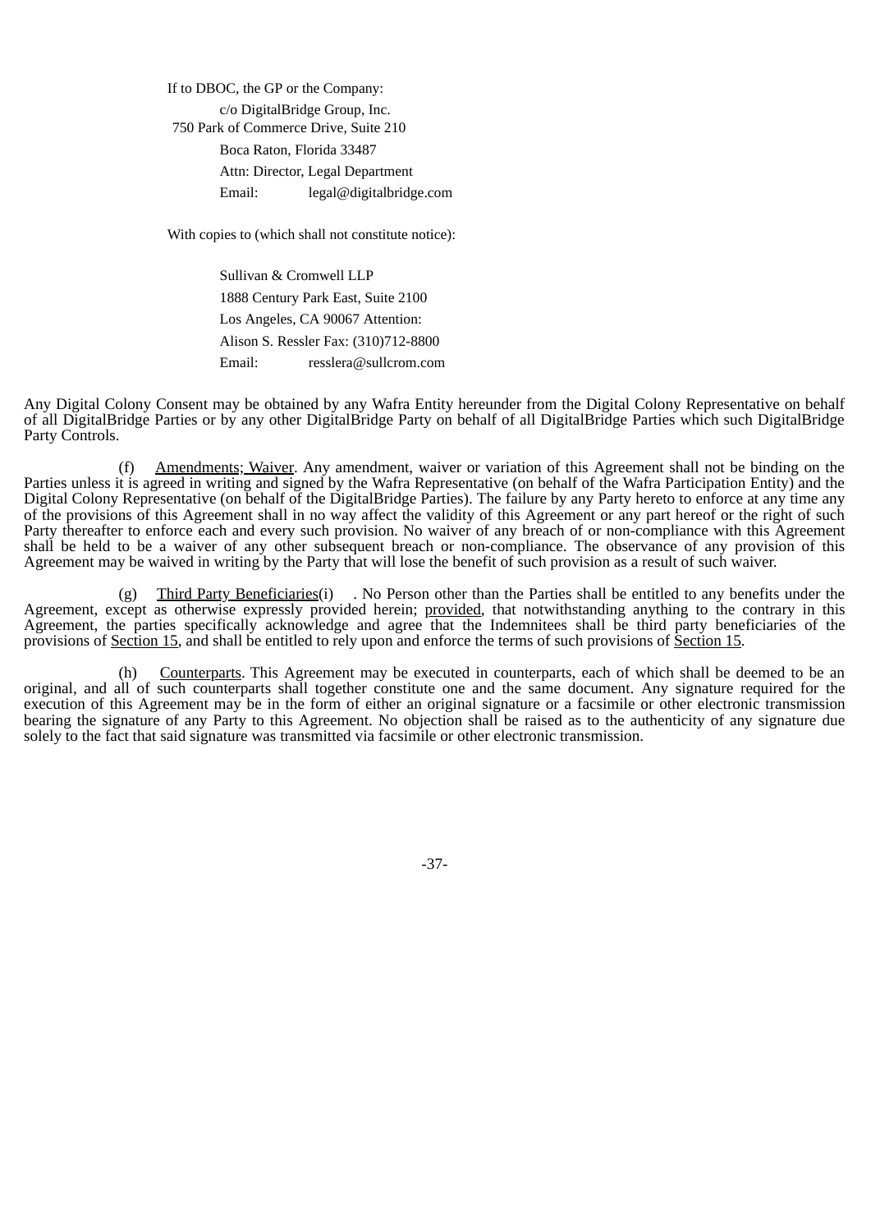If to DBOC, the GP or the Company: c/o DigitalBridge Group, Inc. 750 Park of Commerce Drive, Suite 210 Boca Raton, Florida 33487 Attn: Director, Legal Department Email: legal@digitalbridge.com

With copies to (which shall not constitute notice):

Sullivan & Cromwell LLP 1888 Century Park East, Suite 2100 Los Angeles, CA 90067 Attention: Alison S. Ressler Fax: (310)712-8800 Email: resslera@sullcrom.com

Any Digital Colony Consent may be obtained by any Wafra Entity hereunder from the Digital Colony Representative on behalf of all DigitalBridge Parties or by any other DigitalBridge Party on behalf of all DigitalBridge Parties which such DigitalBridge Party Controls.

(f) Amendments; Waiver. Any amendment, waiver or variation of this Agreement shall not be binding on the Parties unless it is agreed in writing and signed by the Wafra Representative (on behalf of the Wafra Participation Entity) and the Digital Colony Representative (on behalf of the DigitalBridge Parties). The failure by any Party hereto to enforce at any time any of the provisions of this Agreement shall in no way affect the validity of this Agreement or any part hereof or the right of such Party thereafter to enforce each and every such provision. No waiver of any breach of or non-compliance with this Agreement shall be held to be a waiver of any other subsequent breach or non-compliance. The observance of any provision of this Agreement may be waived in writing by the Party that will lose the benefit of such provision as a result of such waiver.

(g) Third Party Beneficiaries(i) . No Person other than the Parties shall be entitled to any benefits under the Agreement, except as otherwise expressly provided herein; provided, that notwithstanding anything to the contrary in this Agreement, the parties specifically acknowledge and agree that the Indemnitees shall be third party beneficiaries of the provisions of Section 15, and shall be entitled to rely upon and enforce the terms of such provisions of Section 15.

(h) Counterparts. This Agreement may be executed in counterparts, each of which shall be deemed to be an original, and all of such counterparts shall together constitute one and the same document. Any signature required for the execution of this Agreement may be in the form of either an original signature or a facsimile or other electronic transmission bearing the signature of any Party to this Agreement. No objection shall be raised as to the authenticity of any signature due solely to the fact that said signature was transmitted via facsimile or other electronic transmission.

-37-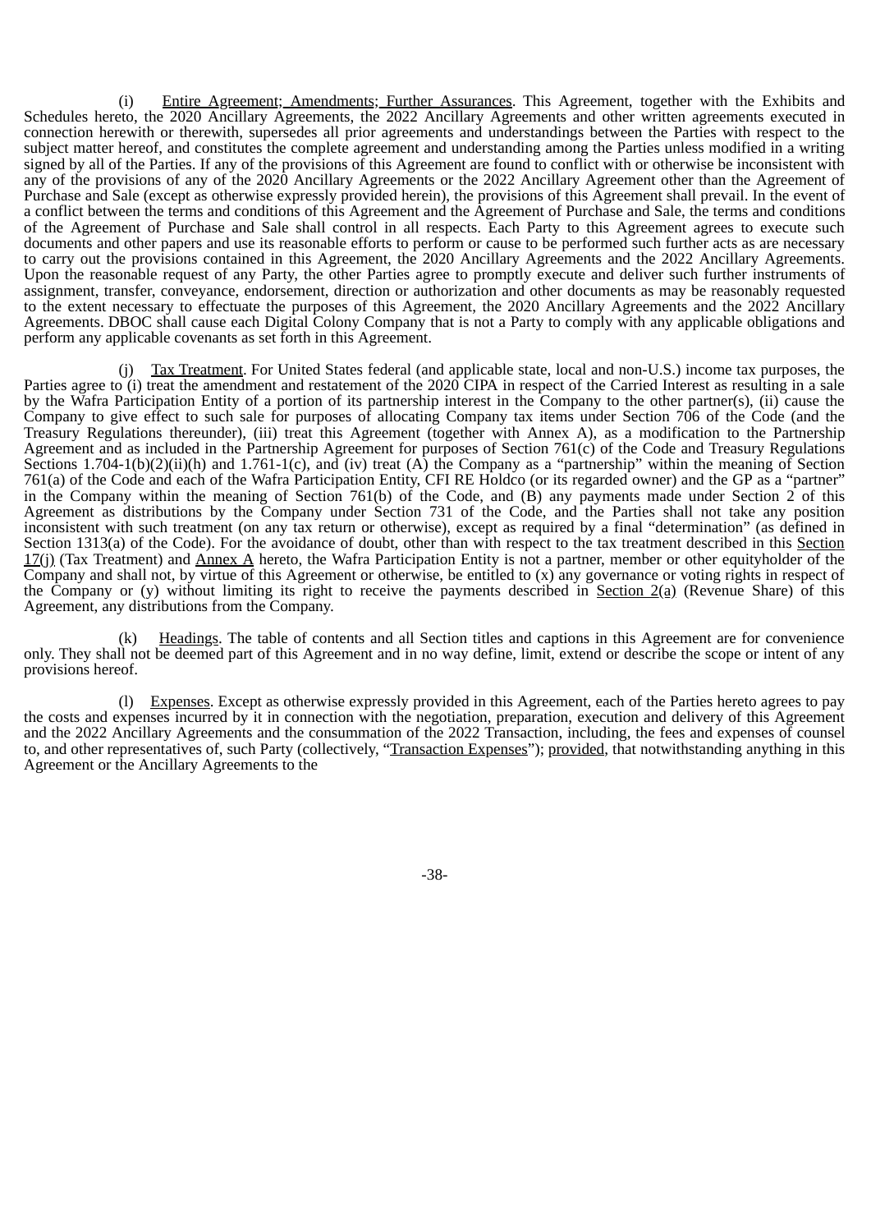(i) Entire Agreement; Amendments; Further Assurances. This Agreement, together with the Exhibits and Schedules hereto, the 2020 Ancillary Agreements, the 2022 Ancillary Agreements and other written agreements executed in connection herewith or therewith, supersedes all prior agreements and understandings between the Parties with respect to the subject matter hereof, and constitutes the complete agreement and understanding among the Parties unless modified in a writing signed by all of the Parties. If any of the provisions of this Agreement are found to conflict with or otherwise be inconsistent with any of the provisions of any of the 2020 Ancillary Agreements or the 2022 Ancillary Agreement other than the Agreement of Purchase and Sale (except as otherwise expressly provided herein), the provisions of this Agreement shall prevail. In the event of a conflict between the terms and conditions of this Agreement and the Agreement of Purchase and Sale, the terms and conditions of the Agreement of Purchase and Sale shall control in all respects. Each Party to this Agreement agrees to execute such documents and other papers and use its reasonable efforts to perform or cause to be performed such further acts as are necessary to carry out the provisions contained in this Agreement, the 2020 Ancillary Agreements and the 2022 Ancillary Agreements. Upon the reasonable request of any Party, the other Parties agree to promptly execute and deliver such further instruments of assignment, transfer, conveyance, endorsement, direction or authorization and other documents as may be reasonably requested to the extent necessary to effectuate the purposes of this Agreement, the 2020 Ancillary Agreements and the 2022 Ancillary Agreements. DBOC shall cause each Digital Colony Company that is not a Party to comply with any applicable obligations and perform any applicable covenants as set forth in this Agreement.

(j) Tax Treatment. For United States federal (and applicable state, local and non-U.S.) income tax purposes, the Parties agree to (i) treat the amendment and restatement of the 2020 CIPA in respect of the Carried Interest as resulting in a sale by the Wafra Participation Entity of a portion of its partnership interest in the Company to the other partner(s), (ii) cause the Company to give effect to such sale for purposes of allocating Company tax items under Section 706 of the Code (and the Treasury Regulations thereunder), (iii) treat this Agreement (together with Annex A), as a modification to the Partnership Agreement and as included in the Partnership Agreement for purposes of Section 761(c) of the Code and Treasury Regulations Sections 1.704-1(b)(2)(ii)(h) and 1.761-1(c), and (iv) treat  $(A)$  the Company as a "partnership" within the meaning of Section 761(a) of the Code and each of the Wafra Participation Entity, CFI RE Holdco (or its regarded owner) and the GP as a "partner" in the Company within the meaning of Section 761(b) of the Code, and (B) any payments made under Section 2 of this Agreement as distributions by the Company under Section 731 of the Code, and the Parties shall not take any position inconsistent with such treatment (on any tax return or otherwise), except as required by a final "determination" (as defined in Section 1313(a) of the Code). For the avoidance of doubt, other than with respect to the tax treatment described in this Section  $17(j)$  (Tax Treatment) and  $\overline{A}$ nnex A hereto, the Wafra Participation Entity is not a partner, member or other equityholder of the Company and shall not, by virtue of this Agreement or otherwise, be entitled to (x) any governance or voting rights in respect of the Company or (y) without limiting its right to receive the payments described in Section  $2(a)$  (Revenue Share) of this Agreement, any distributions from the Company.

(k) Headings. The table of contents and all Section titles and captions in this Agreement are for convenience only. They shall not be deemed part of this Agreement and in no way define, limit, extend or describe the scope or intent of any provisions hereof.

(l) Expenses. Except as otherwise expressly provided in this Agreement, each of the Parties hereto agrees to pay the costs and expenses incurred by it in connection with the negotiation, preparation, execution and delivery of this Agreement and the 2022 Ancillary Agreements and the consummation of the 2022 Transaction, including, the fees and expenses of counsel to, and other representatives of, such Party (collectively, "Transaction Expenses"); provided, that notwithstanding anything in this Agreement or the Ancillary Agreements to the

-38-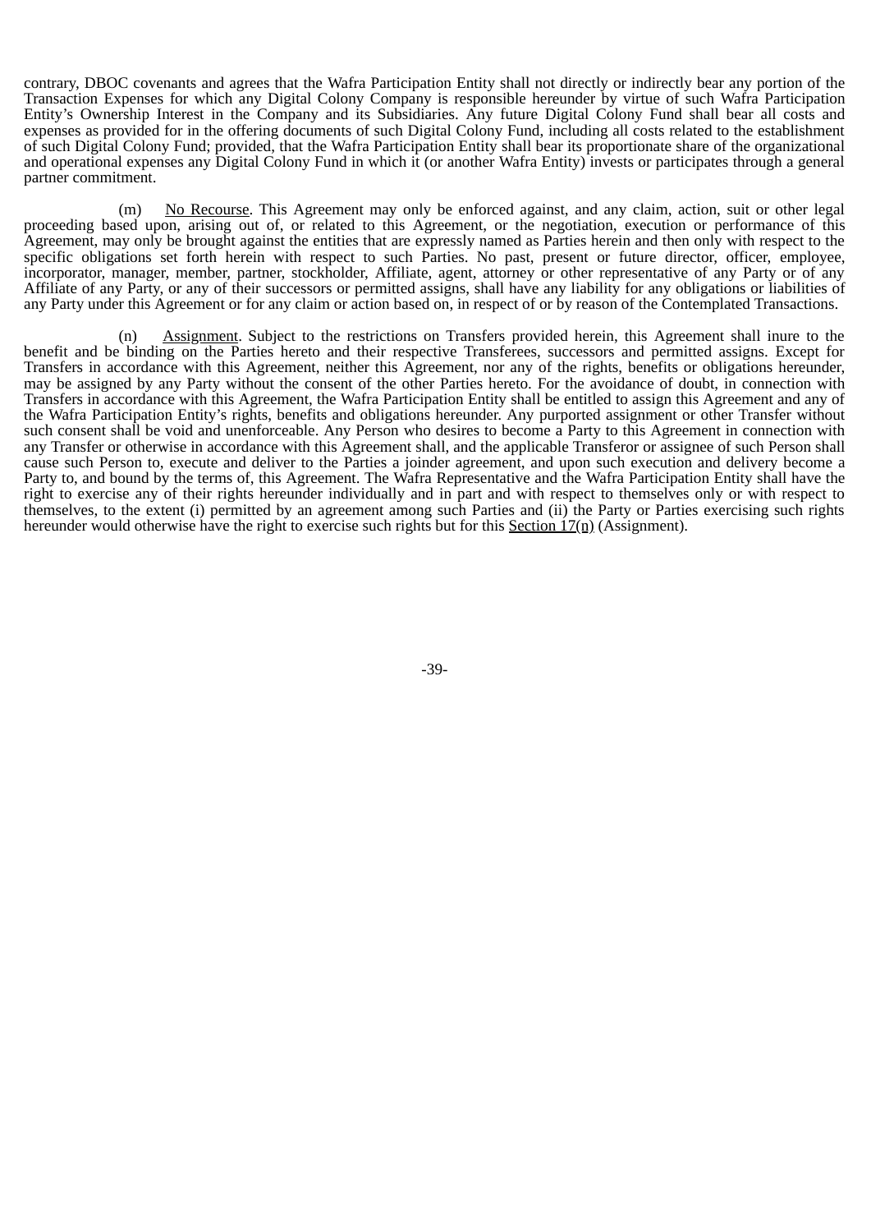contrary, DBOC covenants and agrees that the Wafra Participation Entity shall not directly or indirectly bear any portion of the Transaction Expenses for which any Digital Colony Company is responsible hereunder by virtue of such Wafra Participation Entity's Ownership Interest in the Company and its Subsidiaries. Any future Digital Colony Fund shall bear all costs and expenses as provided for in the offering documents of such Digital Colony Fund, including all costs related to the establishment of such Digital Colony Fund; provided, that the Wafra Participation Entity shall bear its proportionate share of the organizational and operational expenses any Digital Colony Fund in which it (or another Wafra Entity) invests or participates through a general partner commitment.

(m) No Recourse. This Agreement may only be enforced against, and any claim, action, suit or other legal proceeding based upon, arising out of, or related to this Agreement, or the negotiation, execution or performance of this Agreement, may only be brought against the entities that are expressly named as Parties herein and then only with respect to the specific obligations set forth herein with respect to such Parties. No past, present or future director, officer, employee, incorporator, manager, member, partner, stockholder, Affiliate, agent, attorney or other representative of any Party or of any Affiliate of any Party, or any of their successors or permitted assigns, shall have any liability for any obligations or liabilities of any Party under this Agreement or for any claim or action based on, in respect of or by reason of the Contemplated Transactions.

(n) Assignment. Subject to the restrictions on Transfers provided herein, this Agreement shall inure to the benefit and be binding on the Parties hereto and their respective Transferees, successors and permitted assigns. Except for Transfers in accordance with this Agreement, neither this Agreement, nor any of the rights, benefits or obligations hereunder, may be assigned by any Party without the consent of the other Parties hereto. For the avoidance of doubt, in connection with Transfers in accordance with this Agreement, the Wafra Participation Entity shall be entitled to assign this Agreement and any of the Wafra Participation Entity's rights, benefits and obligations hereunder. Any purported assignment or other Transfer without such consent shall be void and unenforceable. Any Person who desires to become a Party to this Agreement in connection with any Transfer or otherwise in accordance with this Agreement shall, and the applicable Transferor or assignee of such Person shall cause such Person to, execute and deliver to the Parties a joinder agreement, and upon such execution and delivery become a Party to, and bound by the terms of, this Agreement. The Wafra Representative and the Wafra Participation Entity shall have the right to exercise any of their rights hereunder individually and in part and with respect to themselves only or with respect to themselves, to the extent (i) permitted by an agreement among such Parties and (ii) the Party or Parties exercising such rights hereunder would otherwise have the right to exercise such rights but for this Section 17(n) (Assignment).

-39-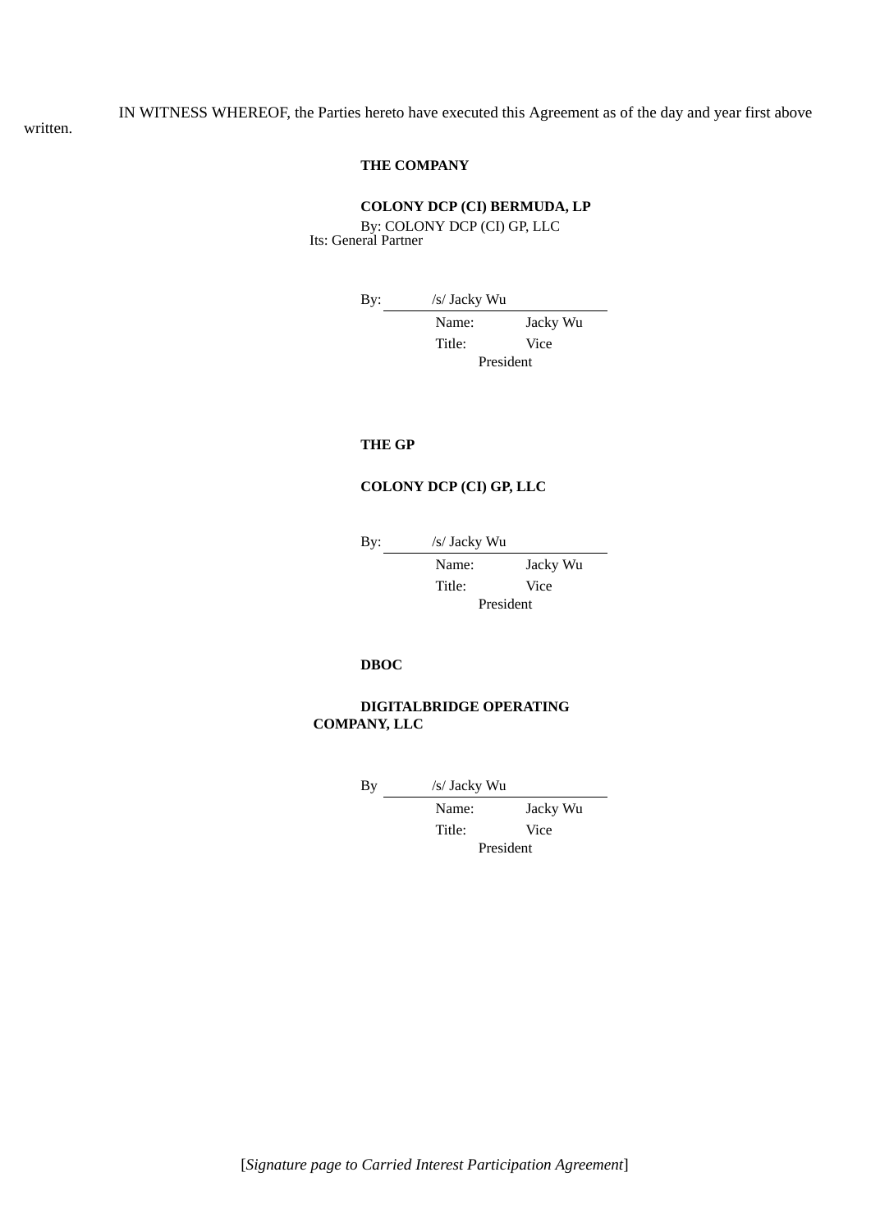IN WITNESS WHEREOF, the Parties hereto have executed this Agreement as of the day and year first above

written.

# **THE COMPANY**

# **COLONY DCP (CI) BERMUDA, LP**

By: COLONY DCP (CI) GP, LLC Its: General Partner

By: /s/ Jacky Wu

Name: Jacky Wu Title: Vice President

# **THE GP**

### **COLONY DCP (CI) GP, LLC**

By: /s/ Jacky Wu

Name: Jacky Wu Title: Vice President

# **DBOC**

# **DIGITALBRIDGE OPERATING COMPANY, LLC**

By /s/ Jacky Wu

Name: Jacky Wu Title: Vice President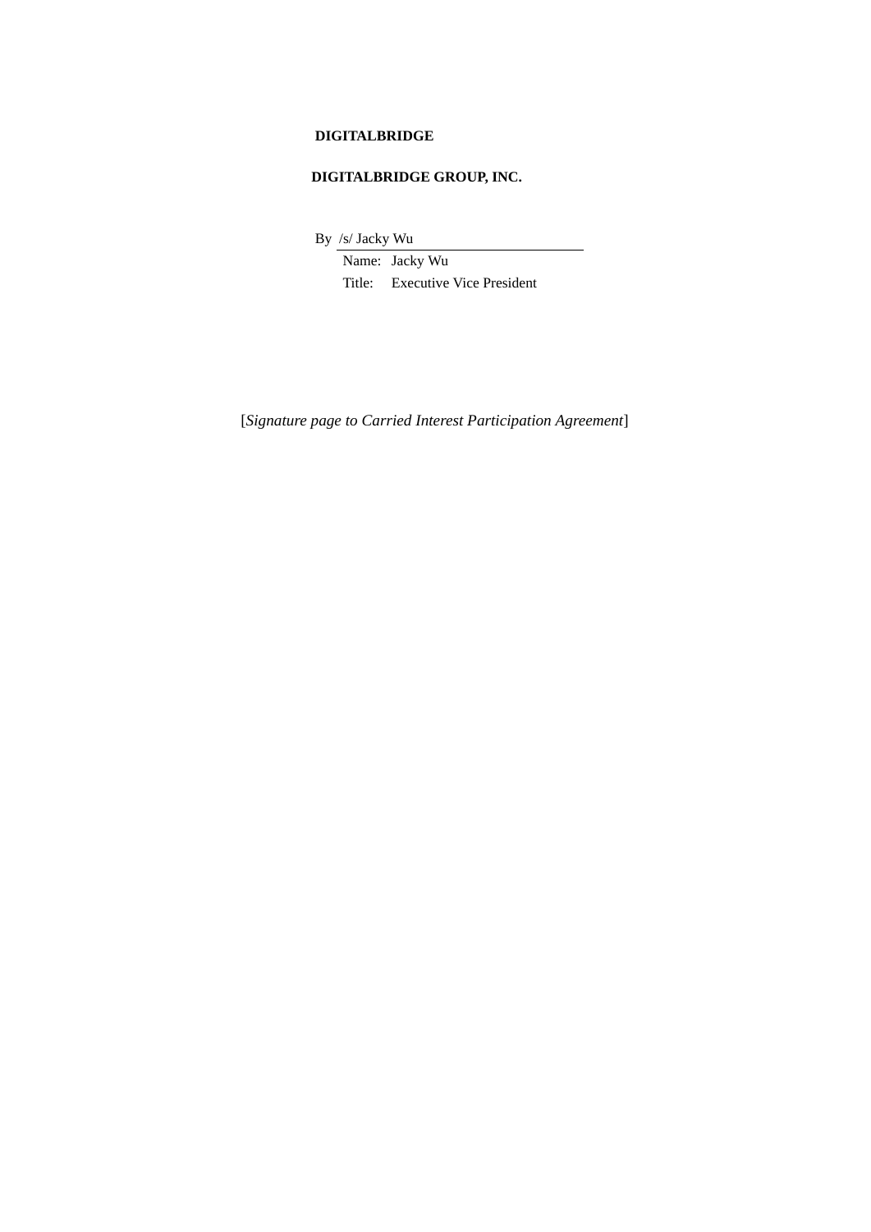# **DIGITALBRIDGE**

# **DIGITALBRIDGE GROUP, INC.**

By /s/ Jacky Wu

Name: Jacky Wu Title: Executive Vice President

[*Signature page to Carried Interest Participation Agreement*]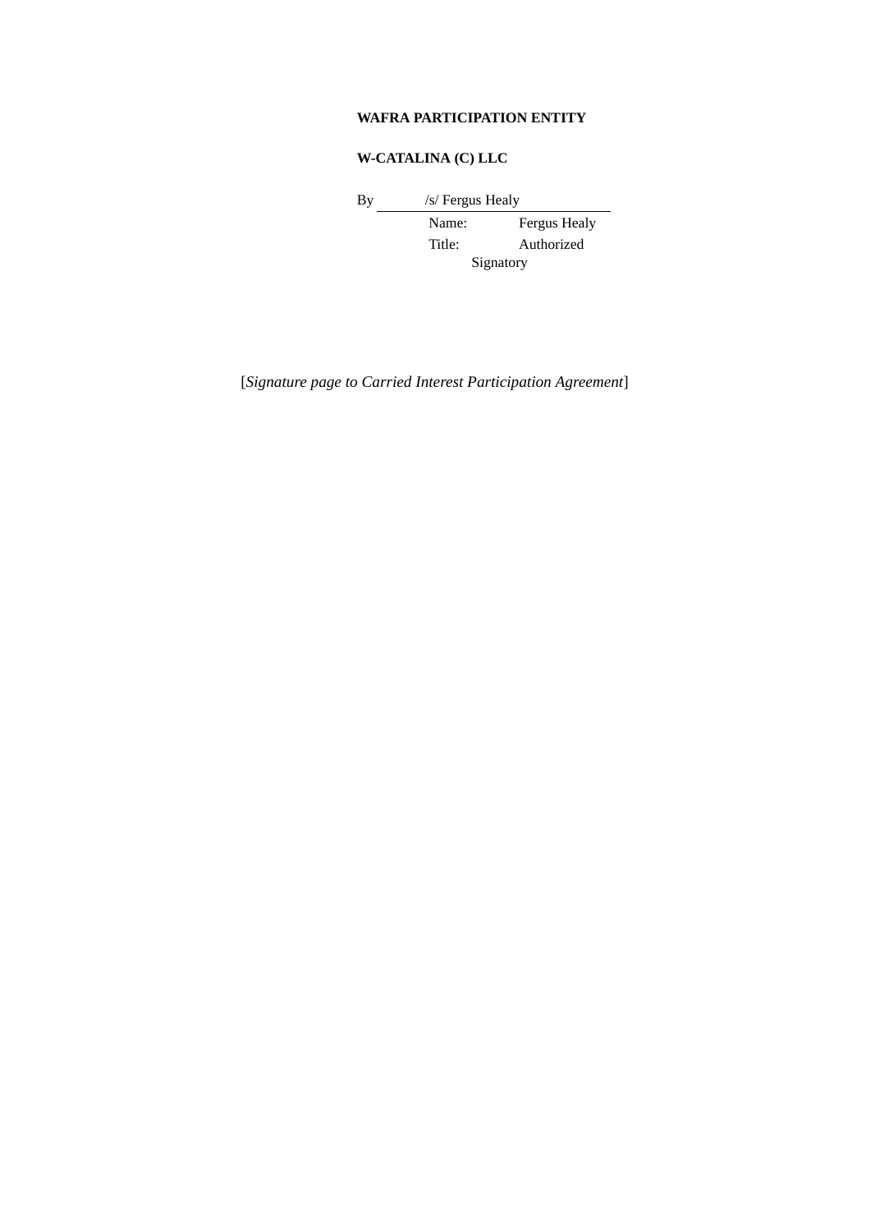# **WAFRA PARTICIPATION ENTITY**

# **W-CATALINA (C) LLC**

By /s/ Fergus Healy

Name: Fergus Healy Title: Authorized Signatory

[*Signature page to Carried Interest Participation Agreement*]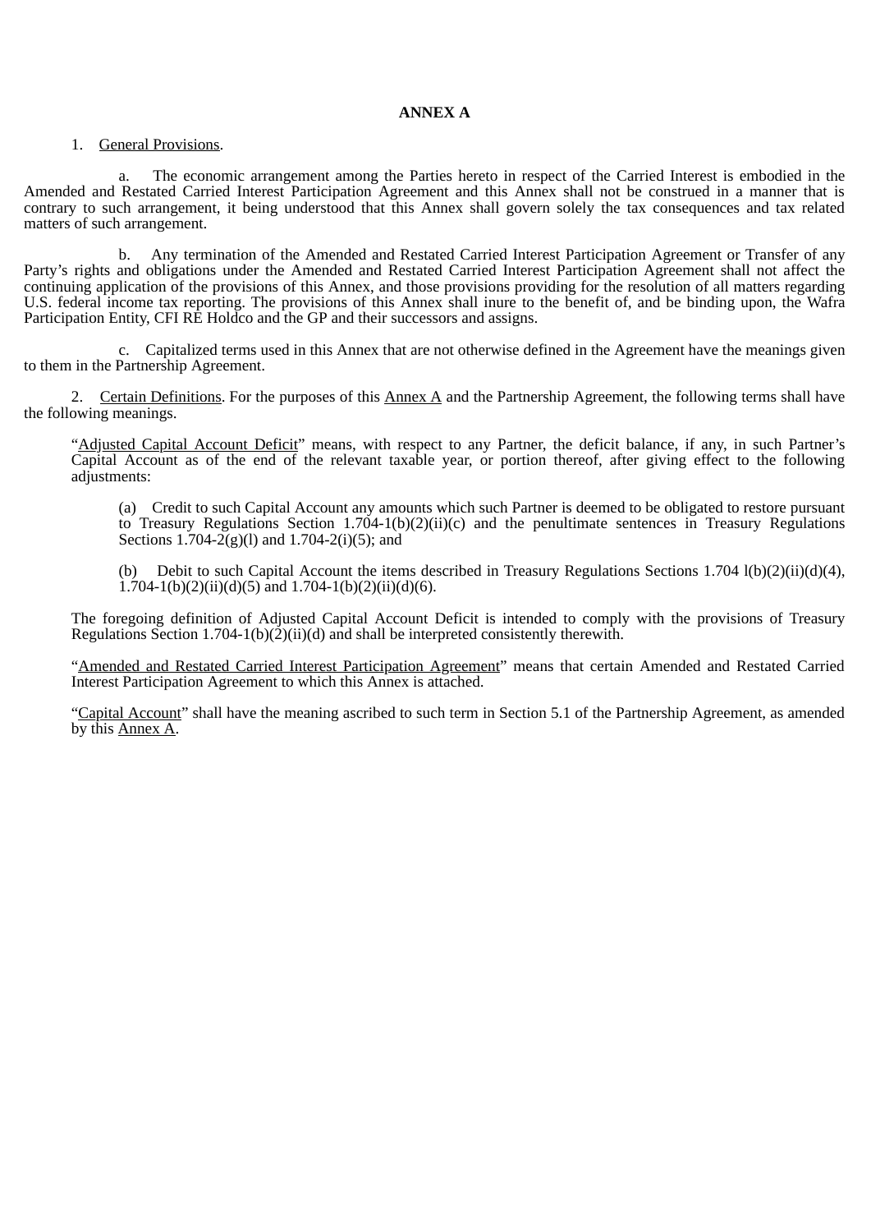# 1. General Provisions.

a. The economic arrangement among the Parties hereto in respect of the Carried Interest is embodied in the Amended and Restated Carried Interest Participation Agreement and this Annex shall not be construed in a manner that is contrary to such arrangement, it being understood that this Annex shall govern solely the tax consequences and tax related matters of such arrangement.

b. Any termination of the Amended and Restated Carried Interest Participation Agreement or Transfer of any Party's rights and obligations under the Amended and Restated Carried Interest Participation Agreement shall not affect the continuing application of the provisions of this Annex, and those provisions providing for the resolution of all matters regarding U.S. federal income tax reporting. The provisions of this Annex shall inure to the benefit of, and be binding upon, the Wafra Participation Entity, CFI RE Holdco and the GP and their successors and assigns.

c. Capitalized terms used in this Annex that are not otherwise defined in the Agreement have the meanings given to them in the Partnership Agreement.

2. Certain Definitions. For the purposes of this Annex A and the Partnership Agreement, the following terms shall have the following meanings.

"Adjusted Capital Account Deficit" means, with respect to any Partner, the deficit balance, if any, in such Partner's Capital Account as of the end of the relevant taxable year, or portion thereof, after giving effect to the following adiustments:

(a) Credit to such Capital Account any amounts which such Partner is deemed to be obligated to restore pursuant to Treasury Regulations Section 1.704-1(b)(2)(ii)(c) and the penultimate sentences in Treasury Regulations Sections 1.704-2(g)(l) and 1.704-2(i)(5); and

(b) Debit to such Capital Account the items described in Treasury Regulations Sections 1.704 l(b)(2)(ii)(d)(4),  $1.704-1(b)(2)(ii)(d)(5)$  and  $1.704-1(b)(2)(ii)(d)(6)$ .

The foregoing definition of Adjusted Capital Account Deficit is intended to comply with the provisions of Treasury Regulations Section 1.704-1(b)(2)(ii)(d) and shall be interpreted consistently therewith.

"Amended and Restated Carried Interest Participation Agreement" means that certain Amended and Restated Carried Interest Participation Agreement to which this Annex is attached.

"Capital Account" shall have the meaning ascribed to such term in Section 5.1 of the Partnership Agreement, as amended by this Annex A.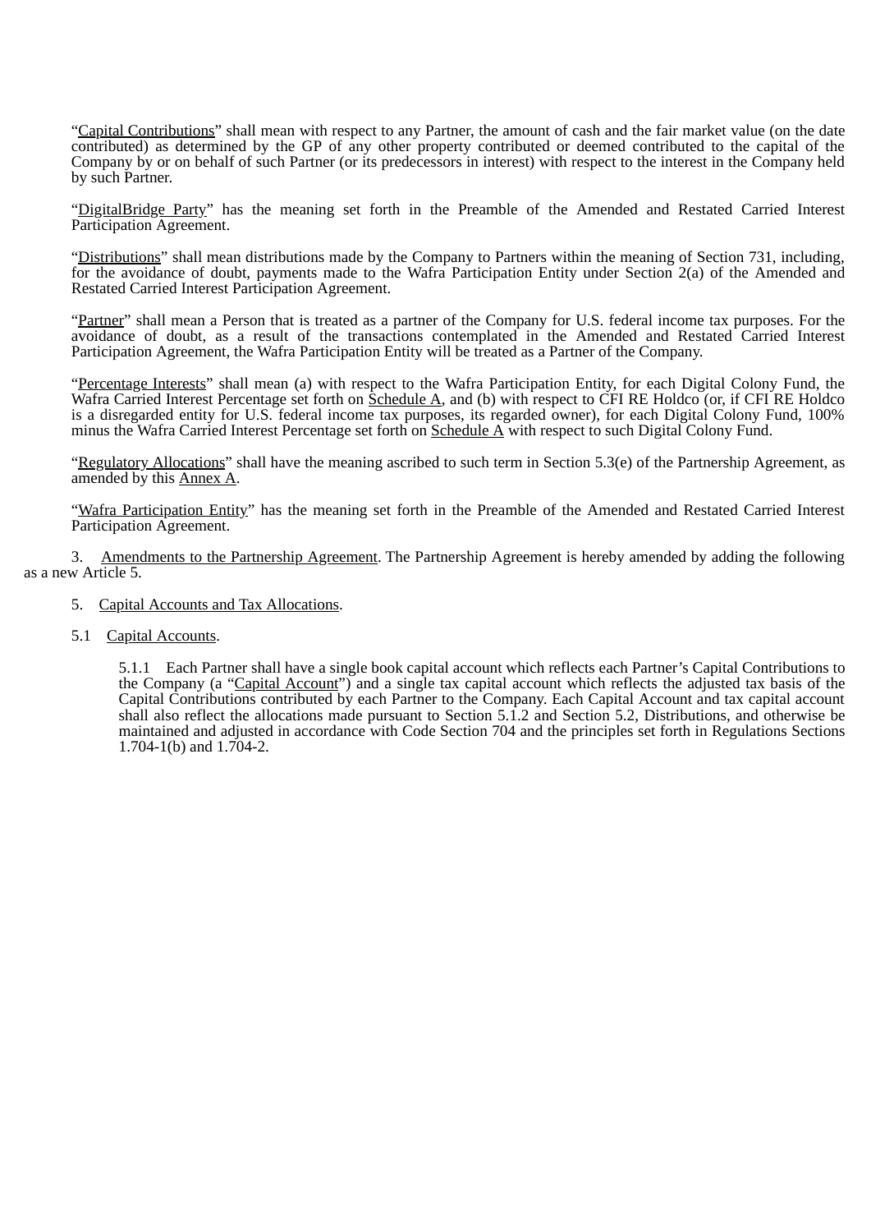"Capital Contributions" shall mean with respect to any Partner, the amount of cash and the fair market value (on the date contributed) as determined by the GP of any other property contributed or deemed contributed to the capital of the Company by or on behalf of such Partner (or its predecessors in interest) with respect to the interest in the Company held by such Partner.

"DigitalBridge Party" has the meaning set forth in the Preamble of the Amended and Restated Carried Interest Participation Agreement.

"Distributions" shall mean distributions made by the Company to Partners within the meaning of Section 731, including, for the avoidance of doubt, payments made to the Wafra Participation Entity under Section 2(a) of the Amended and Restated Carried Interest Participation Agreement.

"Partner" shall mean a Person that is treated as a partner of the Company for U.S. federal income tax purposes. For the avoidance of doubt, as a result of the transactions contemplated in the Amended and Restated Carried Interest Participation Agreement, the Wafra Participation Entity will be treated as a Partner of the Company.

"Percentage Interests" shall mean (a) with respect to the Wafra Participation Entity, for each Digital Colony Fund, the Wafra Carried Interest Percentage set forth on  $\frac{\dot{S}}{\dot{S}}$ chedule A, and (b) with respect to CFI RE Holdco (or, if CFI RE Holdco is a disregarded entity for U.S. federal income tax purposes, its regarded owner), for each Digital Colony Fund, 100% minus the Wafra Carried Interest Percentage set forth on Schedule A with respect to such Digital Colony Fund.

"Regulatory Allocations" shall have the meaning ascribed to such term in Section 5.3(e) of the Partnership Agreement, as amended by this Annex A.

"Wafra Participation Entity" has the meaning set forth in the Preamble of the Amended and Restated Carried Interest Participation Agreement.

3. Amendments to the Partnership Agreement. The Partnership Agreement is hereby amended by adding the following as a new Article 5.

- 5. Capital Accounts and Tax Allocations.
- 5.1 Capital Accounts.

5.1.1 Each Partner shall have a single book capital account which reflects each Partner's Capital Contributions to the Company (a "Capital Account") and a single tax capital account which reflects the adjusted tax basis of the Capital Contributions contributed by each Partner to the Company. Each Capital Account and tax capital account shall also reflect the allocations made pursuant to Section 5.1.2 and Section 5.2, Distributions, and otherwise be maintained and adjusted in accordance with Code Section 704 and the principles set forth in Regulations Sections 1.704-1(b) and 1.704-2.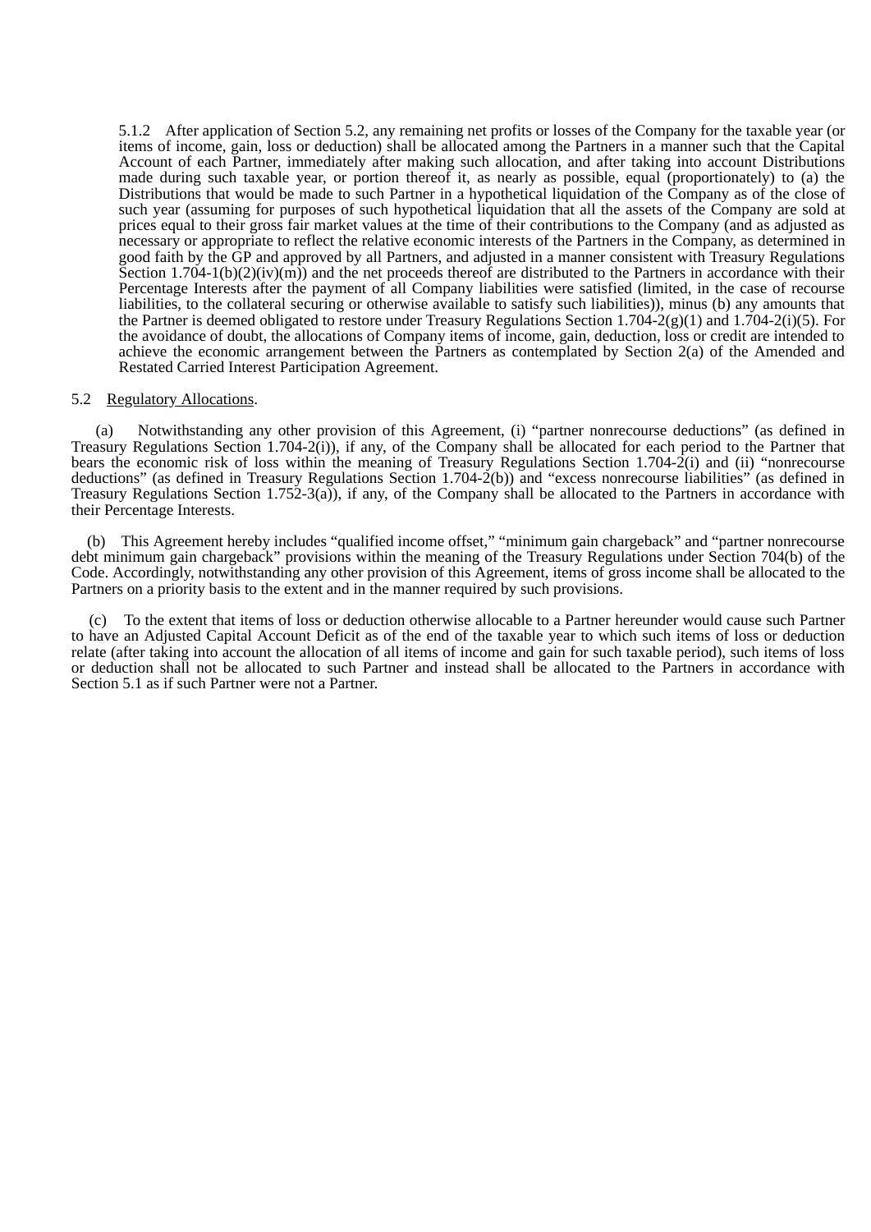5.1.2 After application of Section 5.2, any remaining net profits or losses of the Company for the taxable year (or items of income, gain, loss or deduction) shall be allocated among the Partners in a manner such that the Capital Account of each Partner, immediately after making such allocation, and after taking into account Distributions made during such taxable year, or portion thereof it, as nearly as possible, equal (proportionately) to (a) the Distributions that would be made to such Partner in a hypothetical liquidation of the Company as of the close of such year (assuming for purposes of such hypothetical liquidation that all the assets of the Company are sold at prices equal to their gross fair market values at the time of their contributions to the Company (and as adjusted as necessary or appropriate to reflect the relative economic interests of the Partners in the Company, as determined in good faith by the GP and approved by all Partners, and adjusted in a manner consistent with Treasury Regulations Section 1.704-1(b)(2)(iv)(m)) and the net proceeds thereof are distributed to the Partners in accordance with their Percentage Interests after the payment of all Company liabilities were satisfied (limited, in the case of recourse liabilities, to the collateral securing or otherwise available to satisfy such liabilities)), minus (b) any amounts that the Partner is deemed obligated to restore under Treasury Regulations Section  $1.704-2(g)(1)$  and  $1.704-2(i)(5)$ . For the avoidance of doubt, the allocations of Company items of income, gain, deduction, loss or credit are intended to achieve the economic arrangement between the Partners as contemplated by Section 2(a) of the Amended and Restated Carried Interest Participation Agreement.

#### 5.2 Regulatory Allocations.

(a) Notwithstanding any other provision of this Agreement, (i) "partner nonrecourse deductions" (as defined in Treasury Regulations Section 1.704-2(i)), if any, of the Company shall be allocated for each period to the Partner that bears the economic risk of loss within the meaning of Treasury Regulations Section 1.704-2(i) and (ii) "nonrecourse deductions" (as defined in Treasury Regulations Section 1.704-2(b)) and "excess nonrecourse liabilities" (as defined in Treasury Regulations Section 1.752-3(a)), if any, of the Company shall be allocated to the Partners in accordance with their Percentage Interests.

 (b) This Agreement hereby includes "qualified income offset," "minimum gain chargeback" and "partner nonrecourse debt minimum gain chargeback" provisions within the meaning of the Treasury Regulations under Section 704(b) of the Code. Accordingly, notwithstanding any other provision of this Agreement, items of gross income shall be allocated to the Partners on a priority basis to the extent and in the manner required by such provisions.

(c) To the extent that items of loss or deduction otherwise allocable to a Partner hereunder would cause such Partner to have an Adjusted Capital Account Deficit as of the end of the taxable year to which such items of loss or deduction relate (after taking into account the allocation of all items of income and gain for such taxable period), such items of loss or deduction shall not be allocated to such Partner and instead shall be allocated to the Partners in accordance with Section 5.1 as if such Partner were not a Partner.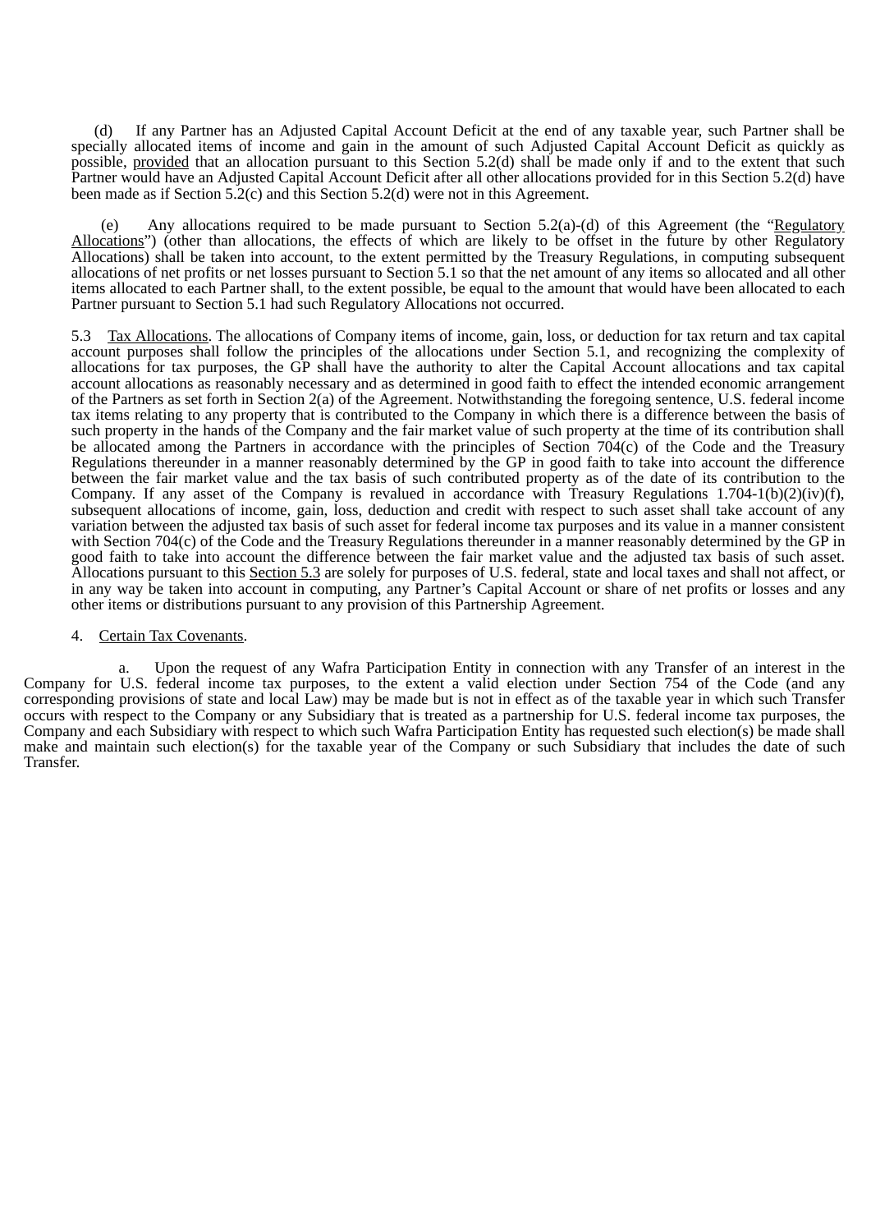(d) If any Partner has an Adjusted Capital Account Deficit at the end of any taxable year, such Partner shall be specially allocated items of income and gain in the amount of such Adjusted Capital Account Deficit as quickly as possible, provided that an allocation pursuant to this Section 5.2(d) shall be made only if and to the extent that such Partner would have an Adjusted Capital Account Deficit after all other allocations provided for in this Section 5.2(d) have been made as if Section 5.2(c) and this Section 5.2(d) were not in this Agreement.

Any allocations required to be made pursuant to Section 5.2(a)-(d) of this Agreement (the "Regulatory Allocations") (other than allocations, the effects of which are likely to be offset in the future by other Regulatory Allocations) shall be taken into account, to the extent permitted by the Treasury Regulations, in computing subsequent allocations of net profits or net losses pursuant to Section 5.1 so that the net amount of any items so allocated and all other items allocated to each Partner shall, to the extent possible, be equal to the amount that would have been allocated to each Partner pursuant to Section 5.1 had such Regulatory Allocations not occurred.

5.3 Tax Allocations. The allocations of Company items of income, gain, loss, or deduction for tax return and tax capital account purposes shall follow the principles of the allocations under Section 5.1, and recognizing the complexity of allocations for tax purposes, the GP shall have the authority to alter the Capital Account allocations and tax capital account allocations as reasonably necessary and as determined in good faith to effect the intended economic arrangement of the Partners as set forth in Section 2(a) of the Agreement. Notwithstanding the foregoing sentence, U.S. federal income tax items relating to any property that is contributed to the Company in which there is a difference between the basis of such property in the hands of the Company and the fair market value of such property at the time of its contribution shall be allocated among the Partners in accordance with the principles of Section 704(c) of the Code and the Treasury Regulations thereunder in a manner reasonably determined by the GP in good faith to take into account the difference between the fair market value and the tax basis of such contributed property as of the date of its contribution to the Company. If any asset of the Company is revalued in accordance with Treasury Regulations 1.704-1(b)(2)(iv)(f), subsequent allocations of income, gain, loss, deduction and credit with respect to such asset shall take account of any variation between the adjusted tax basis of such asset for federal income tax purposes and its value in a manner consistent with Section 704(c) of the Code and the Treasury Regulations thereunder in a manner reasonably determined by the GP in good faith to take into account the difference between the fair market value and the adjusted tax basis of such asset. Allocations pursuant to this Section 5.3 are solely for purposes of U.S. federal, state and local taxes and shall not affect, or in any way be taken into account in computing, any Partner's Capital Account or share of net profits or losses and any other items or distributions pursuant to any provision of this Partnership Agreement.

# 4. Certain Tax Covenants.

a. Upon the request of any Wafra Participation Entity in connection with any Transfer of an interest in the Company for U.S. federal income tax purposes, to the extent a valid election under Section 754 of the Code (and any corresponding provisions of state and local Law) may be made but is not in effect as of the taxable year in which such Transfer occurs with respect to the Company or any Subsidiary that is treated as a partnership for U.S. federal income tax purposes, the Company and each Subsidiary with respect to which such Wafra Participation Entity has requested such election(s) be made shall make and maintain such election(s) for the taxable year of the Company or such Subsidiary that includes the date of such Transfer.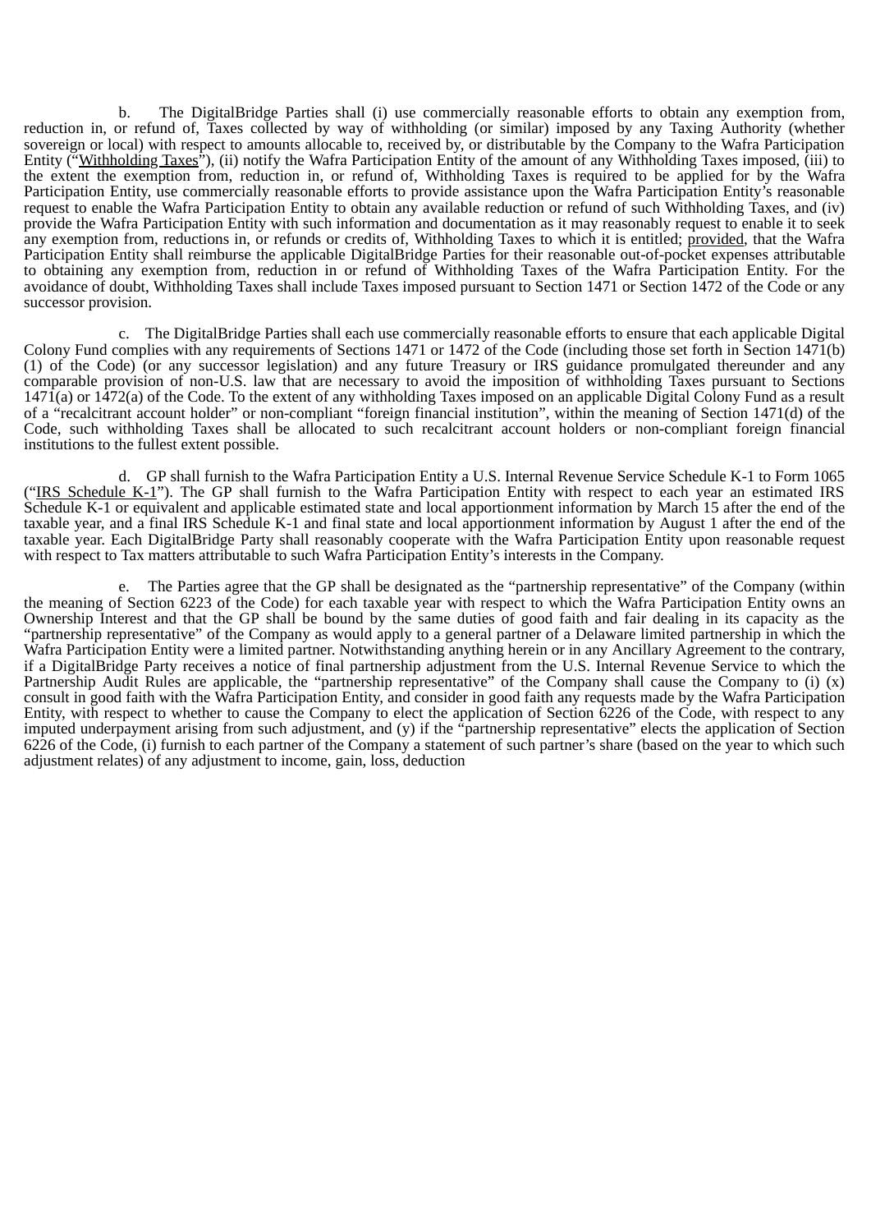b. The DigitalBridge Parties shall (i) use commercially reasonable efforts to obtain any exemption from, reduction in, or refund of, Taxes collected by way of withholding (or similar) imposed by any Taxing Authority (whether sovereign or local) with respect to amounts allocable to, received by, or distributable by the Company to the Wafra Participation Entity ("Withholding Taxes"), (ii) notify the Wafra Participation Entity of the amount of any Withholding Taxes imposed, (iii) to the extent the exemption from, reduction in, or refund of, Withholding Taxes is required to be applied for by the Wafra Participation Entity, use commercially reasonable efforts to provide assistance upon the Wafra Participation Entity's reasonable request to enable the Wafra Participation Entity to obtain any available reduction or refund of such Withholding Taxes, and (iv) provide the Wafra Participation Entity with such information and documentation as it may reasonably request to enable it to seek any exemption from, reductions in, or refunds or credits of, Withholding Taxes to which it is entitled; provided, that the Wafra Participation Entity shall reimburse the applicable DigitalBridge Parties for their reasonable out-of-pocket expenses attributable to obtaining any exemption from, reduction in or refund of Withholding Taxes of the Wafra Participation Entity. For the avoidance of doubt, Withholding Taxes shall include Taxes imposed pursuant to Section 1471 or Section 1472 of the Code or any successor provision.

c. The DigitalBridge Parties shall each use commercially reasonable efforts to ensure that each applicable Digital Colony Fund complies with any requirements of Sections 1471 or 1472 of the Code (including those set forth in Section 1471(b) (1) of the Code) (or any successor legislation) and any future Treasury or IRS guidance promulgated thereunder and any comparable provision of non-U.S. law that are necessary to avoid the imposition of withholding Taxes pursuant to Sections 1471(a) or 1472(a) of the Code. To the extent of any withholding Taxes imposed on an applicable Digital Colony Fund as a result of a "recalcitrant account holder" or non-compliant "foreign financial institution", within the meaning of Section 1471(d) of the Code, such withholding Taxes shall be allocated to such recalcitrant account holders or non-compliant foreign financial institutions to the fullest extent possible.

d. GP shall furnish to the Wafra Participation Entity a U.S. Internal Revenue Service Schedule K-1 to Form 1065 ("IRS Schedule K-1"). The GP shall furnish to the Wafra Participation Entity with respect to each year an estimated IRS Schedule K-1 or equivalent and applicable estimated state and local apportionment information by March 15 after the end of the taxable year, and a final IRS Schedule K-1 and final state and local apportionment information by August 1 after the end of the taxable year. Each DigitalBridge Party shall reasonably cooperate with the Wafra Participation Entity upon reasonable request with respect to Tax matters attributable to such Wafra Participation Entity's interests in the Company.

The Parties agree that the GP shall be designated as the "partnership representative" of the Company (within the meaning of Section 6223 of the Code) for each taxable year with respect to which the Wafra Participation Entity owns an Ownership Interest and that the GP shall be bound by the same duties of good faith and fair dealing in its capacity as the "partnership representative" of the Company as would apply to a general partner of a Delaware limited partnership in which the Wafra Participation Entity were a limited partner. Notwithstanding anything herein or in any Ancillary Agreement to the contrary, if a DigitalBridge Party receives a notice of final partnership adjustment from the U.S. Internal Revenue Service to which the Partnership Audit Rules are applicable, the "partnership representative" of the Company shall cause the Company to (i) (x) consult in good faith with the Wafra Participation Entity, and consider in good faith any requests made by the Wafra Participation Entity, with respect to whether to cause the Company to elect the application of Section 6226 of the Code, with respect to any imputed underpayment arising from such adjustment, and (y) if the "partnership representative" elects the application of Section 6226 of the Code, (i) furnish to each partner of the Company a statement of such partner's share (based on the year to which such adjustment relates) of any adjustment to income, gain, loss, deduction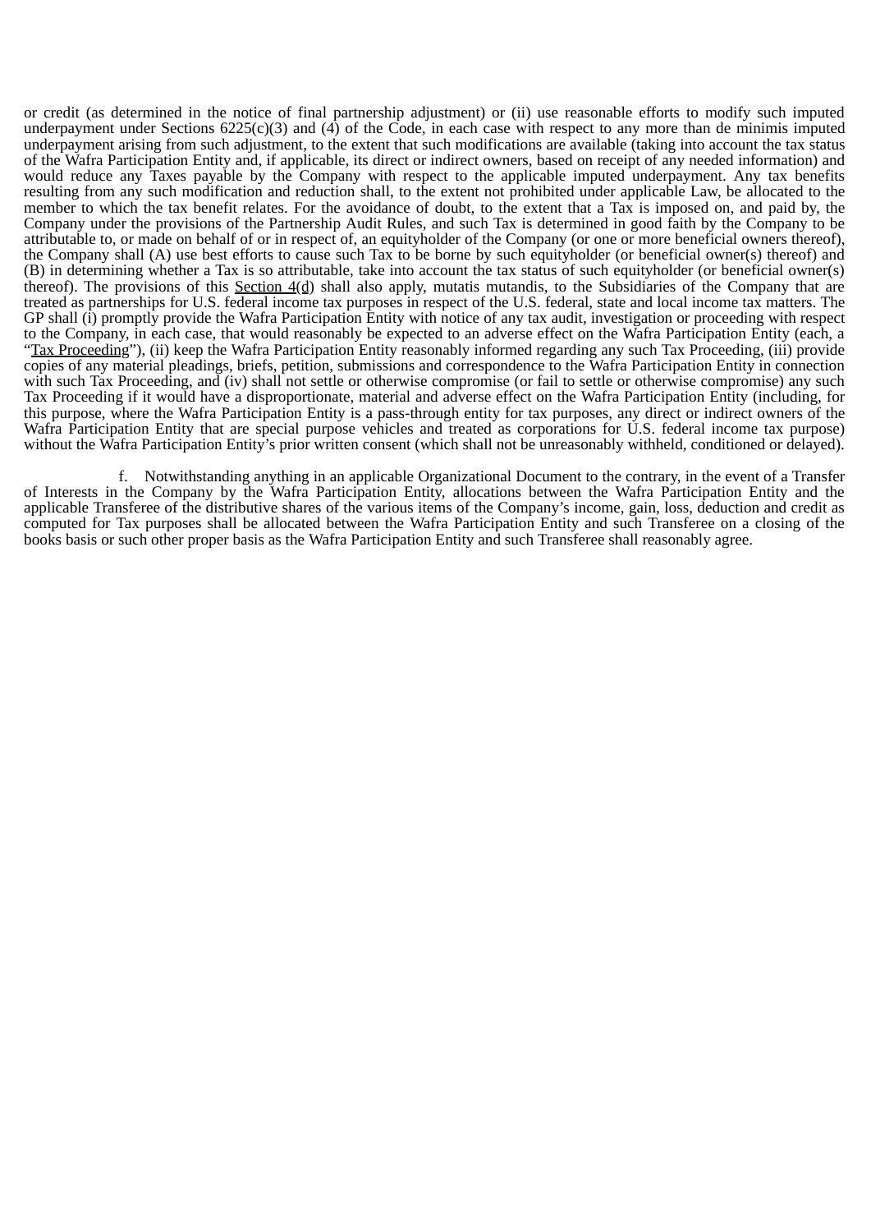or credit (as determined in the notice of final partnership adjustment) or (ii) use reasonable efforts to modify such imputed underpayment under Sections  $6225(c)(3)$  and  $(4)$  of the Code, in each case with respect to any more than de minimis imputed underpayment arising from such adjustment, to the extent that such modifications are available (taking into account the tax status of the Wafra Participation Entity and, if applicable, its direct or indirect owners, based on receipt of any needed information) and would reduce any Taxes payable by the Company with respect to the applicable imputed underpayment. Any tax benefits resulting from any such modification and reduction shall, to the extent not prohibited under applicable Law, be allocated to the member to which the tax benefit relates. For the avoidance of doubt, to the extent that a Tax is imposed on, and paid by, the Company under the provisions of the Partnership Audit Rules, and such Tax is determined in good faith by the Company to be attributable to, or made on behalf of or in respect of, an equityholder of the Company (or one or more beneficial owners thereof), the Company shall (A) use best efforts to cause such Tax to be borne by such equityholder (or beneficial owner(s) thereof) and (B) in determining whether a Tax is so attributable, take into account the tax status of such equityholder (or beneficial owner(s) thereof). The provisions of this Section 4(d) shall also apply, mutatis mutandis, to the Subsidiaries of the Company that are treated as partnerships for U.S. federal income tax purposes in respect of the U.S. federal, state and local income tax matters. The GP shall (i) promptly provide the Wafra Participation Entity with notice of any tax audit, investigation or proceeding with respect to the Company, in each case, that would reasonably be expected to an adverse effect on the Wafra Participation Entity (each, a "Tax Proceeding"), (ii) keep the Wafra Participation Entity reasonably informed regarding any such Tax Proceeding, (iii) provide copies of any material pleadings, briefs, petition, submissions and correspondence to the Wafra Participation Entity in connection with such Tax Proceeding, and (iv) shall not settle or otherwise compromise (or fail to settle or otherwise compromise) any such Tax Proceeding if it would have a disproportionate, material and adverse effect on the Wafra Participation Entity (including, for this purpose, where the Wafra Participation Entity is a pass-through entity for tax purposes, any direct or indirect owners of the Wafra Participation Entity that are special purpose vehicles and treated as corporations for U.S. federal income tax purpose) without the Wafra Participation Entity's prior written consent (which shall not be unreasonably withheld, conditioned or delayed).

f. Notwithstanding anything in an applicable Organizational Document to the contrary, in the event of a Transfer of Interests in the Company by the Wafra Participation Entity, allocations between the Wafra Participation Entity and the applicable Transferee of the distributive shares of the various items of the Company's income, gain, loss, deduction and credit as computed for Tax purposes shall be allocated between the Wafra Participation Entity and such Transferee on a closing of the books basis or such other proper basis as the Wafra Participation Entity and such Transferee shall reasonably agree.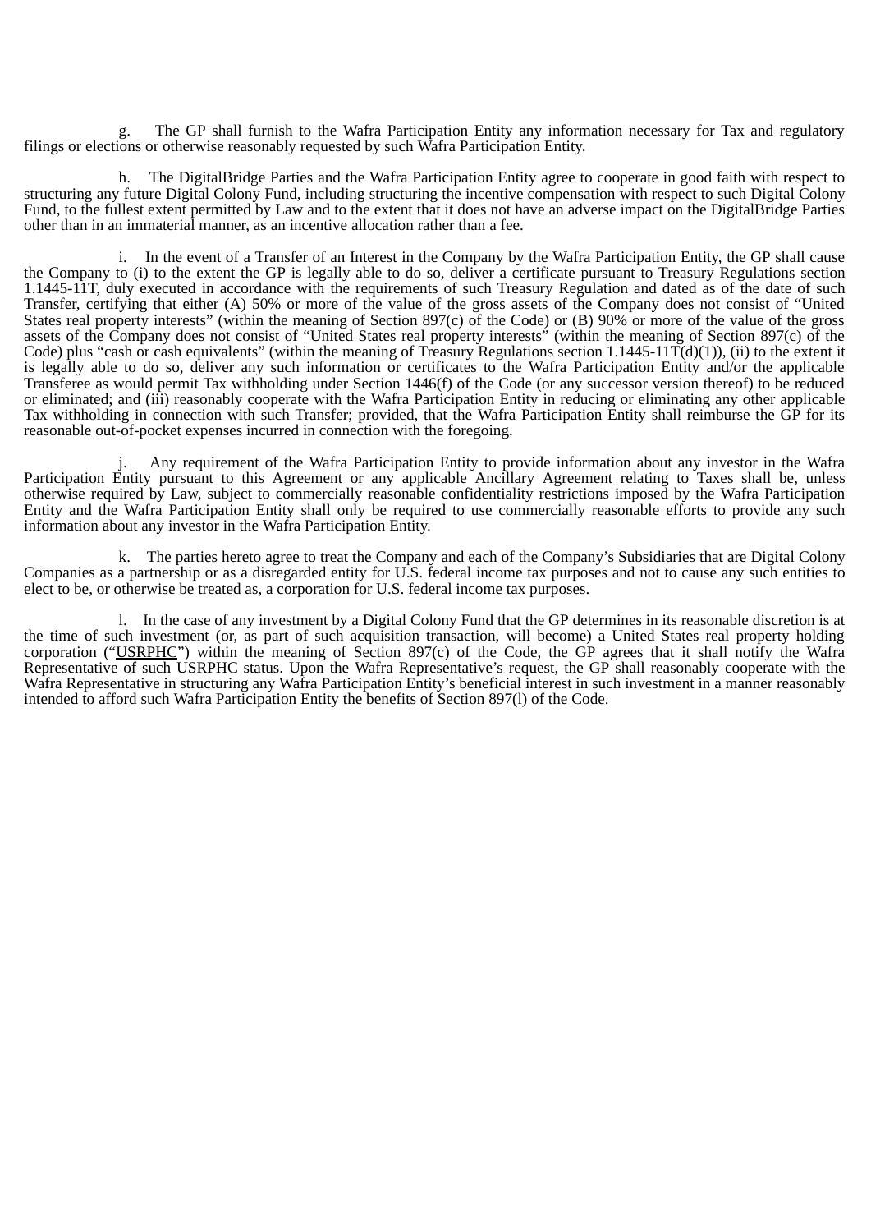g. The GP shall furnish to the Wafra Participation Entity any information necessary for Tax and regulatory filings or elections or otherwise reasonably requested by such Wafra Participation Entity.

h. The DigitalBridge Parties and the Wafra Participation Entity agree to cooperate in good faith with respect to structuring any future Digital Colony Fund, including structuring the incentive compensation with respect to such Digital Colony Fund, to the fullest extent permitted by Law and to the extent that it does not have an adverse impact on the DigitalBridge Parties other than in an immaterial manner, as an incentive allocation rather than a fee.

i. In the event of a Transfer of an Interest in the Company by the Wafra Participation Entity, the GP shall cause the Company to (i) to the extent the GP is legally able to do so, deliver a certificate pursuant to Treasury Regulations section 1.1445-11T, duly executed in accordance with the requirements of such Treasury Regulation and dated as of the date of such Transfer, certifying that either (A) 50% or more of the value of the gross assets of the Company does not consist of "United States real property interests" (within the meaning of Section 897(c) of the Code) or (B) 90% or more of the value of the gross assets of the Company does not consist of "United States real property interests" (within the meaning of Section 897(c) of the Code) plus "cash or cash equivalents" (within the meaning of Treasury Regulations section  $1.1445-11T(d)(1)$ ), (ii) to the extent it is legally able to do so, deliver any such information or certificates to the Wafra Participation Entity and/or the applicable Transferee as would permit Tax withholding under Section 1446(f) of the Code (or any successor version thereof) to be reduced or eliminated; and (iii) reasonably cooperate with the Wafra Participation Entity in reducing or eliminating any other applicable Tax withholding in connection with such Transfer; provided, that the Wafra Participation Entity shall reimburse the GP for its reasonable out-of-pocket expenses incurred in connection with the foregoing.

Any requirement of the Wafra Participation Entity to provide information about any investor in the Wafra Participation Entity pursuant to this Agreement or any applicable Ancillary Agreement relating to Taxes shall be, unless otherwise required by Law, subject to commercially reasonable confidentiality restrictions imposed by the Wafra Participation Entity and the Wafra Participation Entity shall only be required to use commercially reasonable efforts to provide any such information about any investor in the Wafra Participation Entity.

k. The parties hereto agree to treat the Company and each of the Company's Subsidiaries that are Digital Colony Companies as a partnership or as a disregarded entity for U.S. federal income tax purposes and not to cause any such entities to elect to be, or otherwise be treated as, a corporation for U.S. federal income tax purposes.

l. In the case of any investment by a Digital Colony Fund that the GP determines in its reasonable discretion is at the time of such investment (or, as part of such acquisition transaction, will become) a United States real property holding corporation ("USRPHC") within the meaning of Section 897(c) of the Code, the GP agrees that it shall notify the Wafra Representative of such USRPHC status. Upon the Wafra Representative's request, the GP shall reasonably cooperate with the Wafra Representative in structuring any Wafra Participation Entity's beneficial interest in such investment in a manner reasonably intended to afford such Wafra Participation Entity the benefits of Section 897(l) of the Code.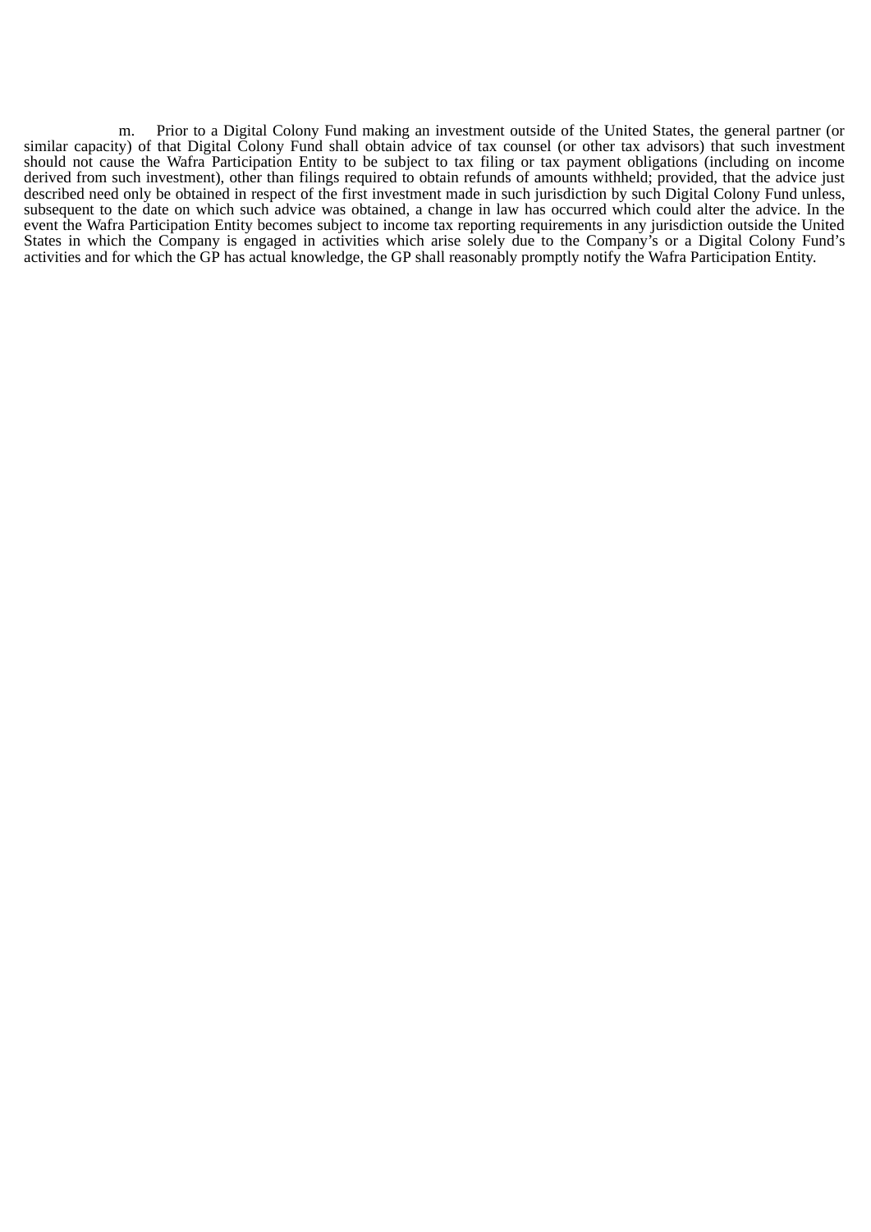m. Prior to a Digital Colony Fund making an investment outside of the United States, the general partner (or similar capacity) of that Digital Colony Fund shall obtain advice of tax counsel (or other tax advisors) that such investment should not cause the Wafra Participation Entity to be subject to tax filing or tax payment obligations (including on income derived from such investment), other than filings required to obtain refunds of amounts withheld; provided, that the advice just described need only be obtained in respect of the first investment made in such jurisdiction by such Digital Colony Fund unless, subsequent to the date on which such advice was obtained, a change in law has occurred which could alter the advice. In the event the Wafra Participation Entity becomes subject to income tax reporting requirements in any jurisdiction outside the United States in which the Company is engaged in activities which arise solely due to the Company's or a Digital Colony Fund's activities and for which the GP has actual knowledge, the GP shall reasonably promptly notify the Wafra Participation Entity.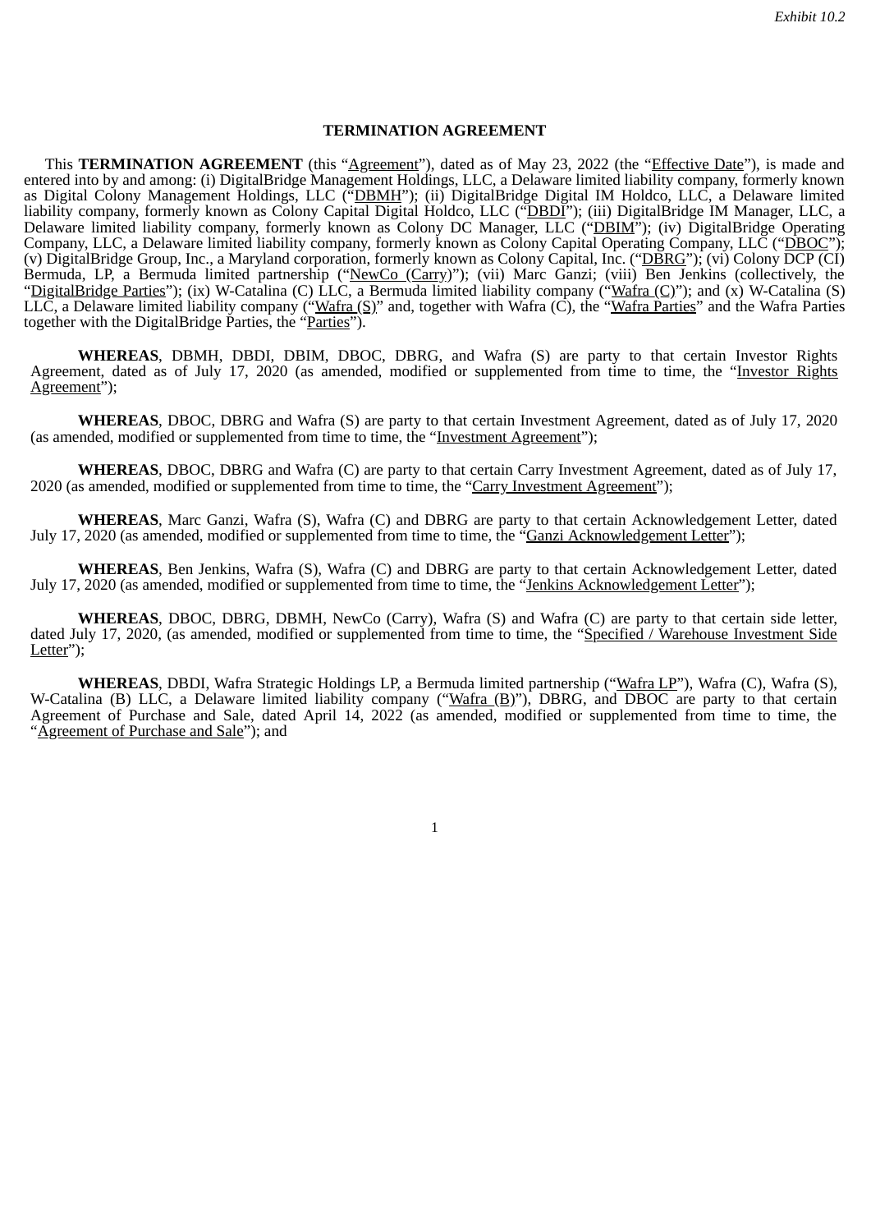#### **TERMINATION AGREEMENT**

This **TERMINATION AGREEMENT** (this "Agreement"), dated as of May 23, 2022 (the "Effective Date"), is made and entered into by and among: (i) DigitalBridge Management Holdings, LLC, a Delaware limited liability company, formerly known as Digital Colony Management Holdings, LLC ("DBMH"); (ii) DigitalBridge Digital IM Holdco, LLC, a Delaware limited liability company, formerly known as Colony Capital Digital Holdco, LLC ("<u>DBDI</u>"); (iii) DigitalBridge IM Manager, LLC, a Delaware limited liability company, formerly known as Colony DC Manager, LLC ("DBIM"); (iv) DigitalBridge Operating Company, LLC, a Delaware limited liability company, formerly known as Colony Capital Operating Company, LLC ("DBOC"); (v) DigitalBridge Group, Inc., a Maryland corporation, formerly known as Colony Capital, Inc. ("<u>DBRG</u>"); (vi) Colony DCP (CI) Bermuda, LP, a Bermuda limited partnership ("NewCo (Carry)"); (vii) Marc Ganzi; (viii) Ben Jenkins (collectively, the "DigitalBridge Parties"); (ix) W-Catalina (C) LLC, a Bermuda limited liability company ("Wafra (C)"); and (x) W-Catalina (S) LLC, a Delaware limited liability company ("<u>Wafra (S</u>)" and, together with Wafra (C), the "<u>Wafra Parties</u>" and the Wafra Parties together with the DigitalBridge Parties, the "Parties").

**WHEREAS**, DBMH, DBDI, DBIM, DBOC, DBRG, and Wafra (S) are party to that certain Investor Rights Agreement, dated as of July 17, 2020 (as amended, modified or supplemented from time to time, the "Investor Rights Agreement");

**WHEREAS**, DBOC, DBRG and Wafra (S) are party to that certain Investment Agreement, dated as of July 17, 2020 (as amended, modified or supplemented from time to time, the "Investment Agreement");

**WHEREAS**, DBOC, DBRG and Wafra (C) are party to that certain Carry Investment Agreement, dated as of July 17, 2020 (as amended, modified or supplemented from time to time, the "Carry Investment Agreement");

**WHEREAS**, Marc Ganzi, Wafra (S), Wafra (C) and DBRG are party to that certain Acknowledgement Letter, dated July 17, 2020 (as amended, modified or supplemented from time to time, the "Ganzi Acknowledgement Letter");

**WHEREAS**, Ben Jenkins, Wafra (S), Wafra (C) and DBRG are party to that certain Acknowledgement Letter, dated July 17, 2020 (as amended, modified or supplemented from time to time, the "Jenkins Acknowledgement Letter");

**WHEREAS**, DBOC, DBRG, DBMH, NewCo (Carry), Wafra (S) and Wafra (C) are party to that certain side letter, dated July 17, 2020, (as amended, modified or supplemented from time to time, the "Specified / Warehouse Investment Side Letter");

**WHEREAS**, DBDI, Wafra Strategic Holdings LP, a Bermuda limited partnership ("Wafra LP"), Wafra (C), Wafra (S), W-Catalina (B) LLC, a Delaware limited liability company ("Wafra (B)"), DBRG, and DBOC are party to that certain Agreement of Purchase and Sale, dated April 14, 2022 (as amended, modified or supplemented from time to time, the "**Agreement of Purchase and Sale**"); and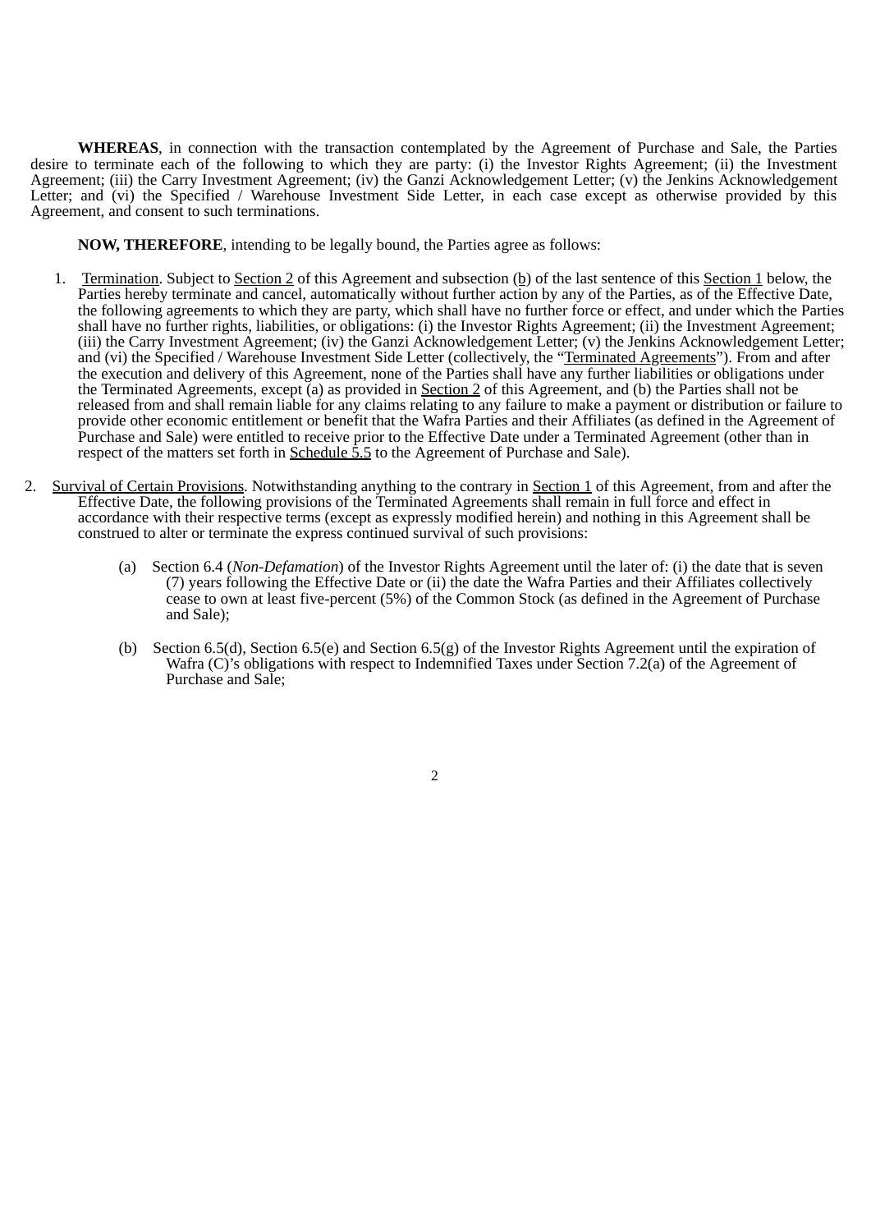**WHEREAS**, in connection with the transaction contemplated by the Agreement of Purchase and Sale, the Parties desire to terminate each of the following to which they are party: (i) the Investor Rights Agreement; (ii) the Investment Agreement; (iii) the Carry Investment Agreement; (iv) the Ganzi Acknowledgement Letter; (v) the Jenkins Acknowledgement Letter; and (vi) the Specified / Warehouse Investment Side Letter, in each case except as otherwise provided by this Agreement, and consent to such terminations.

**NOW, THEREFORE**, intending to be legally bound, the Parties agree as follows:

- 1. Termination. Subject to Section 2 of this Agreement and subsection (b) of the last sentence of this Section 1 below, the Parties hereby terminate and cancel, automatically without further action by any of the Parties, as of the Effective Date, the following agreements to which they are party, which shall have no further force or effect, and under which the Parties shall have no further rights, liabilities, or obligations: (i) the Investor Rights Agreement; (ii) the Investment Agreement; (iii) the Carry Investment Agreement; (iv) the Ganzi Acknowledgement Letter; (v) the Jenkins Acknowledgement Letter; and (vi) the Specified / Warehouse Investment Side Letter (collectively, the "Terminated Agreements"). From and after the execution and delivery of this Agreement, none of the Parties shall have any further liabilities or obligations under the Terminated Agreements, except (a) as provided in **Section 2** of this Agreement, and (b) the Parties shall not be released from and shall remain liable for any claims relating to any failure to make a payment or distribution or failure to provide other economic entitlement or benefit that the Wafra Parties and their Affiliates (as defined in the Agreement of Purchase and Sale) were entitled to receive prior to the Effective Date under a Terminated Agreement (other than in respect of the matters set forth in <u>Schedule 5.5</u> to the Agreement of Purchase and Sale).
- 2. Survival of Certain Provisions. Notwithstanding anything to the contrary in Section 1 of this Agreement, from and after the Effective Date, the following provisions of the Terminated Agreements shall remain in full force and effect in accordance with their respective terms (except as expressly modified herein) and nothing in this Agreement shall be construed to alter or terminate the express continued survival of such provisions:
	- (a) Section 6.4 (*Non-Defamation*) of the Investor Rights Agreement until the later of: (i) the date that is seven (7) years following the Effective Date or (ii) the date the Wafra Parties and their Affiliates collectively cease to own at least five-percent (5%) of the Common Stock (as defined in the Agreement of Purchase and Sale);
	- (b) Section 6.5(d), Section 6.5(e) and Section 6.5(g) of the Investor Rights Agreement until the expiration of Wafra (C)'s obligations with respect to Indemnified Taxes under Section 7.2(a) of the Agreement of Purchase and Sale:
		- 2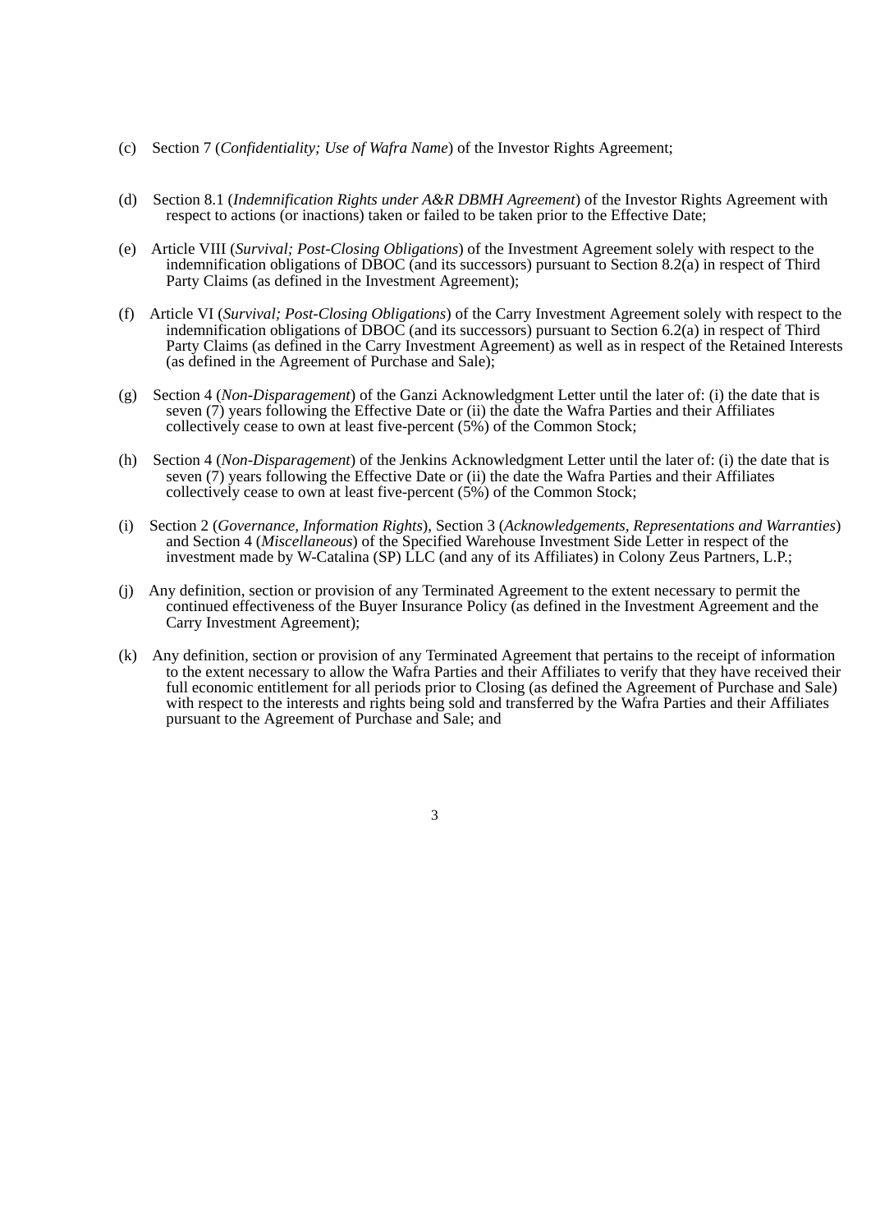- (c) Section 7 (*Confidentiality; Use of Wafra Name*) of the Investor Rights Agreement;
- (d) Section 8.1 (*Indemnification Rights under A&R DBMH Agreement*) of the Investor Rights Agreement with respect to actions (or inactions) taken or failed to be taken prior to the Effective Date;
- (e) Article VIII (*Survival; Post-Closing Obligations*) of the Investment Agreement solely with respect to the indemnification obligations of DBOC (and its successors) pursuant to Section 8.2(a) in respect of Third Party Claims (as defined in the Investment Agreement);
- (f) Article VI (*Survival; Post-Closing Obligations*) of the Carry Investment Agreement solely with respect to the indemnification obligations of DBOC (and its successors) pursuant to Section 6.2(a) in respect of Third Party Claims (as defined in the Carry Investment Agreement) as well as in respect of the Retained Interests (as defined in the Agreement of Purchase and Sale);
- (g) Section 4 (*Non-Disparagement*) of the Ganzi Acknowledgment Letter until the later of: (i) the date that is seven (7) years following the Effective Date or (ii) the date the Wafra Parties and their Affiliates collectively cease to own at least five-percent (5%) of the Common Stock;
- (h) Section 4 (*Non-Disparagement*) of the Jenkins Acknowledgment Letter until the later of: (i) the date that is seven (7) years following the Effective Date or (ii) the date the Wafra Parties and their Affiliates collectively cease to own at least five-percent (5%) of the Common Stock;
- (i) Section 2 (*Governance, Information Rights*), Section 3 (*Acknowledgements, Representations and Warranties*) and Section 4 (*Miscellaneous*) of the Specified Warehouse Investment Side Letter in respect of the investment made by W-Catalina (SP) LLC (and any of its Affiliates) in Colony Zeus Partners, L.P.;
- (j) Any definition, section or provision of any Terminated Agreement to the extent necessary to permit the continued effectiveness of the Buyer Insurance Policy (as defined in the Investment Agreement and the Carry Investment Agreement);
- (k) Any definition, section or provision of any Terminated Agreement that pertains to the receipt of information to the extent necessary to allow the Wafra Parties and their Affiliates to verify that they have received their full economic entitlement for all periods prior to Closing (as defined the Agreement of Purchase and Sale) with respect to the interests and rights being sold and transferred by the Wafra Parties and their Affiliates pursuant to the Agreement of Purchase and Sale; and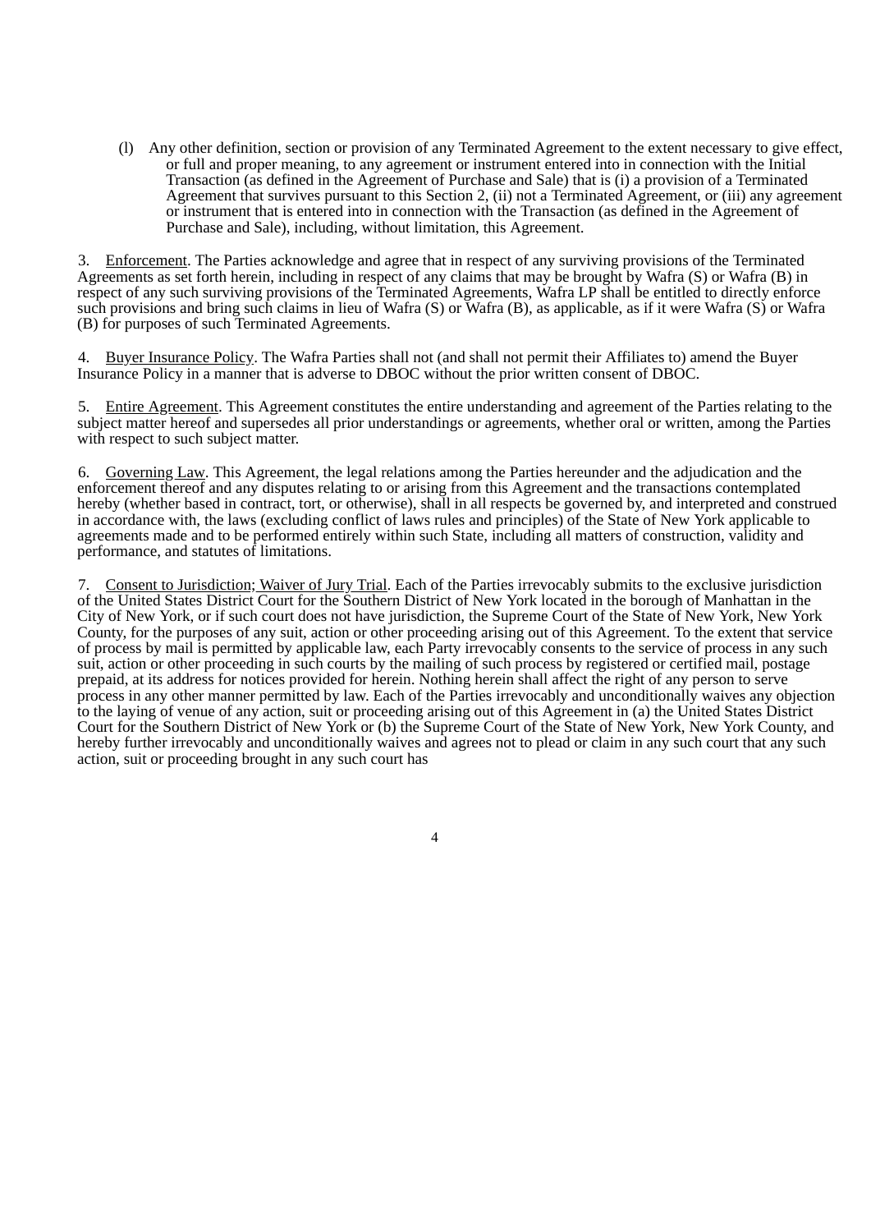(l) Any other definition, section or provision of any Terminated Agreement to the extent necessary to give effect, or full and proper meaning, to any agreement or instrument entered into in connection with the Initial Transaction (as defined in the Agreement of Purchase and Sale) that is (i) a provision of a Terminated Agreement that survives pursuant to this Section 2, (ii) not a Terminated Agreement, or (iii) any agreement or instrument that is entered into in connection with the Transaction (as defined in the Agreement of Purchase and Sale), including, without limitation, this Agreement.

3. Enforcement. The Parties acknowledge and agree that in respect of any surviving provisions of the Terminated Agreements as set forth herein, including in respect of any claims that may be brought by Wafra (S) or Wafra (B) in respect of any such surviving provisions of the Terminated Agreements, Wafra LP shall be entitled to directly enforce such provisions and bring such claims in lieu of Wafra (S) or Wafra (B), as applicable, as if it were Wafra (S) or Wafra (B) for purposes of such Terminated Agreements.

4. Buyer Insurance Policy. The Wafra Parties shall not (and shall not permit their Affiliates to) amend the Buyer Insurance Policy in a manner that is adverse to DBOC without the prior written consent of DBOC.

5. Entire Agreement. This Agreement constitutes the entire understanding and agreement of the Parties relating to the subject matter hereof and supersedes all prior understandings or agreements, whether oral or written, among the Parties with respect to such subject matter.

6. Governing Law. This Agreement, the legal relations among the Parties hereunder and the adjudication and the enforcement thereof and any disputes relating to or arising from this Agreement and the transactions contemplated hereby (whether based in contract, tort, or otherwise), shall in all respects be governed by, and interpreted and construed in accordance with, the laws (excluding conflict of laws rules and principles) of the State of New York applicable to agreements made and to be performed entirely within such State, including all matters of construction, validity and performance, and statutes of limitations.

7. Consent to Jurisdiction; Waiver of Jury Trial. Each of the Parties irrevocably submits to the exclusive jurisdiction of the United States District Court for the Southern District of New York located in the borough of Manhattan in the City of New York, or if such court does not have jurisdiction, the Supreme Court of the State of New York, New York County, for the purposes of any suit, action or other proceeding arising out of this Agreement. To the extent that service of process by mail is permitted by applicable law, each Party irrevocably consents to the service of process in any such suit, action or other proceeding in such courts by the mailing of such process by registered or certified mail, postage prepaid, at its address for notices provided for herein. Nothing herein shall affect the right of any person to serve process in any other manner permitted by law. Each of the Parties irrevocably and unconditionally waives any objection to the laying of venue of any action, suit or proceeding arising out of this Agreement in (a) the United States District Court for the Southern District of New York or (b) the Supreme Court of the State of New York, New York County, and hereby further irrevocably and unconditionally waives and agrees not to plead or claim in any such court that any such action, suit or proceeding brought in any such court has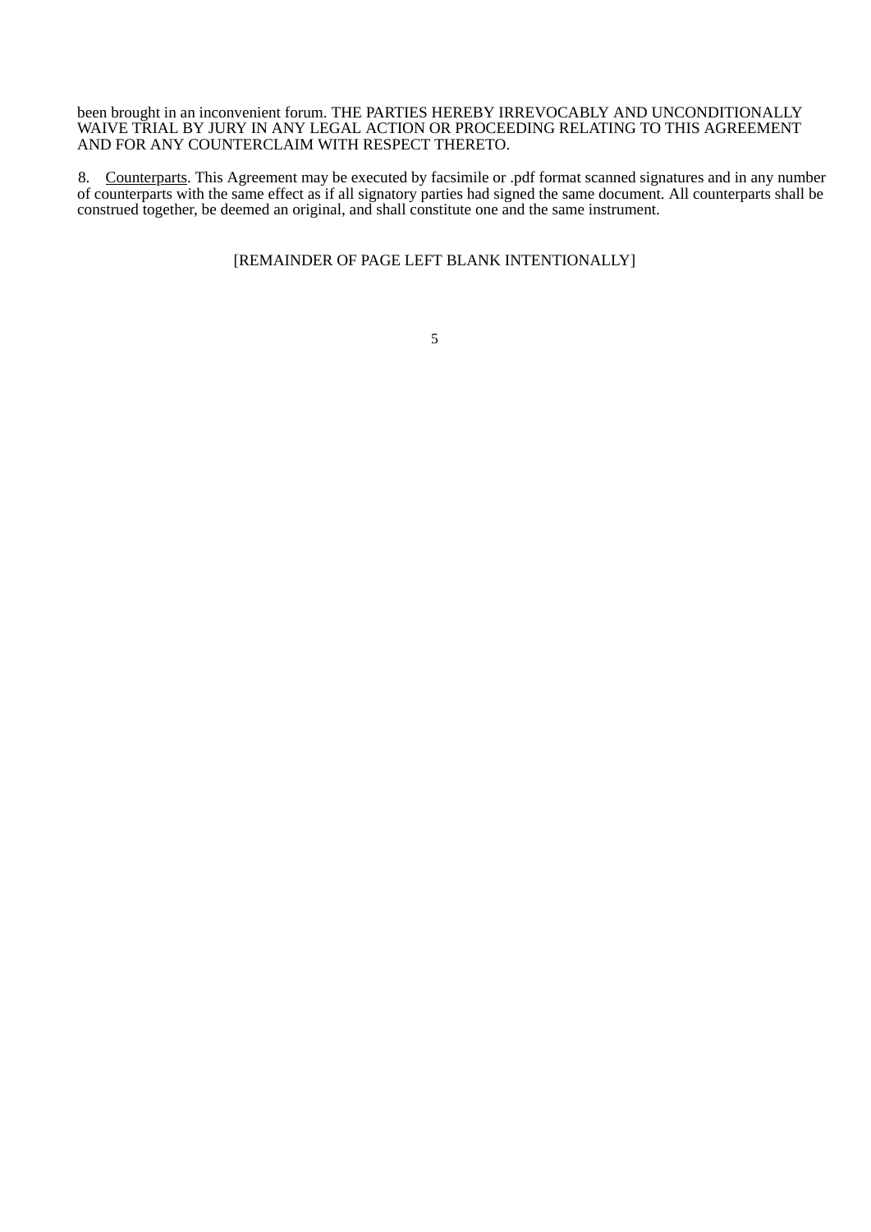been brought in an inconvenient forum. THE PARTIES HEREBY IRREVOCABLY AND UNCONDITIONALLY WAIVE TRIAL BY JURY IN ANY LEGAL ACTION OR PROCEEDING RELATING TO THIS AGREEMENT AND FOR ANY COUNTERCLAIM WITH RESPECT THERETO.

8. Counterparts. This Agreement may be executed by facsimile or .pdf format scanned signatures and in any number of counterparts with the same effect as if all signatory parties had signed the same document. All counterparts shall be construed together, be deemed an original, and shall constitute one and the same instrument.

## [REMAINDER OF PAGE LEFT BLANK INTENTIONALLY]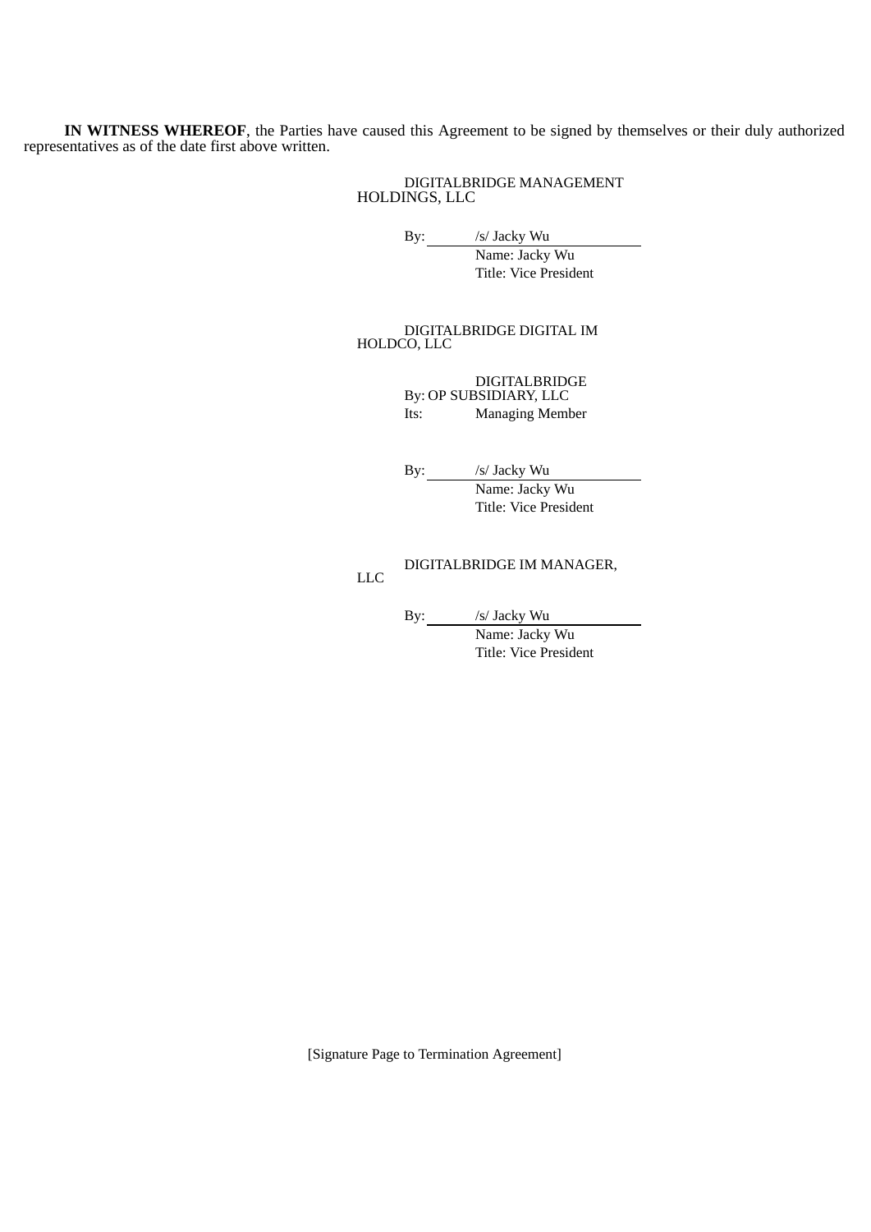**IN WITNESS WHEREOF**, the Parties have caused this Agreement to be signed by themselves or their duly authorized representatives as of the date first above written.

> DIGITALBRIDGE MANAGEMENT HOLDINGS, LLC

> > By: /s/ Jacky Wu

Name: Jacky Wu Title: Vice President

DIGITALBRIDGE DIGITAL IM HOLDCO, LLC

> By: OP SUBSIDIARY, LLC DIGITALBRIDGE Its: Managing Member

By: /s/ Jacky Wu

Name: Jacky Wu Title: Vice President

DIGITALBRIDGE IM MANAGER, LLC

By: /s/ Jacky Wu Name: Jacky Wu

Title: Vice President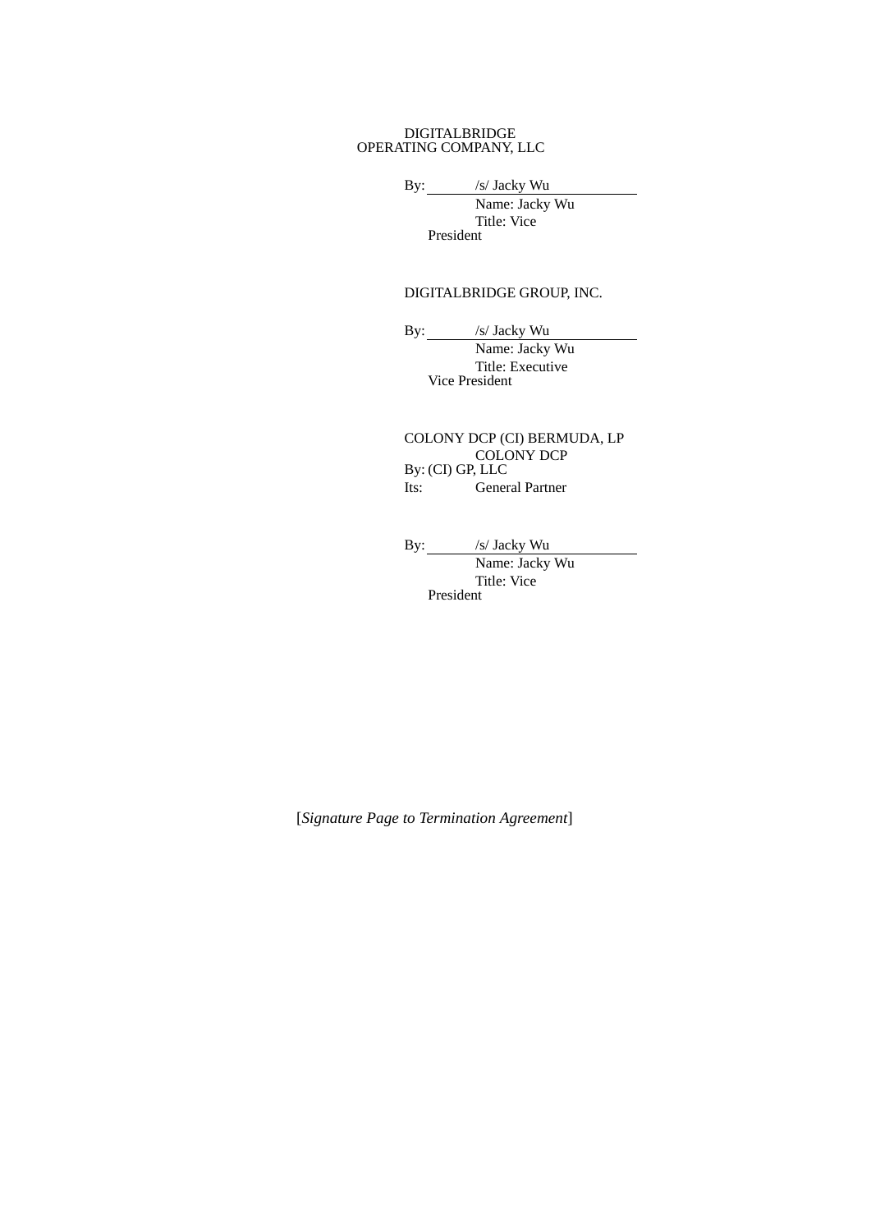#### DIGITALBRIDGE OPERATING COMPANY, LLC

By: /s/ Jacky Wu

Name: Jacky Wu Title: Vice President

## DIGITALBRIDGE GROUP, INC.

By: /s/ Jacky Wu

Name: Jacky Wu Title: Executive Vice President

COLONY DCP (CI) BERMUDA, LP By: (CI) GP, LLC COLONY DCP Its: General Partner

By: /s/ Jacky Wu

Name: Jacky Wu Title: Vice President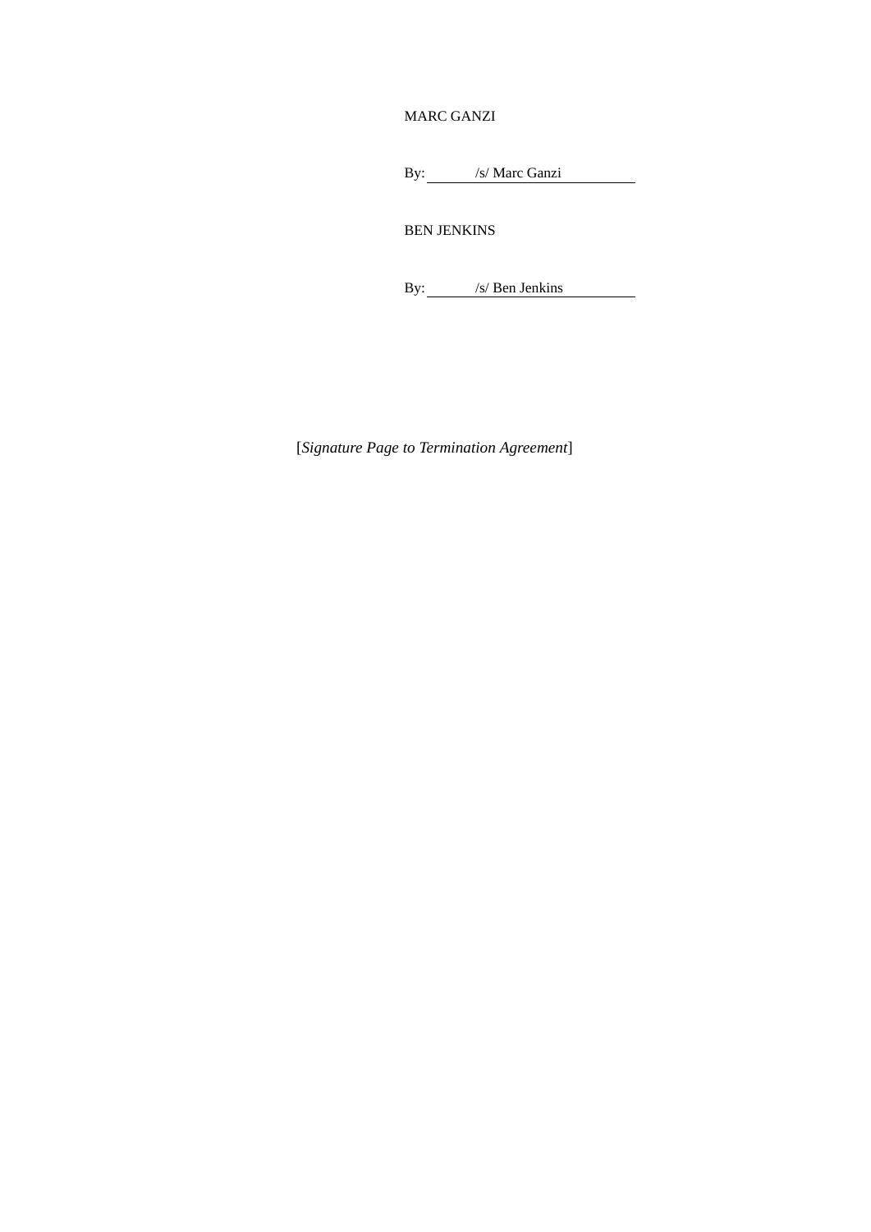## MARC GANZI

By: /s/ Marc Ganzi

BEN JENKINS

By: /s/ Ben Jenkins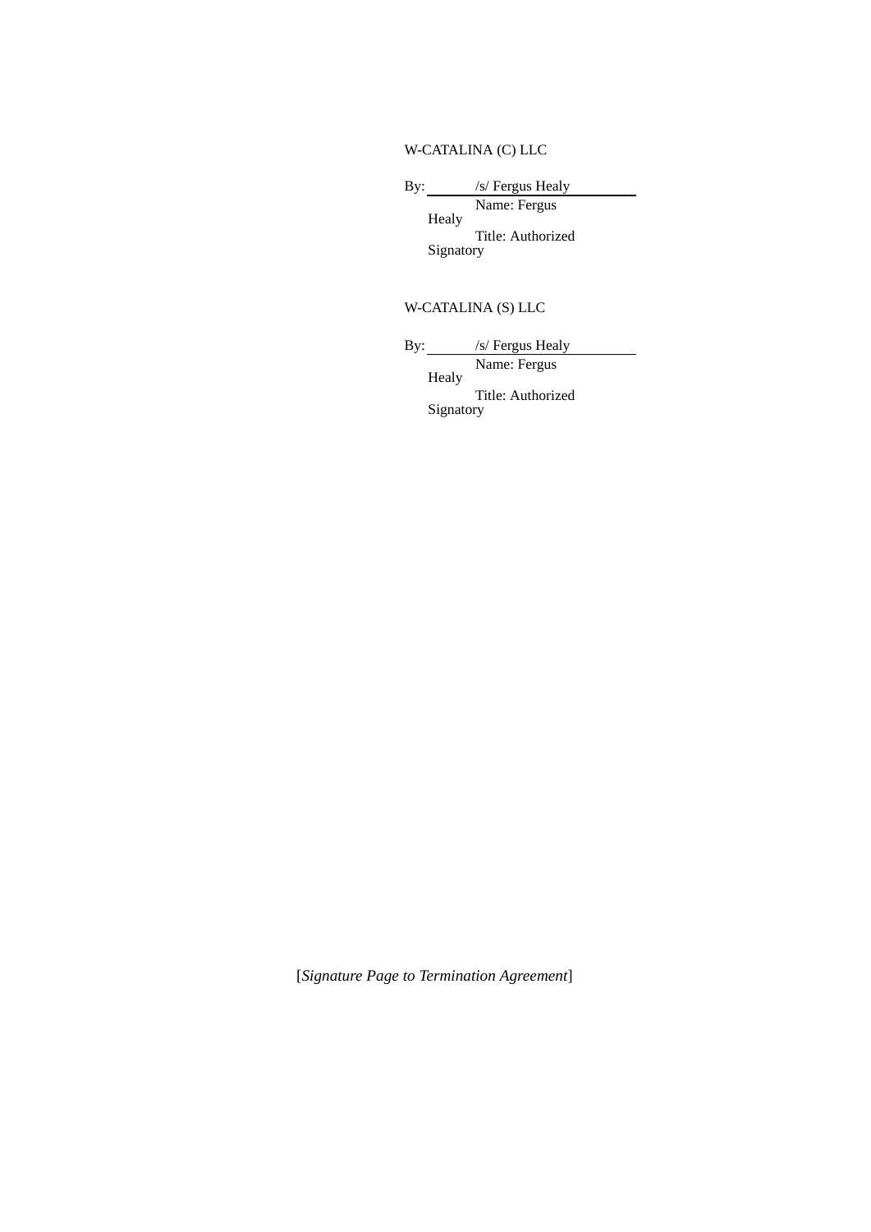# W-CATALINA (C) LLC

By: /s/ Fergus Healy Name: Fergus

Healy Title: Authorized Signatory

# W-CATALINA (S) LLC

By: /s/ Fergus Healy Name: Fergus

Healy

Title: Authorized Signatory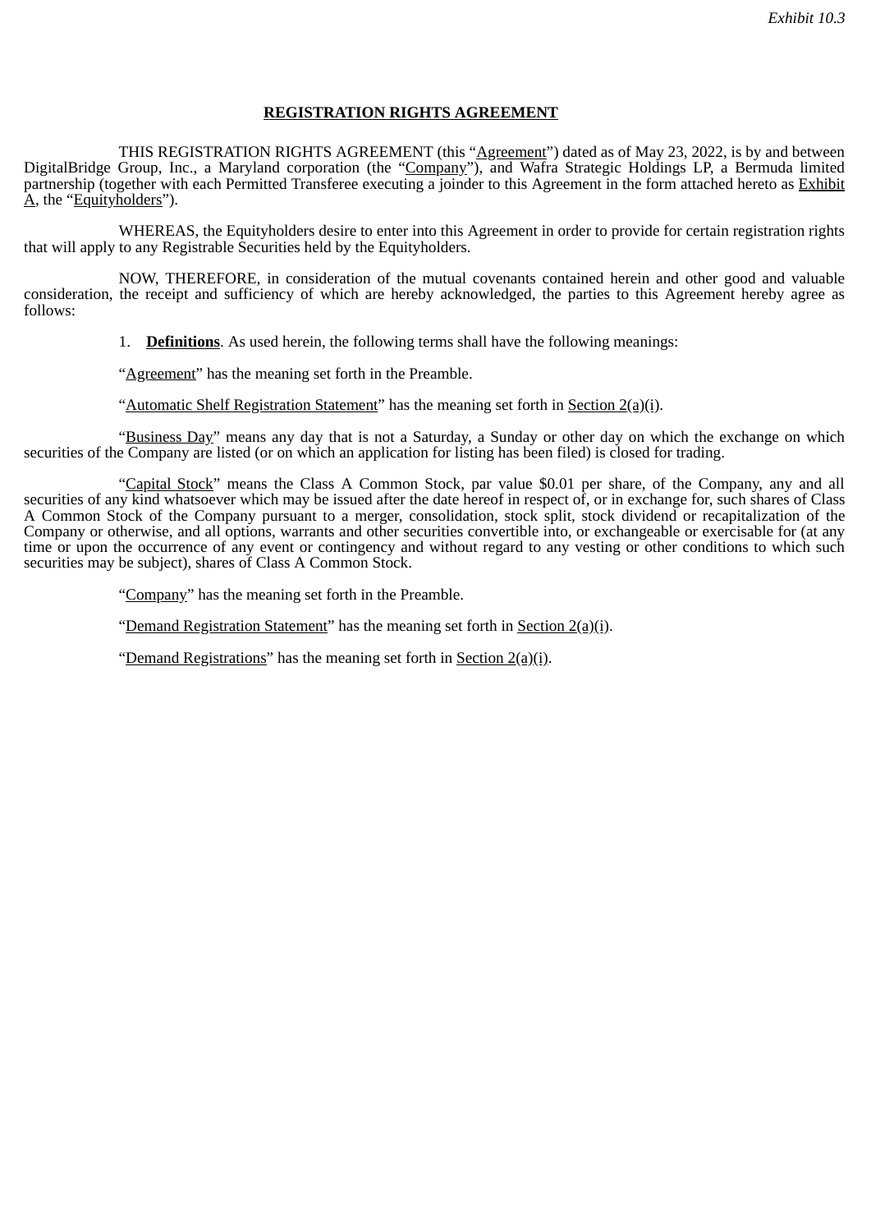## **REGISTRATION RIGHTS AGREEMENT**

THIS REGISTRATION RIGHTS AGREEMENT (this "Agreement") dated as of May 23, 2022, is by and between DigitalBridge Group, Inc., a Maryland corporation (the "Company"), and Wafra Strategic Holdings LP, a Bermuda limited partnership (together with each Permitted Transferee executing a joinder to this Agreement in the form attached hereto as Exhibit  $A$ , the "Equityholders").

WHEREAS, the Equityholders desire to enter into this Agreement in order to provide for certain registration rights that will apply to any Registrable Securities held by the Equityholders.

NOW, THEREFORE, in consideration of the mutual covenants contained herein and other good and valuable consideration, the receipt and sufficiency of which are hereby acknowledged, the parties to this Agreement hereby agree as follows:

1. **Definitions**. As used herein, the following terms shall have the following meanings:

"Agreement" has the meaning set forth in the Preamble.

"Automatic Shelf Registration Statement" has the meaning set forth in Section  $2(a)(i)$ .

"Business Day" means any day that is not a Saturday, a Sunday or other day on which the exchange on which securities of the Company are listed (or on which an application for listing has been filed) is closed for trading.

"Capital Stock" means the Class A Common Stock, par value \$0.01 per share, of the Company, any and all securities of any kind whatsoever which may be issued after the date hereof in respect of, or in exchange for, such shares of Class A Common Stock of the Company pursuant to a merger, consolidation, stock split, stock dividend or recapitalization of the Company or otherwise, and all options, warrants and other securities convertible into, or exchangeable or exercisable for (at any time or upon the occurrence of any event or contingency and without regard to any vesting or other conditions to which such securities may be subject), shares of Class A Common Stock.

"Company" has the meaning set forth in the Preamble.

"Demand Registration Statement" has the meaning set forth in Section 2(a)(i).

"Demand Registrations" has the meaning set forth in Section 2(a)(i).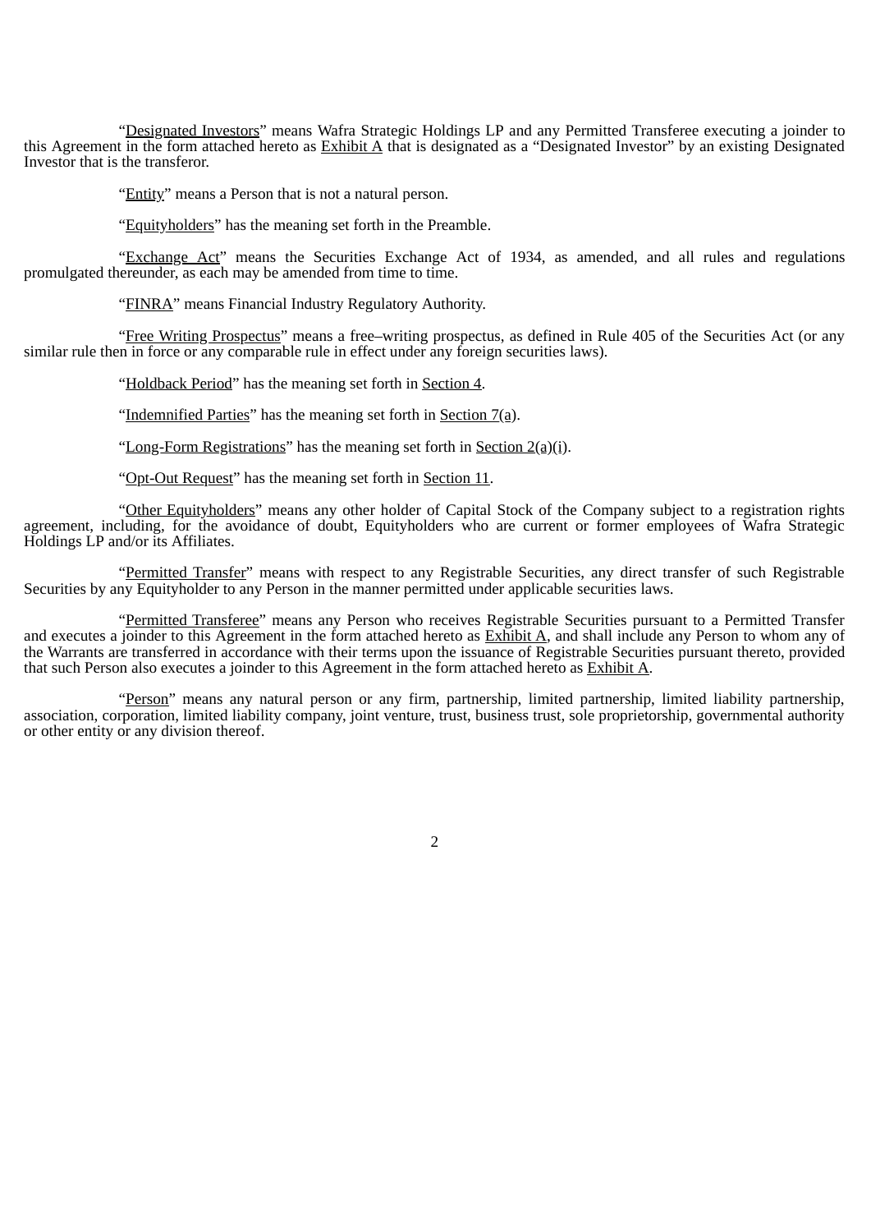"Designated Investors" means Wafra Strategic Holdings LP and any Permitted Transferee executing a joinder to this Agreement in the form attached hereto as Exhibit A that is designated as a "Designated Investor" by an existing Designated Investor that is the transferor.

"Entity" means a Person that is not a natural person.

"Equityholders" has the meaning set forth in the Preamble.

"Exchange Act" means the Securities Exchange Act of 1934, as amended, and all rules and regulations promulgated thereunder, as each may be amended from time to time.

"FINRA" means Financial Industry Regulatory Authority.

"Free Writing Prospectus" means a free–writing prospectus, as defined in Rule 405 of the Securities Act (or any similar rule then in force or any comparable rule in effect under any foreign securities laws).

"Holdback Period" has the meaning set forth in Section 4.

"Indemnified Parties" has the meaning set forth in Section 7(a).

"Long-Form Registrations" has the meaning set forth in Section 2(a)(i).

"Opt-Out Request" has the meaning set forth in Section 11.

"Other Equityholders" means any other holder of Capital Stock of the Company subject to a registration rights agreement, including, for the avoidance of doubt, Equityholders who are current or former employees of Wafra Strategic Holdings LP and/or its Affiliates.

"Permitted Transfer" means with respect to any Registrable Securities, any direct transfer of such Registrable Securities by any Equityholder to any Person in the manner permitted under applicable securities laws.

"Permitted Transferee" means any Person who receives Registrable Securities pursuant to a Permitted Transfer and executes a joinder to this Agreement in the form attached hereto as **Exhibit A**, and shall include any Person to whom any of the Warrants are transferred in accordance with their terms upon the issuance of Registrable Securities pursuant thereto, provided that such Person also executes a joinder to this Agreement in the form attached hereto as Exhibit A.

"Person" means any natural person or any firm, partnership, limited partnership, limited liability partnership, association, corporation, limited liability company, joint venture, trust, business trust, sole proprietorship, governmental authority or other entity or any division thereof.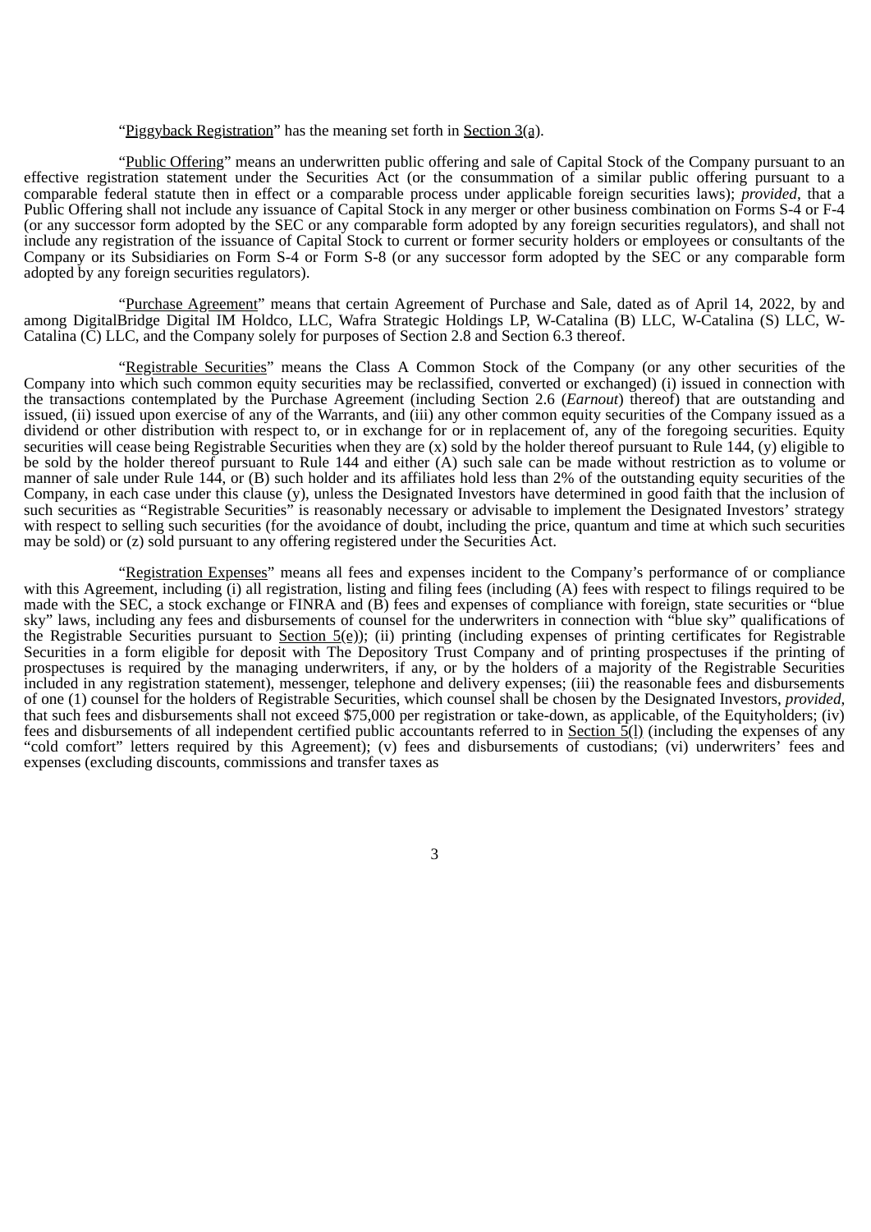#### "Piggyback Registration" has the meaning set forth in Section  $3(a)$ .

"Public Offering" means an underwritten public offering and sale of Capital Stock of the Company pursuant to an effective registration statement under the Securities Act (or the consummation of a similar public offering pursuant to a comparable federal statute then in effect or a comparable process under applicable foreign securities laws); *provided*, that a Public Offering shall not include any issuance of Capital Stock in any merger or other business combination on Forms S-4 or F-4 (or any successor form adopted by the SEC or any comparable form adopted by any foreign securities regulators), and shall not include any registration of the issuance of Capital Stock to current or former security holders or employees or consultants of the Company or its Subsidiaries on Form S-4 or Form S-8 (or any successor form adopted by the SEC or any comparable form adopted by any foreign securities regulators).

"Purchase Agreement" means that certain Agreement of Purchase and Sale, dated as of April 14, 2022, by and among DigitalBridge Digital IM Holdco, LLC, Wafra Strategic Holdings LP, W-Catalina (B) LLC, W-Catalina (S) LLC, W-Catalina (C) LLC, and the Company solely for purposes of Section 2.8 and Section 6.3 thereof.

"Registrable Securities" means the Class A Common Stock of the Company (or any other securities of the Company into which such common equity securities may be reclassified, converted or exchanged) (i) issued in connection with the transactions contemplated by the Purchase Agreement (including Section 2.6 (*Earnout*) thereof) that are outstanding and issued, (ii) issued upon exercise of any of the Warrants, and (iii) any other common equity securities of the Company issued as a dividend or other distribution with respect to, or in exchange for or in replacement of, any of the foregoing securities. Equity securities will cease being Registrable Securities when they are (x) sold by the holder thereof pursuant to Rule 144, (y) eligible to be sold by the holder thereof pursuant to Rule 144 and either (A) such sale can be made without restriction as to volume or manner of sale under Rule 144, or (B) such holder and its affiliates hold less than 2% of the outstanding equity securities of the Company, in each case under this clause (y), unless the Designated Investors have determined in good faith that the inclusion of such securities as "Registrable Securities" is reasonably necessary or advisable to implement the Designated Investors' strategy with respect to selling such securities (for the avoidance of doubt, including the price, quantum and time at which such securities may be sold) or (z) sold pursuant to any offering registered under the Securities Act.

"Registration Expenses" means all fees and expenses incident to the Company's performance of or compliance with this Agreement, including (i) all registration, listing and filing fees (including (A) fees with respect to filings required to be made with the SEC, a stock exchange or FINRA and (B) fees and expenses of compliance with foreign, state securities or "blue sky" laws, including any fees and disbursements of counsel for the underwriters in connection with "blue sky" qualifications of the Registrable Securities pursuant to Section  $5(e)$ ); (ii) printing (including expenses of printing certificates for Registrable Securities in a form eligible for deposit with The Depository Trust Company and of printing prospectuses if the printing of prospectuses is required by the managing underwriters, if any, or by the holders of a majority of the Registrable Securities included in any registration statement), messenger, telephone and delivery expenses; (iii) the reasonable fees and disbursements of one (1) counsel for the holders of Registrable Securities, which counsel shall be chosen by the Designated Investors, *provided*, that such fees and disbursements shall not exceed \$75,000 per registration or take-down, as applicable, of the Equityholders; (iv) fees and disbursements of all independent certified public accountants referred to in Section  $\frac{1}{2}$ (1) (including the expenses of any "cold comfort" letters required by this Agreement); (v) fees and disbursements of custodians; (vi) underwriters' fees and expenses (excluding discounts, commissions and transfer taxes as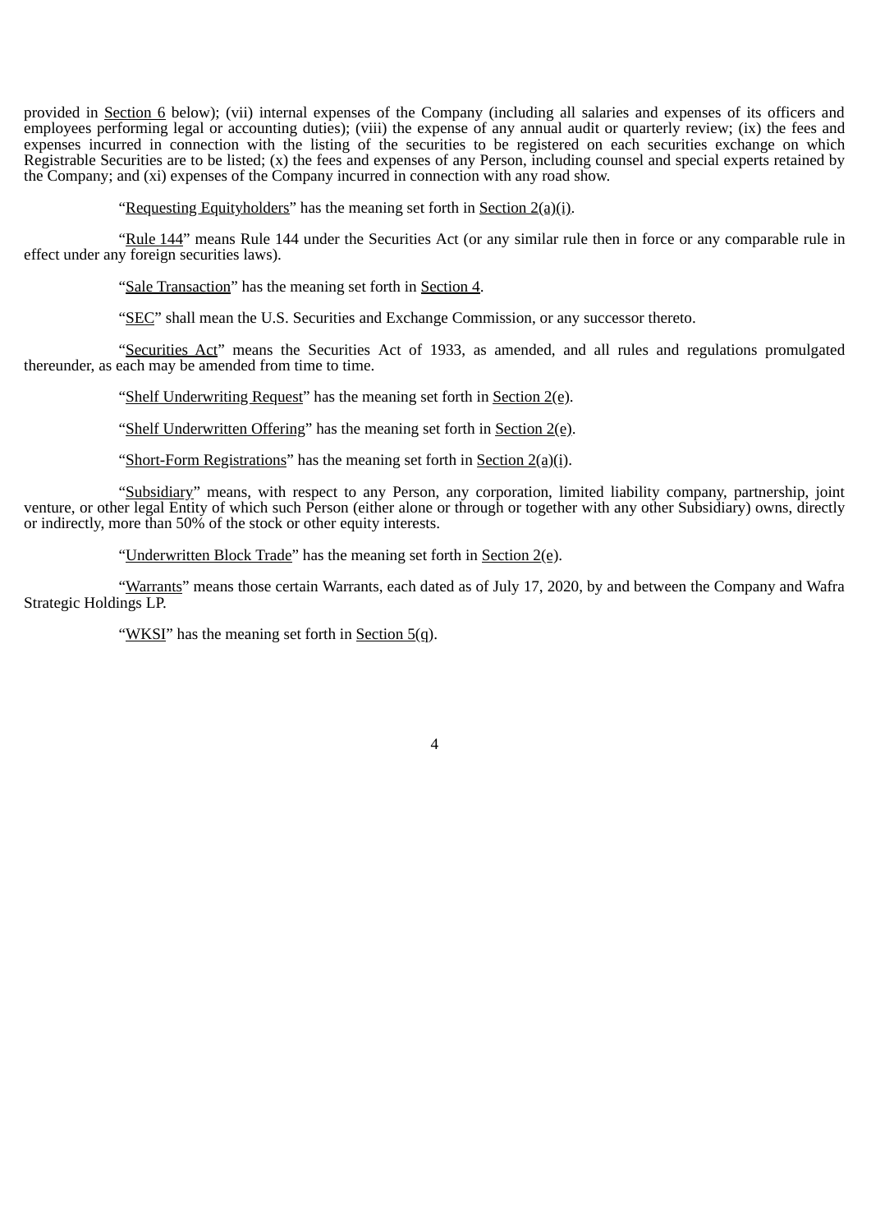provided in Section 6 below); (vii) internal expenses of the Company (including all salaries and expenses of its officers and employees performing legal or accounting duties); (viii) the expense of any annual audit or quarterly review; (ix) the fees and expenses incurred in connection with the listing of the securities to be registered on each securities exchange on which Registrable Securities are to be listed; (x) the fees and expenses of any Person, including counsel and special experts retained by the Company; and (xi) expenses of the Company incurred in connection with any road show.

"Requesting Equityholders" has the meaning set forth in Section  $2(a)(i)$ .

"Rule 144" means Rule 144 under the Securities Act (or any similar rule then in force or any comparable rule in effect under any foreign securities laws).

"Sale Transaction" has the meaning set forth in Section 4.

"SEC" shall mean the U.S. Securities and Exchange Commission, or any successor thereto.

"Securities Act" means the Securities Act of 1933, as amended, and all rules and regulations promulgated thereunder, as each may be amended from time to time.

"Shelf Underwriting Request" has the meaning set forth in Section 2(e).

"Shelf Underwritten Offering" has the meaning set forth in Section 2(e).

"Short-Form Registrations" has the meaning set forth in Section 2(a)(i).

"Subsidiary" means, with respect to any Person, any corporation, limited liability company, partnership, joint venture, or other legal Entity of which such Person (either alone or through or together with any other Subsidiary) owns, directly or indirectly, more than 50% of the stock or other equity interests.

"Underwritten Block Trade" has the meaning set forth in Section 2(e).

"Warrants" means those certain Warrants, each dated as of July 17, 2020, by and between the Company and Wafra Strategic Holdings LP.

"WKSI" has the meaning set forth in Section 5(q).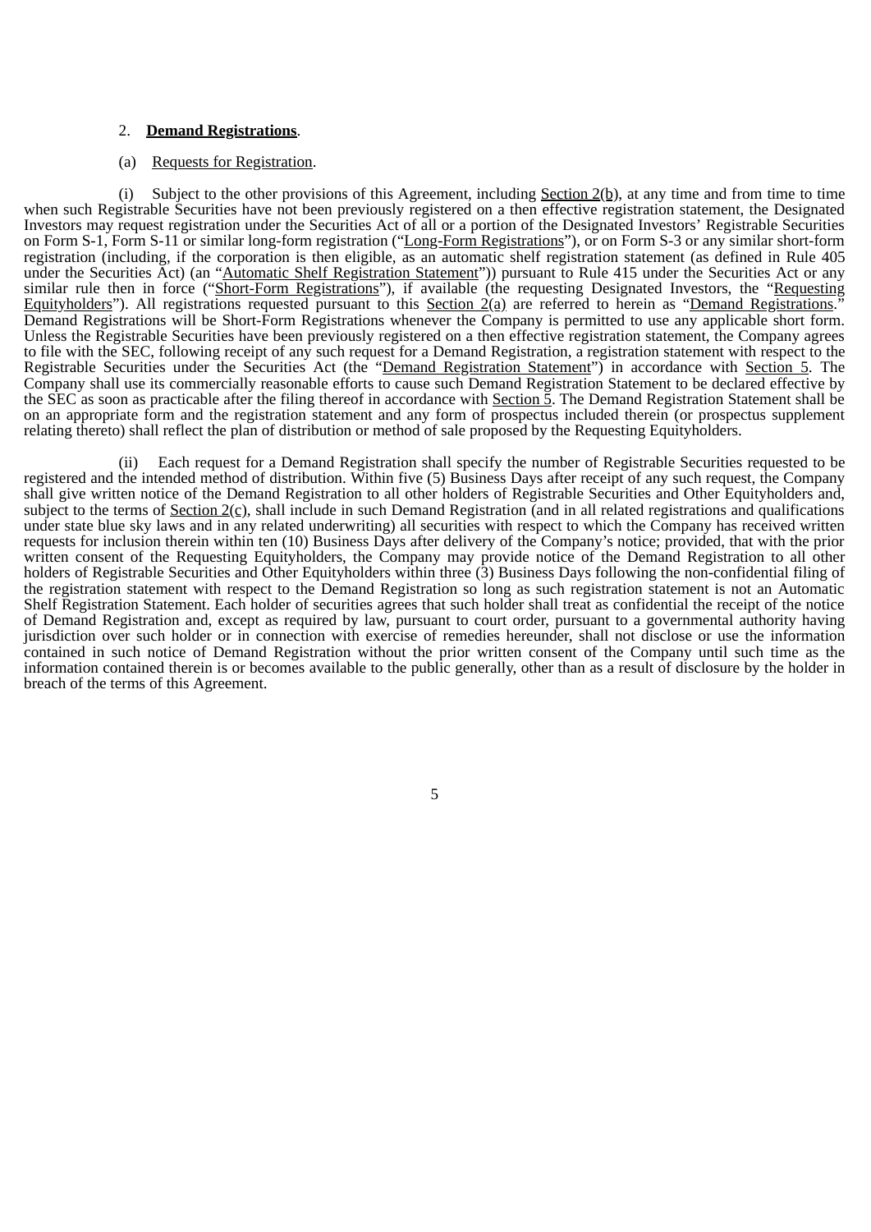#### 2. **Demand Registrations**.

#### (a) Requests for Registration.

(i) Subject to the other provisions of this Agreement, including Section  $2(b)$ , at any time and from time to time when such Registrable Securities have not been previously registered on a then effective registration statement, the Designated Investors may request registration under the Securities Act of all or a portion of the Designated Investors' Registrable Securities on Form S-1, Form S-11 or similar long-form registration ("Long-Form Registrations"), or on Form S-3 or any similar short-form registration (including, if the corporation is then eligible, as an automatic shelf registration statement (as defined in Rule 405 under the Securities Act) (an "Automatic Shelf Registration Statement")) pursuant to Rule 415 under the Securities Act or any similar rule then in force ("Short-Form Registrations"), if available (the requesting Designated Investors, the "Requesting Equityholders"). All registrations requested pursuant to this Section 2(a) are referred to herein as "Demand Registrations." Demand Registrations will be Short-Form Registrations whenever the Company is permitted to use any applicable short form. Unless the Registrable Securities have been previously registered on a then effective registration statement, the Company agrees to file with the SEC, following receipt of any such request for a Demand Registration, a registration statement with respect to the Registrable Securities under the Securities Act (the "Demand Registration Statement") in accordance with Section 5. The Company shall use its commercially reasonable efforts to cause such Demand Registration Statement to be declared effective by the SEC as soon as practicable after the filing thereof in accordance with Section 5. The Demand Registration Statement shall be on an appropriate form and the registration statement and any form of prospectus included therein (or prospectus supplement relating thereto) shall reflect the plan of distribution or method of sale proposed by the Requesting Equityholders.

(ii) Each request for a Demand Registration shall specify the number of Registrable Securities requested to be registered and the intended method of distribution. Within five (5) Business Days after receipt of any such request, the Company shall give written notice of the Demand Registration to all other holders of Registrable Securities and Other Equityholders and, subject to the terms of  $Section 2(c), shall include in such Demand Region (and in all related regions and qualifications$ </u> under state blue sky laws and in any related underwriting) all securities with respect to which the Company has received written requests for inclusion therein within ten (10) Business Days after delivery of the Company's notice; provided, that with the prior written consent of the Requesting Equityholders, the Company may provide notice of the Demand Registration to all other holders of Registrable Securities and Other Equityholders within three (3) Business Days following the non-confidential filing of the registration statement with respect to the Demand Registration so long as such registration statement is not an Automatic Shelf Registration Statement. Each holder of securities agrees that such holder shall treat as confidential the receipt of the notice of Demand Registration and, except as required by law, pursuant to court order, pursuant to a governmental authority having jurisdiction over such holder or in connection with exercise of remedies hereunder, shall not disclose or use the information contained in such notice of Demand Registration without the prior written consent of the Company until such time as the information contained therein is or becomes available to the public generally, other than as a result of disclosure by the holder in breach of the terms of this Agreement.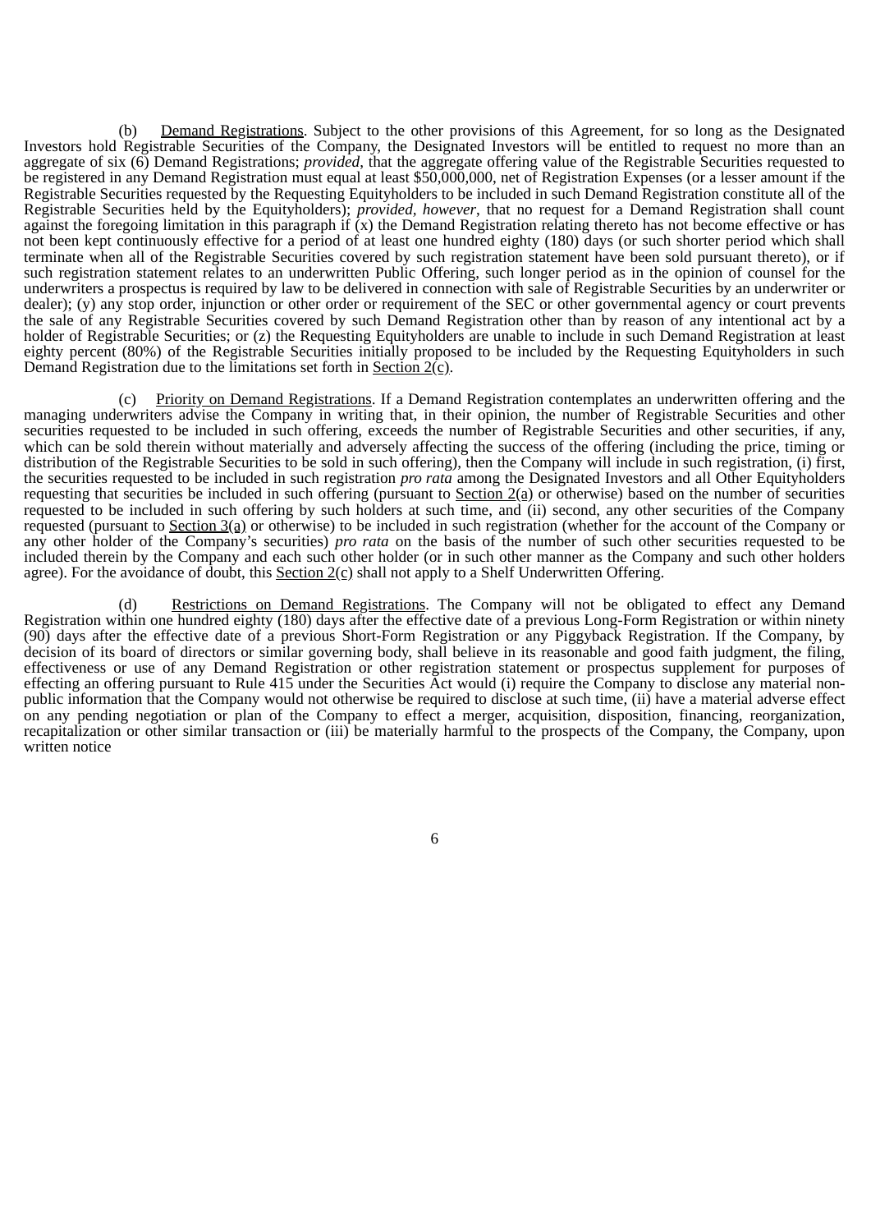(b) Demand Registrations. Subject to the other provisions of this Agreement, for so long as the Designated Investors hold Registrable Securities of the Company, the Designated Investors will be entitled to request no more than an aggregate of six (6) Demand Registrations; *provided*, that the aggregate offering value of the Registrable Securities requested to be registered in any Demand Registration must equal at least \$50,000,000, net of Registration Expenses (or a lesser amount if the Registrable Securities requested by the Requesting Equityholders to be included in such Demand Registration constitute all of the Registrable Securities held by the Equityholders); *provided, however*, that no request for a Demand Registration shall count against the foregoing limitation in this paragraph if  $\overline{(x)}$  the Demand Registration relating thereto has not become effective or has not been kept continuously effective for a period of at least one hundred eighty (180) days (or such shorter period which shall terminate when all of the Registrable Securities covered by such registration statement have been sold pursuant thereto), or if such registration statement relates to an underwritten Public Offering, such longer period as in the opinion of counsel for the underwriters a prospectus is required by law to be delivered in connection with sale of Registrable Securities by an underwriter or dealer); (y) any stop order, injunction or other order or requirement of the SEC or other governmental agency or court prevents the sale of any Registrable Securities covered by such Demand Registration other than by reason of any intentional act by a holder of Registrable Securities; or (z) the Requesting Equityholders are unable to include in such Demand Registration at least eighty percent (80%) of the Registrable Securities initially proposed to be included by the Requesting Equityholders in such Demand Registration due to the limitations set forth in Section 2(c).

(c) Priority on Demand Registrations. If a Demand Registration contemplates an underwritten offering and the managing underwriters advise the Company in writing that, in their opinion, the number of Registrable Securities and other securities requested to be included in such offering, exceeds the number of Registrable Securities and other securities, if any, which can be sold therein without materially and adversely affecting the success of the offering (including the price, timing or distribution of the Registrable Securities to be sold in such offering), then the Company will include in such registration, (i) first, the securities requested to be included in such registration *pro rata* among the Designated Investors and all Other Equityholders requesting that securities be included in such offering (pursuant to Section 2(a) or otherwise) based on the number of securities requested to be included in such offering by such holders at such time, and (ii) second, any other securities of the Company requested (pursuant to Section 3(a) or otherwise) to be included in such registration (whether for the account of the Company or any other holder of the Company's securities) *pro rata* on the basis of the number of such other securities requested to be included therein by the Company and each such other holder (or in such other manner as the Company and such other holders agree). For the avoidance of doubt, this Section  $2(c)$  shall not apply to a Shelf Underwritten Offering.

(d) Restrictions on Demand Registrations. The Company will not be obligated to effect any Demand Registration within one hundred eighty (180) days after the effective date of a previous Long-Form Registration or within ninety (90) days after the effective date of a previous Short-Form Registration or any Piggyback Registration. If the Company, by decision of its board of directors or similar governing body, shall believe in its reasonable and good faith judgment, the filing, effectiveness or use of any Demand Registration or other registration statement or prospectus supplement for purposes of effecting an offering pursuant to Rule 415 under the Securities Act would (i) require the Company to disclose any material nonpublic information that the Company would not otherwise be required to disclose at such time, (ii) have a material adverse effect on any pending negotiation or plan of the Company to effect a merger, acquisition, disposition, financing, reorganization, recapitalization or other similar transaction or (iii) be materially harmful to the prospects of the Company, the Company, upon written notice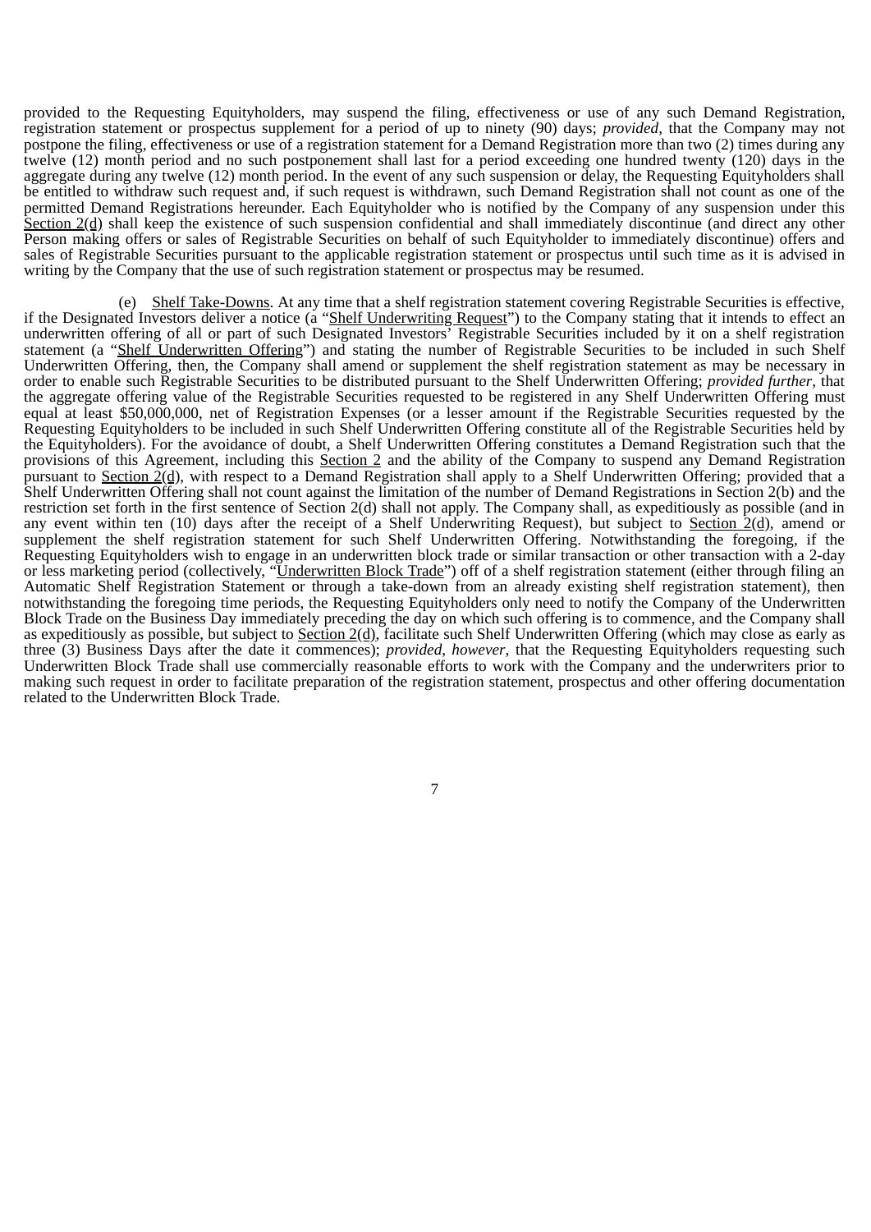provided to the Requesting Equityholders, may suspend the filing, effectiveness or use of any such Demand Registration, registration statement or prospectus supplement for a period of up to ninety (90) days; *provided*, that the Company may not postpone the filing, effectiveness or use of a registration statement for a Demand Registration more than two (2) times during any twelve (12) month period and no such postponement shall last for a period exceeding one hundred twenty (120) days in the aggregate during any twelve (12) month period. In the event of any such suspension or delay, the Requesting Equityholders shall be entitled to withdraw such request and, if such request is withdrawn, such Demand Registration shall not count as one of the permitted Demand Registrations hereunder. Each Equityholder who is notified by the Company of any suspension under this Section 2(d) shall keep the existence of such suspension confidential and shall immediately discontinue (and direct any other Person making offers or sales of Registrable Securities on behalf of such Equityholder to immediately discontinue) offers and sales of Registrable Securities pursuant to the applicable registration statement or prospectus until such time as it is advised in writing by the Company that the use of such registration statement or prospectus may be resumed.

(e) Shelf Take-Downs. At any time that a shelf registration statement covering Registrable Securities is effective, if the Designated Investors deliver a notice (a "Shelf Underwriting Request") to the Company stating that it intends to effect an underwritten offering of all or part of such Designated Investors' Registrable Securities included by it on a shelf registration statement (a "Shelf Underwritten Offering") and stating the number of Registrable Securities to be included in such Shelf Underwritten Offering, then, the Company shall amend or supplement the shelf registration statement as may be necessary in order to enable such Registrable Securities to be distributed pursuant to the Shelf Underwritten Offering; *provided further*, that the aggregate offering value of the Registrable Securities requested to be registered in any Shelf Underwritten Offering must equal at least \$50,000,000, net of Registration Expenses (or a lesser amount if the Registrable Securities requested by the Requesting Equityholders to be included in such Shelf Underwritten Offering constitute all of the Registrable Securities held by the Equityholders). For the avoidance of doubt, a Shelf Underwritten Offering constitutes a Demand Registration such that the provisions of this Agreement, including this Section 2 and the ability of the Company to suspend any Demand Registration pursuant to Section 2(d), with respect to a Demand Registration shall apply to a Shelf Underwritten Offering; provided that a Shelf Underwritten Offering shall not count against the limitation of the number of Demand Registrations in Section 2(b) and the restriction set forth in the first sentence of Section 2(d) shall not apply. The Company shall, as expeditiously as possible (and in any event within ten (10) days after the receipt of a Shelf Underwriting Request), but subject to Section 2(d), amend or supplement the shelf registration statement for such Shelf Underwritten Offering. Notwithstanding the foregoing, if the Requesting Equityholders wish to engage in an underwritten block trade or similar transaction or other transaction with a 2-day or less marketing period (collectively, "*Underwritten Block Trade*") off of a shelf registration statement (either through filing an Automatic Shelf Registration Statement or through a take-down from an already existing shelf registration statement), then notwithstanding the foregoing time periods, the Requesting Equityholders only need to notify the Company of the Underwritten Block Trade on the Business Day immediately preceding the day on which such offering is to commence, and the Company shall as expeditiously as possible, but subject to Section 2(d), facilitate such Shelf Underwritten Offering (which may close as early as three (3) Business Days after the date it commences); *provided*, *however*, that the Requesting Equityholders requesting such Underwritten Block Trade shall use commercially reasonable efforts to work with the Company and the underwriters prior to making such request in order to facilitate preparation of the registration statement, prospectus and other offering documentation related to the Underwritten Block Trade.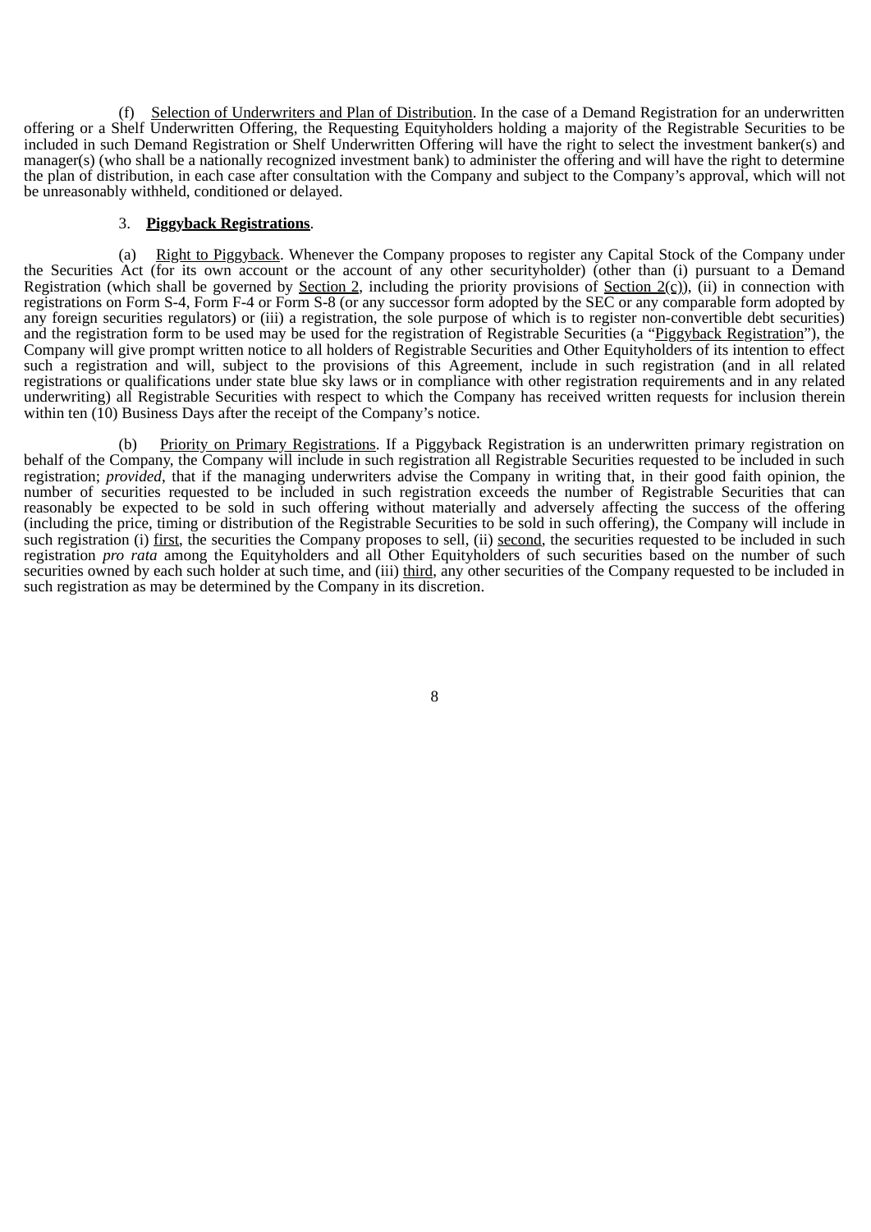(f) Selection of Underwriters and Plan of Distribution. In the case of a Demand Registration for an underwritten offering or a Shelf Underwritten Offering, the Requesting Equityholders holding a majority of the Registrable Securities to be included in such Demand Registration or Shelf Underwritten Offering will have the right to select the investment banker(s) and manager(s) (who shall be a nationally recognized investment bank) to administer the offering and will have the right to determine the plan of distribution, in each case after consultation with the Company and subject to the Company's approval, which will not be unreasonably withheld, conditioned or delayed.

#### 3. **Piggyback Registrations**.

(a) Right to Piggyback. Whenever the Company proposes to register any Capital Stock of the Company under the Securities Act (for its own account or the account of any other securityholder) (other than (i) pursuant to a Demand Registration (which shall be governed by Section 2, including the priority provisions of Section  $2(c)$ ), (ii) in connection with registrations on Form S-4, Form F-4 or Form S-8 (or any successor form adopted by the SEC or any comparable form adopted by any foreign securities regulators) or (iii) a registration, the sole purpose of which is to register non-convertible debt securities) and the registration form to be used may be used for the registration of Registrable Securities (a "Piggyback Registration"), the Company will give prompt written notice to all holders of Registrable Securities and Other Equityholders of its intention to effect such a registration and will, subject to the provisions of this Agreement, include in such registration (and in all related registrations or qualifications under state blue sky laws or in compliance with other registration requirements and in any related underwriting) all Registrable Securities with respect to which the Company has received written requests for inclusion therein within ten  $(10)$  Business Days after the receipt of the Company's notice.

(b) Priority on Primary Registrations. If a Piggyback Registration is an underwritten primary registration on behalf of the Company, the Company will include in such registration all Registrable Securities requested to be included in such registration; *provided*, that if the managing underwriters advise the Company in writing that, in their good faith opinion, the number of securities requested to be included in such registration exceeds the number of Registrable Securities that can reasonably be expected to be sold in such offering without materially and adversely affecting the success of the offering (including the price, timing or distribution of the Registrable Securities to be sold in such offering), the Company will include in such registration (i) first, the securities the Company proposes to sell, (ii) second, the securities requested to be included in such registration *pro rata* among the Equityholders and all Other Equityholders of such securities based on the number of such securities owned by each such holder at such time, and (iii) third, any other securities of the Company requested to be included in such registration as may be determined by the Company in its discretion.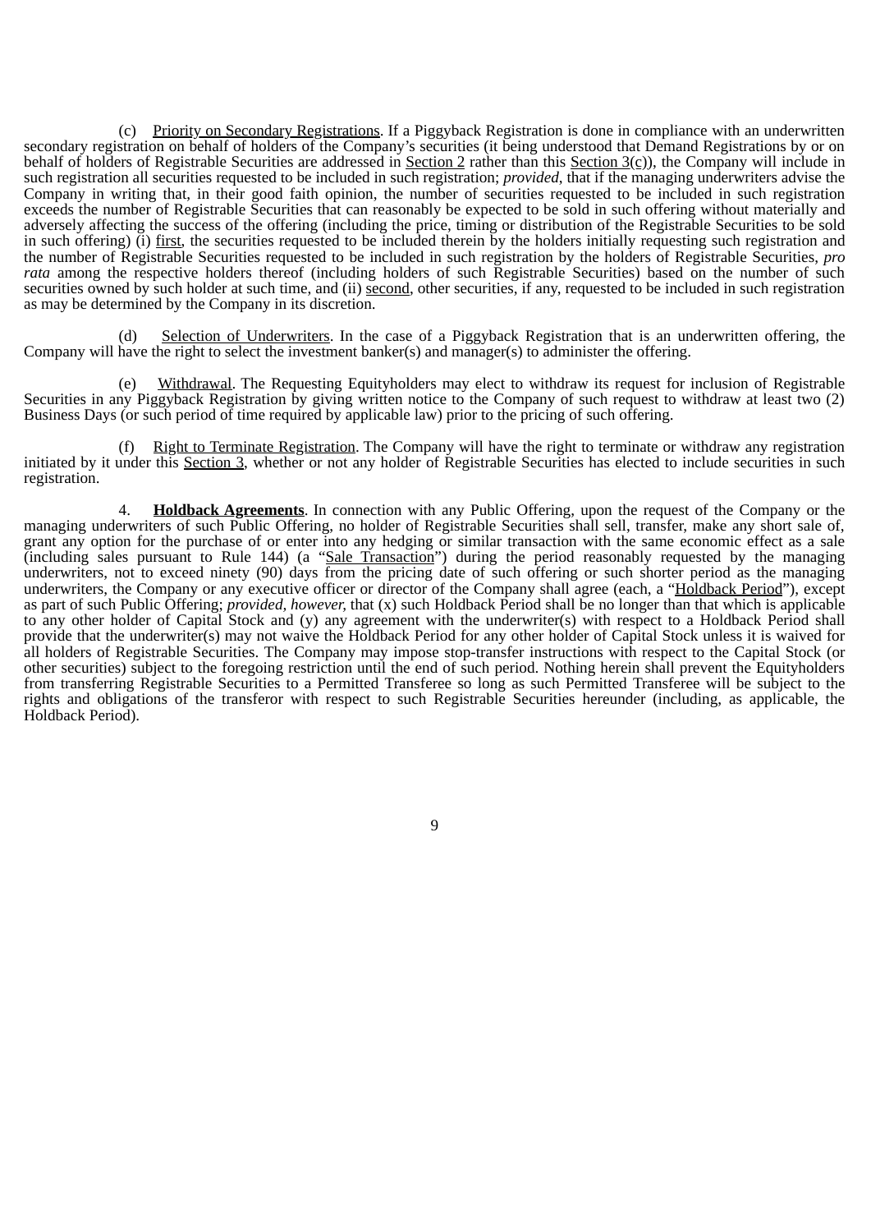(c) Priority on Secondary Registrations. If a Piggyback Registration is done in compliance with an underwritten secondary registration on behalf of holders of the Company's securities (it being understood that Demand Registrations by or on behalf of holders of Registrable Securities are addressed in Section 2 rather than this Section  $3(c)$ ), the Company will include in such registration all securities requested to be included in such registration; *provided*, that if the managing underwriters advise the Company in writing that, in their good faith opinion, the number of securities requested to be included in such registration exceeds the number of Registrable Securities that can reasonably be expected to be sold in such offering without materially and adversely affecting the success of the offering (including the price, timing or distribution of the Registrable Securities to be sold in such offering) (i) first, the securities requested to be included therein by the holders initially requesting such registration and the number of Registrable Securities requested to be included in such registration by the holders of Registrable Securities, *pro rata* among the respective holders thereof (including holders of such Registrable Securities) based on the number of such securities owned by such holder at such time, and (ii) second, other securities, if any, requested to be included in such registration as may be determined by the Company in its discretion.

(d) Selection of Underwriters. In the case of a Piggyback Registration that is an underwritten offering, the Company will have the right to select the investment banker(s) and manager(s) to administer the offering.

(e) Withdrawal. The Requesting Equityholders may elect to withdraw its request for inclusion of Registrable Securities in any Piggyback Registration by giving written notice to the Company of such request to withdraw at least two (2) Business Days (or such period of time required by applicable law) prior to the pricing of such offering.

Right to Terminate Registration. The Company will have the right to terminate or withdraw any registration initiated by it under this Section 3, whether or not any holder of Registrable Securities has elected to include securities in such registration.

4. **Holdback Agreements**. In connection with any Public Offering, upon the request of the Company or the managing underwriters of such Public Offering, no holder of Registrable Securities shall sell, transfer, make any short sale of, grant any option for the purchase of or enter into any hedging or similar transaction with the same economic effect as a sale (including sales pursuant to Rule 144) (a "Sale Transaction") during the period reasonably requested by the managing underwriters, not to exceed ninety (90) days from the pricing date of such offering or such shorter period as the managing underwriters, the Company or any executive officer or director of the Company shall agree (each, a "Holdback Period"), except as part of such Public Offering; *provided, however,* that (x) such Holdback Period shall be no longer than that which is applicable to any other holder of Capital Stock and (y) any agreement with the underwriter(s) with respect to a Holdback Period shall provide that the underwriter(s) may not waive the Holdback Period for any other holder of Capital Stock unless it is waived for all holders of Registrable Securities. The Company may impose stop-transfer instructions with respect to the Capital Stock (or other securities) subject to the foregoing restriction until the end of such period. Nothing herein shall prevent the Equityholders from transferring Registrable Securities to a Permitted Transferee so long as such Permitted Transferee will be subject to the rights and obligations of the transferor with respect to such Registrable Securities hereunder (including, as applicable, the Holdback Period).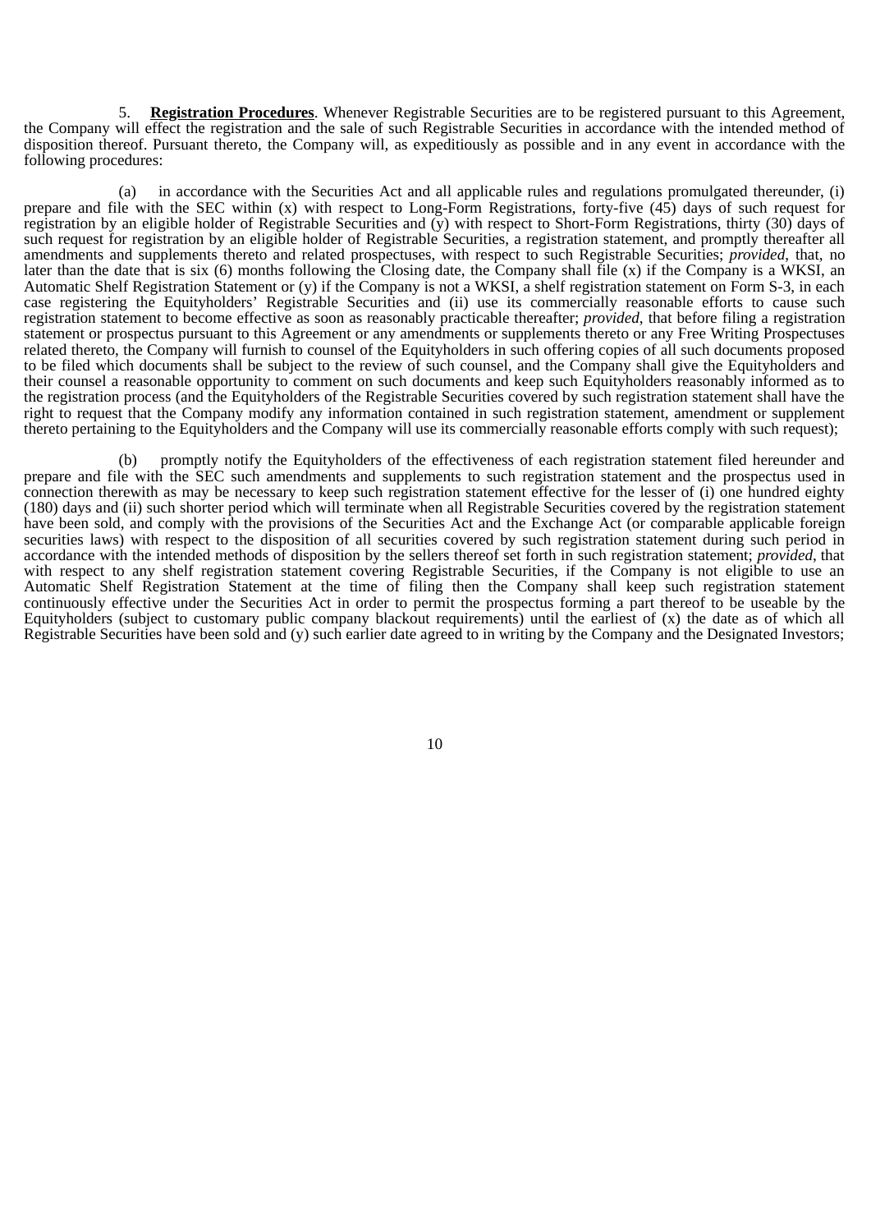5. **Registration Procedures**. Whenever Registrable Securities are to be registered pursuant to this Agreement, the Company will effect the registration and the sale of such Registrable Securities in accordance with the intended method of disposition thereof. Pursuant thereto, the Company will, as expeditiously as possible and in any event in accordance with the following procedures:

(a) in accordance with the Securities Act and all applicable rules and regulations promulgated thereunder, (i) prepare and file with the SEC within (x) with respect to Long-Form Registrations, forty-five (45) days of such request for registration by an eligible holder of Registrable Securities and (y) with respect to Short-Form Registrations, thirty (30) days of such request for registration by an eligible holder of Registrable Securities, a registration statement, and promptly thereafter all amendments and supplements thereto and related prospectuses, with respect to such Registrable Securities; *provided*, that, no later than the date that is six (6) months following the Closing date, the Company shall file (x) if the Company is a WKSI, an Automatic Shelf Registration Statement or (y) if the Company is not a WKSI, a shelf registration statement on Form S-3, in each case registering the Equityholders' Registrable Securities and (ii) use its commercially reasonable efforts to cause such registration statement to become effective as soon as reasonably practicable thereafter; *provided*, that before filing a registration statement or prospectus pursuant to this Agreement or any amendments or supplements thereto or any Free Writing Prospectuses related thereto, the Company will furnish to counsel of the Equityholders in such offering copies of all such documents proposed to be filed which documents shall be subject to the review of such counsel, and the Company shall give the Equityholders and their counsel a reasonable opportunity to comment on such documents and keep such Equityholders reasonably informed as to the registration process (and the Equityholders of the Registrable Securities covered by such registration statement shall have the right to request that the Company modify any information contained in such registration statement, amendment or supplement thereto pertaining to the Equityholders and the Company will use its commercially reasonable efforts comply with such request);

(b) promptly notify the Equityholders of the effectiveness of each registration statement filed hereunder and prepare and file with the SEC such amendments and supplements to such registration statement and the prospectus used in connection therewith as may be necessary to keep such registration statement effective for the lesser of (i) one hundred eighty (180) days and (ii) such shorter period which will terminate when all Registrable Securities covered by the registration statement have been sold, and comply with the provisions of the Securities Act and the Exchange Act (or comparable applicable foreign securities laws) with respect to the disposition of all securities covered by such registration statement during such period in accordance with the intended methods of disposition by the sellers thereof set forth in such registration statement; *provided*, that with respect to any shelf registration statement covering Registrable Securities, if the Company is not eligible to use an Automatic Shelf Registration Statement at the time of filing then the Company shall keep such registration statement continuously effective under the Securities Act in order to permit the prospectus forming a part thereof to be useable by the Equityholders (subject to customary public company blackout requirements) until the earliest of (x) the date as of which all Registrable Securities have been sold and (y) such earlier date agreed to in writing by the Company and the Designated Investors;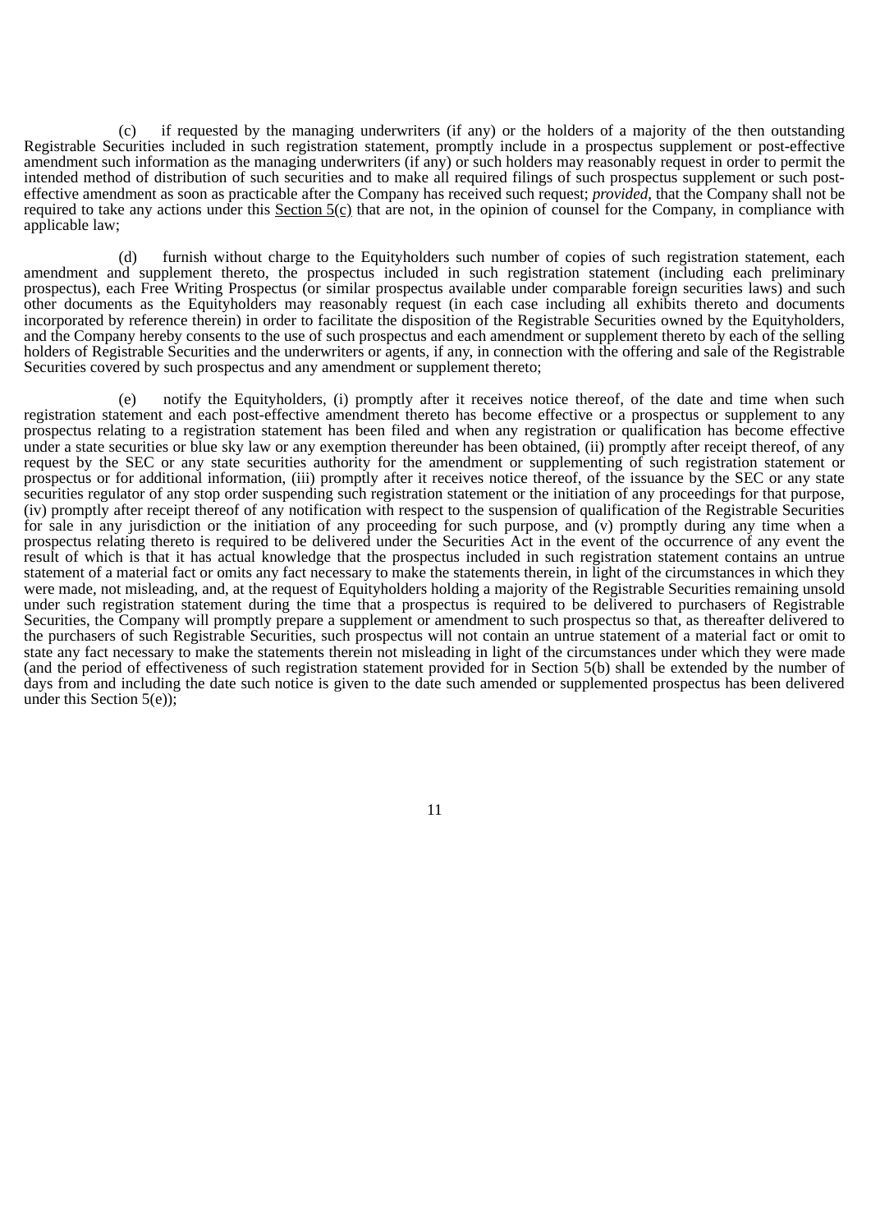(c) if requested by the managing underwriters (if any) or the holders of a majority of the then outstanding Registrable Securities included in such registration statement, promptly include in a prospectus supplement or post-effective amendment such information as the managing underwriters (if any) or such holders may reasonably request in order to permit the intended method of distribution of such securities and to make all required filings of such prospectus supplement or such posteffective amendment as soon as practicable after the Company has received such request; *provided*, that the Company shall not be required to take any actions under this Section  $5(0)$  that are not, in the opinion of counsel for the Company, in compliance with applicable law;

(d) furnish without charge to the Equityholders such number of copies of such registration statement, each amendment and supplement thereto, the prospectus included in such registration statement (including each preliminary prospectus), each Free Writing Prospectus (or similar prospectus available under comparable foreign securities laws) and such other documents as the Equityholders may reasonably request (in each case including all exhibits thereto and documents incorporated by reference therein) in order to facilitate the disposition of the Registrable Securities owned by the Equityholders, and the Company hereby consents to the use of such prospectus and each amendment or supplement thereto by each of the selling holders of Registrable Securities and the underwriters or agents, if any, in connection with the offering and sale of the Registrable Securities covered by such prospectus and any amendment or supplement thereto;

(e) notify the Equityholders, (i) promptly after it receives notice thereof, of the date and time when such registration statement and each post-effective amendment thereto has become effective or a prospectus or supplement to any prospectus relating to a registration statement has been filed and when any registration or qualification has become effective under a state securities or blue sky law or any exemption thereunder has been obtained, (ii) promptly after receipt thereof, of any request by the SEC or any state securities authority for the amendment or supplementing of such registration statement or prospectus or for additional information, (iii) promptly after it receives notice thereof, of the issuance by the SEC or any state securities regulator of any stop order suspending such registration statement or the initiation of any proceedings for that purpose, (iv) promptly after receipt thereof of any notification with respect to the suspension of qualification of the Registrable Securities for sale in any jurisdiction or the initiation of any proceeding for such purpose, and (v) promptly during any time when a prospectus relating thereto is required to be delivered under the Securities Act in the event of the occurrence of any event the result of which is that it has actual knowledge that the prospectus included in such registration statement contains an untrue statement of a material fact or omits any fact necessary to make the statements therein, in light of the circumstances in which they were made, not misleading, and, at the request of Equityholders holding a majority of the Registrable Securities remaining unsold under such registration statement during the time that a prospectus is required to be delivered to purchasers of Registrable Securities, the Company will promptly prepare a supplement or amendment to such prospectus so that, as thereafter delivered to the purchasers of such Registrable Securities, such prospectus will not contain an untrue statement of a material fact or omit to state any fact necessary to make the statements therein not misleading in light of the circumstances under which they were made (and the period of effectiveness of such registration statement provided for in Section 5(b) shall be extended by the number of days from and including the date such notice is given to the date such amended or supplemented prospectus has been delivered under this Section 5(e));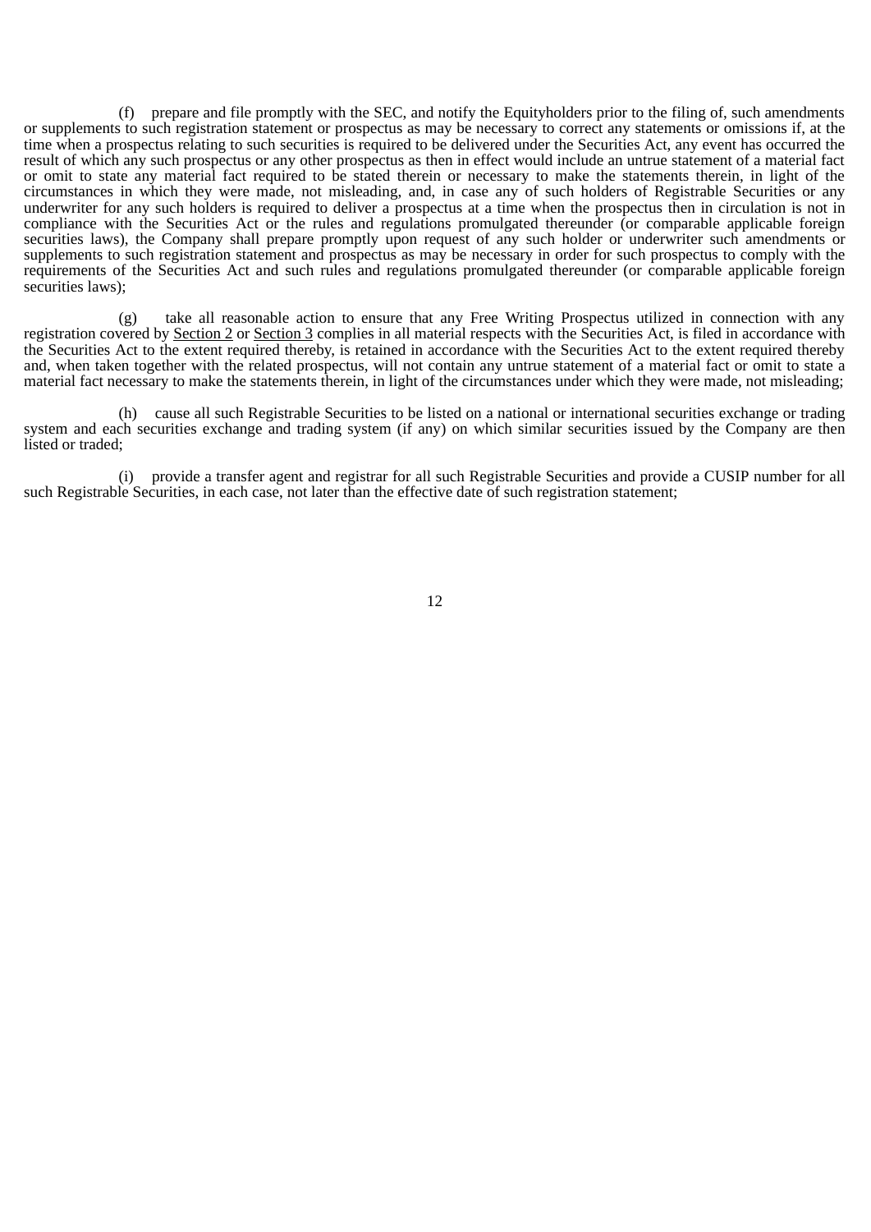(f) prepare and file promptly with the SEC, and notify the Equityholders prior to the filing of, such amendments or supplements to such registration statement or prospectus as may be necessary to correct any statements or omissions if, at the time when a prospectus relating to such securities is required to be delivered under the Securities Act, any event has occurred the result of which any such prospectus or any other prospectus as then in effect would include an untrue statement of a material fact or omit to state any material fact required to be stated therein or necessary to make the statements therein, in light of the circumstances in which they were made, not misleading, and, in case any of such holders of Registrable Securities or any underwriter for any such holders is required to deliver a prospectus at a time when the prospectus then in circulation is not in compliance with the Securities Act or the rules and regulations promulgated thereunder (or comparable applicable foreign securities laws), the Company shall prepare promptly upon request of any such holder or underwriter such amendments or supplements to such registration statement and prospectus as may be necessary in order for such prospectus to comply with the requirements of the Securities Act and such rules and regulations promulgated thereunder (or comparable applicable foreign securities laws);

(g) take all reasonable action to ensure that any Free Writing Prospectus utilized in connection with any registration covered by Section 2 or Section 3 complies in all material respects with the Securities Act, is filed in accordance with the Securities Act to the extent required thereby, is retained in accordance with the Securities Act to the extent required thereby and, when taken together with the related prospectus, will not contain any untrue statement of a material fact or omit to state a material fact necessary to make the statements therein, in light of the circumstances under which they were made, not misleading;

(h) cause all such Registrable Securities to be listed on a national or international securities exchange or trading system and each securities exchange and trading system (if any) on which similar securities issued by the Company are then listed or traded:

(i) provide a transfer agent and registrar for all such Registrable Securities and provide a CUSIP number for all such Registrable Securities, in each case, not later than the effective date of such registration statement;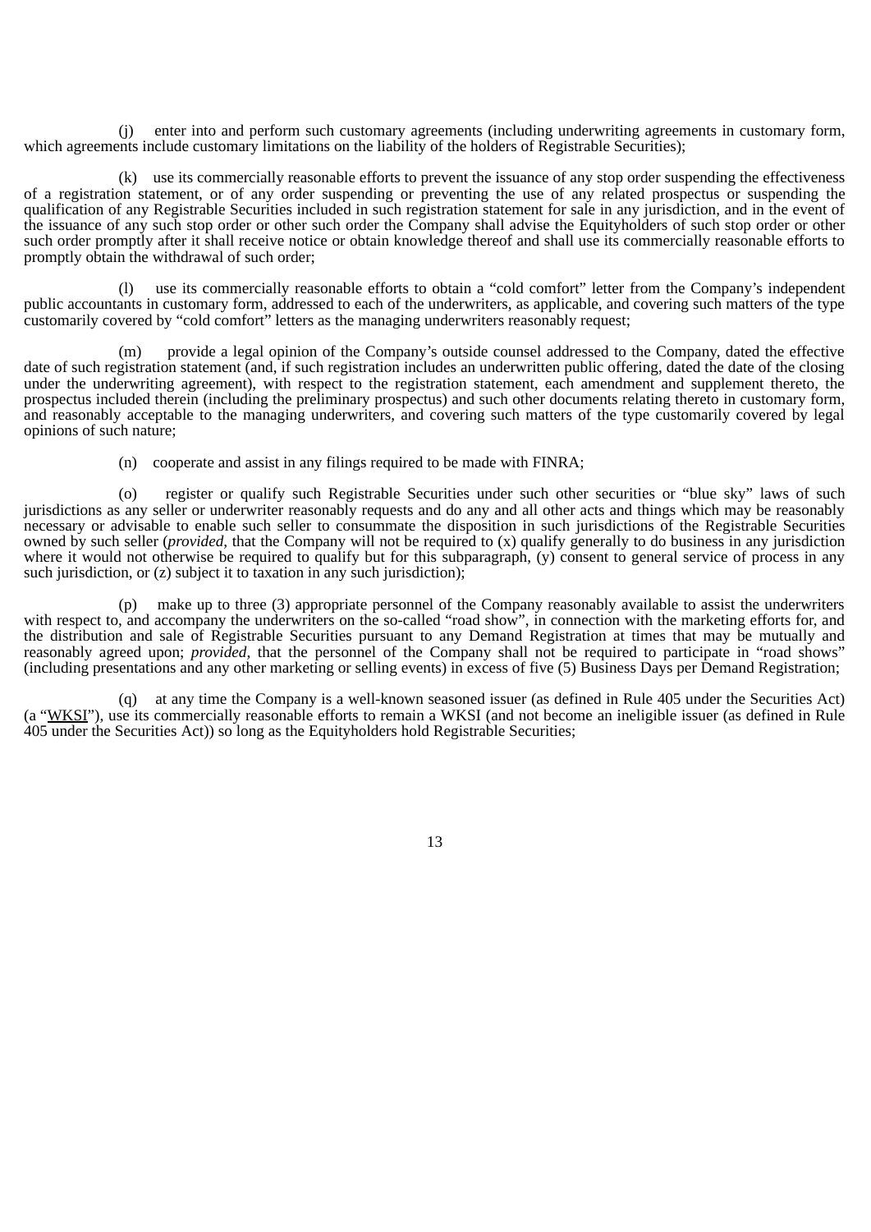(j) enter into and perform such customary agreements (including underwriting agreements in customary form, which agreements include customary limitations on the liability of the holders of Registrable Securities);

(k) use its commercially reasonable efforts to prevent the issuance of any stop order suspending the effectiveness of a registration statement, or of any order suspending or preventing the use of any related prospectus or suspending the qualification of any Registrable Securities included in such registration statement for sale in any jurisdiction, and in the event of the issuance of any such stop order or other such order the Company shall advise the Equityholders of such stop order or other such order promptly after it shall receive notice or obtain knowledge thereof and shall use its commercially reasonable efforts to promptly obtain the withdrawal of such order;

(l) use its commercially reasonable efforts to obtain a "cold comfort" letter from the Company's independent public accountants in customary form, addressed to each of the underwriters, as applicable, and covering such matters of the type customarily covered by "cold comfort" letters as the managing underwriters reasonably request;

(m) provide a legal opinion of the Company's outside counsel addressed to the Company, dated the effective date of such registration statement (and, if such registration includes an underwritten public offering, dated the date of the closing under the underwriting agreement), with respect to the registration statement, each amendment and supplement thereto, the prospectus included therein (including the preliminary prospectus) and such other documents relating thereto in customary form, and reasonably acceptable to the managing underwriters, and covering such matters of the type customarily covered by legal opinions of such nature;

(n) cooperate and assist in any filings required to be made with FINRA;

(o) register or qualify such Registrable Securities under such other securities or "blue sky" laws of such jurisdictions as any seller or underwriter reasonably requests and do any and all other acts and things which may be reasonably necessary or advisable to enable such seller to consummate the disposition in such jurisdictions of the Registrable Securities owned by such seller (*provided*, that the Company will not be required to (x) qualify generally to do business in any jurisdiction where it would not otherwise be required to qualify but for this subparagraph, (y) consent to general service of process in any such jurisdiction, or  $(z)$  subject it to taxation in any such jurisdiction);

(p) make up to three (3) appropriate personnel of the Company reasonably available to assist the underwriters with respect to, and accompany the underwriters on the so-called "road show", in connection with the marketing efforts for, and the distribution and sale of Registrable Securities pursuant to any Demand Registration at times that may be mutually and reasonably agreed upon; *provided*, that the personnel of the Company shall not be required to participate in "road shows" (including presentations and any other marketing or selling events) in excess of five (5) Business Days per Demand Registration;

(q) at any time the Company is a well-known seasoned issuer (as defined in Rule 405 under the Securities Act) (a "WKSI"), use its commercially reasonable efforts to remain a WKSI (and not become an ineligible issuer (as defined in Rule 405 under the Securities Act)) so long as the Equityholders hold Registrable Securities;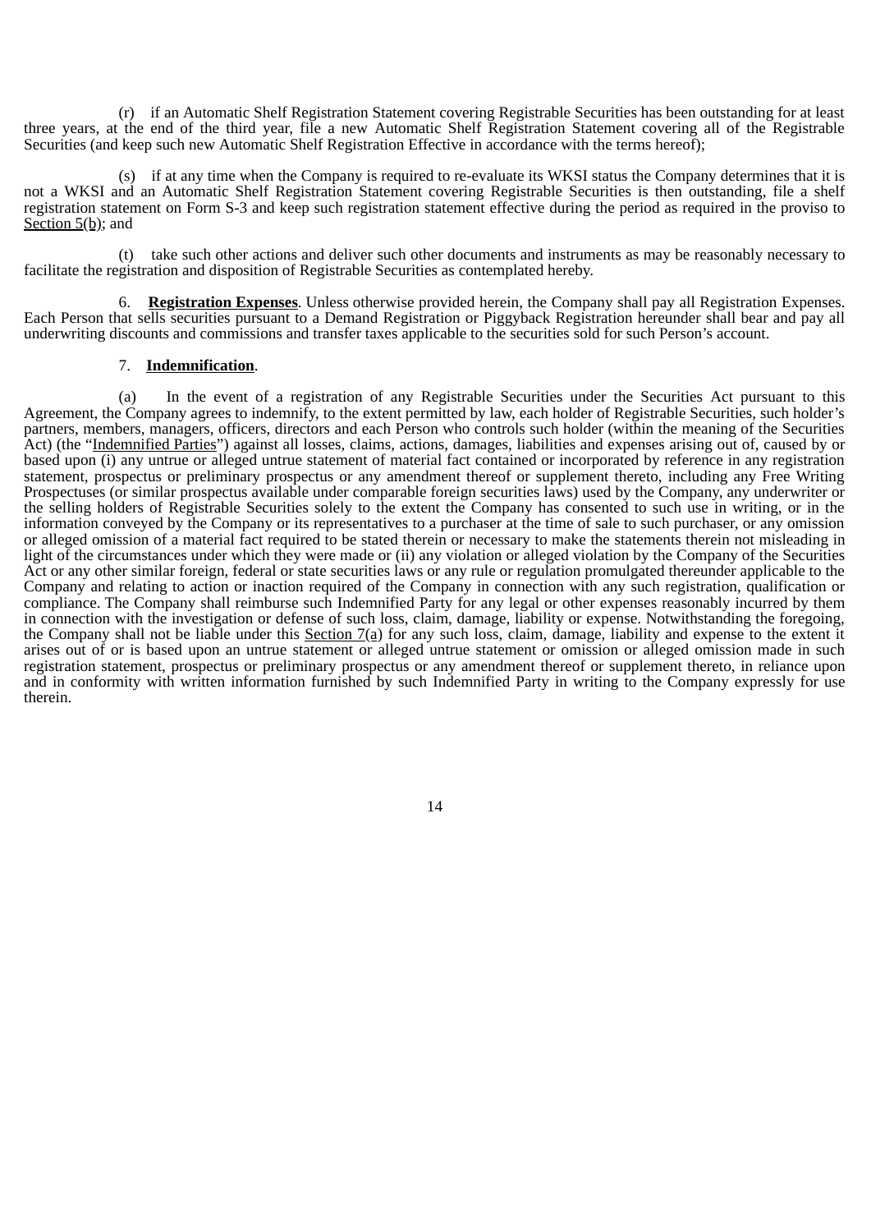(r) if an Automatic Shelf Registration Statement covering Registrable Securities has been outstanding for at least three years, at the end of the third year, file a new Automatic Shelf Registration Statement covering all of the Registrable Securities (and keep such new Automatic Shelf Registration Effective in accordance with the terms hereof);

(s) if at any time when the Company is required to re-evaluate its WKSI status the Company determines that it is not a WKSI and an Automatic Shelf Registration Statement covering Registrable Securities is then outstanding, file a shelf registration statement on Form S-3 and keep such registration statement effective during the period as required in the proviso to Section 5(b); and

(t) take such other actions and deliver such other documents and instruments as may be reasonably necessary to facilitate the registration and disposition of Registrable Securities as contemplated hereby.

6. **Registration Expenses**. Unless otherwise provided herein, the Company shall pay all Registration Expenses. Each Person that sells securities pursuant to a Demand Registration or Piggyback Registration hereunder shall bear and pay all underwriting discounts and commissions and transfer taxes applicable to the securities sold for such Person's account.

### 7. **Indemnification**.

(a) In the event of a registration of any Registrable Securities under the Securities Act pursuant to this Agreement, the Company agrees to indemnify, to the extent permitted by law, each holder of Registrable Securities, such holder's partners, members, managers, officers, directors and each Person who controls such holder (within the meaning of the Securities Act) (the "Indemnified Parties") against all losses, claims, actions, damages, liabilities and expenses arising out of, caused by or based upon (i) any untrue or alleged untrue statement of material fact contained or incorporated by reference in any registration statement, prospectus or preliminary prospectus or any amendment thereof or supplement thereto, including any Free Writing Prospectuses (or similar prospectus available under comparable foreign securities laws) used by the Company, any underwriter or the selling holders of Registrable Securities solely to the extent the Company has consented to such use in writing, or in the information conveyed by the Company or its representatives to a purchaser at the time of sale to such purchaser, or any omission or alleged omission of a material fact required to be stated therein or necessary to make the statements therein not misleading in light of the circumstances under which they were made or (ii) any violation or alleged violation by the Company of the Securities Act or any other similar foreign, federal or state securities laws or any rule or regulation promulgated thereunder applicable to the Company and relating to action or inaction required of the Company in connection with any such registration, qualification or compliance. The Company shall reimburse such Indemnified Party for any legal or other expenses reasonably incurred by them in connection with the investigation or defense of such loss, claim, damage, liability or expense. Notwithstanding the foregoing, the Company shall not be liable under this Section 7(a) for any such loss, claim, damage, liability and expense to the extent it arises out of or is based upon an untrue statement or alleged untrue statement or omission or alleged omission made in such registration statement, prospectus or preliminary prospectus or any amendment thereof or supplement thereto, in reliance upon and in conformity with written information furnished by such Indemnified Party in writing to the Company expressly for use therein.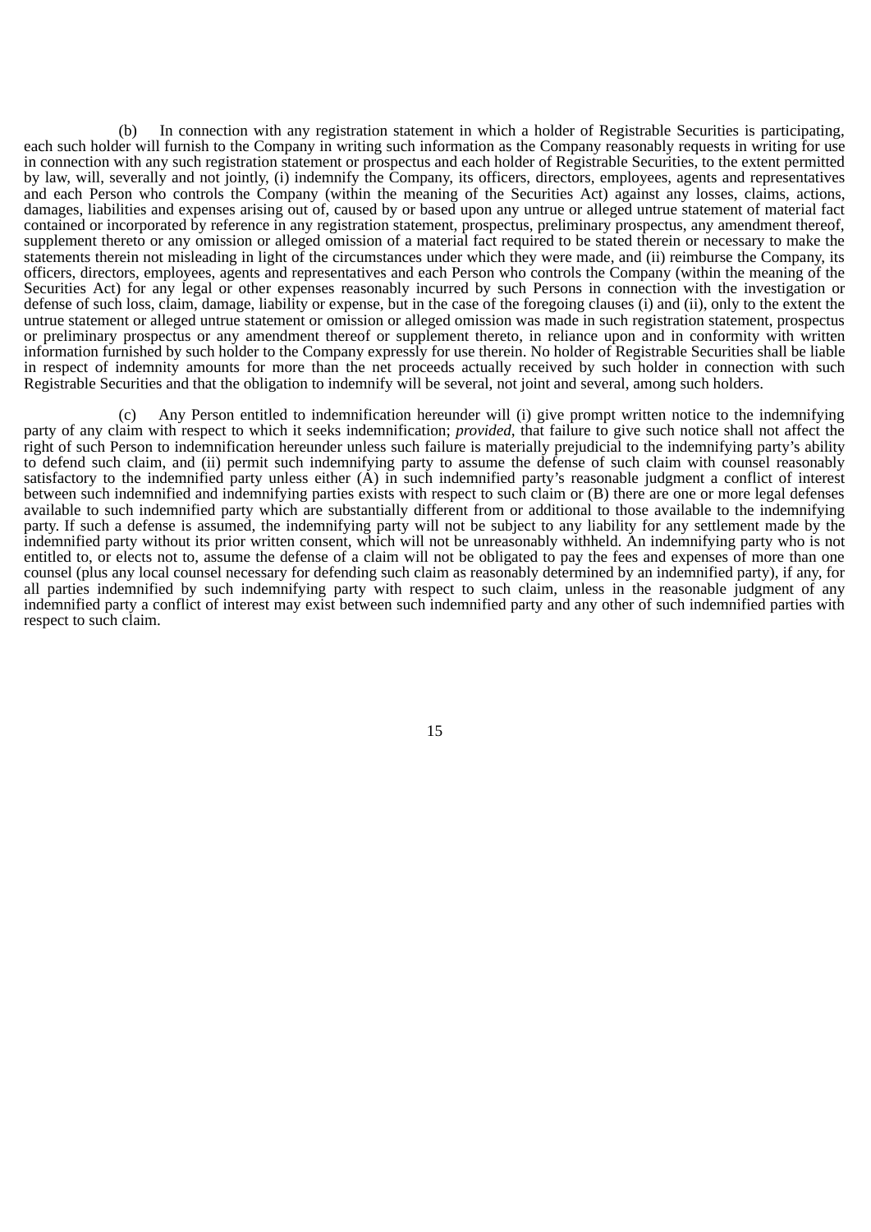(b) In connection with any registration statement in which a holder of Registrable Securities is participating, each such holder will furnish to the Company in writing such information as the Company reasonably requests in writing for use in connection with any such registration statement or prospectus and each holder of Registrable Securities, to the extent permitted by law, will, severally and not jointly, (i) indemnify the Company, its officers, directors, employees, agents and representatives and each Person who controls the Company (within the meaning of the Securities Act) against any losses, claims, actions, damages, liabilities and expenses arising out of, caused by or based upon any untrue or alleged untrue statement of material fact contained or incorporated by reference in any registration statement, prospectus, preliminary prospectus, any amendment thereof, supplement thereto or any omission or alleged omission of a material fact required to be stated therein or necessary to make the statements therein not misleading in light of the circumstances under which they were made, and (ii) reimburse the Company, its officers, directors, employees, agents and representatives and each Person who controls the Company (within the meaning of the Securities Act) for any legal or other expenses reasonably incurred by such Persons in connection with the investigation or defense of such loss, claim, damage, liability or expense, but in the case of the foregoing clauses (i) and (ii), only to the extent the untrue statement or alleged untrue statement or omission or alleged omission was made in such registration statement, prospectus or preliminary prospectus or any amendment thereof or supplement thereto, in reliance upon and in conformity with written information furnished by such holder to the Company expressly for use therein. No holder of Registrable Securities shall be liable in respect of indemnity amounts for more than the net proceeds actually received by such holder in connection with such Registrable Securities and that the obligation to indemnify will be several, not joint and several, among such holders.

(c) Any Person entitled to indemnification hereunder will (i) give prompt written notice to the indemnifying party of any claim with respect to which it seeks indemnification; *provided*, that failure to give such notice shall not affect the right of such Person to indemnification hereunder unless such failure is materially prejudicial to the indemnifying party's ability to defend such claim, and (ii) permit such indemnifying party to assume the defense of such claim with counsel reasonably satisfactory to the indemnified party unless either (A) in such indemnified party's reasonable judgment a conflict of interest between such indemnified and indemnifying parties exists with respect to such claim or (B) there are one or more legal defenses available to such indemnified party which are substantially different from or additional to those available to the indemnifying party. If such a defense is assumed, the indemnifying party will not be subject to any liability for any settlement made by the indemnified party without its prior written consent, which will not be unreasonably withheld. An indemnifying party who is not entitled to, or elects not to, assume the defense of a claim will not be obligated to pay the fees and expenses of more than one counsel (plus any local counsel necessary for defending such claim as reasonably determined by an indemnified party), if any, for all parties indemnified by such indemnifying party with respect to such claim, unless in the reasonable judgment of any indemnified party a conflict of interest may exist between such indemnified party and any other of such indemnified parties with respect to such claim.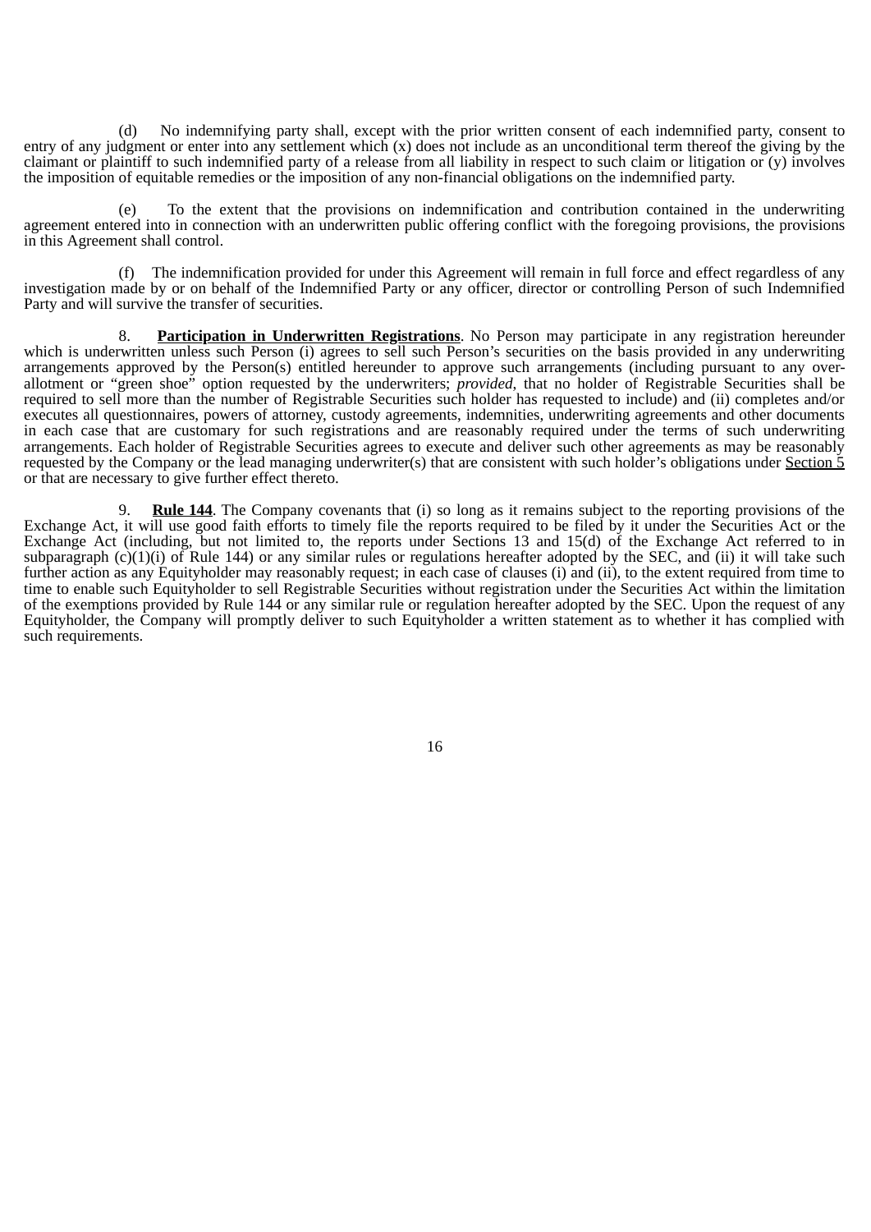(d) No indemnifying party shall, except with the prior written consent of each indemnified party, consent to entry of any judgment or enter into any settlement which (x) does not include as an unconditional term thereof the giving by the claimant or plaintiff to such indemnified party of a release from all liability in respect to such claim or litigation or (y) involves the imposition of equitable remedies or the imposition of any non-financial obligations on the indemnified party.

(e) To the extent that the provisions on indemnification and contribution contained in the underwriting agreement entered into in connection with an underwritten public offering conflict with the foregoing provisions, the provisions in this Agreement shall control.

(f) The indemnification provided for under this Agreement will remain in full force and effect regardless of any investigation made by or on behalf of the Indemnified Party or any officer, director or controlling Person of such Indemnified Party and will survive the transfer of securities.

8. **Participation in Underwritten Registrations**. No Person may participate in any registration hereunder which is underwritten unless such Person (i) agrees to sell such Person's securities on the basis provided in any underwriting arrangements approved by the Person(s) entitled hereunder to approve such arrangements (including pursuant to any overallotment or "green shoe" option requested by the underwriters; *provided*, that no holder of Registrable Securities shall be required to sell more than the number of Registrable Securities such holder has requested to include) and (ii) completes and/or executes all questionnaires, powers of attorney, custody agreements, indemnities, underwriting agreements and other documents in each case that are customary for such registrations and are reasonably required under the terms of such underwriting arrangements. Each holder of Registrable Securities agrees to execute and deliver such other agreements as may be reasonably requested by the Company or the lead managing underwriter(s) that are consistent with such holder's obligations under Section  $\frac{5}{9}$ or that are necessary to give further effect thereto.

9. **Rule 144**. The Company covenants that (i) so long as it remains subject to the reporting provisions of the Exchange Act, it will use good faith efforts to timely file the reports required to be filed by it under the Securities Act or the Exchange Act (including, but not limited to, the reports under Sections 13 and 15(d) of the Exchange Act referred to in subparagraph  $(c)(1)(i)$  of Rule 144) or any similar rules or regulations hereafter adopted by the SEC, and (ii) it will take such further action as any Equityholder may reasonably request; in each case of clauses (i) and (ii), to the extent required from time to time to enable such Equityholder to sell Registrable Securities without registration under the Securities Act within the limitation of the exemptions provided by Rule 144 or any similar rule or regulation hereafter adopted by the SEC. Upon the request of any Equityholder, the Company will promptly deliver to such Equityholder a written statement as to whether it has complied with such requirements.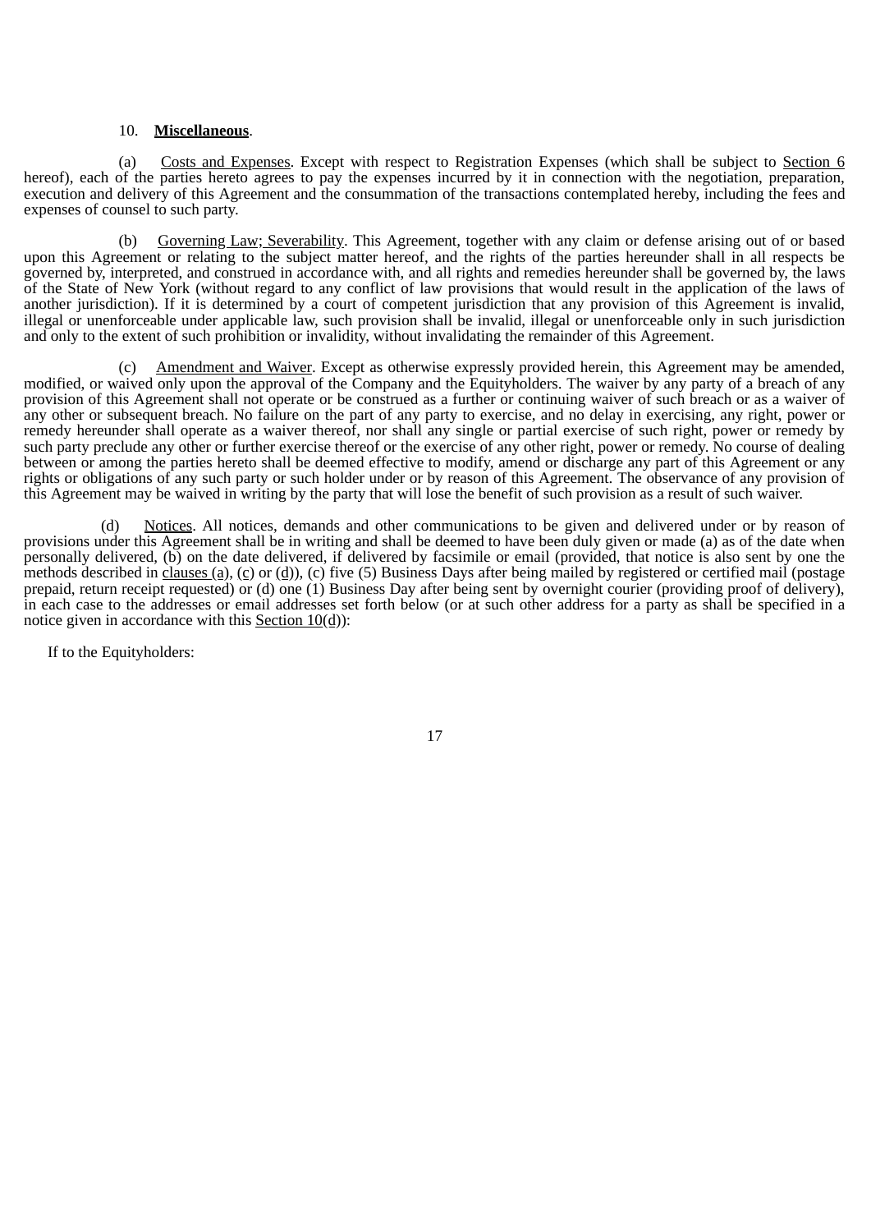#### 10. **Miscellaneous**.

(a) Costs and Expenses. Except with respect to Registration Expenses (which shall be subject to Section 6 hereof), each of the parties hereto agrees to pay the expenses incurred by it in connection with the negotiation, preparation, execution and delivery of this Agreement and the consummation of the transactions contemplated hereby, including the fees and expenses of counsel to such party.

(b) Governing Law; Severability. This Agreement, together with any claim or defense arising out of or based upon this Agreement or relating to the subject matter hereof, and the rights of the parties hereunder shall in all respects be governed by, interpreted, and construed in accordance with, and all rights and remedies hereunder shall be governed by, the laws of the State of New York (without regard to any conflict of law provisions that would result in the application of the laws of another jurisdiction). If it is determined by a court of competent jurisdiction that any provision of this Agreement is invalid, illegal or unenforceable under applicable law, such provision shall be invalid, illegal or unenforceable only in such jurisdiction and only to the extent of such prohibition or invalidity, without invalidating the remainder of this Agreement.

(c) Amendment and Waiver. Except as otherwise expressly provided herein, this Agreement may be amended, modified, or waived only upon the approval of the Company and the Equityholders. The waiver by any party of a breach of any provision of this Agreement shall not operate or be construed as a further or continuing waiver of such breach or as a waiver of any other or subsequent breach. No failure on the part of any party to exercise, and no delay in exercising, any right, power or remedy hereunder shall operate as a waiver thereof, nor shall any single or partial exercise of such right, power or remedy by such party preclude any other or further exercise thereof or the exercise of any other right, power or remedy. No course of dealing between or among the parties hereto shall be deemed effective to modify, amend or discharge any part of this Agreement or any rights or obligations of any such party or such holder under or by reason of this Agreement. The observance of any provision of this Agreement may be waived in writing by the party that will lose the benefit of such provision as a result of such waiver.

(d) Notices. All notices, demands and other communications to be given and delivered under or by reason of provisions under this Agreement shall be in writing and shall be deemed to have been duly given or made (a) as of the date when personally delivered, (b) on the date delivered, if delivered by facsimile or email (provided, that notice is also sent by one the methods described in clauses (a), (c) or (d)), (c) five (5) Business Days after being mailed by registered or certified mail (postage prepaid, return receipt requested) or (d) one (1) Business Day after being sent by overnight courier (providing proof of delivery), in each case to the addresses or email addresses set forth below (or at such other address for a party as shall be specified in a notice given in accordance with this Section 10(d)):

If to the Equityholders: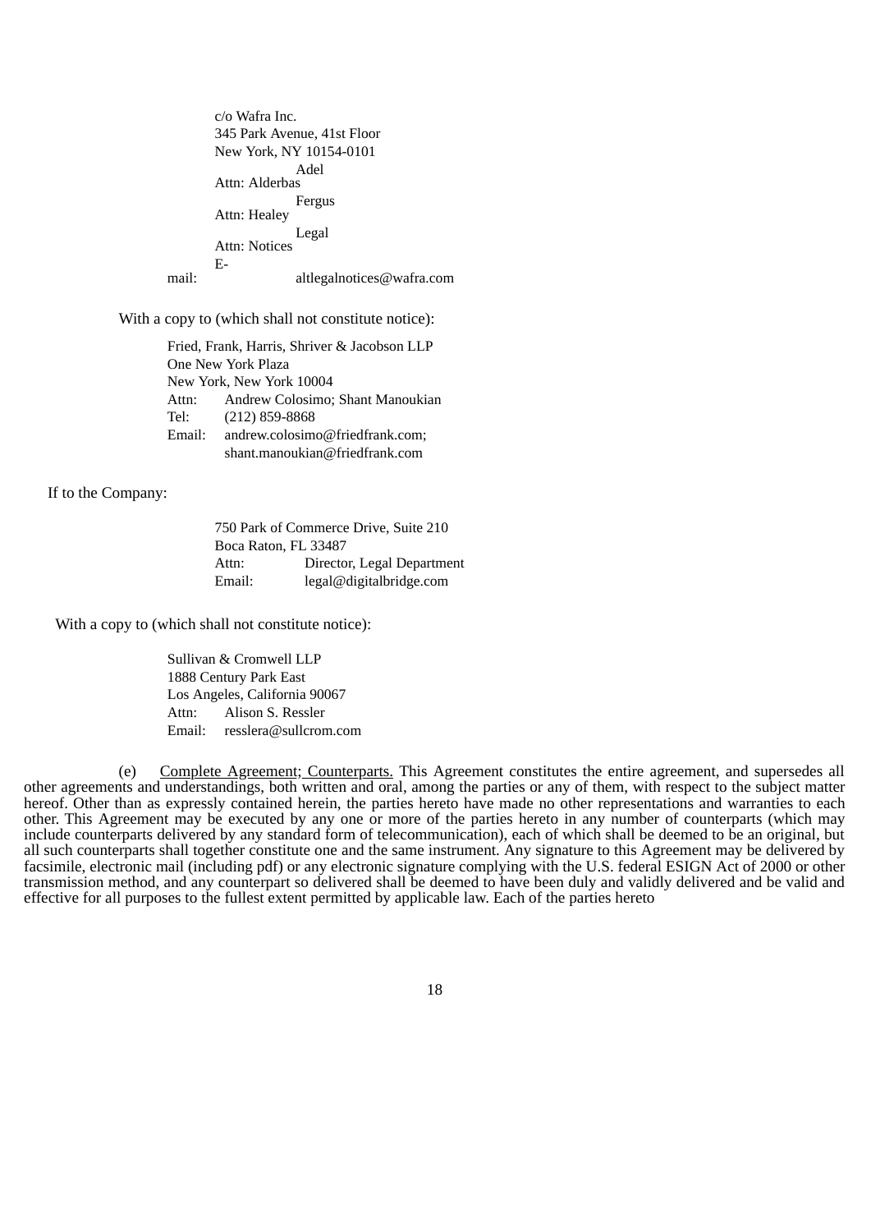c/o Wafra Inc. 345 Park Avenue, 41st Floor New York, NY 10154-0101 Attn: Alderbas Adel Attn: Healey Fergus Attn: Notices Legal Email: altlegalnotices@wafra.com

With a copy to (which shall not constitute notice):

Fried, Frank, Harris, Shriver & Jacobson LLP One New York Plaza New York, New York 10004 Attn: Andrew Colosimo; Shant Manoukian Tel: (212) 859-8868 Email: andrew.colosimo@friedfrank.com; shant.manoukian@friedfrank.com

If to the Company:

750 Park of Commerce Drive, Suite 210 Boca Raton, FL 33487 Attn: Director, Legal Department Email: legal@digitalbridge.com

With a copy to (which shall not constitute notice):

Sullivan & Cromwell LLP 1888 Century Park East Los Angeles, California 90067 Attn: Alison S. Ressler Email: resslera@sullcrom.com

(e) Complete Agreement; Counterparts. This Agreement constitutes the entire agreement, and supersedes all other agreements and understandings, both written and oral, among the parties or any of them, with respect to the subject matter hereof. Other than as expressly contained herein, the parties hereto have made no other representations and warranties to each other. This Agreement may be executed by any one or more of the parties hereto in any number of counterparts (which may include counterparts delivered by any standard form of telecommunication), each of which shall be deemed to be an original, but all such counterparts shall together constitute one and the same instrument. Any signature to this Agreement may be delivered by facsimile, electronic mail (including pdf) or any electronic signature complying with the U.S. federal ESIGN Act of 2000 or other transmission method, and any counterpart so delivered shall be deemed to have been duly and validly delivered and be valid and effective for all purposes to the fullest extent permitted by applicable law. Each of the parties hereto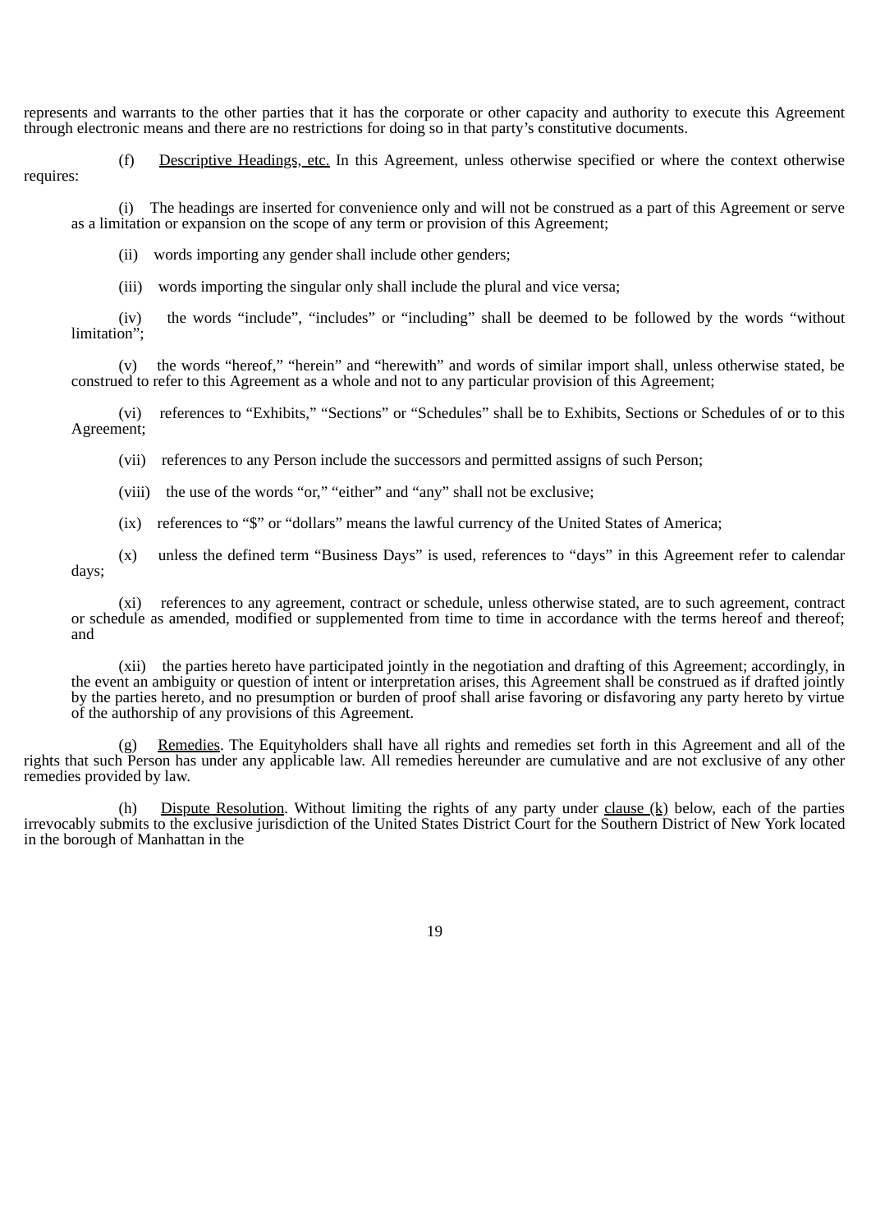represents and warrants to the other parties that it has the corporate or other capacity and authority to execute this Agreement through electronic means and there are no restrictions for doing so in that party's constitutive documents.

(f) Descriptive Headings, etc. In this Agreement, unless otherwise specified or where the context otherwise requires:

(i) The headings are inserted for convenience only and will not be construed as a part of this Agreement or serve as a limitation or expansion on the scope of any term or provision of this Agreement;

(ii) words importing any gender shall include other genders;

(iii) words importing the singular only shall include the plural and vice versa;

(iv) the words "include", "includes" or "including" shall be deemed to be followed by the words "without limitation":

(v) the words "hereof," "herein" and "herewith" and words of similar import shall, unless otherwise stated, be construed to refer to this Agreement as a whole and not to any particular provision of this Agreement;

(vi) references to "Exhibits," "Sections" or "Schedules" shall be to Exhibits, Sections or Schedules of or to this Agreement;

(vii) references to any Person include the successors and permitted assigns of such Person;

(viii) the use of the words "or," "either" and "any" shall not be exclusive;

(ix) references to "\$" or "dollars" means the lawful currency of the United States of America;

(x) unless the defined term "Business Days" is used, references to "days" in this Agreement refer to calendar days;

(xi) references to any agreement, contract or schedule, unless otherwise stated, are to such agreement, contract or schedule as amended, modified or supplemented from time to time in accordance with the terms hereof and thereof; and

(xii) the parties hereto have participated jointly in the negotiation and drafting of this Agreement; accordingly, in the event an ambiguity or question of intent or interpretation arises, this Agreement shall be construed as if drafted jointly by the parties hereto, and no presumption or burden of proof shall arise favoring or disfavoring any party hereto by virtue of the authorship of any provisions of this Agreement.

Remedies. The Equityholders shall have all rights and remedies set forth in this Agreement and all of the rights that such Person has under any applicable law. All remedies hereunder are cumulative and are not exclusive of any other remedies provided by law.

(h) Dispute Resolution. Without limiting the rights of any party under clause (k) below, each of the parties irrevocably submits to the exclusive jurisdiction of the United States District Court for the Southern District of New York located in the borough of Manhattan in the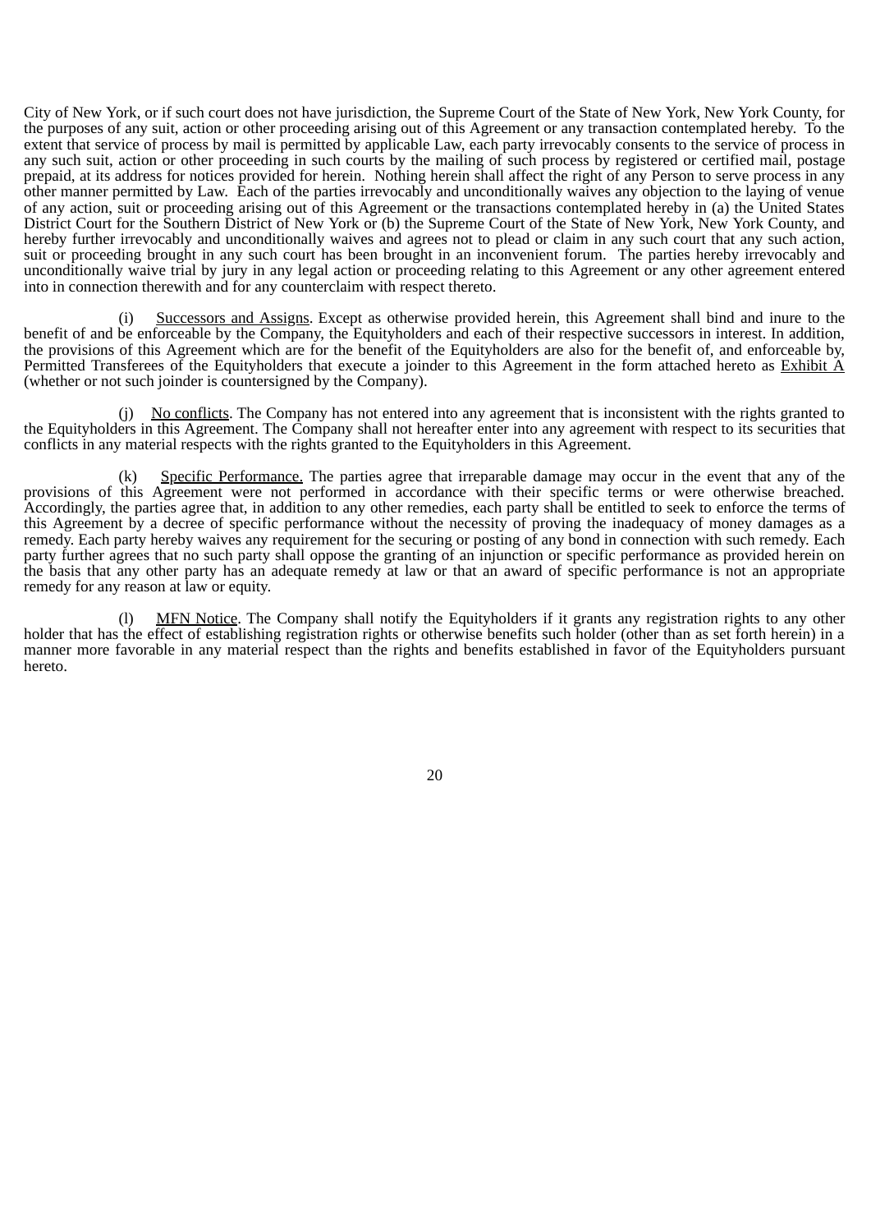City of New York, or if such court does not have jurisdiction, the Supreme Court of the State of New York, New York County, for the purposes of any suit, action or other proceeding arising out of this Agreement or any transaction contemplated hereby. To the extent that service of process by mail is permitted by applicable Law, each party irrevocably consents to the service of process in any such suit, action or other proceeding in such courts by the mailing of such process by registered or certified mail, postage prepaid, at its address for notices provided for herein. Nothing herein shall affect the right of any Person to serve process in any other manner permitted by Law. Each of the parties irrevocably and unconditionally waives any objection to the laying of venue of any action, suit or proceeding arising out of this Agreement or the transactions contemplated hereby in (a) the United States District Court for the Southern District of New York or (b) the Supreme Court of the State of New York, New York County, and hereby further irrevocably and unconditionally waives and agrees not to plead or claim in any such court that any such action, suit or proceeding brought in any such court has been brought in an inconvenient forum. The parties hereby irrevocably and unconditionally waive trial by jury in any legal action or proceeding relating to this Agreement or any other agreement entered into in connection therewith and for any counterclaim with respect thereto.

Successors and Assigns. Except as otherwise provided herein, this Agreement shall bind and inure to the benefit of and be enforceable by the Company, the Equityholders and each of their respective successors in interest. In addition, the provisions of this Agreement which are for the benefit of the Equityholders are also for the benefit of, and enforceable by, Permitted Transferees of the Equityholders that execute a joinder to this Agreement in the form attached hereto as Exhibit A (whether or not such joinder is countersigned by the Company).

(j) No conflicts. The Company has not entered into any agreement that is inconsistent with the rights granted to the Equityholders in this Agreement. The Company shall not hereafter enter into any agreement with respect to its securities that conflicts in any material respects with the rights granted to the Equityholders in this Agreement.

(k) Specific Performance. The parties agree that irreparable damage may occur in the event that any of the provisions of this Agreement were not performed in accordance with their specific terms or were otherwise breached. Accordingly, the parties agree that, in addition to any other remedies, each party shall be entitled to seek to enforce the terms of this Agreement by a decree of specific performance without the necessity of proving the inadequacy of money damages as a remedy. Each party hereby waives any requirement for the securing or posting of any bond in connection with such remedy. Each party further agrees that no such party shall oppose the granting of an injunction or specific performance as provided herein on the basis that any other party has an adequate remedy at law or that an award of specific performance is not an appropriate remedy for any reason at law or equity.

(l) MFN Notice. The Company shall notify the Equityholders if it grants any registration rights to any other holder that has the effect of establishing registration rights or otherwise benefits such holder (other than as set forth herein) in a manner more favorable in any material respect than the rights and benefits established in favor of the Equityholders pursuant hereto.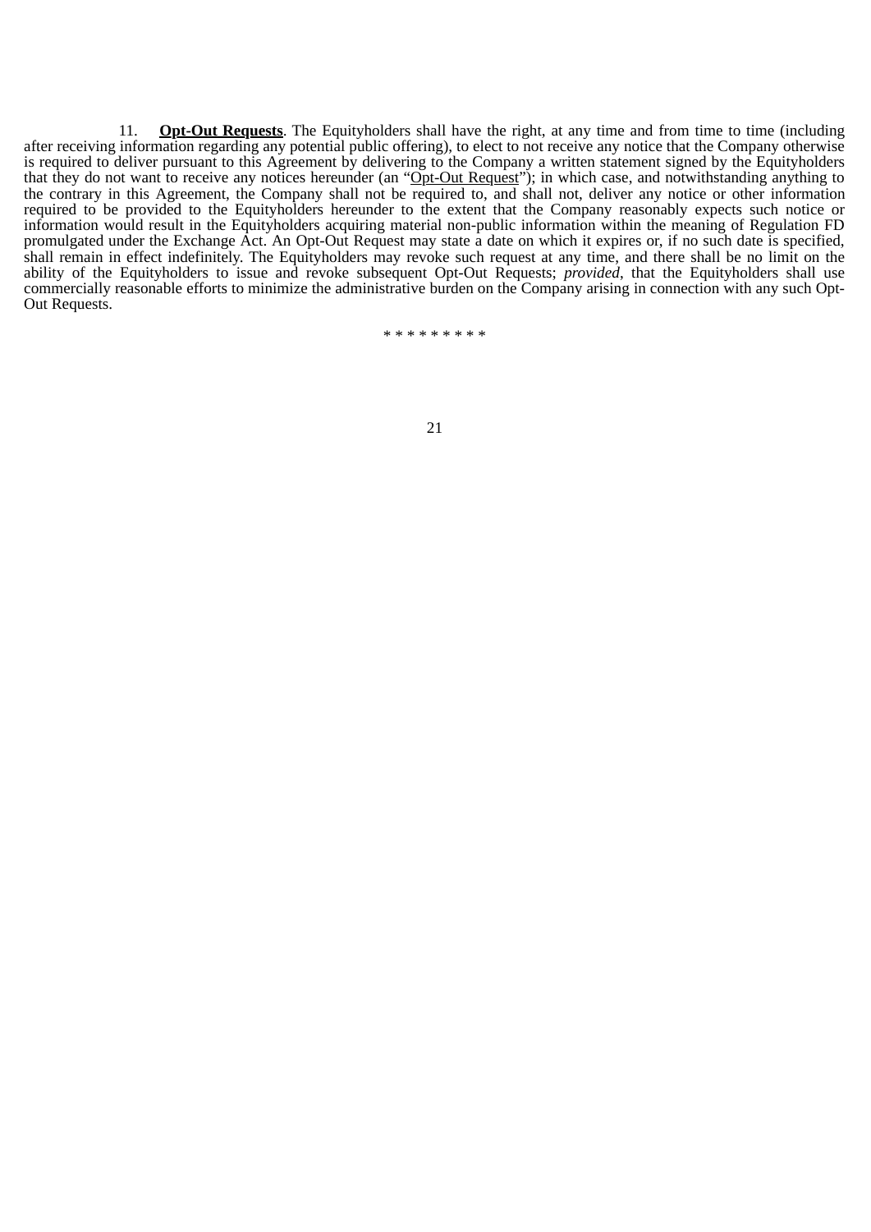11. **Opt-Out Requests**. The Equityholders shall have the right, at any time and from time to time (including after receiving information regarding any potential public offering), to elect to not receive any notice that the Company otherwise is required to deliver pursuant to this Agreement by delivering to the Company a written statement signed by the Equityholders that they do not want to receive any notices hereunder (an "Opt-Out Request"); in which case, and notwithstanding anything to the contrary in this Agreement, the Company shall not be required to, and shall not, deliver any notice or other information required to be provided to the Equityholders hereunder to the extent that the Company reasonably expects such notice or information would result in the Equityholders acquiring material non-public information within the meaning of Regulation FD promulgated under the Exchange Act. An Opt-Out Request may state a date on which it expires or, if no such date is specified, shall remain in effect indefinitely. The Equityholders may revoke such request at any time, and there shall be no limit on the ability of the Equityholders to issue and revoke subsequent Opt-Out Requests; *provided*, that the Equityholders shall use commercially reasonable efforts to minimize the administrative burden on the Company arising in connection with any such Opt-Out Requests.

\* \* \* \* \* \* \* \* \*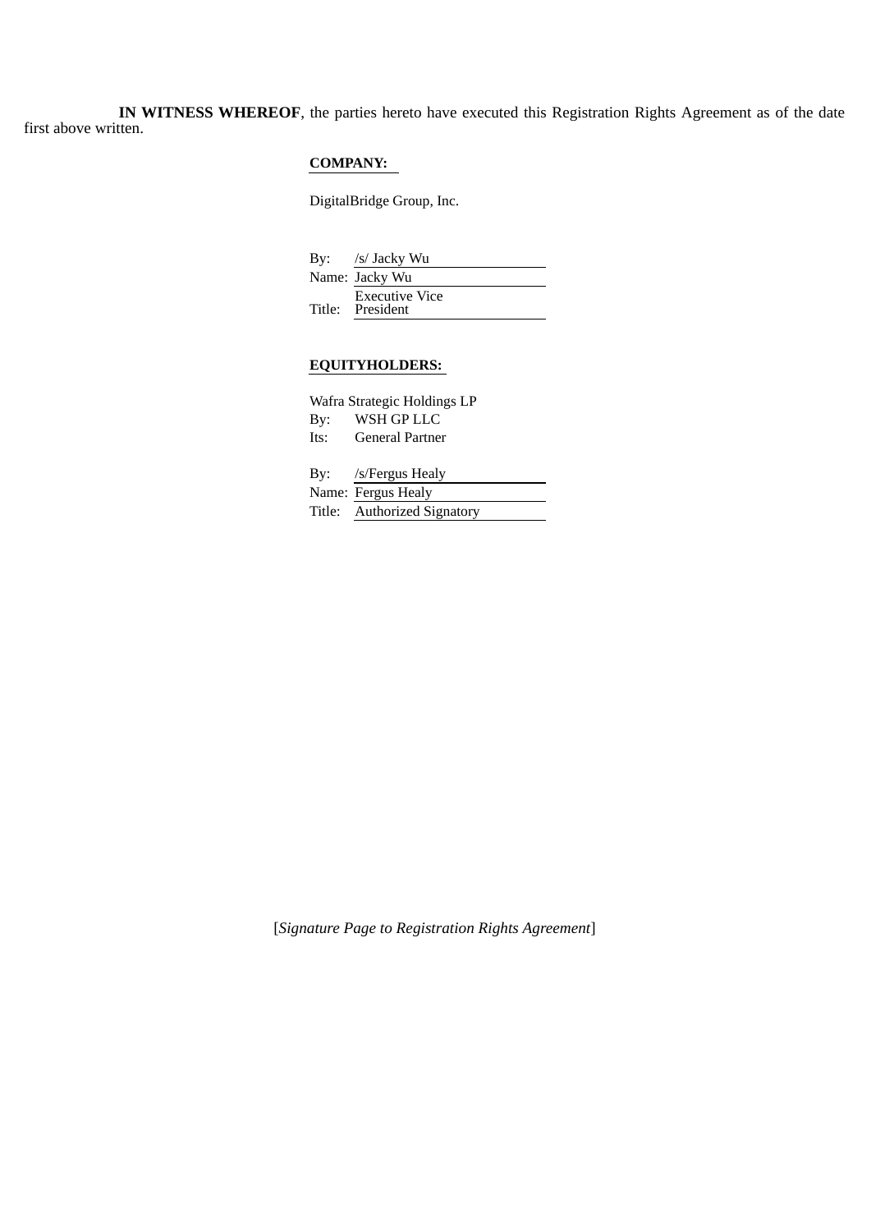**IN WITNESS WHEREOF**, the parties hereto have executed this Registration Rights Agreement as of the date first above written.

## **COMPANY:**

DigitalBridge Group, Inc.

By: /s/ Jacky Wu Name: Jacky Wu Title: President Executive Vice

# **EQUITYHOLDERS:**

| Wafra Strategic Holdings LP |                             |  |
|-----------------------------|-----------------------------|--|
| By:                         | WSH GP LLC                  |  |
| Its:                        | General Partner             |  |
|                             |                             |  |
|                             | By: /s/Fergus Healy         |  |
|                             | Name: Fergus Healy          |  |
|                             | Title: Authorized Signatory |  |
|                             |                             |  |

[*Signature Page to Registration Rights Agreement*]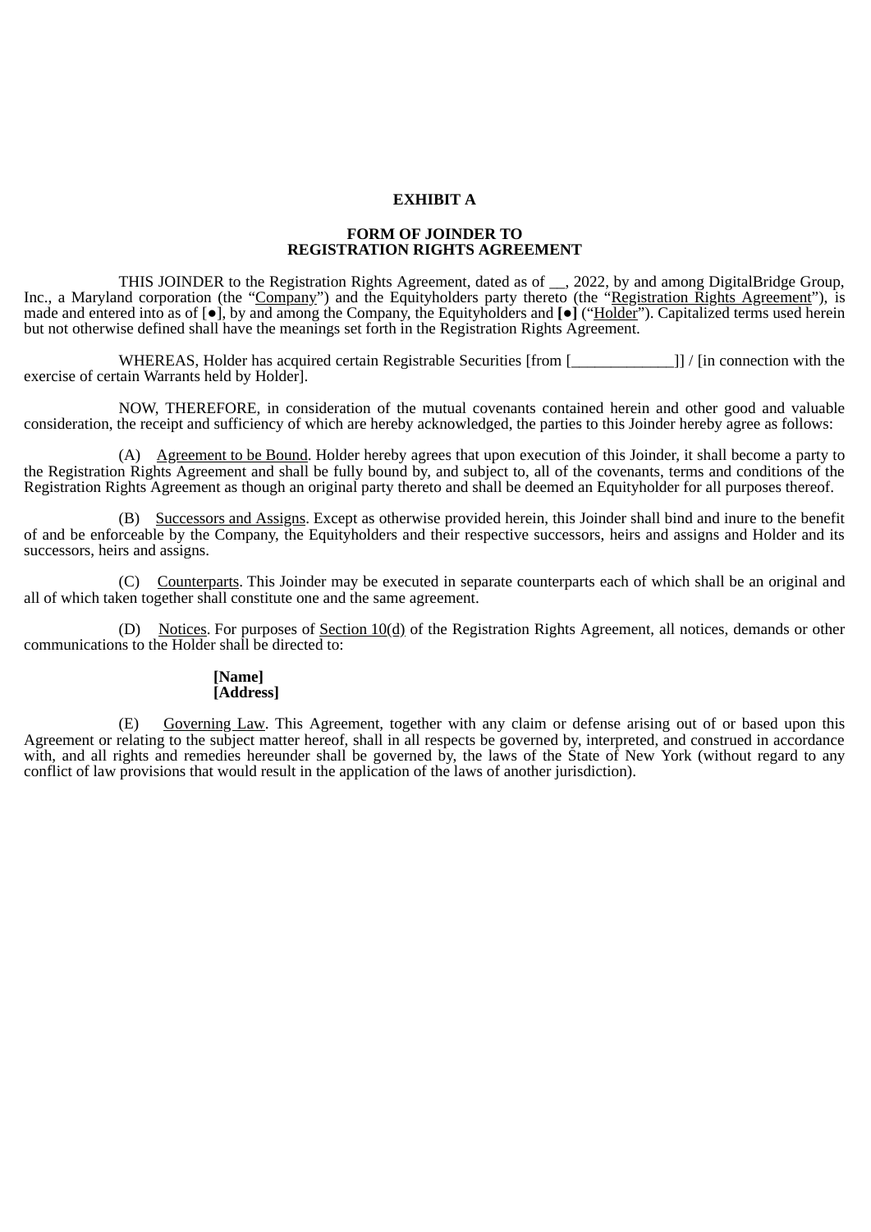## **EXHIBIT A**

#### **FORM OF JOINDER TO REGISTRATION RIGHTS AGREEMENT**

THIS JOINDER to the Registration Rights Agreement, dated as of \_\_, 2022, by and among DigitalBridge Group, Inc., a Maryland corporation (the "Company") and the Equityholders party thereto (the "Registration Rights Agreement"), is made and entered into as of [●], by and among the Company, the Equityholders and **[●]** ("Holder"). Capitalized terms used herein but not otherwise defined shall have the meanings set forth in the Registration Rights Agreement.

WHEREAS, Holder has acquired certain Registrable Securities [from [\_\_\_\_\_\_\_\_\_\_\_\_\_]] / [in connection with the exercise of certain Warrants held by Holder].

NOW, THEREFORE, in consideration of the mutual covenants contained herein and other good and valuable consideration, the receipt and sufficiency of which are hereby acknowledged, the parties to this Joinder hereby agree as follows:

(A)  $\Delta$ greement to be Bound. Holder hereby agrees that upon execution of this Joinder, it shall become a party to the Registration Rights Agreement and shall be fully bound by, and subject to, all of the covenants, terms and conditions of the Registration Rights Agreement as though an original party thereto and shall be deemed an Equityholder for all purposes thereof.

(B) Successors and Assigns. Except as otherwise provided herein, this Joinder shall bind and inure to the benefit of and be enforceable by the Company, the Equityholders and their respective successors, heirs and assigns and Holder and its successors, heirs and assigns.

(C) Counterparts. This Joinder may be executed in separate counterparts each of which shall be an original and all of which taken together shall constitute one and the same agreement.

(D) Notices. For purposes of Section  $10(d)$  of the Registration Rights Agreement, all notices, demands or other communications to the Holder shall be directed to:

#### **[Name] [Address]**

(E) Governing Law. This Agreement, together with any claim or defense arising out of or based upon this Agreement or relating to the subject matter hereof, shall in all respects be governed by, interpreted, and construed in accordance with, and all rights and remedies hereunder shall be governed by, the laws of the State of New York (without regard to any conflict of law provisions that would result in the application of the laws of another jurisdiction).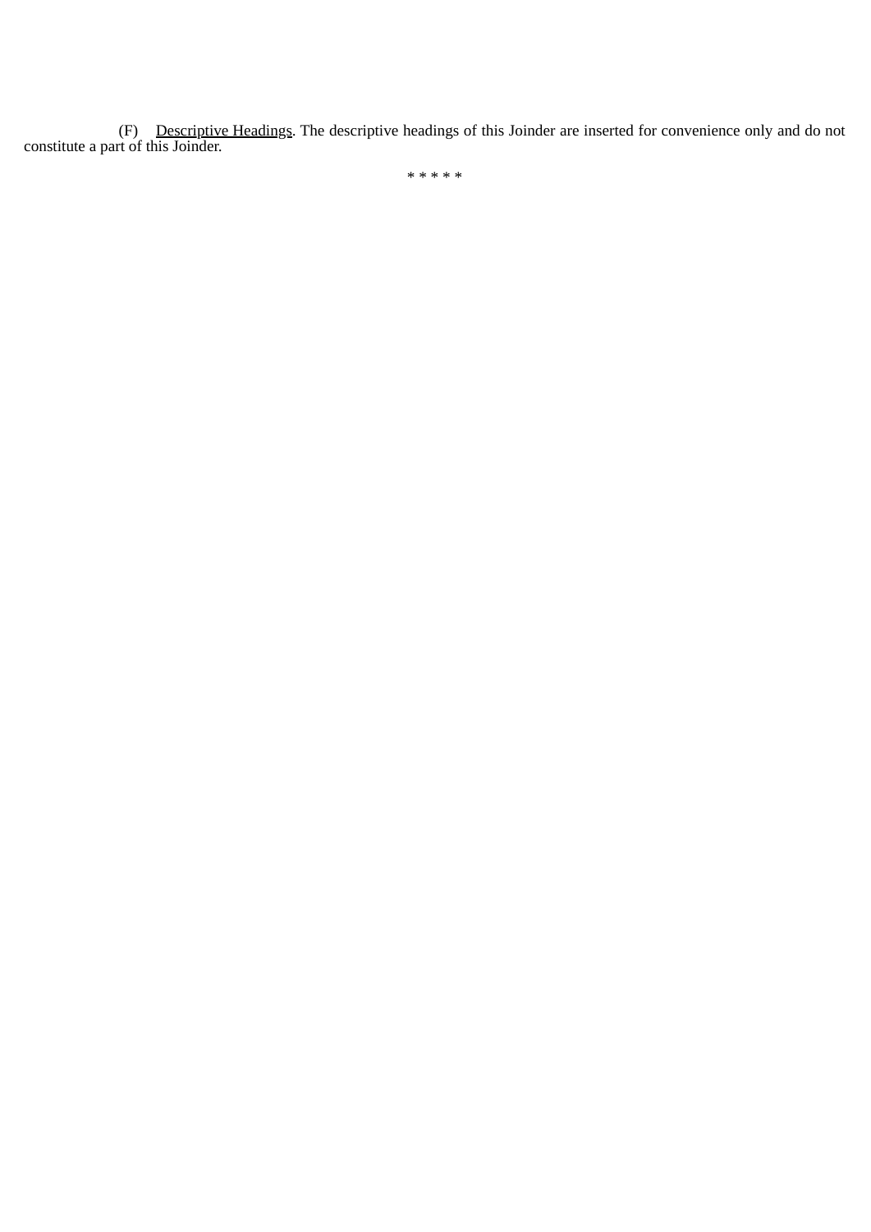(F) Descriptive Headings. The descriptive headings of this Joinder are inserted for convenience only and do not constitute a part of this Joinder.

\* \* \* \* \*